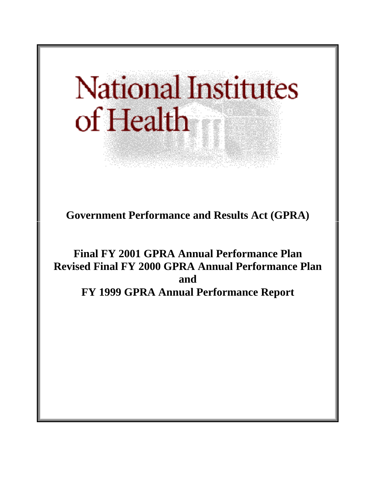# **National Institutes** of Health **Government Performance and Results Act (GPRA) Final FY 2001 GPRA Annual Performance Plan Revised Final FY 2000 GPRA Annual Performance Plan and FY 1999 GPRA Annual Performance Report**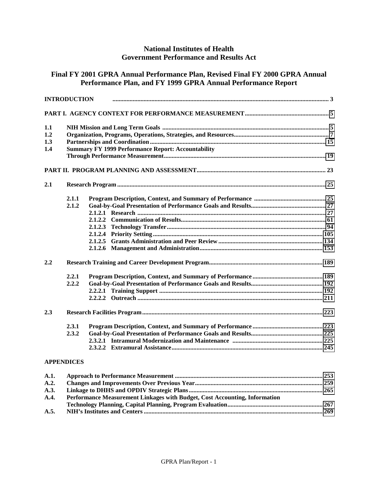#### **National Institutes of Health Government Performance and Results Act**

| Final FY 2001 GPRA Annual Performance Plan, Revised Final FY 2000 GPRA Annual |  |
|-------------------------------------------------------------------------------|--|
| Performance Plan, and FY 1999 GPRA Annual Performance Report                  |  |

|            | <b>INTRODUCTION</b> |                                                           |  |
|------------|---------------------|-----------------------------------------------------------|--|
|            |                     |                                                           |  |
| 1.1<br>1.2 |                     |                                                           |  |
| 1.3        |                     |                                                           |  |
| 1.4        |                     | <b>Summary FY 1999 Performance Report: Accountability</b> |  |
|            |                     |                                                           |  |
|            |                     |                                                           |  |
| 2.1        |                     |                                                           |  |
|            | 2.1.1               |                                                           |  |
|            | 2.1.2               |                                                           |  |
|            |                     |                                                           |  |
|            |                     |                                                           |  |
|            |                     |                                                           |  |
|            |                     |                                                           |  |
|            |                     |                                                           |  |
|            |                     |                                                           |  |
| 2.2        |                     |                                                           |  |
|            | 2.2.1               |                                                           |  |
|            | 2.2.2               |                                                           |  |
|            |                     |                                                           |  |
|            |                     |                                                           |  |
| 2.3        |                     |                                                           |  |
|            | 2.3.1               |                                                           |  |
|            | 2.3.2               |                                                           |  |
|            |                     |                                                           |  |
|            |                     |                                                           |  |
|            | <b>APPENDICES</b>   |                                                           |  |

| A.1. |                                                                                   |  |
|------|-----------------------------------------------------------------------------------|--|
| A.2. |                                                                                   |  |
| A.3. |                                                                                   |  |
| A.4. | <b>Performance Measurement Linkages with Budget, Cost Accounting, Information</b> |  |
|      |                                                                                   |  |
| A.5. |                                                                                   |  |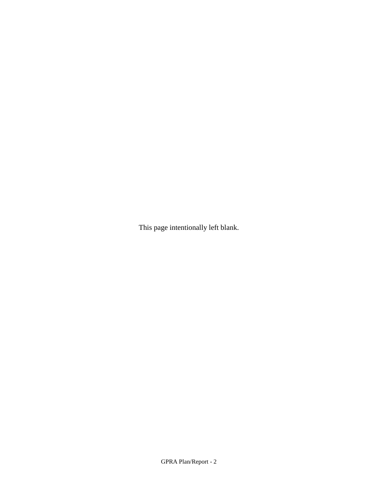This page intentionally left blank.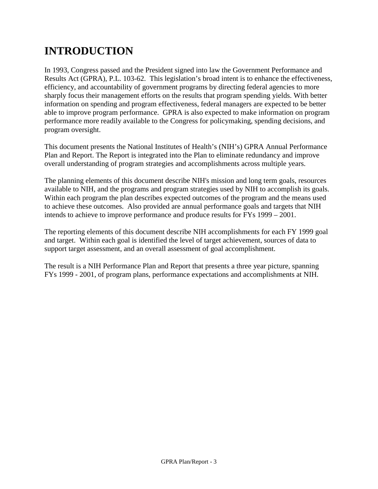# **INTRODUCTION**

In 1993, Congress passed and the President signed into law the Government Performance and Results Act (GPRA), P.L. 103-62. This legislation's broad intent is to enhance the effectiveness, efficiency, and accountability of government programs by directing federal agencies to more sharply focus their management efforts on the results that program spending yields. With better information on spending and program effectiveness, federal managers are expected to be better able to improve program performance. GPRA is also expected to make information on program performance more readily available to the Congress for policymaking, spending decisions, and program oversight.

This document presents the National Institutes of Health's (NIH's) GPRA Annual Performance Plan and Report. The Report is integrated into the Plan to eliminate redundancy and improve overall understanding of program strategies and accomplishments across multiple years.

The planning elements of this document describe NIH's mission and long term goals, resources available to NIH, and the programs and program strategies used by NIH to accomplish its goals. Within each program the plan describes expected outcomes of the program and the means used to achieve these outcomes. Also provided are annual performance goals and targets that NIH intends to achieve to improve performance and produce results for FYs 1999 – 2001.

The reporting elements of this document describe NIH accomplishments for each FY 1999 goal and target. Within each goal is identified the level of target achievement, sources of data to support target assessment, and an overall assessment of goal accomplishment.

The result is a NIH Performance Plan and Report that presents a three year picture, spanning FYs 1999 - 2001, of program plans, performance expectations and accomplishments at NIH.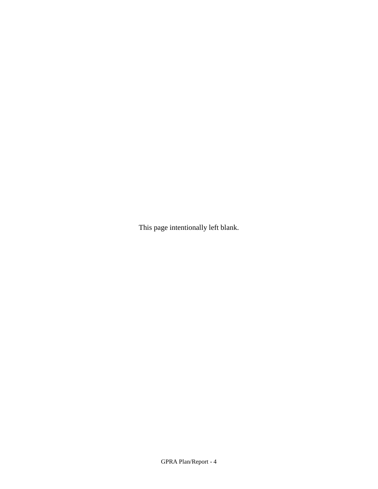This page intentionally left blank.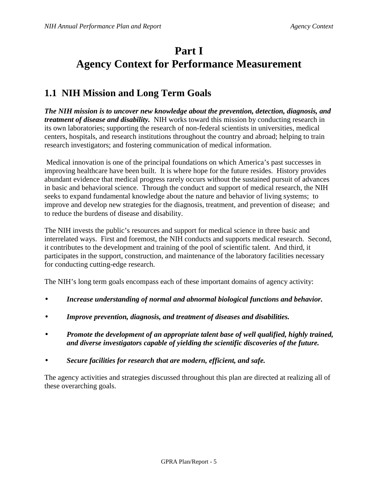# <span id="page-5-0"></span>**Part I Agency Context for Performance Measurement**

# **1.1 NIH Mission and Long Term Goals**

*The NIH mission is to uncover new knowledge about the prevention, detection, diagnosis, and treatment of disease and disability.* NIH works toward this mission by conducting research in its own laboratories; supporting the research of non-federal scientists in universities, medical centers, hospitals, and research institutions throughout the country and abroad; helping to train research investigators; and fostering communication of medical information.

 Medical innovation is one of the principal foundations on which America's past successes in improving healthcare have been built. It is where hope for the future resides. History provides abundant evidence that medical progress rarely occurs without the sustained pursuit of advances in basic and behavioral science. Through the conduct and support of medical research, the NIH seeks to expand fundamental knowledge about the nature and behavior of living systems; to improve and develop new strategies for the diagnosis, treatment, and prevention of disease; and to reduce the burdens of disease and disability.

The NIH invests the public's resources and support for medical science in three basic and interrelated ways. First and foremost, the NIH conducts and supports medical research. Second, it contributes to the development and training of the pool of scientific talent. And third, it participates in the support, construction, and maintenance of the laboratory facilities necessary for conducting cutting-edge research.

The NIH's long term goals encompass each of these important domains of agency activity:

- *Increase understanding of normal and abnormal biological functions and behavior.*
- *Improve prevention, diagnosis, and treatment of diseases and disabilities.*
- *Promote the development of an appropriate talent base of well qualified, highly trained, and diverse investigators capable of yielding the scientific discoveries of the future.*
- *Secure facilities for research that are modern, efficient, and safe.*

The agency activities and strategies discussed throughout this plan are directed at realizing all of these overarching goals.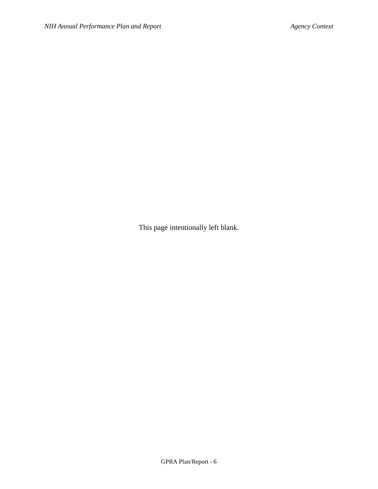This page intentionally left blank.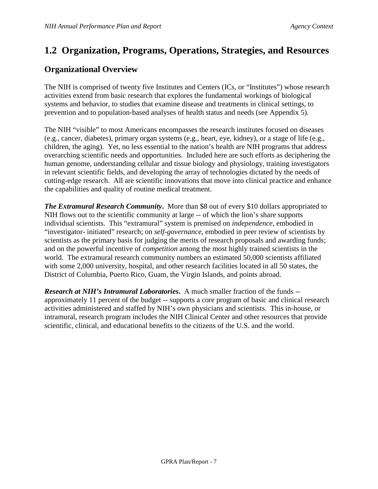# <span id="page-7-0"></span>**1.2 Organization, Programs, Operations, Strategies, and Resources**

# **Organizational Overview**

The NIH is comprised of twenty five Institutes and Centers (ICs, or "Institutes") whose research activities extend from basic research that explores the fundamental workings of biological systems and behavior, to studies that examine disease and treatments in clinical settings, to prevention and to population-based analyses of health status and needs (see Appendix 5).

The NIH "visible" to most Americans encompasses the research institutes focused on diseases (e.g., cancer, diabetes), primary organ systems (e.g., heart, eye, kidney), or a stage of life (e.g., children, the aging). Yet, no less essential to the nation's health are NIH programs that address overarching scientific needs and opportunities. Included here are such efforts as deciphering the human genome, understanding cellular and tissue biology and physiology, training investigators in relevant scientific fields, and developing the array of technologies dictated by the needs of cutting-edge research. All are scientific innovations that move into clinical practice and enhance the capabilities and quality of routine medical treatment.

*The Extramural Research Community***.** More than \$8 out of every \$10 dollars appropriated to NIH flows out to the scientific community at large -- of which the lion's share supports individual scientists. This "extramural" system is premised on *independence*, embodied in "investigator- initiated" research; on *self-governance*, embodied in peer review of scientists by scientists as the primary basis for judging the merits of research proposals and awarding funds; and on the powerful incentive of *competition* among the most highly trained scientists in the world. The extramural research community numbers an estimated 50,000 scientists affiliated with some 2,000 university, hospital, and other research facilities located in all 50 states, the District of Columbia, Puerto Rico, Guam, the Virgin Islands, and points abroad.

*Research at NIH's Intramural Laboratories***.** A much smaller fraction of the funds - approximately 11 percent of the budget -- supports a core program of basic and clinical research activities administered and staffed by NIH's own physicians and scientists. This in-house, or intramural, research program includes the NIH Clinical Center and other resources that provide scientific, clinical, and educational benefits to the citizens of the U.S. and the world.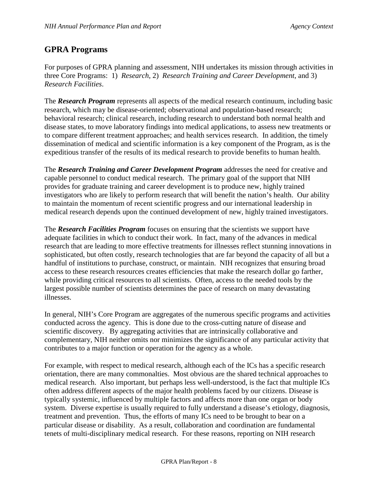# **GPRA Programs**

For purposes of GPRA planning and assessment, NIH undertakes its mission through activities in three Core Programs: 1) *Research*, 2) *Research Training and Career Development*, and 3) *Research Facilities*.

The *Research Program* represents all aspects of the medical research continuum, including basic research, which may be disease-oriented; observational and population-based research; behavioral research; clinical research, including research to understand both normal health and disease states, to move laboratory findings into medical applications, to assess new treatments or to compare different treatment approaches; and health services research. In addition, the timely dissemination of medical and scientific information is a key component of the Program, as is the expeditious transfer of the results of its medical research to provide benefits to human health.

The *Research Training and Career Development Program* addresses the need for creative and capable personnel to conduct medical research. The primary goal of the support that NIH provides for graduate training and career development is to produce new, highly trained investigators who are likely to perform research that will benefit the nation's health. Our ability to maintain the momentum of recent scientific progress and our international leadership in medical research depends upon the continued development of new, highly trained investigators.

The *Research Facilities Program* focuses on ensuring that the scientists we support have adequate facilities in which to conduct their work. In fact, many of the advances in medical research that are leading to more effective treatments for illnesses reflect stunning innovations in sophisticated, but often costly, research technologies that are far beyond the capacity of all but a handful of institutions to purchase, construct, or maintain. NIH recognizes that ensuring broad access to these research resources creates efficiencies that make the research dollar go farther, while providing critical resources to all scientists. Often, access to the needed tools by the largest possible number of scientists determines the pace of research on many devastating illnesses.

In general, NIH's Core Program are aggregates of the numerous specific programs and activities conducted across the agency. This is done due to the cross-cutting nature of disease and scientific discovery. By aggregating activities that are intrinsically collaborative and complementary, NIH neither omits nor minimizes the significance of any particular activity that contributes to a major function or operation for the agency as a whole.

For example, with respect to medical research, although each of the ICs has a specific research orientation, there are many commonalties. Most obvious are the shared technical approaches to medical research. Also important, but perhaps less well-understood, is the fact that multiple ICs often address different aspects of the major health problems faced by our citizens. Disease is typically systemic, influenced by multiple factors and affects more than one organ or body system. Diverse expertise is usually required to fully understand a disease's etiology, diagnosis, treatment and prevention. Thus, the efforts of many ICs need to be brought to bear on a particular disease or disability. As a result, collaboration and coordination are fundamental tenets of multi-disciplinary medical research. For these reasons, reporting on NIH research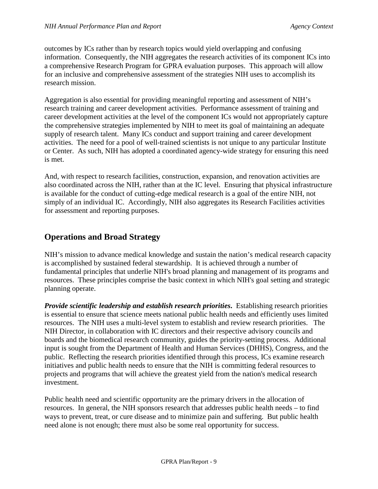outcomes by ICs rather than by research topics would yield overlapping and confusing information. Consequently, the NIH aggregates the research activities of its component ICs into a comprehensive Research Program for GPRA evaluation purposes. This approach will allow for an inclusive and comprehensive assessment of the strategies NIH uses to accomplish its research mission.

Aggregation is also essential for providing meaningful reporting and assessment of NIH's research training and career development activities. Performance assessment of training and career development activities at the level of the component ICs would not appropriately capture the comprehensive strategies implemented by NIH to meet its goal of maintaining an adequate supply of research talent. Many ICs conduct and support training and career development activities. The need for a pool of well-trained scientists is not unique to any particular Institute or Center. As such, NIH has adopted a coordinated agency-wide strategy for ensuring this need is met.

And, with respect to research facilities, construction, expansion, and renovation activities are also coordinated across the NIH, rather than at the IC level. Ensuring that physical infrastructure is available for the conduct of cutting-edge medical research is a goal of the entire NIH, not simply of an individual IC. Accordingly, NIH also aggregates its Research Facilities activities for assessment and reporting purposes.

# **Operations and Broad Strategy**

NIH's mission to advance medical knowledge and sustain the nation's medical research capacity is accomplished by sustained federal stewardship. It is achieved through a number of fundamental principles that underlie NIH's broad planning and management of its programs and resources. These principles comprise the basic context in which NIH's goal setting and strategic planning operate.

*Provide scientific leadership and establish research priorities***.** Establishing research priorities is essential to ensure that science meets national public health needs and efficiently uses limited resources. The NIH uses a multi-level system to establish and review research priorities. The NIH Director, in collaboration with IC directors and their respective advisory councils and boards and the biomedical research community, guides the priority-setting process. Additional input is sought from the Department of Health and Human Services (DHHS), Congress, and the public. Reflecting the research priorities identified through this process, ICs examine research initiatives and public health needs to ensure that the NIH is committing federal resources to projects and programs that will achieve the greatest yield from the nation's medical research investment.

Public health need and scientific opportunity are the primary drivers in the allocation of resources. In general, the NIH sponsors research that addresses public health needs – to find ways to prevent, treat, or cure disease and to minimize pain and suffering. But public health need alone is not enough; there must also be some real opportunity for success.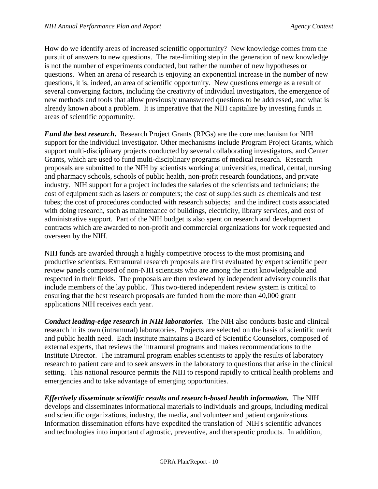How do we identify areas of increased scientific opportunity? New knowledge comes from the pursuit of answers to new questions. The rate-limiting step in the generation of new knowledge is not the number of experiments conducted, but rather the number of new hypotheses or questions. When an arena of research is enjoying an exponential increase in the number of new questions, it is, indeed, an area of scientific opportunity. New questions emerge as a result of several converging factors, including the creativity of individual investigators, the emergence of new methods and tools that allow previously unanswered questions to be addressed, and what is already known about a problem. It is imperative that the NIH capitalize by investing funds in areas of scientific opportunity.

*Fund the best research***.** Research Project Grants (RPGs) are the core mechanism for NIH support for the individual investigator. Other mechanisms include Program Project Grants, which support multi-disciplinary projects conducted by several collaborating investigators, and Center Grants, which are used to fund multi-disciplinary programs of medical research. Research proposals are submitted to the NIH by scientists working at universities, medical, dental, nursing and pharmacy schools, schools of public health, non-profit research foundations, and private industry. NIH support for a project includes the salaries of the scientists and technicians; the cost of equipment such as lasers or computers; the cost of supplies such as chemicals and test tubes; the cost of procedures conducted with research subjects; and the indirect costs associated with doing research, such as maintenance of buildings, electricity, library services, and cost of administrative support. Part of the NIH budget is also spent on research and development contracts which are awarded to non-profit and commercial organizations for work requested and overseen by the NIH.

NIH funds are awarded through a highly competitive process to the most promising and productive scientists. Extramural research proposals are first evaluated by expert scientific peer review panels composed of non-NIH scientists who are among the most knowledgeable and respected in their fields. The proposals are then reviewed by independent advisory councils that include members of the lay public. This two-tiered independent review system is critical to ensuring that the best research proposals are funded from the more than 40,000 grant applications NIH receives each year.

*Conduct leading-edge research in NIH laboratories***.** The NIH also conducts basic and clinical research in its own (intramural) laboratories. Projects are selected on the basis of scientific merit and public health need. Each institute maintains a Board of Scientific Counselors, composed of external experts, that reviews the intramural programs and makes recommendations to the Institute Director. The intramural program enables scientists to apply the results of laboratory research to patient care and to seek answers in the laboratory to questions that arise in the clinical setting. This national resource permits the NIH to respond rapidly to critical health problems and emergencies and to take advantage of emerging opportunities.

*Effectively disseminate scientific results and research-based health information.* The NIH develops and disseminates informational materials to individuals and groups, including medical and scientific organizations, industry, the media, and volunteer and patient organizations. Information dissemination efforts have expedited the translation of NIH's scientific advances and technologies into important diagnostic, preventive, and therapeutic products. In addition,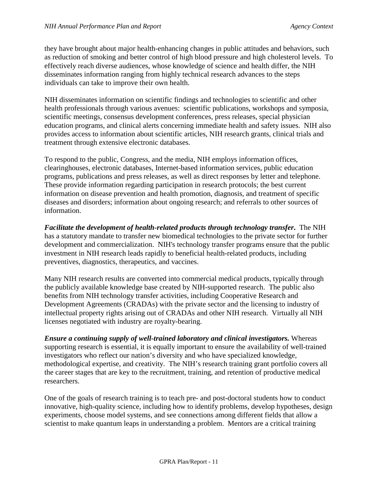they have brought about major health-enhancing changes in public attitudes and behaviors, such as reduction of smoking and better control of high blood pressure and high cholesterol levels. To effectively reach diverse audiences, whose knowledge of science and health differ, the NIH disseminates information ranging from highly technical research advances to the steps individuals can take to improve their own health.

NIH disseminates information on scientific findings and technologies to scientific and other health professionals through various avenues: scientific publications, workshops and symposia, scientific meetings, consensus development conferences, press releases, special physician education programs, and clinical alerts concerning immediate health and safety issues. NIH also provides access to information about scientific articles, NIH research grants, clinical trials and treatment through extensive electronic databases.

To respond to the public, Congress, and the media, NIH employs information offices, clearinghouses, electronic databases, Internet-based information services, public education programs, publications and press releases, as well as direct responses by letter and telephone. These provide information regarding participation in research protocols; the best current information on disease prevention and health promotion, diagnosis, and treatment of specific diseases and disorders; information about ongoing research; and referrals to other sources of information.

*Facilitate the development of health-related products through technology transfer***.** The NIH has a statutory mandate to transfer new biomedical technologies to the private sector for further development and commercialization. NIH's technology transfer programs ensure that the public investment in NIH research leads rapidly to beneficial health-related products, including preventives, diagnostics, therapeutics, and vaccines.

Many NIH research results are converted into commercial medical products, typically through the publicly available knowledge base created by NIH-supported research. The public also benefits from NIH technology transfer activities, including Cooperative Research and Development Agreements (CRADAs) with the private sector and the licensing to industry of intellectual property rights arising out of CRADAs and other NIH research. Virtually all NIH licenses negotiated with industry are royalty-bearing.

*Ensure a continuing supply of well-trained laboratory and clinical investigators.* Whereas supporting research is essential, it is equally important to ensure the availability of well-trained investigators who reflect our nation's diversity and who have specialized knowledge, methodological expertise, and creativity. The NIH's research training grant portfolio covers all the career stages that are key to the recruitment, training, and retention of productive medical researchers.

One of the goals of research training is to teach pre- and post-doctoral students how to conduct innovative, high-quality science, including how to identify problems, develop hypotheses, design experiments, choose model systems, and see connections among different fields that allow a scientist to make quantum leaps in understanding a problem. Mentors are a critical training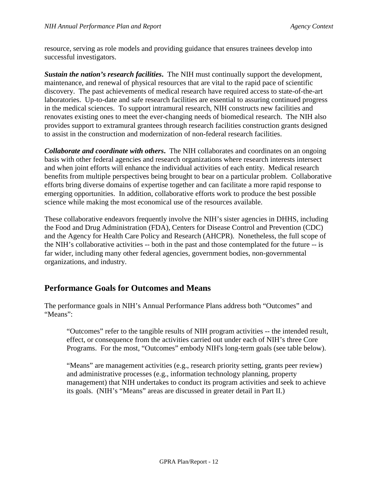resource, serving as role models and providing guidance that ensures trainees develop into successful investigators.

*Sustain the nation's research facilities***.** The NIH must continually support the development, maintenance, and renewal of physical resources that are vital to the rapid pace of scientific discovery. The past achievements of medical research have required access to state-of-the-art laboratories. Up-to-date and safe research facilities are essential to assuring continued progress in the medical sciences. To support intramural research, NIH constructs new facilities and renovates existing ones to meet the ever-changing needs of biomedical research. The NIH also provides support to extramural grantees through research facilities construction grants designed to assist in the construction and modernization of non-federal research facilities.

*Collaborate and coordinate with others***.** The NIH collaborates and coordinates on an ongoing basis with other federal agencies and research organizations where research interests intersect and when joint efforts will enhance the individual activities of each entity. Medical research benefits from multiple perspectives being brought to bear on a particular problem. Collaborative efforts bring diverse domains of expertise together and can facilitate a more rapid response to emerging opportunities. In addition, collaborative efforts work to produce the best possible science while making the most economical use of the resources available.

These collaborative endeavors frequently involve the NIH's sister agencies in DHHS, including the Food and Drug Administration (FDA), Centers for Disease Control and Prevention (CDC) and the Agency for Health Care Policy and Research (AHCPR). Nonetheless, the full scope of the NIH's collaborative activities -- both in the past and those contemplated for the future -- is far wider, including many other federal agencies, government bodies, non-governmental organizations, and industry.

# **Performance Goals for Outcomes and Means**

The performance goals in NIH's Annual Performance Plans address both "Outcomes" and "Means":

"Outcomes" refer to the tangible results of NIH program activities -- the intended result, effect, or consequence from the activities carried out under each of NIH's three Core Programs. For the most, "Outcomes" embody NIH's long-term goals (see table below).

"Means" are management activities (e.g., research priority setting, grants peer review) and administrative processes (e.g., information technology planning, property management) that NIH undertakes to conduct its program activities and seek to achieve its goals. (NIH's "Means" areas are discussed in greater detail in Part II.)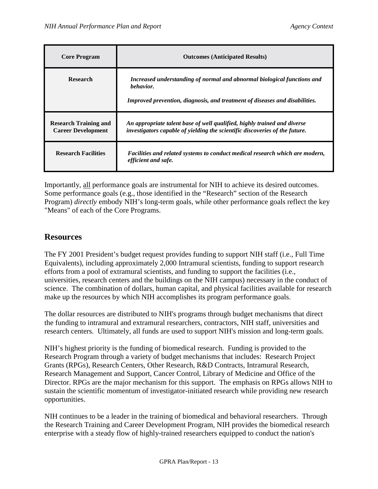| <b>Core Program</b>                                       | <b>Outcomes (Anticipated Results)</b>                                                                                                                                      |  |
|-----------------------------------------------------------|----------------------------------------------------------------------------------------------------------------------------------------------------------------------------|--|
| <b>Research</b>                                           | Increased understanding of normal and abnormal biological functions and<br><i>behavior.</i><br>Improved prevention, diagnosis, and treatment of diseases and disabilities. |  |
| <b>Research Training and</b><br><b>Career Development</b> | An appropriate talent base of well qualified, highly trained and diverse<br>investigators capable of yielding the scientific discoveries of the future.                    |  |
| <b>Research Facilities</b>                                | Facilities and related systems to conduct medical research which are modern,<br>efficient and safe.                                                                        |  |

Importantly, all performance goals are instrumental for NIH to achieve its desired outcomes. Some performance goals (e.g., those identified in the "Research" section of the Research Program) *directly* embody NIH's long-term goals, while other performance goals reflect the key "Means" of each of the Core Programs.

## **Resources**

The FY 2001 President's budget request provides funding to support NIH staff (i.e., Full Time Equivalents), including approximately 2,000 Intramural scientists, funding to support research efforts from a pool of extramural scientists, and funding to support the facilities (i.e., universities, research centers and the buildings on the NIH campus) necessary in the conduct of science. The combination of dollars, human capital, and physical facilities available for research make up the resources by which NIH accomplishes its program performance goals.

The dollar resources are distributed to NIH's programs through budget mechanisms that direct the funding to intramural and extramural researchers, contractors, NIH staff, universities and research centers. Ultimately, all funds are used to support NIH's mission and long-term goals.

NIH's highest priority is the funding of biomedical research. Funding is provided to the Research Program through a variety of budget mechanisms that includes: Research Project Grants (RPGs), Research Centers, Other Research, R&D Contracts, Intramural Research, Research Management and Support, Cancer Control, Library of Medicine and Office of the Director. RPGs are the major mechanism for this support. The emphasis on RPGs allows NIH to sustain the scientific momentum of investigator-initiated research while providing new research opportunities.

NIH continues to be a leader in the training of biomedical and behavioral researchers. Through the Research Training and Career Development Program, NIH provides the biomedical research enterprise with a steady flow of highly-trained researchers equipped to conduct the nation's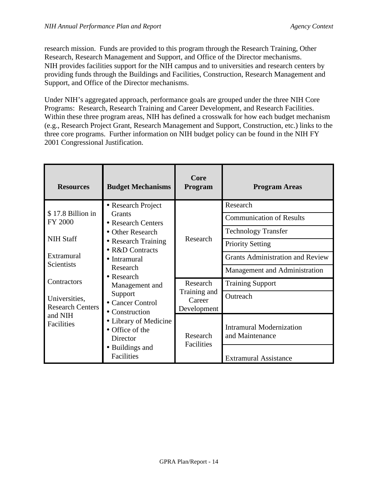research mission. Funds are provided to this program through the Research Training, Other Research, Research Management and Support, and Office of the Director mechanisms. NIH provides facilities support for the NIH campus and to universities and research centers by providing funds through the Buildings and Facilities, Construction, Research Management and Support, and Office of the Director mechanisms.

Under NIH's aggregated approach, performance goals are grouped under the three NIH Core Programs: Research, Research Training and Career Development, and Research Facilities. Within these three program areas, NIH has defined a crosswalk for how each budget mechanism (e.g., Research Project Grant, Research Management and Support, Construction, etc.) links to the three core programs. Further information on NIH budget policy can be found in the NIH FY 2001 Congressional Justification.

| <b>Resources</b>                                                                                   | <b>Budget Mechanisms</b>                                                                                                                                                                                                                                                                                                      | Core<br><b>Program</b>                                                                              | <b>Program Areas</b>                                                                                                                                                                                        |
|----------------------------------------------------------------------------------------------------|-------------------------------------------------------------------------------------------------------------------------------------------------------------------------------------------------------------------------------------------------------------------------------------------------------------------------------|-----------------------------------------------------------------------------------------------------|-------------------------------------------------------------------------------------------------------------------------------------------------------------------------------------------------------------|
| \$17.8 Billion in<br><b>FY 2000</b><br><b>NIH Staff</b><br>Extramural<br>Scientists<br>Contractors | • Research Project<br><b>Grants</b><br>• Research Centers<br>• Other Research<br>• Research Training<br>• R&D Contracts<br>• Intramural<br>Research<br>• Research<br>Management and<br>Support<br>• Cancer Control<br>• Construction<br>• Library of Medicine<br>• Office of the<br>Director<br>• Buildings and<br>Facilities | Research<br>Research<br>Training and<br>Outreach<br>Career<br>Development<br>Research<br>Facilities | Research<br><b>Communication of Results</b><br><b>Technology Transfer</b><br><b>Priority Setting</b><br><b>Grants Administration and Review</b><br>Management and Administration<br><b>Training Support</b> |
| Universities,<br><b>Research Centers</b><br>and NIH<br>Facilities                                  |                                                                                                                                                                                                                                                                                                                               |                                                                                                     | <b>Intramural Modernization</b><br>and Maintenance<br><b>Extramural Assistance</b>                                                                                                                          |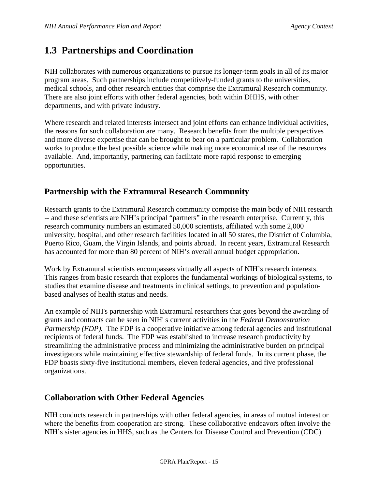# <span id="page-15-0"></span>**1.3 Partnerships and Coordination**

NIH collaborates with numerous organizations to pursue its longer-term goals in all of its major program areas. Such partnerships include competitively-funded grants to the universities, medical schools, and other research entities that comprise the Extramural Research community. There are also joint efforts with other federal agencies, both within DHHS, with other departments, and with private industry.

Where research and related interests intersect and joint efforts can enhance individual activities, the reasons for such collaboration are many. Research benefits from the multiple perspectives and more diverse expertise that can be brought to bear on a particular problem. Collaboration works to produce the best possible science while making more economical use of the resources available. And, importantly, partnering can facilitate more rapid response to emerging opportunities.

# **Partnership with the Extramural Research Community**

Research grants to the Extramural Research community comprise the main body of NIH research -- and these scientists are NIH's principal "partners" in the research enterprise. Currently, this research community numbers an estimated 50,000 scientists, affiliated with some 2,000 university, hospital, and other research facilities located in all 50 states, the District of Columbia, Puerto Rico, Guam, the Virgin Islands, and points abroad. In recent years, Extramural Research has accounted for more than 80 percent of NIH's overall annual budget appropriation.

Work by Extramural scientists encompasses virtually all aspects of NIH's research interests. This ranges from basic research that explores the fundamental workings of biological systems, to studies that examine disease and treatments in clinical settings, to prevention and populationbased analyses of health status and needs.

An example of NIH's partnership with Extramural researchers that goes beyond the awarding of grants and contracts can be seen in NIH' s current activities in the *Federal Demonstration Partnership (FDP).* The FDP is a cooperative initiative among federal agencies and institutional recipients of federal funds. The FDP was established to increase research productivity by streamlining the administrative process and minimizing the administrative burden on principal investigators while maintaining effective stewardship of federal funds. In its current phase, the FDP boasts sixty-five institutional members, eleven federal agencies, and five professional organizations.

# **Collaboration with Other Federal Agencies**

NIH conducts research in partnerships with other federal agencies, in areas of mutual interest or where the benefits from cooperation are strong. These collaborative endeavors often involve the NIH's sister agencies in HHS, such as the Centers for Disease Control and Prevention (CDC)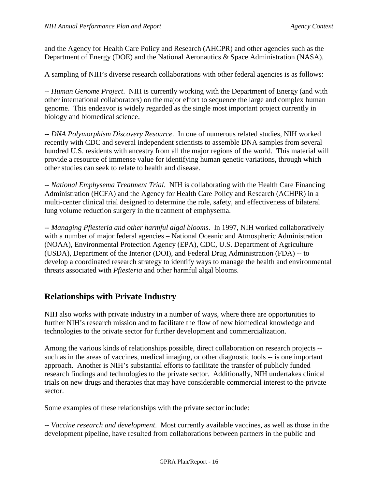and the Agency for Health Care Policy and Research (AHCPR) and other agencies such as the Department of Energy (DOE) and the National Aeronautics & Space Administration (NASA).

A sampling of NIH's diverse research collaborations with other federal agencies is as follows:

-- *Human Genome Project*. NIH is currently working with the Department of Energy (and with other international collaborators) on the major effort to sequence the large and complex human genome. This endeavor is widely regarded as the single most important project currently in biology and biomedical science.

-- *DNA Polymorphism Discovery Resource*. In one of numerous related studies, NIH worked recently with CDC and several independent scientists to assemble DNA samples from several hundred U.S. residents with ancestry from all the major regions of the world. This material will provide a resource of immense value for identifying human genetic variations, through which other studies can seek to relate to health and disease.

-- *National Emphysema Treatment Trial*. NIH is collaborating with the Health Care Financing Administration (HCFA) and the Agency for Health Care Policy and Research (ACHPR) in a multi-center clinical trial designed to determine the role, safety, and effectiveness of bilateral lung volume reduction surgery in the treatment of emphysema.

*-- Managing Pfiesteria and other harmful algal blooms*. In 1997, NIH worked collaboratively with a number of major federal agencies – National Oceanic and Atmospheric Administration (NOAA), Environmental Protection Agency (EPA), CDC, U.S. Department of Agriculture (USDA), Department of the Interior (DOI), and Federal Drug Administration (FDA) -- to develop a coordinated research strategy to identify ways to manage the health and environmental threats associated with *Pfiesteria* and other harmful algal blooms.

# **Relationships with Private Industry**

NIH also works with private industry in a number of ways, where there are opportunities to further NIH's research mission and to facilitate the flow of new biomedical knowledge and technologies to the private sector for further development and commercialization.

Among the various kinds of relationships possible, direct collaboration on research projects - such as in the areas of vaccines, medical imaging, or other diagnostic tools -- is one important approach. Another is NIH's substantial efforts to facilitate the transfer of publicly funded research findings and technologies to the private sector. Additionally, NIH undertakes clinical trials on new drugs and therapies that may have considerable commercial interest to the private sector.

Some examples of these relationships with the private sector include:

-- *Vaccine research and development*. Most currently available vaccines, as well as those in the development pipeline, have resulted from collaborations between partners in the public and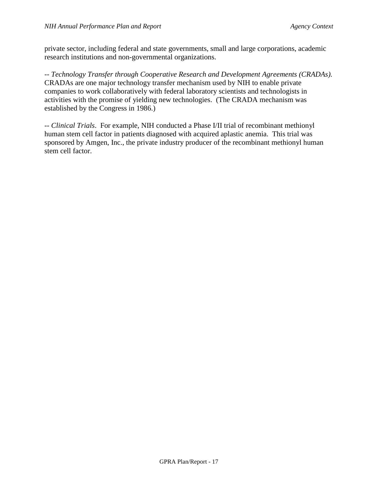private sector, including federal and state governments, small and large corporations, academic research institutions and non-governmental organizations.

-- *Technology Transfer through Cooperative Research and Development Agreements (CRADAs)*. CRADAs are one major technology transfer mechanism used by NIH to enable private companies to work collaboratively with federal laboratory scientists and technologists in activities with the promise of yielding new technologies. (The CRADA mechanism was established by the Congress in 1986.)

-- *Clinical Trials*. For example, NIH conducted a Phase I/II trial of recombinant methionyl human stem cell factor in patients diagnosed with acquired aplastic anemia. This trial was sponsored by Amgen, Inc., the private industry producer of the recombinant methionyl human stem cell factor.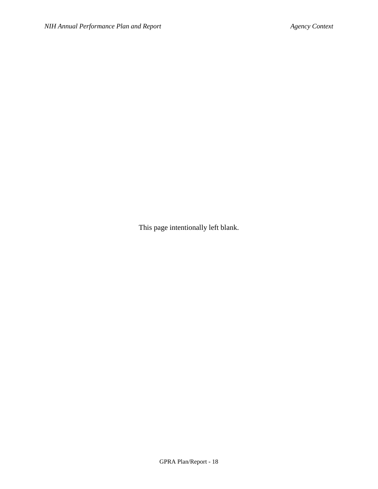This page intentionally left blank.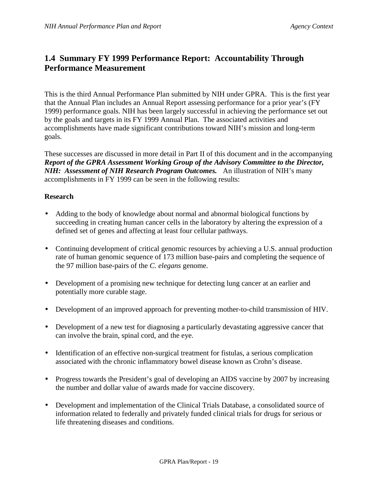# <span id="page-19-0"></span>**1.4 Summary FY 1999 Performance Report: Accountability Through Performance Measurement**

This is the third Annual Performance Plan submitted by NIH under GPRA. This is the first year that the Annual Plan includes an Annual Report assessing performance for a prior year's (FY 1999) performance goals. NIH has been largely successful in achieving the performance set out by the goals and targets in its FY 1999 Annual Plan. The associated activities and accomplishments have made significant contributions toward NIH's mission and long-term goals.

These successes are discussed in more detail in Part II of this document and in the accompanying *Report of the GPRA Assessment Working Group of the Advisory Committee to the Director, NIH: Assessment of NIH Research Program Outcomes.*An illustration of NIH's many accomplishments in FY 1999 can be seen in the following results:

#### **Research**

- Adding to the body of knowledge about normal and abnormal biological functions by succeeding in creating human cancer cells in the laboratory by altering the expression of a defined set of genes and affecting at least four cellular pathways.
- Continuing development of critical genomic resources by achieving a U.S. annual production rate of human genomic sequence of 173 million base-pairs and completing the sequence of the 97 million base-pairs of the *C. elegans* genome.
- Development of a promising new technique for detecting lung cancer at an earlier and potentially more curable stage.
- Development of an improved approach for preventing mother-to-child transmission of HIV.
- Development of a new test for diagnosing a particularly devastating aggressive cancer that can involve the brain, spinal cord, and the eye.
- Identification of an effective non-surgical treatment for fistulas, a serious complication associated with the chronic inflammatory bowel disease known as Crohn's disease.
- Progress towards the President's goal of developing an AIDS vaccine by 2007 by increasing the number and dollar value of awards made for vaccine discovery.
- Development and implementation of the Clinical Trials Database, a consolidated source of information related to federally and privately funded clinical trials for drugs for serious or life threatening diseases and conditions.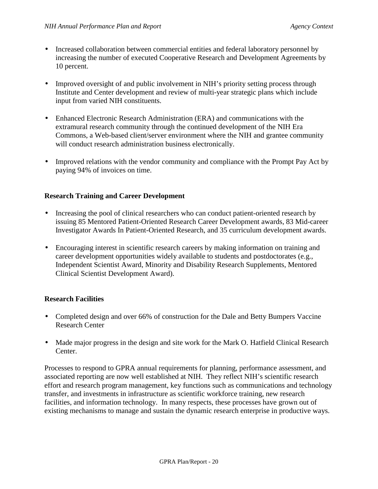- Increased collaboration between commercial entities and federal laboratory personnel by increasing the number of executed Cooperative Research and Development Agreements by 10 percent.
- Improved oversight of and public involvement in NIH's priority setting process through Institute and Center development and review of multi-year strategic plans which include input from varied NIH constituents.
- Enhanced Electronic Research Administration (ERA) and communications with the extramural research community through the continued development of the NIH Era Commons, a Web-based client/server environment where the NIH and grantee community will conduct research administration business electronically.
- Improved relations with the vendor community and compliance with the Prompt Pay Act by paying 94% of invoices on time.

#### **Research Training and Career Development**

- Increasing the pool of clinical researchers who can conduct patient-oriented research by issuing 85 Mentored Patient-Oriented Research Career Development awards, 83 Mid-career Investigator Awards In Patient-Oriented Research, and 35 curriculum development awards.
- Encouraging interest in scientific research careers by making information on training and career development opportunities widely available to students and postdoctorates (e.g., Independent Scientist Award, Minority and Disability Research Supplements, Mentored Clinical Scientist Development Award).

#### **Research Facilities**

- Completed design and over 66% of construction for the Dale and Betty Bumpers Vaccine Research Center
- Made major progress in the design and site work for the Mark O. Hatfield Clinical Research Center.

Processes to respond to GPRA annual requirements for planning, performance assessment, and associated reporting are now well established at NIH. They reflect NIH's scientific research effort and research program management, key functions such as communications and technology transfer, and investments in infrastructure as scientific workforce training, new research facilities, and information technology. In many respects, these processes have grown out of existing mechanisms to manage and sustain the dynamic research enterprise in productive ways.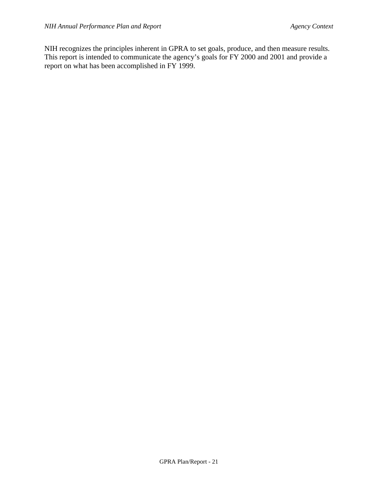NIH recognizes the principles inherent in GPRA to set goals, produce, and then measure results. This report is intended to communicate the agency's goals for FY 2000 and 2001 and provide a report on what has been accomplished in FY 1999.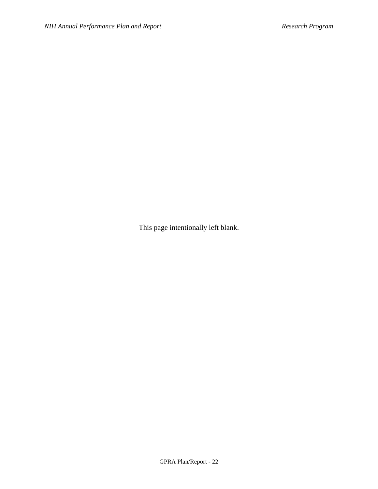This page intentionally left blank.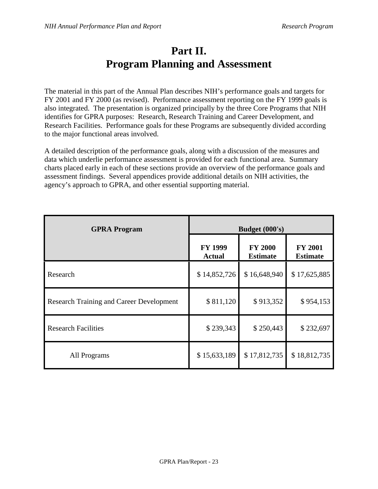# **Part II. Program Planning and Assessment**

The material in this part of the Annual Plan describes NIH's performance goals and targets for FY 2001 and FY 2000 (as revised). Performance assessment reporting on the FY 1999 goals is also integrated. The presentation is organized principally by the three Core Programs that NIH identifies for GPRA purposes: Research, Research Training and Career Development, and Research Facilities. Performance goals for these Programs are subsequently divided according to the major functional areas involved.

A detailed description of the performance goals, along with a discussion of the measures and data which underlie performance assessment is provided for each functional area. Summary charts placed early in each of these sections provide an overview of the performance goals and assessment findings. Several appendices provide additional details on NIH activities, the agency's approach to GPRA, and other essential supporting material.

| <b>GPRA Program</b>                             | Budget (000's)                  |                                   |                                   |
|-------------------------------------------------|---------------------------------|-----------------------------------|-----------------------------------|
|                                                 | <b>FY 1999</b><br><b>Actual</b> | <b>FY 2000</b><br><b>Estimate</b> | <b>FY 2001</b><br><b>Estimate</b> |
| Research                                        | \$14,852,726                    | \$16,648,940                      | \$17,625,885                      |
| <b>Research Training and Career Development</b> | \$811,120                       | \$913,352                         | \$954,153                         |
| <b>Research Facilities</b>                      | \$239,343                       | \$250,443                         | \$232,697                         |
| All Programs                                    | \$15,633,189                    | \$17,812,735                      | \$18,812,735                      |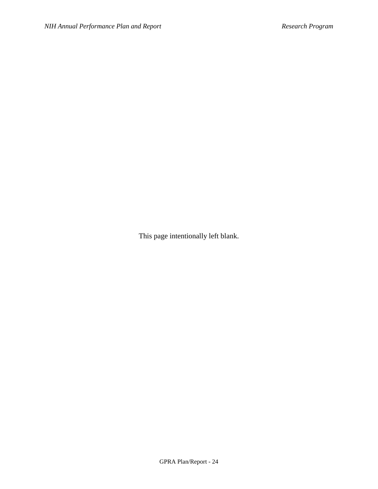This page intentionally left blank.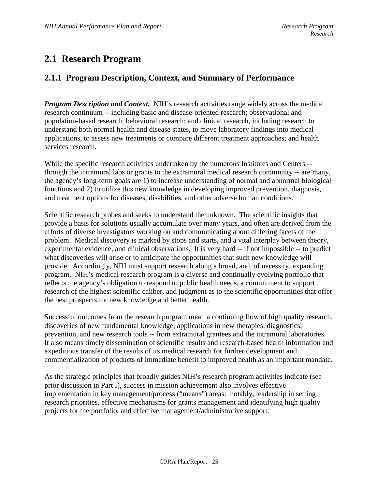# <span id="page-25-0"></span>**2.1 Research Program**

# **2.1.1 Program Description, Context, and Summary of Performance**

*Program Description and Context.* NIH's research activities range widely across the medical research continuum -- including basic and disease-oriented research; observational and population-based research; behavioral research; and clinical research, including research to understand both normal health and disease states, to move laboratory findings into medical applications, to assess new treatments or compare different treatment approaches; and health services research.

While the specific research activities undertaken by the numerous Institutes and Centers - through the intramural labs or grants to the extramural medical research community -- are many, the agency's long-term goals are 1) to increase understanding of normal and abnormal biological functions and 2) to utilize this new knowledge in developing improved prevention, diagnosis, and treatment options for diseases, disabilities, and other adverse human conditions.

Scientific research probes and seeks to understand the unknown. The scientific insights that provide a basis for solutions usually accumulate over many years, and often are derived from the efforts of diverse investigators working on and communicating about differing facets of the problem. Medical discovery is marked by stops and starts, and a vital interplay between theory, experimental evidence, and clinical observations. It is very hard -- if not impossible -- to predict what discoveries will arise or to anticipate the opportunities that such new knowledge will provide. Accordingly, NIH must support research along a broad, and, of necessity, expanding program. NIH's medical research program is a diverse and continually evolving portfolio that reflects the agency's obligation to respond to public health needs, a commitment to support research of the highest scientific caliber, and judgment as to the scientific opportunities that offer the best prospects for new knowledge and better health.

Successful outcomes from the research program mean a continuing flow of high quality research, discoveries of new fundamental knowledge, applications in new therapies, diagnostics, prevention, and new research tools -- from extramural grantees and the intramural laboratories. It also means timely dissemination of scientific results and research-based health information and expeditious transfer of the results of its medical research for further development and commercialization of products of immediate benefit to improved health as an important mandate.

As the strategic principles that broadly guides NIH's research program activities indicate (see prior discussion in Part I), success in mission achievement also involves effective implementation in key management/process ("means") areas: notably, leadership in setting research priorities, effective mechanisms for grants management and identifying high quality projects for the portfolio, and effective management/administrative support.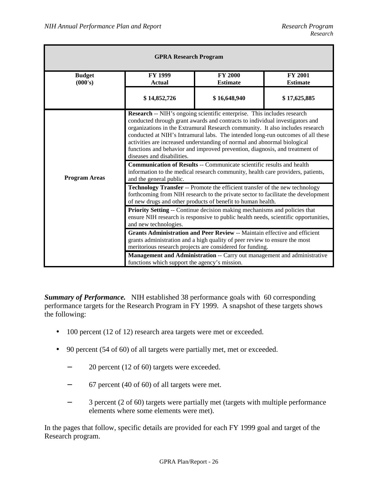| <b>GPRA Research Program</b>                                                                                              |                                                                                                                                                                                                                                                                                                                                                                                                                                                                                                                             |                                   |                                   |  |
|---------------------------------------------------------------------------------------------------------------------------|-----------------------------------------------------------------------------------------------------------------------------------------------------------------------------------------------------------------------------------------------------------------------------------------------------------------------------------------------------------------------------------------------------------------------------------------------------------------------------------------------------------------------------|-----------------------------------|-----------------------------------|--|
| <b>Budget</b><br>(000's)                                                                                                  | <b>FY 1999</b><br><b>Actual</b>                                                                                                                                                                                                                                                                                                                                                                                                                                                                                             | <b>FY 2000</b><br><b>Estimate</b> | <b>FY 2001</b><br><b>Estimate</b> |  |
|                                                                                                                           | \$14,852,726                                                                                                                                                                                                                                                                                                                                                                                                                                                                                                                | \$16,648,940                      | \$17,625,885                      |  |
|                                                                                                                           | <b>Research</b> -- NIH's ongoing scientific enterprise. This includes research<br>conducted through grant awards and contracts to individual investigators and<br>organizations in the Extramural Research community. It also includes research<br>conducted at NIH's Intramural labs. The intended long-run outcomes of all these<br>activities are increased understanding of normal and abnormal biological<br>functions and behavior and improved prevention, diagnosis, and treatment of<br>diseases and disabilities. |                                   |                                   |  |
| <b>Program Areas</b>                                                                                                      | <b>Communication of Results -- Communicate scientific results and health</b><br>information to the medical research community, health care providers, patients,<br>and the general public.                                                                                                                                                                                                                                                                                                                                  |                                   |                                   |  |
|                                                                                                                           | Technology Transfer -- Promote the efficient transfer of the new technology<br>forthcoming from NIH research to the private sector to facilitate the development<br>of new drugs and other products of benefit to human health.                                                                                                                                                                                                                                                                                             |                                   |                                   |  |
|                                                                                                                           | Priority Setting -- Continue decision making mechanisms and policies that<br>ensure NIH research is responsive to public health needs, scientific opportunities,<br>and new technologies.                                                                                                                                                                                                                                                                                                                                   |                                   |                                   |  |
|                                                                                                                           | Grants Administration and Peer Review -- Maintain effective and efficient<br>grants administration and a high quality of peer review to ensure the most<br>meritorious research projects are considered for funding.                                                                                                                                                                                                                                                                                                        |                                   |                                   |  |
| Management and Administration -- Carry out management and administrative<br>functions which support the agency's mission. |                                                                                                                                                                                                                                                                                                                                                                                                                                                                                                                             |                                   |                                   |  |

*Summary of Performance.* NIH established 38 performance goals with 60 corresponding performance targets for the Research Program in FY 1999. A snapshot of these targets shows the following:

- 100 percent (12 of 12) research area targets were met or exceeded.
- 90 percent (54 of 60) of all targets were partially met, met or exceeded.
	- − 20 percent (12 of 60) targets were exceeded.
	- − 67 percent (40 of 60) of all targets were met.
	- − 3 percent (2 of 60) targets were partially met (targets with multiple performance elements where some elements were met).

In the pages that follow, specific details are provided for each FY 1999 goal and target of the Research program.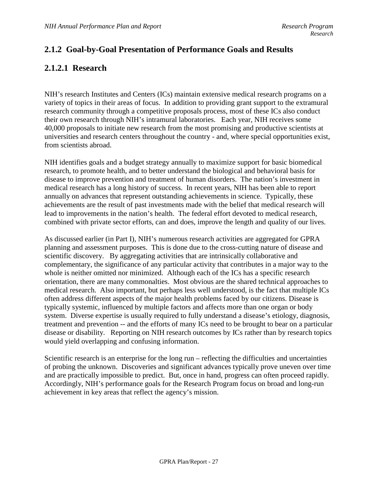# <span id="page-27-0"></span>**2.1.2 Goal-by-Goal Presentation of Performance Goals and Results**

## **2.1.2.1 Research**

NIH's research Institutes and Centers (ICs) maintain extensive medical research programs on a variety of topics in their areas of focus. In addition to providing grant support to the extramural research community through a competitive proposals process, most of these ICs also conduct their own research through NIH's intramural laboratories. Each year, NIH receives some 40,000 proposals to initiate new research from the most promising and productive scientists at universities and research centers throughout the country - and, where special opportunities exist, from scientists abroad.

NIH identifies goals and a budget strategy annually to maximize support for basic biomedical research, to promote health, and to better understand the biological and behavioral basis for disease to improve prevention and treatment of human disorders. The nation's investment in medical research has a long history of success. In recent years, NIH has been able to report annually on advances that represent outstanding achievements in science. Typically, these achievements are the result of past investments made with the belief that medical research will lead to improvements in the nation's health. The federal effort devoted to medical research, combined with private sector efforts, can and does, improve the length and quality of our lives.

As discussed earlier (in Part I), NIH's numerous research activities are aggregated for GPRA planning and assessment purposes. This is done due to the cross-cutting nature of disease and scientific discovery. By aggregating activities that are intrinsically collaborative and complementary, the significance of any particular activity that contributes in a major way to the whole is neither omitted nor minimized.Although each of the ICs has a specific research orientation, there are many commonalties. Most obvious are the shared technical approaches to medical research. Also important, but perhaps less well understood, is the fact that multiple ICs often address different aspects of the major health problems faced by our citizens. Disease is typically systemic, influenced by multiple factors and affects more than one organ or body system. Diverse expertise is usually required to fully understand a disease's etiology, diagnosis, treatment and prevention -- and the efforts of many ICs need to be brought to bear on a particular disease or disability. Reporting on NIH research outcomes by ICs rather than by research topics would yield overlapping and confusing information.

Scientific research is an enterprise for the long run – reflecting the difficulties and uncertainties of probing the unknown. Discoveries and significant advances typically prove uneven over time and are practically impossible to predict. But, once in hand, progress can often proceed rapidly. Accordingly, NIH's performance goals for the Research Program focus on broad and long-run achievement in key areas that reflect the agency's mission.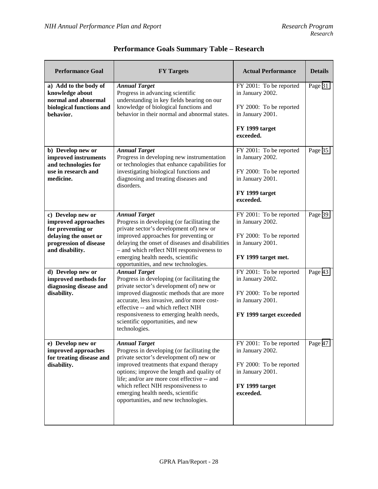| <b>Performance Goal</b>                                                                                                             | <b>FY Targets</b>                                                                                                                                                                                                                                                                                                                                                          | <b>Actual Performance</b>                                                                                                 | <b>Details</b> |
|-------------------------------------------------------------------------------------------------------------------------------------|----------------------------------------------------------------------------------------------------------------------------------------------------------------------------------------------------------------------------------------------------------------------------------------------------------------------------------------------------------------------------|---------------------------------------------------------------------------------------------------------------------------|----------------|
| a) Add to the body of<br>knowledge about<br>normal and abnormal<br>biological functions and<br>behavior.                            | <b>Annual Target</b><br>Progress in advancing scientific<br>understanding in key fields bearing on our<br>knowledge of biological functions and<br>behavior in their normal and abnormal states.                                                                                                                                                                           | FY 2001: To be reported<br>in January 2002.<br>FY 2000: To be reported<br>in January 2001.<br>FY 1999 target<br>exceeded. | Page 31        |
| b) Develop new or<br>improved instruments<br>and technologies for<br>use in research and<br>medicine.                               | <b>Annual Target</b><br>Progress in developing new instrumentation<br>or technologies that enhance capabilities for<br>investigating biological functions and<br>diagnosing and treating diseases and<br>disorders.                                                                                                                                                        | FY 2001: To be reported<br>in January 2002.<br>FY 2000: To be reported<br>in January 2001.<br>FY 1999 target<br>exceeded. | Page 35        |
| c) Develop new or<br>improved approaches<br>for preventing or<br>delaying the onset or<br>progression of disease<br>and disability. | <b>Annual Target</b><br>Progress in developing (or facilitating the<br>private sector's development of) new or<br>improved approaches for preventing or<br>delaying the onset of diseases and disabilities<br>- and which reflect NIH responsiveness to<br>emerging health needs, scientific<br>opportunities, and new technologies.                                       | FY 2001: To be reported<br>in January 2002.<br>FY 2000: To be reported<br>in January 2001.<br>FY 1999 target met.         | Page 39        |
| d) Develop new or<br>improved methods for<br>diagnosing disease and<br>disability.                                                  | <b>Annual Target</b><br>Progress in developing (or facilitating the<br>private sector's development of) new or<br>improved diagnostic methods that are more<br>accurate, less invasive, and/or more cost-<br>effective -- and which reflect NIH<br>responsiveness to emerging health needs,<br>scientific opportunities, and new<br>technologies.                          | FY 2001: To be reported<br>in January 2002.<br>FY 2000: To be reported<br>in January 2001.<br>FY 1999 target exceeded     | Page 43        |
| e) Develop new or<br>improved approaches<br>for treating disease and<br>disability.                                                 | <b>Annual Target</b><br>Progress in developing (or facilitating the<br>private sector's development of) new or<br>improved treatments that expand therapy<br>options; improve the length and quality of<br>life; and/or are more cost effective -- and<br>which reflect NIH responsiveness to<br>emerging health needs, scientific<br>opportunities, and new technologies. | FY 2001: To be reported<br>in January 2002.<br>FY 2000: To be reported<br>in January 2001.<br>FY 1999 target<br>exceeded. | Page 47        |

# **Performance Goals Summary Table – Research**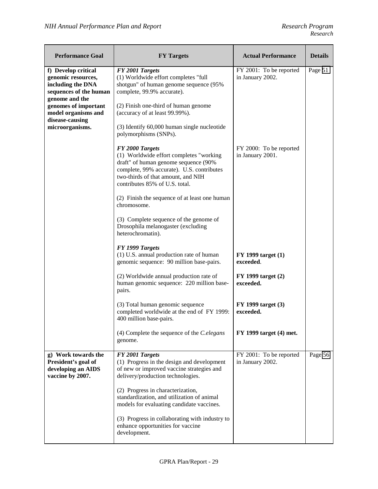| <b>Performance Goal</b>                                                                                                                                                                         | <b>FY</b> Targets                                                                                                                                                                                                                                                                                                                                                                                                                                                                                                                                             | <b>Actual Performance</b>                                                                  | <b>Details</b> |
|-------------------------------------------------------------------------------------------------------------------------------------------------------------------------------------------------|---------------------------------------------------------------------------------------------------------------------------------------------------------------------------------------------------------------------------------------------------------------------------------------------------------------------------------------------------------------------------------------------------------------------------------------------------------------------------------------------------------------------------------------------------------------|--------------------------------------------------------------------------------------------|----------------|
| f) Develop critical<br>genomic resources,<br>including the DNA<br>sequences of the human<br>genome and the<br>genomes of important<br>model organisms and<br>disease-causing<br>microorganisms. | FY 2001 Targets<br>(1) Worldwide effort completes "full<br>shotgun" of human genome sequence (95%<br>complete, 99.9% accurate).<br>(2) Finish one-third of human genome<br>(accuracy of at least 99.99%).<br>(3) Identify 60,000 human single nucleotide<br>polymorphisms (SNPs).<br>FY 2000 Targets<br>(1) Worldwide effort completes "working<br>draft" of human genome sequence (90%<br>complete, 99% accurate). U.S. contributes<br>two-thirds of that amount, and NIH<br>contributes 85% of U.S. total.<br>(2) Finish the sequence of at least one human | FY 2001: To be reported<br>in January 2002.<br>FY 2000: To be reported<br>in January 2001. | Page 51        |
|                                                                                                                                                                                                 | chromosome.<br>(3) Complete sequence of the genome of<br>Drosophila melanogaster (excluding<br>heterochromatin).<br>FY 1999 Targets                                                                                                                                                                                                                                                                                                                                                                                                                           |                                                                                            |                |
|                                                                                                                                                                                                 | (1) U.S. annual production rate of human<br>genomic sequence: 90 million base-pairs.                                                                                                                                                                                                                                                                                                                                                                                                                                                                          | $FY$ 1999 target $(1)$<br>exceeded.                                                        |                |
|                                                                                                                                                                                                 | (2) Worldwide annual production rate of<br>human genomic sequence: 220 million base-<br>pairs.                                                                                                                                                                                                                                                                                                                                                                                                                                                                | $FY$ 1999 target $(2)$<br>exceeded.                                                        |                |
|                                                                                                                                                                                                 | (3) Total human genomic sequence<br>completed worldwide at the end of FY 1999:<br>400 million base-pairs.                                                                                                                                                                                                                                                                                                                                                                                                                                                     | <b>FY 1999 target (3)</b><br>exceeded.                                                     |                |
|                                                                                                                                                                                                 | (4) Complete the sequence of the C.elegans<br>genome.                                                                                                                                                                                                                                                                                                                                                                                                                                                                                                         | FY 1999 target (4) met.                                                                    |                |
| g) Work towards the<br>President's goal of<br>developing an AIDS<br>vaccine by 2007.                                                                                                            | FY 2001 Targets<br>(1) Progress in the design and development<br>of new or improved vaccine strategies and<br>delivery/production technologies.                                                                                                                                                                                                                                                                                                                                                                                                               | FY 2001: To be reported<br>in January 2002.                                                | Page 56        |
|                                                                                                                                                                                                 | (2) Progress in characterization,<br>standardization, and utilization of animal<br>models for evaluating candidate vaccines.                                                                                                                                                                                                                                                                                                                                                                                                                                  |                                                                                            |                |
|                                                                                                                                                                                                 | (3) Progress in collaborating with industry to<br>enhance opportunities for vaccine<br>development.                                                                                                                                                                                                                                                                                                                                                                                                                                                           |                                                                                            |                |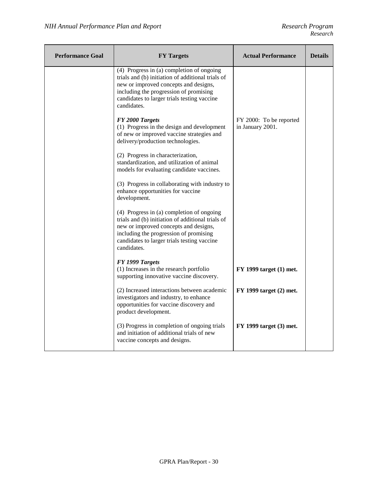| <b>Performance Goal</b> | <b>FY</b> Targets                                                                                                                                                                                                                               | <b>Actual Performance</b>                   | <b>Details</b> |
|-------------------------|-------------------------------------------------------------------------------------------------------------------------------------------------------------------------------------------------------------------------------------------------|---------------------------------------------|----------------|
|                         | (4) Progress in (a) completion of ongoing<br>trials and (b) initiation of additional trials of<br>new or improved concepts and designs,<br>including the progression of promising<br>candidates to larger trials testing vaccine<br>candidates. |                                             |                |
|                         | FY 2000 Targets<br>(1) Progress in the design and development<br>of new or improved vaccine strategies and<br>delivery/production technologies.                                                                                                 | FY 2000: To be reported<br>in January 2001. |                |
|                         | (2) Progress in characterization,<br>standardization, and utilization of animal<br>models for evaluating candidate vaccines.                                                                                                                    |                                             |                |
|                         | (3) Progress in collaborating with industry to<br>enhance opportunities for vaccine<br>development.                                                                                                                                             |                                             |                |
|                         | (4) Progress in (a) completion of ongoing<br>trials and (b) initiation of additional trials of<br>new or improved concepts and designs,<br>including the progression of promising<br>candidates to larger trials testing vaccine<br>candidates. |                                             |                |
|                         | FY 1999 Targets<br>(1) Increases in the research portfolio<br>supporting innovative vaccine discovery.                                                                                                                                          | FY 1999 target (1) met.                     |                |
|                         | (2) Increased interactions between academic<br>investigators and industry, to enhance<br>opportunities for vaccine discovery and<br>product development.                                                                                        | FY 1999 target (2) met.                     |                |
|                         | (3) Progress in completion of ongoing trials<br>and initiation of additional trials of new<br>vaccine concepts and designs.                                                                                                                     | FY 1999 target (3) met.                     |                |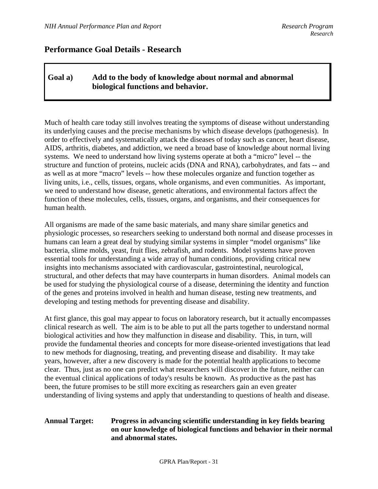### <span id="page-31-0"></span>**Performance Goal Details - Research**

#### **Goal a) Add to the body of knowledge about normal and abnormal biological functions and behavior.**

Much of health care today still involves treating the symptoms of disease without understanding its underlying causes and the precise mechanisms by which disease develops (pathogenesis). In order to effectively and systematically attack the diseases of today such as cancer, heart disease, AIDS, arthritis, diabetes, and addiction, we need a broad base of knowledge about normal living systems. We need to understand how living systems operate at both a "micro" level -- the structure and function of proteins, nucleic acids (DNA and RNA), carbohydrates, and fats -- and as well as at more "macro" levels -- how these molecules organize and function together as living units, i.e., cells, tissues, organs, whole organisms, and even communities. As important, we need to understand how disease, genetic alterations, and environmental factors affect the function of these molecules, cells, tissues, organs, and organisms, and their consequences for human health.

All organisms are made of the same basic materials, and many share similar genetics and physiologic processes, so researchers seeking to understand both normal and disease processes in humans can learn a great deal by studying similar systems in simpler "model organisms" like bacteria, slime molds, yeast, fruit flies, zebrafish, and rodents. Model systems have proven essential tools for understanding a wide array of human conditions, providing critical new insights into mechanisms associated with cardiovascular, gastrointestinal, neurological, structural, and other defects that may have counterparts in human disorders. Animal models can be used for studying the physiological course of a disease, determining the identity and function of the genes and proteins involved in health and human disease, testing new treatments, and developing and testing methods for preventing disease and disability.

At first glance, this goal may appear to focus on laboratory research, but it actually encompasses clinical research as well. The aim is to be able to put all the parts together to understand normal biological activities and how they malfunction in disease and disability. This, in turn, will provide the fundamental theories and concepts for more disease-oriented investigations that lead to new methods for diagnosing, treating, and preventing disease and disability. It may take years, however, after a new discovery is made for the potential health applications to become clear. Thus, just as no one can predict what researchers will discover in the future, neither can the eventual clinical applications of today's results be known. As productive as the past has been, the future promises to be still more exciting as researchers gain an even greater understanding of living systems and apply that understanding to questions of health and disease.

#### **Annual Target: Progress in advancing scientific understanding in key fields bearing on our knowledge of biological functions and behavior in their normal and abnormal states.**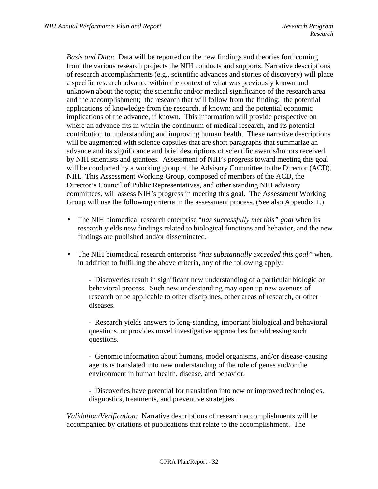*Basis and Data:* Data will be reported on the new findings and theories forthcoming from the various research projects the NIH conducts and supports. Narrative descriptions of research accomplishments (e.g., scientific advances and stories of discovery) will place a specific research advance within the context of what was previously known and unknown about the topic; the scientific and/or medical significance of the research area and the accomplishment; the research that will follow from the finding; the potential applications of knowledge from the research, if known; and the potential economic implications of the advance, if known. This information will provide perspective on where an advance fits in within the continuum of medical research, and its potential contribution to understanding and improving human health. These narrative descriptions will be augmented with science capsules that are short paragraphs that summarize an advance and its significance and brief descriptions of scientific awards/honors received by NIH scientists and grantees. Assessment of NIH's progress toward meeting this goal will be conducted by a working group of the Advisory Committee to the Director (ACD), NIH. This Assessment Working Group, composed of members of the ACD, the Director's Council of Public Representatives, and other standing NIH advisory committees, will assess NIH's progress in meeting this goal. The Assessment Working Group will use the following criteria in the assessment process. (See also Appendix 1.)

- The NIH biomedical research enterprise "*has successfully met this" goal* when its research yields new findings related to biological functions and behavior, and the new findings are published and/or disseminated.
- The NIH biomedical research enterprise "*has substantially exceeded this goal"* when, in addition to fulfilling the above criteria, any of the following apply:

- Discoveries result in significant new understanding of a particular biologic or behavioral process. Such new understanding may open up new avenues of research or be applicable to other disciplines, other areas of research, or other diseases.

- Research yields answers to long-standing, important biological and behavioral questions, or provides novel investigative approaches for addressing such questions.

- Genomic information about humans, model organisms, and/or disease-causing agents is translated into new understanding of the role of genes and/or the environment in human health, disease, and behavior.

- Discoveries have potential for translation into new or improved technologies, diagnostics, treatments, and preventive strategies.

*Validation/Verification:* Narrative descriptions of research accomplishments will be accompanied by citations of publications that relate to the accomplishment. The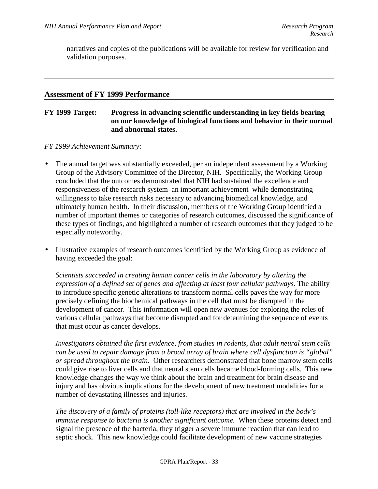narratives and copies of the publications will be available for review for verification and validation purposes.

#### **Assessment of FY 1999 Performance**

#### **FY 1999 Target: Progress in advancing scientific understanding in key fields bearing on our knowledge of biological functions and behavior in their normal and abnormal states.**

*FY 1999 Achievement Summary:*

- The annual target was substantially exceeded, per an independent assessment by a Working Group of the Advisory Committee of the Director, NIH. Specifically, the Working Group concluded that the outcomes demonstrated that NIH had sustained the excellence and responsiveness of the research system–an important achievement–while demonstrating willingness to take research risks necessary to advancing biomedical knowledge, and ultimately human health. In their discussion, members of the Working Group identified a number of important themes or categories of research outcomes, discussed the significance of these types of findings, and highlighted a number of research outcomes that they judged to be especially noteworthy.
- Illustrative examples of research outcomes identified by the Working Group as evidence of having exceeded the goal:

*Scientists succeeded in creating human cancer cells in the laboratory by altering the expression of a defined set of genes and affecting at least four cellular pathways.* The ability to introduce specific genetic alterations to transform normal cells paves the way for more precisely defining the biochemical pathways in the cell that must be disrupted in the development of cancer. This information will open new avenues for exploring the roles of various cellular pathways that become disrupted and for determining the sequence of events that must occur as cancer develops.

*Investigators obtained the first evidence, from studies in rodents, that adult neural stem cells can be used to repair damage from a broad array of brain where cell dysfunction is "global" or spread throughout the brain*. Other researchers demonstrated that bone marrow stem cells could give rise to liver cells and that neural stem cells became blood-forming cells. This new knowledge changes the way we think about the brain and treatment for brain disease and injury and has obvious implications for the development of new treatment modalities for a number of devastating illnesses and injuries.

*The discovery of a family of proteins (toll-like receptors) that are involved in the body's immune response to bacteria is another significant outcome.*When these proteins detect and signal the presence of the bacteria, they trigger a severe immune reaction that can lead to septic shock. This new knowledge could facilitate development of new vaccine strategies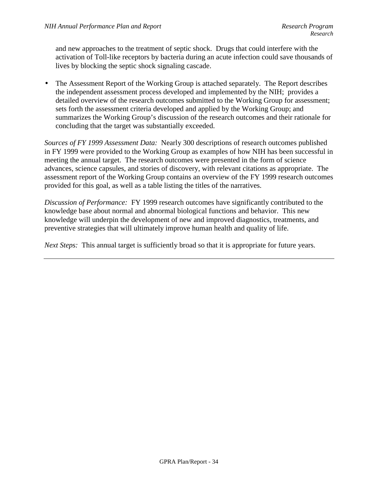and new approaches to the treatment of septic shock. Drugs that could interfere with the activation of Toll-like receptors by bacteria during an acute infection could save thousands of lives by blocking the septic shock signaling cascade.

The Assessment Report of the Working Group is attached separately. The Report describes the independent assessment process developed and implemented by the NIH; provides a detailed overview of the research outcomes submitted to the Working Group for assessment; sets forth the assessment criteria developed and applied by the Working Group; and summarizes the Working Group's discussion of the research outcomes and their rationale for concluding that the target was substantially exceeded.

*Sources of FY 1999 Assessment Data:* Nearly 300 descriptions of research outcomes published in FY 1999 were provided to the Working Group as examples of how NIH has been successful in meeting the annual target. The research outcomes were presented in the form of science advances, science capsules, and stories of discovery, with relevant citations as appropriate. The assessment report of the Working Group contains an overview of the FY 1999 research outcomes provided for this goal, as well as a table listing the titles of the narratives.

*Discussion of Performance:* FY 1999 research outcomes have significantly contributed to the knowledge base about normal and abnormal biological functions and behavior. This new knowledge will underpin the development of new and improved diagnostics, treatments, and preventive strategies that will ultimately improve human health and quality of life.

*Next Steps:* This annual target is sufficiently broad so that it is appropriate for future years.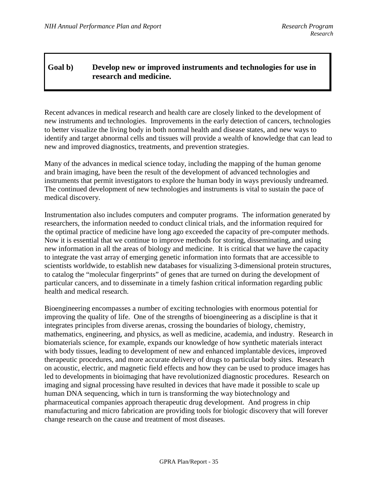## <span id="page-35-0"></span>**Goal b) Develop new or improved instruments and technologies for use in research and medicine.**

Recent advances in medical research and health care are closely linked to the development of new instruments and technologies. Improvements in the early detection of cancers, technologies to better visualize the living body in both normal health and disease states, and new ways to identify and target abnormal cells and tissues will provide a wealth of knowledge that can lead to new and improved diagnostics, treatments, and prevention strategies.

Many of the advances in medical science today, including the mapping of the human genome and brain imaging, have been the result of the development of advanced technologies and instruments that permit investigators to explore the human body in ways previously undreamed. The continued development of new technologies and instruments is vital to sustain the pace of medical discovery.

Instrumentation also includes computers and computer programs. The information generated by researchers, the information needed to conduct clinical trials, and the information required for the optimal practice of medicine have long ago exceeded the capacity of pre-computer methods. Now it is essential that we continue to improve methods for storing, disseminating, and using new information in all the areas of biology and medicine. It is critical that we have the capacity to integrate the vast array of emerging genetic information into formats that are accessible to scientists worldwide, to establish new databases for visualizing 3-dimensional protein structures, to catalog the "molecular fingerprints" of genes that are turned on during the development of particular cancers, and to disseminate in a timely fashion critical information regarding public health and medical research.

Bioengineering encompasses a number of exciting technologies with enormous potential for improving the quality of life. One of the strengths of bioengineering as a discipline is that it integrates principles from diverse arenas, crossing the boundaries of biology, chemistry, mathematics, engineering, and physics, as well as medicine, academia, and industry. Research in biomaterials science, for example, expands our knowledge of how synthetic materials interact with body tissues, leading to development of new and enhanced implantable devices, improved therapeutic procedures, and more accurate delivery of drugs to particular body sites. Research on acoustic, electric, and magnetic field effects and how they can be used to produce images has led to developments in bioimaging that have revolutionized diagnostic procedures. Research on imaging and signal processing have resulted in devices that have made it possible to scale up human DNA sequencing, which in turn is transforming the way biotechnology and pharmaceutical companies approach therapeutic drug development. And progress in chip manufacturing and micro fabrication are providing tools for biologic discovery that will forever change research on the cause and treatment of most diseases.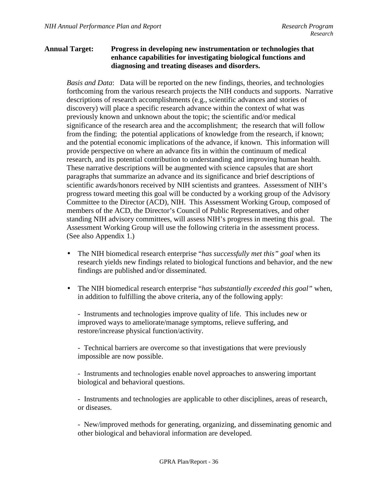#### **Annual Target: Progress in developing new instrumentation or technologies that enhance capabilities for investigating biological functions and diagnosing and treating diseases and disorders.**

*Basis and Data*: Data will be reported on the new findings, theories, and technologies forthcoming from the various research projects the NIH conducts and supports. Narrative descriptions of research accomplishments (e.g., scientific advances and stories of discovery) will place a specific research advance within the context of what was previously known and unknown about the topic; the scientific and/or medical significance of the research area and the accomplishment; the research that will follow from the finding; the potential applications of knowledge from the research, if known; and the potential economic implications of the advance, if known. This information will provide perspective on where an advance fits in within the continuum of medical research, and its potential contribution to understanding and improving human health. These narrative descriptions will be augmented with science capsules that are short paragraphs that summarize an advance and its significance and brief descriptions of scientific awards/honors received by NIH scientists and grantees. Assessment of NIH's progress toward meeting this goal will be conducted by a working group of the Advisory Committee to the Director (ACD), NIH. This Assessment Working Group, composed of members of the ACD, the Director's Council of Public Representatives, and other standing NIH advisory committees, will assess NIH's progress in meeting this goal. The Assessment Working Group will use the following criteria in the assessment process. (See also Appendix 1.)

- The NIH biomedical research enterprise "*has successfully met this" goal* when its research yields new findings related to biological functions and behavior, and the new findings are published and/or disseminated.
- The NIH biomedical research enterprise "*has substantially exceeded this goal"* when, in addition to fulfilling the above criteria, any of the following apply:

- Instruments and technologies improve quality of life. This includes new or improved ways to ameliorate/manage symptoms, relieve suffering, and restore/increase physical function/activity.

- Technical barriers are overcome so that investigations that were previously impossible are now possible.

- Instruments and technologies enable novel approaches to answering important biological and behavioral questions.

- Instruments and technologies are applicable to other disciplines, areas of research, or diseases.

- New/improved methods for generating, organizing, and disseminating genomic and other biological and behavioral information are developed.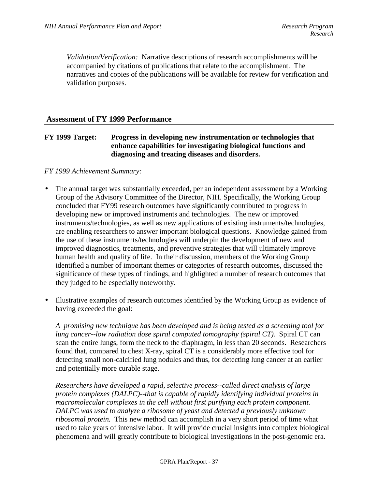*Validation/Verification:* Narrative descriptions of research accomplishments will be accompanied by citations of publications that relate to the accomplishment. The narratives and copies of the publications will be available for review for verification and validation purposes.

### **Assessment of FY 1999 Performance**

### **FY 1999 Target: Progress in developing new instrumentation or technologies that enhance capabilities for investigating biological functions and diagnosing and treating diseases and disorders.**

*FY 1999 Achievement Summary:*

- The annual target was substantially exceeded, per an independent assessment by a Working Group of the Advisory Committee of the Director, NIH. Specifically, the Working Group concluded that FY99 research outcomes have significantly contributed to progress in developing new or improved instruments and technologies. The new or improved instruments/technologies, as well as new applications of existing instruments/technologies, are enabling researchers to answer important biological questions. Knowledge gained from the use of these instruments/technologies will underpin the development of new and improved diagnostics, treatments, and preventive strategies that will ultimately improve human health and quality of life. In their discussion, members of the Working Group identified a number of important themes or categories of research outcomes, discussed the significance of these types of findings, and highlighted a number of research outcomes that they judged to be especially noteworthy.
- Illustrative examples of research outcomes identified by the Working Group as evidence of having exceeded the goal:

*A promising new technique has been developed and is being tested as a screening tool for lung cancer--low radiation dose spiral computed tomography (spiral CT).* Spiral CT can scan the entire lungs, form the neck to the diaphragm, in less than 20 seconds. Researchers found that, compared to chest X-ray, spiral CT is a considerably more effective tool for detecting small non-calcified lung nodules and thus, for detecting lung cancer at an earlier and potentially more curable stage.

*Researchers have developed a rapid, selective process--called direct analysis of large protein complexes (DALPC)--that is capable of rapidly identifying individual proteins in macromolecular complexes in the cell without first purifying each protein component. DALPC was used to analyze a ribosome of yeast and detected a previously unknown ribosomal protein.* This new method can accomplish in a very short period of time what used to take years of intensive labor. It will provide crucial insights into complex biological phenomena and will greatly contribute to biological investigations in the post-genomic era.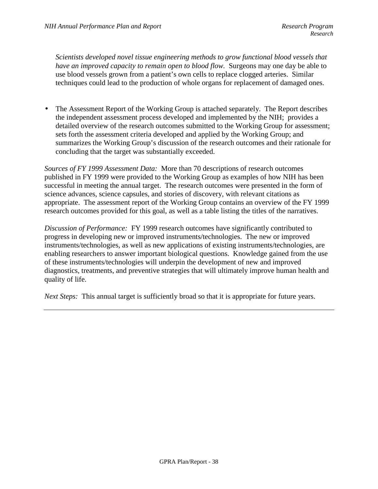*Scientists developed novel tissue engineering methods to grow functional blood vessels that have an improved capacity to remain open to blood flow.* Surgeons may one day be able to use blood vessels grown from a patient's own cells to replace clogged arteries. Similar techniques could lead to the production of whole organs for replacement of damaged ones.

The Assessment Report of the Working Group is attached separately. The Report describes the independent assessment process developed and implemented by the NIH; provides a detailed overview of the research outcomes submitted to the Working Group for assessment; sets forth the assessment criteria developed and applied by the Working Group; and summarizes the Working Group's discussion of the research outcomes and their rationale for concluding that the target was substantially exceeded.

*Sources of FY 1999 Assessment Data:* More than 70 descriptions of research outcomes published in FY 1999 were provided to the Working Group as examples of how NIH has been successful in meeting the annual target. The research outcomes were presented in the form of science advances, science capsules, and stories of discovery, with relevant citations as appropriate. The assessment report of the Working Group contains an overview of the FY 1999 research outcomes provided for this goal, as well as a table listing the titles of the narratives.

*Discussion of Performance:* FY 1999 research outcomes have significantly contributed to progress in developing new or improved instruments/technologies. The new or improved instruments/technologies, as well as new applications of existing instruments/technologies, are enabling researchers to answer important biological questions. Knowledge gained from the use of these instruments/technologies will underpin the development of new and improved diagnostics, treatments, and preventive strategies that will ultimately improve human health and quality of life.

*Next Steps:* This annual target is sufficiently broad so that it is appropriate for future years.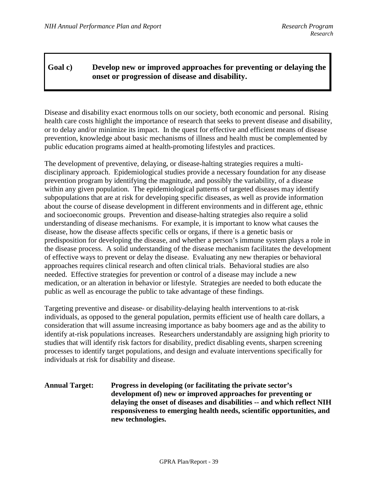# **Goal c) Develop new or improved approaches for preventing or delaying the onset or progression of disease and disability.**

Disease and disability exact enormous tolls on our society, both economic and personal. Rising health care costs highlight the importance of research that seeks to prevent disease and disability, or to delay and/or minimize its impact. In the quest for effective and efficient means of disease prevention, knowledge about basic mechanisms of illness and health must be complemented by public education programs aimed at health-promoting lifestyles and practices.

The development of preventive, delaying, or disease-halting strategies requires a multidisciplinary approach. Epidemiological studies provide a necessary foundation for any disease prevention program by identifying the magnitude, and possibly the variability, of a disease within any given population. The epidemiological patterns of targeted diseases may identify subpopulations that are at risk for developing specific diseases, as well as provide information about the course of disease development in different environments and in different age, ethnic and socioeconomic groups. Prevention and disease-halting strategies also require a solid understanding of disease mechanisms. For example, it is important to know what causes the disease, how the disease affects specific cells or organs, if there is a genetic basis or predisposition for developing the disease, and whether a person's immune system plays a role in the disease process. A solid understanding of the disease mechanism facilitates the development of effective ways to prevent or delay the disease. Evaluating any new therapies or behavioral approaches requires clinical research and often clinical trials. Behavioral studies are also needed. Effective strategies for prevention or control of a disease may include a new medication, or an alteration in behavior or lifestyle. Strategies are needed to both educate the public as well as encourage the public to take advantage of these findings.

Targeting preventive and disease- or disability-delaying health interventions to at-risk individuals, as opposed to the general population, permits efficient use of health care dollars, a consideration that will assume increasing importance as baby boomers age and as the ability to identify at-risk populations increases. Researchers understandably are assigning high priority to studies that will identify risk factors for disability, predict disabling events, sharpen screening processes to identify target populations, and design and evaluate interventions specifically for individuals at risk for disability and disease.

### **Annual Target: Progress in developing (or facilitating the private sector's development of) new or improved approaches for preventing or delaying the onset of diseases and disabilities -- and which reflect NIH responsiveness to emerging health needs, scientific opportunities, and new technologies.**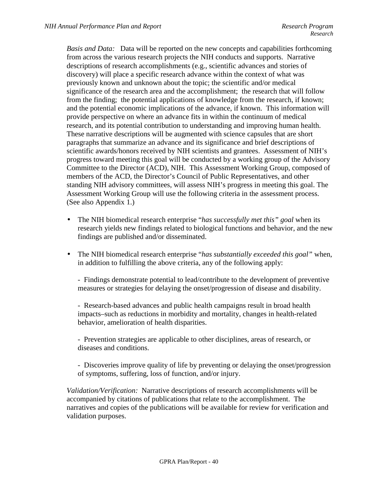*Basis and Data:* Data will be reported on the new concepts and capabilities forthcoming from across the various research projects the NIH conducts and supports. Narrative descriptions of research accomplishments (e.g., scientific advances and stories of discovery) will place a specific research advance within the context of what was previously known and unknown about the topic; the scientific and/or medical significance of the research area and the accomplishment; the research that will follow from the finding; the potential applications of knowledge from the research, if known; and the potential economic implications of the advance, if known. This information will provide perspective on where an advance fits in within the continuum of medical research, and its potential contribution to understanding and improving human health. These narrative descriptions will be augmented with science capsules that are short paragraphs that summarize an advance and its significance and brief descriptions of scientific awards/honors received by NIH scientists and grantees. Assessment of NIH's progress toward meeting this goal will be conducted by a working group of the Advisory Committee to the Director (ACD), NIH. This Assessment Working Group, composed of members of the ACD, the Director's Council of Public Representatives, and other standing NIH advisory committees, will assess NIH's progress in meeting this goal. The Assessment Working Group will use the following criteria in the assessment process. (See also Appendix 1.)

- The NIH biomedical research enterprise "*has successfully met this" goal* when its research yields new findings related to biological functions and behavior, and the new findings are published and/or disseminated.
- The NIH biomedical research enterprise "*has substantially exceeded this goal"* when, in addition to fulfilling the above criteria, any of the following apply:

- Findings demonstrate potential to lead/contribute to the development of preventive measures or strategies for delaying the onset/progression of disease and disability.

- Research-based advances and public health campaigns result in broad health impacts–such as reductions in morbidity and mortality, changes in health-related behavior, amelioration of health disparities.

- Prevention strategies are applicable to other disciplines, areas of research, or diseases and conditions.

- Discoveries improve quality of life by preventing or delaying the onset/progression of symptoms, suffering, loss of function, and/or injury.

*Validation/Verification:* Narrative descriptions of research accomplishments will be accompanied by citations of publications that relate to the accomplishment. The narratives and copies of the publications will be available for review for verification and validation purposes.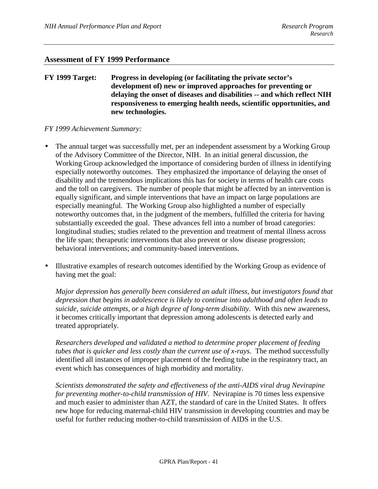#### **Assessment of FY 1999 Performance**

### **FY 1999 Target: Progress in developing (or facilitating the private sector's development of) new or improved approaches for preventing or delaying the onset of diseases and disabilities -- and which reflect NIH responsiveness to emerging health needs, scientific opportunities, and new technologies.**

#### *FY 1999 Achievement Summary:*

- The annual target was successfully met, per an independent assessment by a Working Group of the Advisory Committee of the Director, NIH. In an initial general discussion, the Working Group acknowledged the importance of considering burden of illness in identifying especially noteworthy outcomes. They emphasized the importance of delaying the onset of disability and the tremendous implications this has for society in terms of health care costs and the toll on caregivers. The number of people that might be affected by an intervention is equally significant, and simple interventions that have an impact on large populations are especially meaningful. The Working Group also highlighted a number of especially noteworthy outcomes that, in the judgment of the members, fulfilled the criteria for having substantially exceeded the goal. These advances fell into a number of broad categories: longitudinal studies; studies related to the prevention and treatment of mental illness across the life span; therapeutic interventions that also prevent or slow disease progression; behavioral interventions; and community-based interventions.
- Illustrative examples of research outcomes identified by the Working Group as evidence of having met the goal:

*Major depression has generally been considered an adult illness, but investigators found that depression that begins in adolescence is likely to continue into adulthood and often leads to suicide, suicide attempts, or a high degree of long-term disability.* With this new awareness, it becomes critically important that depression among adolescents is detected early and treated appropriately.

*Researchers developed and validated a method to determine proper placement of feeding tubes that is quicker and less costly than the current use of x-rays.* The method successfully identified all instances of improper placement of the feeding tube in the respiratory tract, an event which has consequences of high morbidity and mortality.

*Scientists demonstrated the safety and effectiveness of the anti-AIDS viral drug Nevirapine for preventing mother-to-child transmission of HIV.* Nevirapine is 70 times less expensive and much easier to administer than AZT, the standard of care in the United States. It offers new hope for reducing maternal-child HIV transmission in developing countries and may be useful for further reducing mother-to-child transmission of AIDS in the U.S.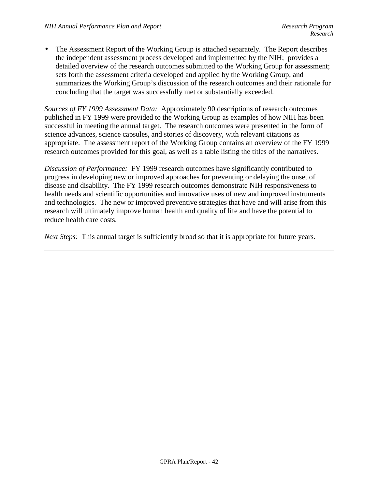• The Assessment Report of the Working Group is attached separately. The Report describes the independent assessment process developed and implemented by the NIH; provides a detailed overview of the research outcomes submitted to the Working Group for assessment; sets forth the assessment criteria developed and applied by the Working Group; and summarizes the Working Group's discussion of the research outcomes and their rationale for concluding that the target was successfully met or substantially exceeded.

*Sources of FY 1999 Assessment Data:* Approximately 90 descriptions of research outcomes published in FY 1999 were provided to the Working Group as examples of how NIH has been successful in meeting the annual target. The research outcomes were presented in the form of science advances, science capsules, and stories of discovery, with relevant citations as appropriate. The assessment report of the Working Group contains an overview of the FY 1999 research outcomes provided for this goal, as well as a table listing the titles of the narratives.

*Discussion of Performance:* FY 1999 research outcomes have significantly contributed to progress in developing new or improved approaches for preventing or delaying the onset of disease and disability. The FY 1999 research outcomes demonstrate NIH responsiveness to health needs and scientific opportunities and innovative uses of new and improved instruments and technologies. The new or improved preventive strategies that have and will arise from this research will ultimately improve human health and quality of life and have the potential to reduce health care costs.

*Next Steps:* This annual target is sufficiently broad so that it is appropriate for future years.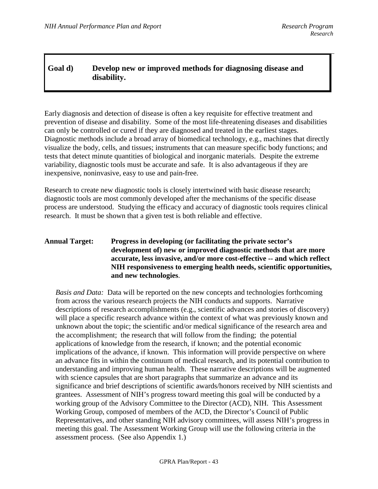# **Goal d) Develop new or improved methods for diagnosing disease and disability.**

Early diagnosis and detection of disease is often a key requisite for effective treatment and prevention of disease and disability. Some of the most life-threatening diseases and disabilities can only be controlled or cured if they are diagnosed and treated in the earliest stages. Diagnostic methods include a broad array of biomedical technology, e.g., machines that directly visualize the body, cells, and tissues; instruments that can measure specific body functions; and tests that detect minute quantities of biological and inorganic materials. Despite the extreme variability, diagnostic tools must be accurate and safe. It is also advantageous if they are inexpensive, noninvasive, easy to use and pain-free.

Research to create new diagnostic tools is closely intertwined with basic disease research; diagnostic tools are most commonly developed after the mechanisms of the specific disease process are understood. Studying the efficacy and accuracy of diagnostic tools requires clinical research. It must be shown that a given test is both reliable and effective.

#### **Annual Target: Progress in developing (or facilitating the private sector's development of) new or improved diagnostic methods that are more accurate, less invasive, and/or more cost-effective -- and which reflect NIH responsiveness to emerging health needs, scientific opportunities, and new technologies**.

*Basis and Data:* Data will be reported on the new concepts and technologies forthcoming from across the various research projects the NIH conducts and supports. Narrative descriptions of research accomplishments (e.g., scientific advances and stories of discovery) will place a specific research advance within the context of what was previously known and unknown about the topic; the scientific and/or medical significance of the research area and the accomplishment; the research that will follow from the finding; the potential applications of knowledge from the research, if known; and the potential economic implications of the advance, if known. This information will provide perspective on where an advance fits in within the continuum of medical research, and its potential contribution to understanding and improving human health. These narrative descriptions will be augmented with science capsules that are short paragraphs that summarize an advance and its significance and brief descriptions of scientific awards/honors received by NIH scientists and grantees. Assessment of NIH's progress toward meeting this goal will be conducted by a working group of the Advisory Committee to the Director (ACD), NIH. This Assessment Working Group, composed of members of the ACD, the Director's Council of Public Representatives, and other standing NIH advisory committees, will assess NIH's progress in meeting this goal. The Assessment Working Group will use the following criteria in the assessment process. (See also Appendix 1.)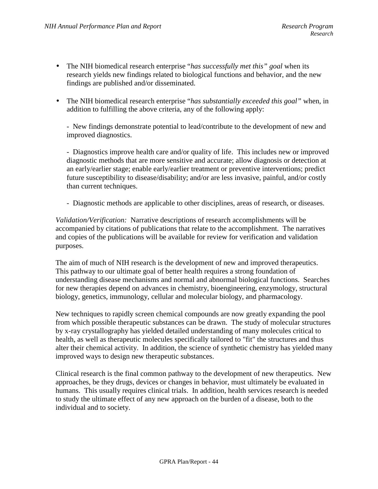- The NIH biomedical research enterprise "*has successfully met this" goal* when its research yields new findings related to biological functions and behavior, and the new findings are published and/or disseminated.
- The NIH biomedical research enterprise "*has substantially exceeded this goal"* when, in addition to fulfilling the above criteria, any of the following apply:

- New findings demonstrate potential to lead/contribute to the development of new and improved diagnostics.

- Diagnostics improve health care and/or quality of life. This includes new or improved diagnostic methods that are more sensitive and accurate; allow diagnosis or detection at an early/earlier stage; enable early/earlier treatment or preventive interventions; predict future susceptibility to disease/disability; and/or are less invasive, painful, and/or costly than current techniques.

- Diagnostic methods are applicable to other disciplines, areas of research, or diseases.

*Validation/Verification:* Narrative descriptions of research accomplishments will be accompanied by citations of publications that relate to the accomplishment. The narratives and copies of the publications will be available for review for verification and validation purposes.

The aim of much of NIH research is the development of new and improved therapeutics. This pathway to our ultimate goal of better health requires a strong foundation of understanding disease mechanisms and normal and abnormal biological functions. Searches for new therapies depend on advances in chemistry, bioengineering, enzymology, structural biology, genetics, immunology, cellular and molecular biology, and pharmacology.

New techniques to rapidly screen chemical compounds are now greatly expanding the pool from which possible therapeutic substances can be drawn. The study of molecular structures by x-ray crystallography has yielded detailed understanding of many molecules critical to health, as well as therapeutic molecules specifically tailored to "fit" the structures and thus alter their chemical activity. In addition, the science of synthetic chemistry has yielded many improved ways to design new therapeutic substances.

Clinical research is the final common pathway to the development of new therapeutics. New approaches, be they drugs, devices or changes in behavior, must ultimately be evaluated in humans. This usually requires clinical trials. In addition, health services research is needed to study the ultimate effect of any new approach on the burden of a disease, both to the individual and to society.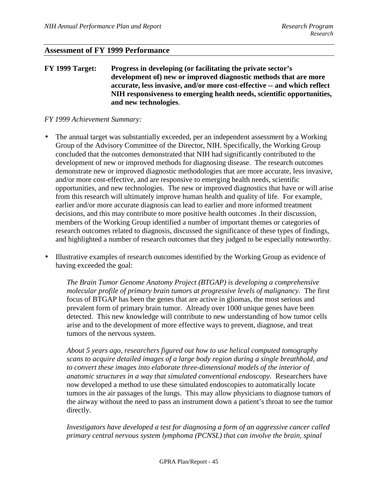#### **Assessment of FY 1999 Performance**

**FY 1999 Target: Progress in developing (or facilitating the private sector's development of) new or improved diagnostic methods that are more accurate, less invasive, and/or more cost-effective -- and which reflect NIH responsiveness to emerging health needs, scientific opportunities, and new technologies**.

#### *FY 1999 Achievement Summary:*

- The annual target was substantially exceeded, per an independent assessment by a Working Group of the Advisory Committee of the Director, NIH. Specifically, the Working Group concluded that the outcomes demonstrated that NIH had significantly contributed to the development of new or improved methods for diagnosing disease. The research outcomes demonstrate new or improved diagnostic methodologies that are more accurate, less invasive, and/or more cost-effective, and are responsive to emerging health needs, scientific opportunities, and new technologies. The new or improved diagnostics that have or will arise from this research will ultimately improve human health and quality of life. For example, earlier and/or more accurate diagnosis can lead to earlier and more informed treatment decisions, and this may contribute to more positive health outcomes .In their discussion, members of the Working Group identified a number of important themes or categories of research outcomes related to diagnosis, discussed the significance of these types of findings, and highlighted a number of research outcomes that they judged to be especially noteworthy.
- Illustrative examples of research outcomes identified by the Working Group as evidence of having exceeded the goal:

*The Brain Tumor Genome Anatomy Project (BTGAP) is developing a comprehensive molecular profile of primary brain tumors at progressive levels of malignancy.* The first focus of BTGAP has been the genes that are active in gliomas, the most serious and prevalent form of primary brain tumor. Already over 1000 unique genes have been detected. This new knowledge will contribute to new understanding of how tumor cells arise and to the development of more effective ways to prevent, diagnose, and treat tumors of the nervous system.

*About 5 years ago, researchers figured out how to use helical computed tomography scans to acquire detailed images of a large body region during a single breathhold, and to convert these images into elaborate three-dimensional models of the interior of anatomic structures in a way that simulated conventional endoscopy.* Researchers have now developed a method to use these simulated endoscopies to automatically locate tumors in the air passages of the lungs. This may allow physicians to diagnose tumors of the airway without the need to pass an instrument down a patient's throat to see the tumor directly.

*Investigators have developed a test for diagnosing a form of an aggressive cancer called primary central nervous system lymphoma (PCNSL) that can involve the brain, spinal*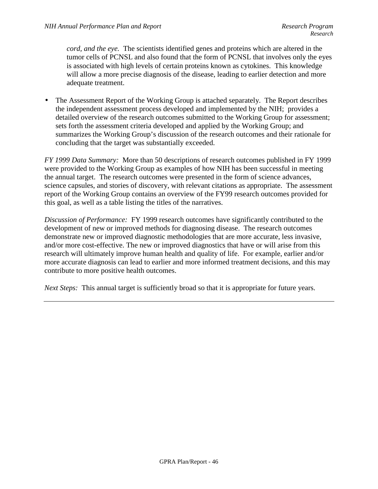*cord, and the eye.* The scientists identified genes and proteins which are altered in the tumor cells of PCNSL and also found that the form of PCNSL that involves only the eyes is associated with high levels of certain proteins known as cytokines. This knowledge will allow a more precise diagnosis of the disease, leading to earlier detection and more adequate treatment.

• The Assessment Report of the Working Group is attached separately. The Report describes the independent assessment process developed and implemented by the NIH; provides a detailed overview of the research outcomes submitted to the Working Group for assessment; sets forth the assessment criteria developed and applied by the Working Group; and summarizes the Working Group's discussion of the research outcomes and their rationale for concluding that the target was substantially exceeded.

*FY 1999 Data Summary:* More than 50 descriptions of research outcomes published in FY 1999 were provided to the Working Group as examples of how NIH has been successful in meeting the annual target. The research outcomes were presented in the form of science advances, science capsules, and stories of discovery, with relevant citations as appropriate. The assessment report of the Working Group contains an overview of the FY99 research outcomes provided for this goal, as well as a table listing the titles of the narratives.

*Discussion of Performance:* FY 1999 research outcomes have significantly contributed to the development of new or improved methods for diagnosing disease. The research outcomes demonstrate new or improved diagnostic methodologies that are more accurate, less invasive, and/or more cost-effective. The new or improved diagnostics that have or will arise from this research will ultimately improve human health and quality of life. For example, earlier and/or more accurate diagnosis can lead to earlier and more informed treatment decisions, and this may contribute to more positive health outcomes.

*Next Steps:* This annual target is sufficiently broad so that it is appropriate for future years.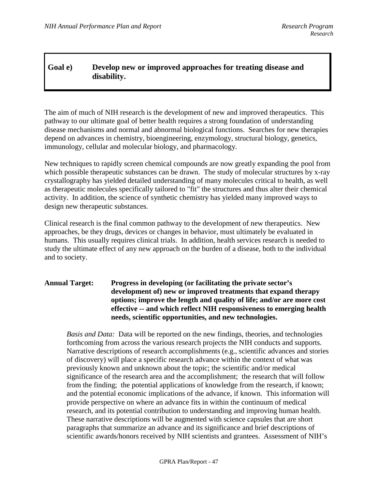# **Goal e) Develop new or improved approaches for treating disease and disability.**

The aim of much of NIH research is the development of new and improved therapeutics. This pathway to our ultimate goal of better health requires a strong foundation of understanding disease mechanisms and normal and abnormal biological functions. Searches for new therapies depend on advances in chemistry, bioengineering, enzymology, structural biology, genetics, immunology, cellular and molecular biology, and pharmacology.

New techniques to rapidly screen chemical compounds are now greatly expanding the pool from which possible therapeutic substances can be drawn. The study of molecular structures by x-ray crystallography has yielded detailed understanding of many molecules critical to health, as well as therapeutic molecules specifically tailored to "fit" the structures and thus alter their chemical activity. In addition, the science of synthetic chemistry has yielded many improved ways to design new therapeutic substances.

Clinical research is the final common pathway to the development of new therapeutics. New approaches, be they drugs, devices or changes in behavior, must ultimately be evaluated in humans. This usually requires clinical trials. In addition, health services research is needed to study the ultimate effect of any new approach on the burden of a disease, both to the individual and to society.

### **Annual Target:****Progress in developing (or facilitating the private sector's development of) new or improved treatments that expand therapy options; improve the length and quality of life; and/or are more cost effective -- and which reflect NIH responsiveness to emerging health needs, scientific opportunities, and new technologies.**

*Basis and Data:* Data will be reported on the new findings, theories, and technologies forthcoming from across the various research projects the NIH conducts and supports. Narrative descriptions of research accomplishments (e.g., scientific advances and stories of discovery) will place a specific research advance within the context of what was previously known and unknown about the topic; the scientific and/or medical significance of the research area and the accomplishment; the research that will follow from the finding; the potential applications of knowledge from the research, if known; and the potential economic implications of the advance, if known. This information will provide perspective on where an advance fits in within the continuum of medical research, and its potential contribution to understanding and improving human health. These narrative descriptions will be augmented with science capsules that are short paragraphs that summarize an advance and its significance and brief descriptions of scientific awards/honors received by NIH scientists and grantees. Assessment of NIH's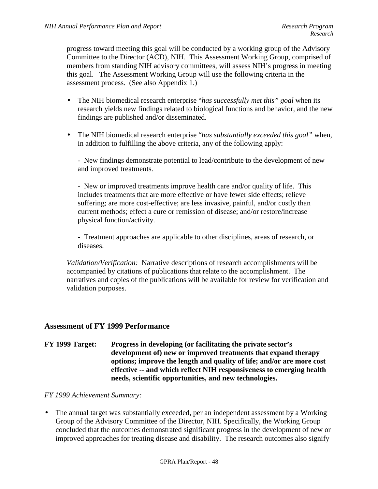progress toward meeting this goal will be conducted by a working group of the Advisory Committee to the Director (ACD), NIH. This Assessment Working Group, comprised of members from standing NIH advisory committees, will assess NIH's progress in meeting this goal. The Assessment Working Group will use the following criteria in the assessment process. (See also Appendix 1.)

- The NIH biomedical research enterprise "*has successfully met this" goal* when its research yields new findings related to biological functions and behavior, and the new findings are published and/or disseminated.
- The NIH biomedical research enterprise "*has substantially exceeded this goal"* when, in addition to fulfilling the above criteria, any of the following apply:

- New findings demonstrate potential to lead/contribute to the development of new and improved treatments.

- New or improved treatments improve health care and/or quality of life. This includes treatments that are more effective or have fewer side effects; relieve suffering; are more cost-effective; are less invasive, painful, and/or costly than current methods; effect a cure or remission of disease; and/or restore/increase physical function/activity.

- Treatment approaches are applicable to other disciplines, areas of research, or diseases.

*Validation/Verification:* Narrative descriptions of research accomplishments will be accompanied by citations of publications that relate to the accomplishment. The narratives and copies of the publications will be available for review for verification and validation purposes.

#### **Assessment of FY 1999 Performance**

**FY 1999 Target:****Progress in developing (or facilitating the private sector's development of) new or improved treatments that expand therapy options; improve the length and quality of life; and/or are more cost effective -- and which reflect NIH responsiveness to emerging health needs, scientific opportunities, and new technologies.**

*FY 1999 Achievement Summary:*

• The annual target was substantially exceeded, per an independent assessment by a Working Group of the Advisory Committee of the Director, NIH. Specifically, the Working Group concluded that the outcomes demonstrated significant progress in the development of new or improved approaches for treating disease and disability. The research outcomes also signify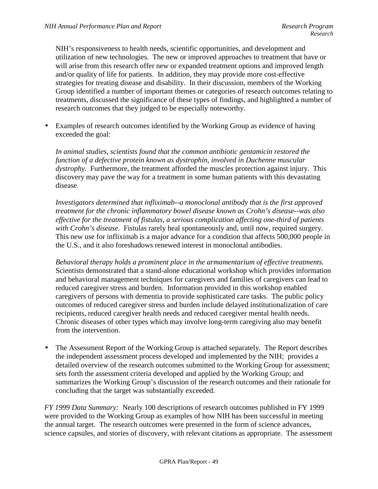NIH's responsiveness to health needs, scientific opportunities, and development and utilization of new technologies. The new or improved approaches to treatment that have or will arise from this research offer new or expanded treatment options and improved length and/or quality of life for patients. In addition, they may provide more cost-effective strategies for treating disease and disability. In their discussion, members of the Working Group identified a number of important themes or categories of research outcomes relating to treatments, discussed the significance of these types of findings, and highlighted a number of research outcomes that they judged to be especially noteworthy.

• Examples of research outcomes identified by the Working Group as evidence of having exceeded the goal:

*In animal studies, scientists found that the common antibiotic gentamicin restored the function of a defective protein known as dystrophin, involved in Duchenne muscular dystrophy.* Furthermore, the treatment afforded the muscles protection against injury.This discovery may pave the way for a treatment in some human patients with this devastating disease.

*Investigators determined that infliximab--a monoclonal antibody that is the first approved treatment for the chronic inflammatory bowel disease known as Crohn's disease--was also effective for the treatment of fistulas, a serious complication affecting one-third of patients with Crohn's disease.* Fistulas rarely heal spontaneously and, until now, required surgery. This new use for infliximab is a major advance for a condition that affects 500,000 people in the U.S., and it also foreshadows renewed interest in monoclonal antibodies.

*Behavioral therapy holds a prominent place in the armamentarium of effective treatments.* Scientists demonstrated that a stand-alone educational workshop which provides information and behavioral management techniques for caregivers and families of caregivers can lead to reduced caregiver stress and burden. Information provided in this workshop enabled caregivers of persons with dementia to provide sophisticated care tasks. The public policy outcomes of reduced caregiver stress and burden include delayed institutionalization of care recipients, reduced caregiver health needs and reduced caregiver mental health needs. Chronic diseases of other types which may involve long-term caregiving also may benefit from the intervention.

• The Assessment Report of the Working Group is attached separately. The Report describes the independent assessment process developed and implemented by the NIH; provides a detailed overview of the research outcomes submitted to the Working Group for assessment; sets forth the assessment criteria developed and applied by the Working Group; and summarizes the Working Group's discussion of the research outcomes and their rationale for concluding that the target was substantially exceeded.

*FY 1999 Data Summary:* Nearly 100 descriptions of research outcomes published in FY 1999 were provided to the Working Group as examples of how NIH has been successful in meeting the annual target. The research outcomes were presented in the form of science advances, science capsules, and stories of discovery, with relevant citations as appropriate. The assessment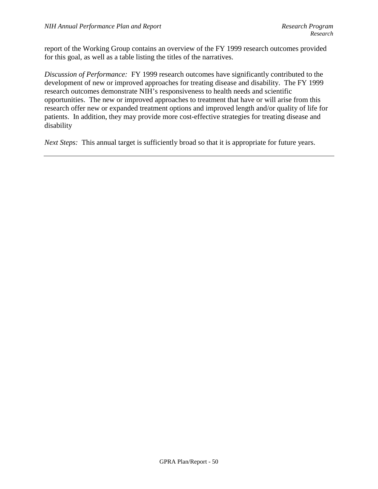report of the Working Group contains an overview of the FY 1999 research outcomes provided for this goal, as well as a table listing the titles of the narratives.

*Discussion of Performance:* FY 1999 research outcomes have significantly contributed to the development of new or improved approaches for treating disease and disability. The FY 1999 research outcomes demonstrate NIH's responsiveness to health needs and scientific opportunities. The new or improved approaches to treatment that have or will arise from this research offer new or expanded treatment options and improved length and/or quality of life for patients. In addition, they may provide more cost-effective strategies for treating disease and disability

*Next Steps:* This annual target is sufficiently broad so that it is appropriate for future years.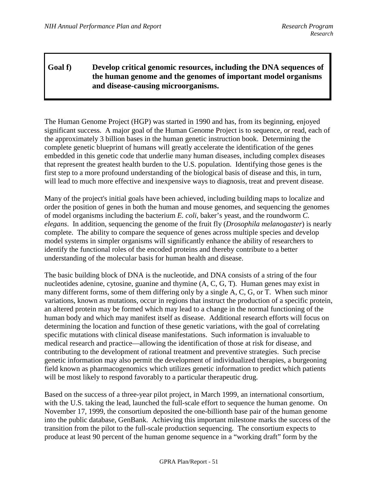## **Goal f) Develop critical genomic resources, including the DNA sequences of the human genome and the genomes of important model organisms and disease-causing microorganisms.**

The Human Genome Project (HGP) was started in 1990 and has, from its beginning, enjoyed significant success. A major goal of the Human Genome Project is to sequence, or read, each of the approximately 3 billion bases in the human genetic instruction book. Determining the complete genetic blueprint of humans will greatly accelerate the identification of the genes embedded in this genetic code that underlie many human diseases, including complex diseases that represent the greatest health burden to the U.S. population. Identifying those genes is the first step to a more profound understanding of the biological basis of disease and this, in turn, will lead to much more effective and inexpensive ways to diagnosis, treat and prevent disease.

Many of the project's initial goals have been achieved, including building maps to localize and order the position of genes in both the human and mouse genomes, and sequencing the genomes of model organisms including the bacterium *E. coli*, baker's yeast, and the roundworm *C. elegans*. In addition, sequencing the genome of the fruit fly (*Drosophila melanogaster*) is nearly complete. The ability to compare the sequence of genes across multiple species and develop model systems in simpler organisms will significantly enhance the ability of researchers to identify the functional roles of the encoded proteins and thereby contribute to a better understanding of the molecular basis for human health and disease.

The basic building block of DNA is the nucleotide, and DNA consists of a string of the four nucleotides adenine, cytosine, guanine and thymine (A, C, G, T). Human genes may exist in many different forms, some of them differing only by a single A, C, G, or T. When such minor variations, known as mutations, occur in regions that instruct the production of a specific protein, an altered protein may be formed which may lead to a change in the normal functioning of the human body and which may manifest itself as disease. Additional research efforts will focus on determining the location and function of these genetic variations, with the goal of correlating specific mutations with clinical disease manifestations. Such information is invaluable to medical research and practice—allowing the identification of those at risk for disease, and contributing to the development of rational treatment and preventive strategies. Such precise genetic information may also permit the development of individualized therapies, a burgeoning field known as pharmacogenomics which utilizes genetic information to predict which patients will be most likely to respond favorably to a particular therapeutic drug.

Based on the success of a three-year pilot project, in March 1999, an international consortium, with the U.S. taking the lead, launched the full-scale effort to sequence the human genome. On November 17, 1999, the consortium deposited the one-billionth base pair of the human genome into the public database, GenBank. Achieving this important milestone marks the success of the transition from the pilot to the full-scale production sequencing. The consortium expects to produce at least 90 percent of the human genome sequence in a "working draft" form by the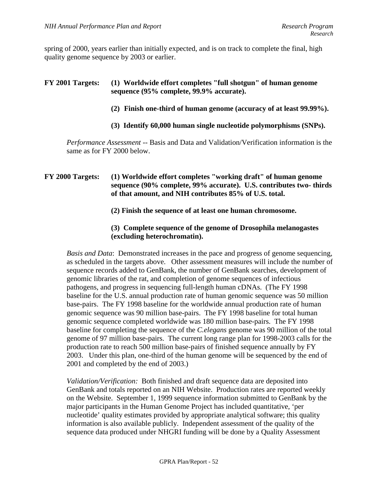spring of 2000, years earlier than initially expected, and is on track to complete the final, high quality genome sequence by 2003 or earlier.

### **FY 2001 Targets: (1) Worldwide effort completes "full shotgun" of human genome sequence (95% complete, 99.9% accurate).**

- **(2) Finish one-third of human genome (accuracy of at least 99.99%).**
- **(3) Identify 60,000 human single nucleotide polymorphisms (SNPs).**

*Performance Assessment* -- Basis and Data and Validation/Verification information is the same as for FY 2000 below.

### **FY 2000 Targets: (1) Worldwide effort completes "working draft" of human genome sequence (90% complete, 99% accurate). U.S. contributes two- thirds of that amount, and NIH contributes 85% of U.S. total.**

**(2) Finish the sequence of at least one human chromosome.**

### **(3) Complete sequence of the genome of Drosophila melanogastes (excluding heterochromatin).**

*Basis and Data*:Demonstrated increases in the pace and progress of genome sequencing, as scheduled in the targets above. Other assessment measures will include the number of sequence records added to GenBank, the number of GenBank searches, development of genomic libraries of the rat, and completion of genome sequences of infectious pathogens, and progress in sequencing full-length human cDNAs. (The FY 1998 baseline for the U.S. annual production rate of human genomic sequence was 50 million base-pairs. The FY 1998 baseline for the worldwide annual production rate of human genomic sequence was 90 million base-pairs. The FY 1998 baseline for total human genomic sequence completed worldwide was 180 million base-pairs. The FY 1998 baseline for completing the sequence of the *C.elegans* genome was 90 million of the total genome of 97 million base-pairs. The current long range plan for 1998-2003 calls for the production rate to reach 500 million base-pairs of finished sequence annually by FY 2003. Under this plan, one-third of the human genome will be sequenced by the end of 2001 and completed by the end of 2003.)

*Validation/Verification:* Both finished and draft sequence data are deposited into GenBank and totals reported on an NIH Website. Production rates are reported weekly on the Website. September 1, 1999 sequence information submitted to GenBank by the major participants in the Human Genome Project has included quantitative, 'per nucleotide' quality estimates provided by appropriate analytical software; this quality information is also available publicly. Independent assessment of the quality of the sequence data produced under NHGRI funding will be done by a Quality Assessment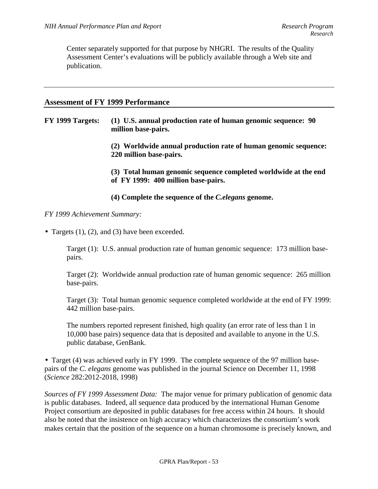Center separately supported for that purpose by NHGRI. The results of the Quality Assessment Center's evaluations will be publicly available through a Web site and publication.

#### **Assessment of FY 1999 Performance**

**FY 1999 Targets: (1) U.S. annual production rate of human genomic sequence: 90 million base-pairs.**

> **(2) Worldwide annual production rate of human genomic sequence: 220 million base-pairs.**

> **(3) Total human genomic sequence completed worldwide at the end of FY 1999: 400 million base-pairs.**

**(4) Complete the sequence of the** *C.elegans* **genome.**

*FY 1999 Achievement Summary:*

• Targets  $(1)$ ,  $(2)$ , and  $(3)$  have been exceeded.

Target (1): U.S. annual production rate of human genomic sequence: 173 million basepairs.

Target (2): Worldwide annual production rate of human genomic sequence: 265 million base-pairs.

Target (3): Total human genomic sequence completed worldwide at the end of FY 1999: 442 million base-pairs.

The numbers reported represent finished, high quality (an error rate of less than 1 in 10,000 base pairs) sequence data that is deposited and available to anyone in the U.S. public database, GenBank.

• Target (4) was achieved early in FY 1999. The complete sequence of the 97 million basepairs of the *C. elegans* genome was published in the journal Science on December 11, 1998 (*Science* 282:2012-2018, 1998)

*Sources of FY 1999 Assessment Data:* The major venue for primary publication of genomic data is public databases. Indeed, all sequence data produced by the international Human Genome Project consortium are deposited in public databases for free access within 24 hours. It should also be noted that the insistence on high accuracy which characterizes the consortium's work makes certain that the position of the sequence on a human chromosome is precisely known, and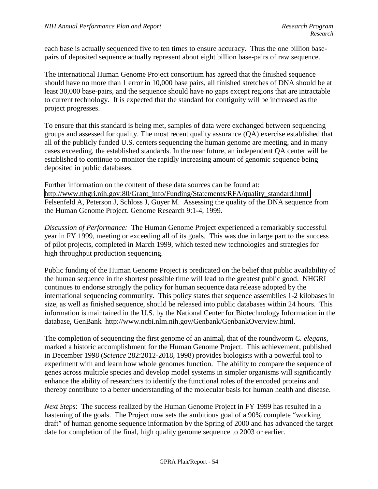each base is actually sequenced five to ten times to ensure accuracy. Thus the one billion basepairs of deposited sequence actually represent about eight billion base-pairs of raw sequence.

The international Human Genome Project consortium has agreed that the finished sequence should have no more than 1 error in 10,000 base pairs, all finished stretches of DNA should be at least 30,000 base-pairs, and the sequence should have no gaps except regions that are intractable to current technology. It is expected that the standard for contiguity will be increased as the project progresses.

To ensure that this standard is being met, samples of data were exchanged between sequencing groups and assessed for quality. The most recent quality assurance (QA) exercise established that all of the publicly funded U.S. centers sequencing the human genome are meeting, and in many cases exceeding, the established standards. In the near future, an independent QA center will be established to continue to monitor the rapidly increasing amount of genomic sequence being deposited in public databases.

Further information on the content of these data sources can be found at: [http://www.nhgri.nih.gov:80/Grant\\_info/Funding/Statements/RFA/quality\\_standard.html](http://www.nhgri.nih.gov/Grant_info/Funding/Statements/RFA/quality_standard.html) Felsenfeld A, Peterson J, Schloss J, Guyer M. Assessing the quality of the DNA sequence from the Human Genome Project. Genome Research 9:1-4, 1999.

*Discussion of Performance:* The Human Genome Project experienced a remarkably successful year in FY 1999, meeting or exceeding all of its goals. This was due in large part to the success of pilot projects, completed in March 1999, which tested new technologies and strategies for high throughput production sequencing.

Public funding of the Human Genome Project is predicated on the belief that public availability of the human sequence in the shortest possible time will lead to the greatest public good. NHGRI continues to endorse strongly the policy for human sequence data release adopted by the international sequencing community. This policy states that sequence assemblies 1-2 kilobases in size, as well as finished sequence, should be released into public databases within 24 hours. This information is maintained in the U.S. by the National Center for Biotechnology Information in the database, GenBank http://www.ncbi.nlm.nih.gov/Genbank/GenbankOverview.html.

The completion of sequencing the first genome of an animal, that of the roundworm *C. elegans*, marked a historic accomplishment for the Human Genome Project. This achievement, published in December 1998 (*Science* 282:2012-2018, 1998) provides biologists with a powerful tool to experiment with and learn how whole genomes function. The ability to compare the sequence of genes across multiple species and develop model systems in simpler organisms will significantly enhance the ability of researchers to identify the functional roles of the encoded proteins and thereby contribute to a better understanding of the molecular basis for human health and disease.

*Next Steps*: The success realized by the Human Genome Project in FY 1999 has resulted in a hastening of the goals. The Project now sets the ambitious goal of a 90% complete "working draft" of human genome sequence information by the Spring of 2000 and has advanced the target date for completion of the final, high quality genome sequence to 2003 or earlier.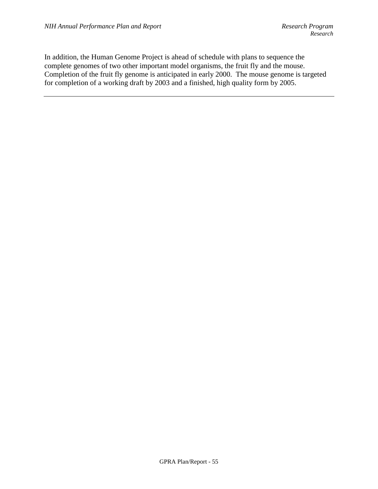In addition, the Human Genome Project is ahead of schedule with plans to sequence the complete genomes of two other important model organisms, the fruit fly and the mouse. Completion of the fruit fly genome is anticipated in early 2000. The mouse genome is targeted for completion of a working draft by 2003 and a finished, high quality form by 2005.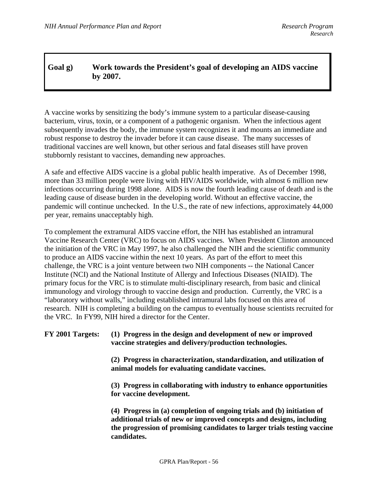# **Goal g) Work towards the President's goal of developing an AIDS vaccine by 2007.**

A vaccine works by sensitizing the body's immune system to a particular disease-causing bacterium, virus, toxin, or a component of a pathogenic organism. When the infectious agent subsequently invades the body, the immune system recognizes it and mounts an immediate and robust response to destroy the invader before it can cause disease. The many successes of traditional vaccines are well known, but other serious and fatal diseases still have proven stubbornly resistant to vaccines, demanding new approaches.

A safe and effective AIDS vaccine is a global public health imperative. As of December 1998, more than 33 million people were living with HIV/AIDS worldwide, with almost 6 million new infections occurring during 1998 alone. AIDS is now the fourth leading cause of death and is the leading cause of disease burden in the developing world. Without an effective vaccine, the pandemic will continue unchecked. In the U.S., the rate of new infections, approximately 44,000 per year, remains unacceptably high.

To complement the extramural AIDS vaccine effort, the NIH has established an intramural Vaccine Research Center (VRC) to focus on AIDS vaccines. When President Clinton announced the initiation of the VRC in May 1997, he also challenged the NIH and the scientific community to produce an AIDS vaccine within the next 10 years. As part of the effort to meet this challenge, the VRC is a joint venture between two NIH components -- the National Cancer Institute (NCI) and the National Institute of Allergy and Infectious Diseases (NIAID). The primary focus for the VRC is to stimulate multi-disciplinary research, from basic and clinical immunology and virology through to vaccine design and production. Currently, the VRC is a "laboratory without walls," including established intramural labs focused on this area of research. NIH is completing a building on the campus to eventually house scientists recruited for the VRC. In FY99, NIH hired a director for the Center.

#### **FY 2001 Targets: (1) Progress in the design and development of new or improved vaccine strategies and delivery/production technologies.**

**(2) Progress in characterization, standardization, and utilization of animal models for evaluating candidate vaccines.**

**(3) Progress in collaborating with industry to enhance opportunities for vaccine development.**

**(4) Progress in (a) completion of ongoing trials and (b) initiation of additional trials of new or improved concepts and designs, including the progression of promising candidates to larger trials testing vaccine candidates.**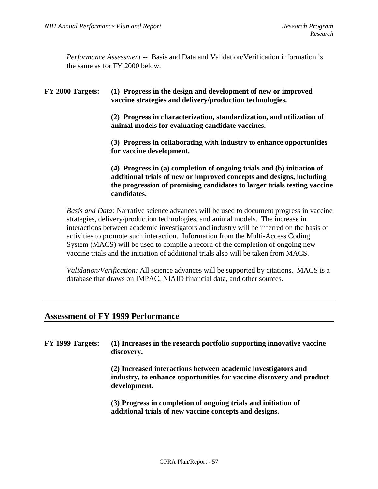*Performance Assessment* -- Basis and Data and Validation/Verification information is the same as for FY 2000 below.

**FY 2000 Targets: (1) Progress in the design and development of new or improved vaccine strategies and delivery/production technologies.**

> **(2) Progress in characterization, standardization, and utilization of animal models for evaluating candidate vaccines.**

**(3) Progress in collaborating with industry to enhance opportunities for vaccine development.**

**(4) Progress in (a) completion of ongoing trials and (b) initiation of additional trials of new or improved concepts and designs, including the progression of promising candidates to larger trials testing vaccine candidates.**

*Basis and Data:* Narrative science advances will be used to document progress in vaccine strategies, delivery/production technologies, and animal models. The increase in interactions between academic investigators and industry will be inferred on the basis of activities to promote such interaction. Information from the Multi-Access Coding System (MACS) will be used to compile a record of the completion of ongoing new vaccine trials and the initiation of additional trials also will be taken from MACS.

*Validation/Verification:* All science advances will be supported by citations. MACS is a database that draws on IMPAC, NIAID financial data, and other sources.

### **Assessment of FY 1999 Performance**

**FY 1999 Targets: (1) Increases in the research portfolio supporting innovative vaccine discovery.**

> **(2) Increased interactions between academic investigators and industry, to enhance opportunities for vaccine discovery and product development.**

**(3) Progress in completion of ongoing trials and initiation of additional trials of new vaccine concepts and designs.**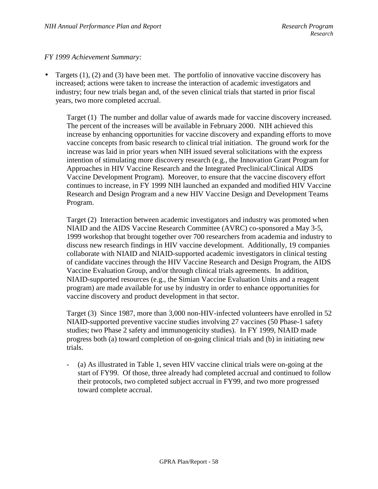#### *FY 1999 Achievement Summary:*

• Targets  $(1)$ ,  $(2)$  and  $(3)$  have been met. The portfolio of innovative vaccine discovery has increased; actions were taken to increase the interaction of academic investigators and industry; four new trials began and, of the seven clinical trials that started in prior fiscal years, two more completed accrual.

Target (1) The number and dollar value of awards made for vaccine discovery increased. The percent of the increases will be available in February 2000. NIH achieved this increase by enhancing opportunities for vaccine discovery and expanding efforts to move vaccine concepts from basic research to clinical trial initiation. The ground work for the increase was laid in prior years when NIH issued several solicitations with the express intention of stimulating more discovery research (e.g., the Innovation Grant Program for Approaches in HIV Vaccine Research and the Integrated Preclinical/Clinical AIDS Vaccine Development Program). Moreover, to ensure that the vaccine discovery effort continues to increase, in FY 1999 NIH launched an expanded and modified HIV Vaccine Research and Design Program and a new HIV Vaccine Design and Development Teams Program.

Target (2) Interaction between academic investigators and industry was promoted when NIAID and the AIDS Vaccine Research Committee (AVRC) co-sponsored a May 3-5, 1999 workshop that brought together over 700 researchers from academia and industry to discuss new research findings in HIV vaccine development. Additionally, 19 companies collaborate with NIAID and NIAID-supported academic investigators in clinical testing of candidate vaccines through the HIV Vaccine Research and Design Program, the AIDS Vaccine Evaluation Group, and/or through clinical trials agreements. In addition, NIAID-supported resources (e.g., the Simian Vaccine Evaluation Units and a reagent program) are made available for use by industry in order to enhance opportunities for vaccine discovery and product development in that sector.

Target (3) Since 1987, more than 3,000 non-HIV-infected volunteers have enrolled in 52 NIAID-supported preventive vaccine studies involving 27 vaccines (50 Phase-1 safety studies; two Phase 2 safety and immunogenicity studies). In FY 1999, NIAID made progress both (a) toward completion of on-going clinical trials and (b) in initiating new trials.

- (a) As illustrated in Table 1, seven HIV vaccine clinical trials were on-going at the start of FY99. Of those, three already had completed accrual and continued to follow their protocols, two completed subject accrual in FY99, and two more progressed toward complete accrual.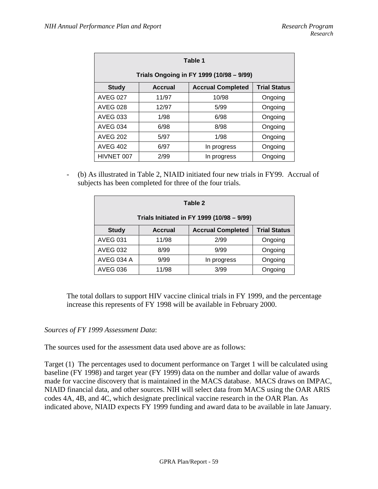| Table 1                                                                           |       |             |         |  |
|-----------------------------------------------------------------------------------|-------|-------------|---------|--|
| Trials Ongoing in FY 1999 (10/98 - 9/99)                                          |       |             |         |  |
| <b>Trial Status</b><br><b>Accrual Completed</b><br><b>Study</b><br><b>Accrual</b> |       |             |         |  |
| <b>AVEG 027</b>                                                                   | 11/97 | 10/98       | Ongoing |  |
| <b>AVEG 028</b>                                                                   | 12/97 | 5/99        | Ongoing |  |
| <b>AVEG 033</b>                                                                   | 1/98  | 6/98        | Ongoing |  |
| <b>AVEG 034</b>                                                                   | 6/98  | 8/98        | Ongoing |  |
| <b>AVEG 202</b>                                                                   | 5/97  | 1/98        | Ongoing |  |
| <b>AVEG 402</b>                                                                   | 6/97  | In progress | Ongoing |  |
| HIVNET 007                                                                        | 2/99  | In progress | Ongoing |  |

- (b) As illustrated in Table 2, NIAID initiated four new trials in FY99. Accrual of subjects has been completed for three of the four trials.

| Table 2                                                                           |       |             |         |
|-----------------------------------------------------------------------------------|-------|-------------|---------|
| Trials Initiated in FY 1999 (10/98 - 9/99)                                        |       |             |         |
| <b>Trial Status</b><br><b>Accrual Completed</b><br><b>Study</b><br><b>Accrual</b> |       |             |         |
| <b>AVEG 031</b>                                                                   | 11/98 | 2/99        | Ongoing |
| <b>AVEG 032</b><br>8/99<br>9/99                                                   |       | Ongoing     |         |
| <b>AVEG 034 A</b>                                                                 | 9/99  | In progress | Ongoing |
| <b>AVEG 036</b>                                                                   | 11/98 | 3/99        | Ongoing |

The total dollars to support HIV vaccine clinical trials in FY 1999, and the percentage increase this represents of FY 1998 will be available in February 2000.

#### *Sources of FY 1999 Assessment Data*:

The sources used for the assessment data used above are as follows:

Target (1) The percentages used to document performance on Target 1 will be calculated using baseline (FY 1998) and target year (FY 1999) data on the number and dollar value of awards made for vaccine discovery that is maintained in the MACS database. MACS draws on IMPAC, NIAID financial data, and other sources. NIH will select data from MACS using the OAR ARIS codes 4A, 4B, and 4C, which designate preclinical vaccine research in the OAR Plan. As indicated above, NIAID expects FY 1999 funding and award data to be available in late January.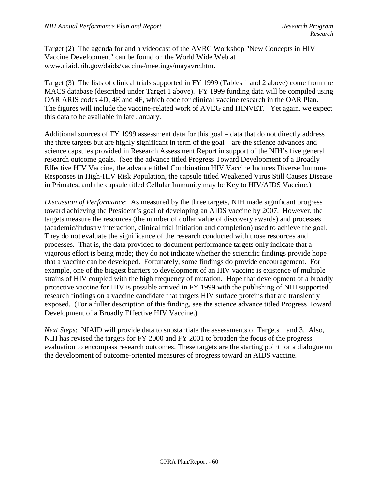Target (2) The agenda for and a videocast of the AVRC Workshop "New Concepts in HIV Vaccine Development" can be found on the World Wide Web at www.niaid.nih.gov/daids/vaccine/meetings/mayavrc.htm.

Target (3) The lists of clinical trials supported in FY 1999 (Tables 1 and 2 above) come from the MACS database (described under Target 1 above). FY 1999 funding data will be compiled using OAR ARIS codes 4D, 4E and 4F, which code for clinical vaccine research in the OAR Plan. The figures will include the vaccine-related work of AVEG and HINVET. Yet again, we expect this data to be available in late January.

Additional sources of FY 1999 assessment data for this goal – data that do not directly address the three targets but are highly significant in term of the goal – are the science advances and science capsules provided in Research Assessment Report in support of the NIH's five general research outcome goals. (See the advance titled Progress Toward Development of a Broadly Effective HIV Vaccine, the advance titled Combination HIV Vaccine Induces Diverse Immune Responses in High-HIV Risk Population, the capsule titled Weakened Virus Still Causes Disease in Primates, and the capsule titled Cellular Immunity may be Key to HIV/AIDS Vaccine.)

*Discussion of Performance*: As measured by the three targets, NIH made significant progress toward achieving the President's goal of developing an AIDS vaccine by 2007. However, the targets measure the resources (the number of dollar value of discovery awards) and processes (academic/industry interaction, clinical trial initiation and completion) used to achieve the goal. They do not evaluate the significance of the research conducted with those resources and processes. That is, the data provided to document performance targets only indicate that a vigorous effort is being made; they do not indicate whether the scientific findings provide hope that a vaccine can be developed. Fortunately, some findings do provide encouragement. For example, one of the biggest barriers to development of an HIV vaccine is existence of multiple strains of HIV coupled with the high frequency of mutation. Hope that development of a broadly protective vaccine for HIV is possible arrived in FY 1999 with the publishing of NIH supported research findings on a vaccine candidate that targets HIV surface proteins that are transiently exposed. (For a fuller description of this finding, see the science advance titled Progress Toward Development of a Broadly Effective HIV Vaccine.)

*Next Steps*:NIAID will provide data to substantiate the assessments of Targets 1 and 3. Also, NIH has revised the targets for FY 2000 and FY 2001 to broaden the focus of the progress evaluation to encompass research outcomes. These targets are the starting point for a dialogue on the development of outcome-oriented measures of progress toward an AIDS vaccine.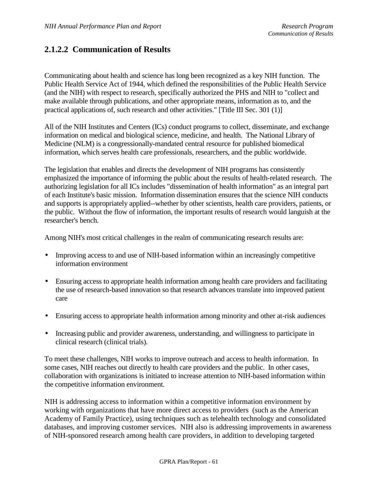# **2.1.2.2 Communication of Results**

Communicating about health and science has long been recognized as a key NIH function. The Public Health Service Act of 1944, which defined the responsibilities of the Public Health Service (and the NIH) with respect to research, specifically authorized the PHS and NIH to "collect and make available through publications, and other appropriate means, information as to, and the practical applications of, such research and other activities." [Title III Sec. 301 (1)]

All of the NIH Institutes and Centers (ICs) conduct programs to collect, disseminate, and exchange information on medical and biological science, medicine, and health. The National Library of Medicine (NLM) is a congressionally-mandated central resource for published biomedical information, which serves health care professionals, researchers, and the public worldwide.

The legislation that enables and directs the development of NIH programs has consistently emphasized the importance of informing the public about the results of health-related research. The authorizing legislation for all ICs includes "dissemination of health information" as an integral part of each Institute's basic mission. Information dissemination ensures that the science NIH conducts and supports is appropriately applied--whether by other scientists, health care providers, patients, or the public. Without the flow of information, the important results of research would languish at the researcher's bench.

Among NIH's most critical challenges in the realm of communicating research results are:

- Improving access to and use of NIH-based information within an increasingly competitive information environment
- Ensuring access to appropriate health information among health care providers and facilitating the use of research-based innovation so that research advances translate into improved patient care
- Ensuring access to appropriate health information among minority and other at-risk audiences
- Increasing public and provider awareness, understanding, and willingness to participate in clinical research (clinical trials).

To meet these challenges, NIH works to improve outreach and access to health information. In some cases, NIH reaches out directly to health care providers and the public. In other cases, collaboration with organizations is initiated to increase attention to NIH-based information within the competitive information environment.

NIH is addressing access to information within a competitive information environment by working with organizations that have more direct access to providers (such as the American Academy of Family Practice), using techniques such as telehealth technology and consolidated databases, and improving customer services. NIH also is addressing improvements in awareness of NIH-sponsored research among health care providers, in addition to developing targeted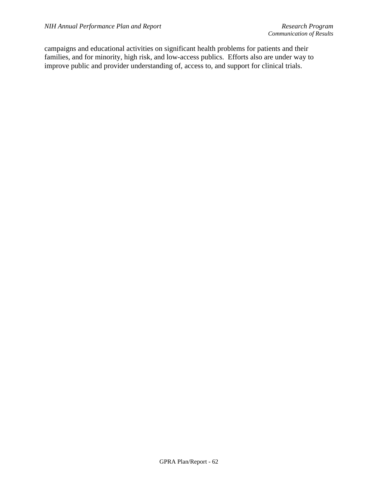campaigns and educational activities on significant health problems for patients and their families, and for minority, high risk, and low-access publics. Efforts also are under way to improve public and provider understanding of, access to, and support for clinical trials.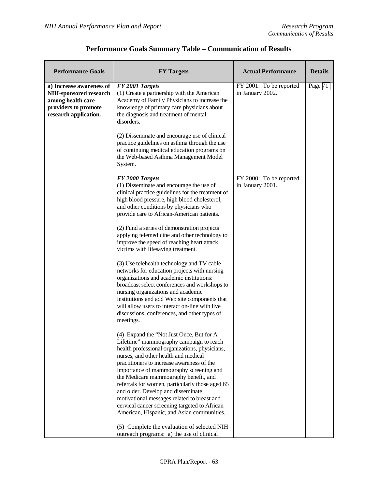| <b>Performance Goals</b>                                                                                                 | <b>FY</b> Targets                                                                                                                                                                                                                                                                                                                                                                                                                                                                                                                                      | <b>Actual Performance</b>                   | <b>Details</b> |
|--------------------------------------------------------------------------------------------------------------------------|--------------------------------------------------------------------------------------------------------------------------------------------------------------------------------------------------------------------------------------------------------------------------------------------------------------------------------------------------------------------------------------------------------------------------------------------------------------------------------------------------------------------------------------------------------|---------------------------------------------|----------------|
| a) Increase awareness of<br>NIH-sponsored research<br>among health care<br>providers to promote<br>research application. | FY 2001 Targets<br>(1) Create a partnership with the American<br>Academy of Family Physicians to increase the<br>knowledge of primary care physicians about<br>the diagnosis and treatment of mental<br>disorders.                                                                                                                                                                                                                                                                                                                                     | FY 2001: To be reported<br>in January 2002. | Page 71        |
|                                                                                                                          | (2) Disseminate and encourage use of clinical<br>practice guidelines on asthma through the use<br>of continuing medical education programs on<br>the Web-based Asthma Management Model<br>System.                                                                                                                                                                                                                                                                                                                                                      |                                             |                |
|                                                                                                                          | FY 2000 Targets<br>(1) Disseminate and encourage the use of<br>clinical practice guidelines for the treatment of<br>high blood pressure, high blood cholesterol,<br>and other conditions by physicians who<br>provide care to African-American patients.                                                                                                                                                                                                                                                                                               | FY 2000: To be reported<br>in January 2001. |                |
|                                                                                                                          | (2) Fund a series of demonstration projects<br>applying telemedicine and other technology to<br>improve the speed of reaching heart attack<br>victims with lifesaving treatment.                                                                                                                                                                                                                                                                                                                                                                       |                                             |                |
|                                                                                                                          | (3) Use telehealth technology and TV cable<br>networks for education projects with nursing<br>organizations and academic institutions:<br>broadcast select conferences and workshops to<br>nursing organizations and academic<br>institutions and add Web site components that<br>will allow users to interact on-line with live<br>discussions, conferences, and other types of<br>meetings.                                                                                                                                                          |                                             |                |
|                                                                                                                          | (4) Expand the "Not Just Once, But for A<br>Lifetime" mammography campaign to reach<br>health professional organizations, physicians,<br>nurses, and other health and medical<br>practitioners to increase awareness of the<br>importance of mammography screening and<br>the Medicare mammography benefit, and<br>referrals for women, particularly those aged 65<br>and older. Develop and disseminate<br>motivational messages related to breast and<br>cervical cancer screening targeted to African<br>American, Hispanic, and Asian communities. |                                             |                |
|                                                                                                                          | (5) Complete the evaluation of selected NIH<br>outreach programs: a) the use of clinical                                                                                                                                                                                                                                                                                                                                                                                                                                                               |                                             |                |

# **Performance Goals Summary Table – Communication of Results**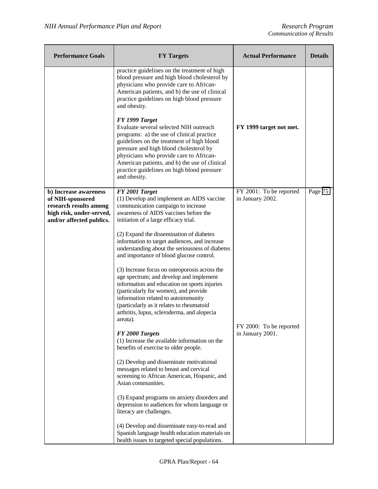| <b>Performance Goals</b>                                                                                                    | <b>FY</b> Targets                                                                                                                                                                                                                                                                                                                                               | <b>Actual Performance</b>                   | <b>Details</b> |
|-----------------------------------------------------------------------------------------------------------------------------|-----------------------------------------------------------------------------------------------------------------------------------------------------------------------------------------------------------------------------------------------------------------------------------------------------------------------------------------------------------------|---------------------------------------------|----------------|
|                                                                                                                             | practice guidelines on the treatment of high<br>blood pressure and high blood cholesterol by<br>physicians who provide care to African-<br>American patients, and b) the use of clinical<br>practice guidelines on high blood pressure<br>and obesity.<br>FY 1999 Target<br>Evaluate several selected NIH outreach<br>programs: a) the use of clinical practice | FY 1999 target not met.                     |                |
|                                                                                                                             | guidelines on the treatment of high blood<br>pressure and high blood cholesterol by<br>physicians who provide care to African-<br>American patients, and b) the use of clinical<br>practice guidelines on high blood pressure<br>and obesity.                                                                                                                   |                                             |                |
| b) Increase awareness<br>of NIH-sponsored<br>research results among<br>high risk, under-served,<br>and/or affected publics. | FY 2001 Target<br>(1) Develop and implement an AIDS vaccine<br>communication campaign to increase<br>awareness of AIDS vaccines before the<br>initiation of a large efficacy trial.                                                                                                                                                                             | FY 2001: To be reported<br>in January 2002. | Page 75        |
|                                                                                                                             | (2) Expand the dissemination of diabetes<br>information to target audiences, and increase<br>understanding about the seriousness of diabetes<br>and importance of blood glucose control.                                                                                                                                                                        |                                             |                |
|                                                                                                                             | (3) Increase focus on osteoporosis across the<br>age spectrum; and develop and implement<br>information and education on sports injuries<br>(particularly for women), and provide<br>information related to autoimmunity<br>(particularly as it relates to rheumatoid<br>arthritis, lupus, scleroderma, and alopecia<br>areata).                                |                                             |                |
|                                                                                                                             | FY 2000 Targets<br>(1) Increase the available information on the<br>benefits of exercise to older people.                                                                                                                                                                                                                                                       | FY 2000: To be reported<br>in January 2001. |                |
|                                                                                                                             | (2) Develop and disseminate motivational<br>messages related to breast and cervical<br>screening to African American, Hispanic, and<br>Asian communities.                                                                                                                                                                                                       |                                             |                |
|                                                                                                                             | (3) Expand programs on anxiety disorders and<br>depression to audiences for whom language or<br>literacy are challenges.                                                                                                                                                                                                                                        |                                             |                |
|                                                                                                                             | (4) Develop and disseminate easy-to-read and<br>Spanish language health education materials on<br>health issues to targeted special populations.                                                                                                                                                                                                                |                                             |                |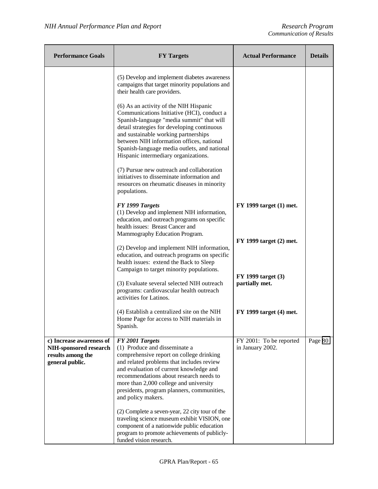| <b>Performance Goals</b>                                                                          | <b>FY</b> Targets                                                                                                                                                                                                                                                                                                                                             | <b>Actual Performance</b>                   | <b>Details</b> |
|---------------------------------------------------------------------------------------------------|---------------------------------------------------------------------------------------------------------------------------------------------------------------------------------------------------------------------------------------------------------------------------------------------------------------------------------------------------------------|---------------------------------------------|----------------|
|                                                                                                   | (5) Develop and implement diabetes awareness<br>campaigns that target minority populations and<br>their health care providers.                                                                                                                                                                                                                                |                                             |                |
|                                                                                                   | (6) As an activity of the NIH Hispanic<br>Communications Initiative (HCI), conduct a<br>Spanish-language "media summit" that will<br>detail strategies for developing continuous<br>and sustainable working partnerships<br>between NIH information offices, national<br>Spanish-language media outlets, and national<br>Hispanic intermediary organizations. |                                             |                |
|                                                                                                   | (7) Pursue new outreach and collaboration<br>initiatives to disseminate information and<br>resources on rheumatic diseases in minority<br>populations.                                                                                                                                                                                                        |                                             |                |
|                                                                                                   | FY 1999 Targets<br>(1) Develop and implement NIH information,<br>education, and outreach programs on specific<br>health issues: Breast Cancer and                                                                                                                                                                                                             | FY 1999 target (1) met.                     |                |
|                                                                                                   | Mammography Education Program.<br>(2) Develop and implement NIH information,<br>education, and outreach programs on specific<br>health issues: extend the Back to Sleep                                                                                                                                                                                       | FY 1999 target (2) met.                     |                |
|                                                                                                   | Campaign to target minority populations.<br>(3) Evaluate several selected NIH outreach<br>programs: cardiovascular health outreach<br>activities for Latinos.                                                                                                                                                                                                 | <b>FY 1999 target (3)</b><br>partially met. |                |
|                                                                                                   | (4) Establish a centralized site on the NIH<br>Home Page for access to NIH materials in<br>Spanish.                                                                                                                                                                                                                                                           | FY 1999 target (4) met.                     |                |
| c) Increase awareness of<br><b>NIH-sponsored research</b><br>results among the<br>general public. | FY 2001 Targets<br>(1) Produce and disseminate a<br>comprehensive report on college drinking<br>and related problems that includes review<br>and evaluation of current knowledge and<br>recommendations about research needs to<br>more than 2,000 college and university<br>presidents, program planners, communities,<br>and policy makers.                 | FY 2001: To be reported<br>in January 2002. | Page 80        |
|                                                                                                   | (2) Complete a seven-year, 22 city tour of the<br>traveling science museum exhibit VISION, one<br>component of a nationwide public education<br>program to promote achievements of publicly-<br>funded vision research.                                                                                                                                       |                                             |                |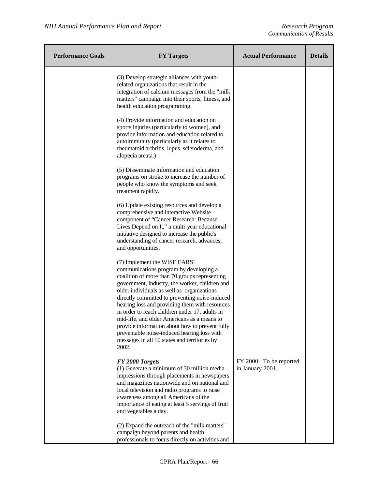| <b>Performance Goals</b> | <b>FY</b> Targets                                                                                                                                                                                                                                                                                                                                                                                                                                                                                                                                                                      | <b>Actual Performance</b>                   | <b>Details</b> |
|--------------------------|----------------------------------------------------------------------------------------------------------------------------------------------------------------------------------------------------------------------------------------------------------------------------------------------------------------------------------------------------------------------------------------------------------------------------------------------------------------------------------------------------------------------------------------------------------------------------------------|---------------------------------------------|----------------|
|                          | (3) Develop strategic alliances with youth-<br>related organizations that result in the<br>integration of calcium messages from the "milk"<br>matters" campaign into their sports, fitness, and<br>health education programming.                                                                                                                                                                                                                                                                                                                                                       |                                             |                |
|                          | (4) Provide information and education on<br>sports injuries (particularly to women), and<br>provide information and education related to<br>autoimmunity (particularly as it relates to<br>rheumatoid arthritis, lupus, scleroderma, and<br>alopecia areata.)                                                                                                                                                                                                                                                                                                                          |                                             |                |
|                          | (5) Disseminate information and education<br>programs on stroke to increase the number of<br>people who know the symptoms and seek<br>treatment rapidly.                                                                                                                                                                                                                                                                                                                                                                                                                               |                                             |                |
|                          | (6) Update existing resources and develop a<br>comprehensive and interactive Website<br>component of "Cancer Research: Because<br>Lives Depend on It," a multi-year educational<br>initiative designed to increase the public's<br>understanding of cancer research, advances,<br>and opportunities.                                                                                                                                                                                                                                                                                   |                                             |                |
|                          | (7) Implement the WISE EARS!<br>communications program by developing a<br>coalition of more than 70 groups representing<br>government, industry, the worker, children and<br>older individuals as well as organizations<br>directly committed to preventing noise-induced<br>hearing loss and providing them with resources<br>in order to reach children under 17, adults in<br>mid-life, and older Americans as a means to<br>provide information about how to prevent fully<br>preventable noise-induced hearing loss with<br>messages in all 50 states and territories by<br>2002. |                                             |                |
|                          | FY 2000 Targets<br>(1) Generate a minimum of 30 million media<br>impressions through placements in newspapers<br>and magazines nationwide and on national and<br>local television and radio programs to raise<br>awareness among all Americans of the<br>importance of eating at least 5 servings of fruit<br>and vegetables a day.                                                                                                                                                                                                                                                    | FY 2000: To be reported<br>in January 2001. |                |
|                          | (2) Expand the outreach of the "milk matters"<br>campaign beyond parents and health<br>professionals to focus directly on activities and                                                                                                                                                                                                                                                                                                                                                                                                                                               |                                             |                |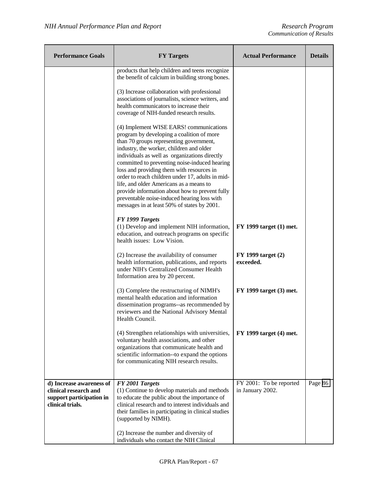| <b>Performance Goals</b>                                                                          | <b>FY</b> Targets                                                                                                                                                                                                                                                                                                                                                                                                                                                                                                                                                         | <b>Actual Performance</b>                   | <b>Details</b> |
|---------------------------------------------------------------------------------------------------|---------------------------------------------------------------------------------------------------------------------------------------------------------------------------------------------------------------------------------------------------------------------------------------------------------------------------------------------------------------------------------------------------------------------------------------------------------------------------------------------------------------------------------------------------------------------------|---------------------------------------------|----------------|
|                                                                                                   | products that help children and teens recognize<br>the benefit of calcium in building strong bones.                                                                                                                                                                                                                                                                                                                                                                                                                                                                       |                                             |                |
|                                                                                                   | (3) Increase collaboration with professional<br>associations of journalists, science writers, and<br>health communicators to increase their<br>coverage of NIH-funded research results.                                                                                                                                                                                                                                                                                                                                                                                   |                                             |                |
|                                                                                                   | (4) Implement WISE EARS! communications<br>program by developing a coalition of more<br>than 70 groups representing government,<br>industry, the worker, children and older<br>individuals as well as organizations directly<br>committed to preventing noise-induced hearing<br>loss and providing them with resources in<br>order to reach children under 17, adults in mid-<br>life, and older Americans as a means to<br>provide information about how to prevent fully<br>preventable noise-induced hearing loss with<br>messages in at least 50% of states by 2001. |                                             |                |
|                                                                                                   | FY 1999 Targets<br>(1) Develop and implement NIH information,<br>education, and outreach programs on specific<br>health issues: Low Vision.                                                                                                                                                                                                                                                                                                                                                                                                                               | FY 1999 target (1) met.                     |                |
|                                                                                                   | (2) Increase the availability of consumer<br>health information, publications, and reports<br>under NIH's Centralized Consumer Health<br>Information area by 20 percent.                                                                                                                                                                                                                                                                                                                                                                                                  | <b>FY 1999 target (2)</b><br>exceeded.      |                |
|                                                                                                   | (3) Complete the restructuring of NIMH's<br>mental health education and information<br>dissemination programs--as recommended by<br>reviewers and the National Advisory Mental<br>Health Council.                                                                                                                                                                                                                                                                                                                                                                         | FY 1999 target (3) met.                     |                |
|                                                                                                   | (4) Strengthen relationships with universities,<br>voluntary health associations, and other<br>organizations that communicate health and<br>scientific information--to expand the options<br>for communicating NIH research results.                                                                                                                                                                                                                                                                                                                                      | FY 1999 target (4) met.                     |                |
| d) Increase awareness of<br>clinical research and<br>support participation in<br>clinical trials. | FY 2001 Targets<br>(1) Continue to develop materials and methods<br>to educate the public about the importance of<br>clinical research and to interest individuals and<br>their families in participating in clinical studies<br>(supported by NIMH).                                                                                                                                                                                                                                                                                                                     | FY 2001: To be reported<br>in January 2002. | Page 86        |
|                                                                                                   | (2) Increase the number and diversity of<br>individuals who contact the NIH Clinical                                                                                                                                                                                                                                                                                                                                                                                                                                                                                      |                                             |                |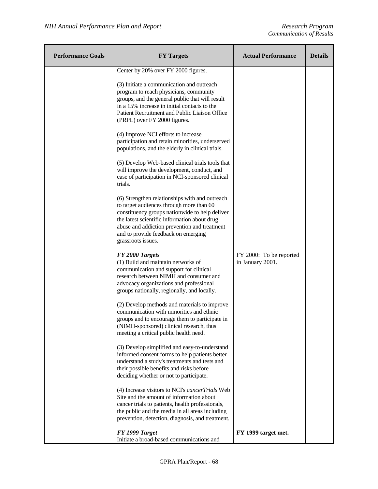| <b>Performance Goals</b> | <b>FY</b> Targets                                                                                                                                                                                                                                                                                                                                                                                                                                                                                                                                                                                                                                                                                                                                                                                                                                                                                                    | <b>Actual Performance</b>                   | <b>Details</b> |
|--------------------------|----------------------------------------------------------------------------------------------------------------------------------------------------------------------------------------------------------------------------------------------------------------------------------------------------------------------------------------------------------------------------------------------------------------------------------------------------------------------------------------------------------------------------------------------------------------------------------------------------------------------------------------------------------------------------------------------------------------------------------------------------------------------------------------------------------------------------------------------------------------------------------------------------------------------|---------------------------------------------|----------------|
|                          | Center by 20% over FY 2000 figures.<br>(3) Initiate a communication and outreach<br>program to reach physicians, community<br>groups, and the general public that will result<br>in a 15% increase in initial contacts to the<br>Patient Recruitment and Public Liaison Office<br>(PRPL) over FY 2000 figures.<br>(4) Improve NCI efforts to increase<br>participation and retain minorities, underserved<br>populations, and the elderly in clinical trials.<br>(5) Develop Web-based clinical trials tools that<br>will improve the development, conduct, and<br>ease of participation in NCI-sponsored clinical<br>trials.<br>(6) Strengthen relationships with and outreach<br>to target audiences through more than 60<br>constituency groups nationwide to help deliver<br>the latest scientific information about drug<br>abuse and addiction prevention and treatment<br>and to provide feedback on emerging |                                             |                |
|                          | grassroots issues.<br>FY 2000 Targets<br>(1) Build and maintain networks of<br>communication and support for clinical<br>research between NIMH and consumer and<br>advocacy organizations and professional<br>groups nationally, regionally, and locally.                                                                                                                                                                                                                                                                                                                                                                                                                                                                                                                                                                                                                                                            | FY 2000: To be reported<br>in January 2001. |                |
|                          | (2) Develop methods and materials to improve<br>communication with minorities and ethnic<br>groups and to encourage them to participate in<br>(NIMH-sponsored) clinical research, thus<br>meeting a critical public health need.                                                                                                                                                                                                                                                                                                                                                                                                                                                                                                                                                                                                                                                                                     |                                             |                |
|                          | (3) Develop simplified and easy-to-understand<br>informed consent forms to help patients better<br>understand a study's treatments and tests and<br>their possible benefits and risks before<br>deciding whether or not to participate.                                                                                                                                                                                                                                                                                                                                                                                                                                                                                                                                                                                                                                                                              |                                             |                |
|                          | (4) Increase visitors to NCI's cancerTrials Web<br>Site and the amount of information about<br>cancer trials to patients, health professionals,<br>the public and the media in all areas including<br>prevention, detection, diagnosis, and treatment.                                                                                                                                                                                                                                                                                                                                                                                                                                                                                                                                                                                                                                                               |                                             |                |
|                          | FY 1999 Target<br>Initiate a broad-based communications and                                                                                                                                                                                                                                                                                                                                                                                                                                                                                                                                                                                                                                                                                                                                                                                                                                                          | FY 1999 target met.                         |                |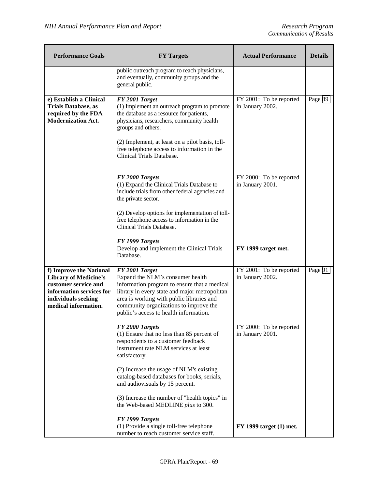| <b>Performance Goals</b>                                                                                                                                   | <b>FY</b> Targets                                                                                                                                                                                                                                                                                            | <b>Actual Performance</b>                   | <b>Details</b> |
|------------------------------------------------------------------------------------------------------------------------------------------------------------|--------------------------------------------------------------------------------------------------------------------------------------------------------------------------------------------------------------------------------------------------------------------------------------------------------------|---------------------------------------------|----------------|
|                                                                                                                                                            | public outreach program to reach physicians,<br>and eventually, community groups and the<br>general public.                                                                                                                                                                                                  |                                             |                |
| e) Establish a Clinical<br><b>Trials Database, as</b><br>required by the FDA<br><b>Modernization Act.</b>                                                  | FY 2001 Target<br>(1) Implement an outreach program to promote<br>the database as a resource for patients,<br>physicians, researchers, community health<br>groups and others.<br>(2) Implement, at least on a pilot basis, toll-<br>free telephone access to information in the<br>Clinical Trials Database. | FY 2001: To be reported<br>in January 2002. | Page 89        |
|                                                                                                                                                            | FY 2000 Targets<br>(1) Expand the Clinical Trials Database to<br>include trials from other federal agencies and<br>the private sector.<br>(2) Develop options for implementation of toll-<br>free telephone access to information in the<br>Clinical Trials Database.                                        | FY 2000: To be reported<br>in January 2001. |                |
|                                                                                                                                                            | FY 1999 Targets<br>Develop and implement the Clinical Trials<br>Database.                                                                                                                                                                                                                                    | FY 1999 target met.                         |                |
| f) Improve the National<br><b>Library of Medicine's</b><br>customer service and<br>information services for<br>individuals seeking<br>medical information. | FY 2001 Target<br>Expand the NLM's consumer health<br>information program to ensure that a medical<br>library in every state and major metropolitan<br>area is working with public libraries and<br>community organizations to improve the<br>public's access to health information.                         | FY 2001: To be reported<br>in January 2002. | Page 91        |
|                                                                                                                                                            | FY 2000 Targets<br>$(1)$ Ensure that no less than 85 percent of<br>respondents to a customer feedback<br>instrument rate NLM services at least<br>satisfactory.                                                                                                                                              | FY 2000: To be reported<br>in January 2001. |                |
|                                                                                                                                                            | (2) Increase the usage of NLM's existing<br>catalog-based databases for books, serials,<br>and audiovisuals by 15 percent.                                                                                                                                                                                   |                                             |                |
|                                                                                                                                                            | (3) Increase the number of "health topics" in<br>the Web-based MEDLINE plus to 300.                                                                                                                                                                                                                          |                                             |                |
|                                                                                                                                                            | FY 1999 Targets<br>(1) Provide a single toll-free telephone<br>number to reach customer service staff.                                                                                                                                                                                                       | FY 1999 target (1) met.                     |                |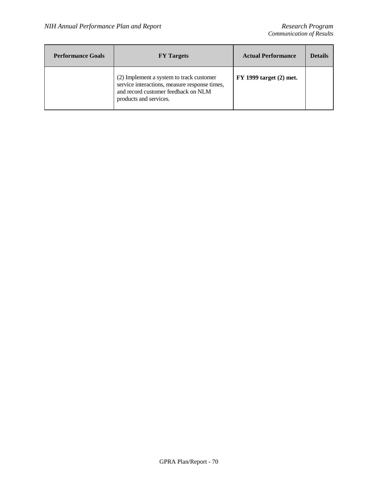| <b>Performance Goals</b> | <b>FY</b> Targets                                                                                                                                          | <b>Actual Performance</b>      | <b>Details</b> |
|--------------------------|------------------------------------------------------------------------------------------------------------------------------------------------------------|--------------------------------|----------------|
|                          | (2) Implement a system to track customer<br>service interactions, measure response times,<br>and record customer feedback on NLM<br>products and services. | <b>FY</b> 1999 target (2) met. |                |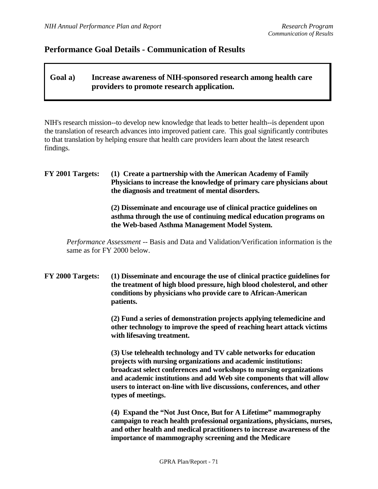## <span id="page-71-0"></span>**Performance Goal Details - Communication of Results**

### **Goal a) Increase awareness of NIH-sponsored research among health care providers to promote research application.**

NIH's research mission--to develop new knowledge that leads to better health--is dependent upon the translation of research advances into improved patient care. This goal significantly contributes to that translation by helping ensure that health care providers learn about the latest research findings.

### **FY 2001 Targets: (1) Create a partnership with the American Academy of Family Physicians to increase the knowledge of primary care physicians about the diagnosis and treatment of mental disorders.**

**(2) Disseminate and encourage use of clinical practice guidelines on asthma through the use of continuing medical education programs on the Web-based Asthma Management Model System.**

*Performance Assessment* -- Basis and Data and Validation/Verification information is the same as for FY 2000 below.

### **FY 2000 Targets: (1) Disseminate and encourage the use of clinical practice guidelines for the treatment of high blood pressure, high blood cholesterol, and other conditions by physicians who provide care to African-American patients.**

**(2) Fund a series of demonstration projects applying telemedicine and other technology to improve the speed of reaching heart attack victims with lifesaving treatment.**

**(3) Use telehealth technology and TV cable networks for education projects with nursing organizations and academic institutions: broadcast select conferences and workshops to nursing organizations and academic institutions and add Web site components that will allow users to interact on-line with live discussions, conferences, and other types of meetings.**

**(4) Expand the "Not Just Once, But for A Lifetime" mammography campaign to reach health professional organizations, physicians, nurses, and other health and medical practitioners to increase awareness of the importance of mammography screening and the Medicare**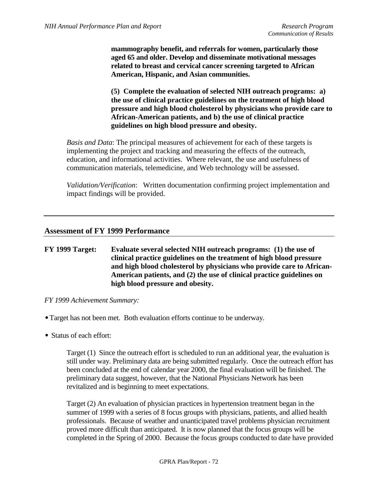**mammography benefit, and referrals for women, particularly those aged 65 and older. Develop and disseminate motivational messages related to breast and cervical cancer screening targeted to African American, Hispanic, and Asian communities.**

**(5) Complete the evaluation of selected NIH outreach programs: a) the use of clinical practice guidelines on the treatment of high blood pressure and high blood cholesterol by physicians who provide care to African-American patients, and b) the use of clinical practice guidelines on high blood pressure and obesity.**

*Basis and Data*: The principal measures of achievement for each of these targets is implementing the project and tracking and measuring the effects of the outreach, education, and informational activities. Where relevant, the use and usefulness of communication materials, telemedicine, and Web technology will be assessed.

*Validation/Verification*:Written documentation confirming project implementation and impact findings will be provided.

### **Assessment of FY 1999 Performance**

**FY 1999 Target: Evaluate several selected NIH outreach programs: (1) the use of clinical practice guidelines on the treatment of high blood pressure and high blood cholesterol by physicians who provide care to African-American patients, and (2) the use of clinical practice guidelines on high blood pressure and obesity.**

*FY 1999 Achievement Summary:*

- Target has not been met. Both evaluation efforts continue to be underway.
- Status of each effort:

Target (1) Since the outreach effort is scheduled to run an additional year, the evaluation is still under way. Preliminary data are being submitted regularly. Once the outreach effort has been concluded at the end of calendar year 2000, the final evaluation will be finished. The preliminary data suggest, however, that the National Physicians Network has been revitalized and is beginning to meet expectations.

Target (2) An evaluation of physician practices in hypertension treatment began in the summer of 1999 with a series of 8 focus groups with physicians, patients, and allied health professionals. Because of weather and unanticipated travel problems physician recruitment proved more difficult than anticipated. It is now planned that the focus groups will be completed in the Spring of 2000. Because the focus groups conducted to date have provided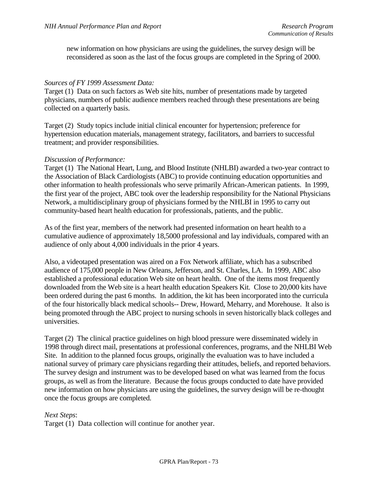new information on how physicians are using the guidelines, the survey design will be reconsidered as soon as the last of the focus groups are completed in the Spring of 2000.

#### *Sources of FY 1999 Assessment Data:*

Target (1) Data on such factors as Web site hits, number of presentations made by targeted physicians, numbers of public audience members reached through these presentations are being collected on a quarterly basis.

Target (2) Study topics include initial clinical encounter for hypertension; preference for hypertension education materials, management strategy, facilitators, and barriers to successful treatment; and provider responsibilities.

#### *Discussion of Performance:*

Target (1) The National Heart, Lung, and Blood Institute (NHLBI) awarded a two-year contract to the Association of Black Cardiologists (ABC) to provide continuing education opportunities and other information to health professionals who serve primarily African-American patients. In 1999, the first year of the project, ABC took over the leadership responsibility for the National Physicians Network, a multidisciplinary group of physicians formed by the NHLBI in 1995 to carry out community-based heart health education for professionals, patients, and the public.

As of the first year, members of the network had presented information on heart health to a cumulative audience of approximately 18,5000 professional and lay individuals, compared with an audience of only about 4,000 individuals in the prior 4 years.

Also, a videotaped presentation was aired on a Fox Network affiliate, which has a subscribed audience of 175,000 people in New Orleans, Jefferson, and St. Charles, LA. In 1999, ABC also established a professional education Web site on heart health. One of the items most frequently downloaded from the Web site is a heart health education Speakers Kit. Close to 20,000 kits have been ordered during the past 6 months. In addition, the kit has been incorporated into the curricula of the four historically black medical schools-- Drew, Howard, Meharry, and Morehouse. It also is being promoted through the ABC project to nursing schools in seven historically black colleges and universities.

Target (2) The clinical practice guidelines on high blood pressure were disseminated widely in 1998 through direct mail, presentations at professional conferences, programs, and the NHLBI Web Site. In addition to the planned focus groups, originally the evaluation was to have included a national survey of primary care physicians regarding their attitudes, beliefs, and reported behaviors. The survey design and instrument was to be developed based on what was learned from the focus groups, as well as from the literature. Because the focus groups conducted to date have provided new information on how physicians are using the guidelines, the survey design will be re-thought once the focus groups are completed.

#### *Next Steps*:

Target (1) Data collection will continue for another year.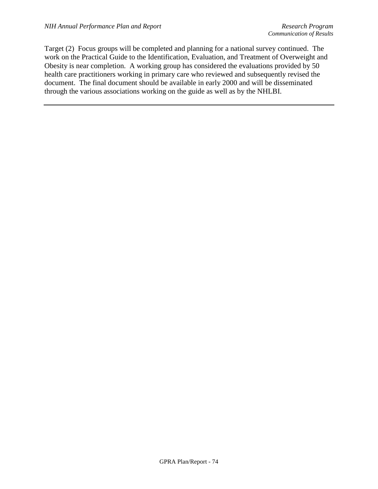Target (2) Focus groups will be completed and planning for a national survey continued. The work on the Practical Guide to the Identification, Evaluation, and Treatment of Overweight and Obesity is near completion. A working group has considered the evaluations provided by 50 health care practitioners working in primary care who reviewed and subsequently revised the document. The final document should be available in early 2000 and will be disseminated through the various associations working on the guide as well as by the NHLBI.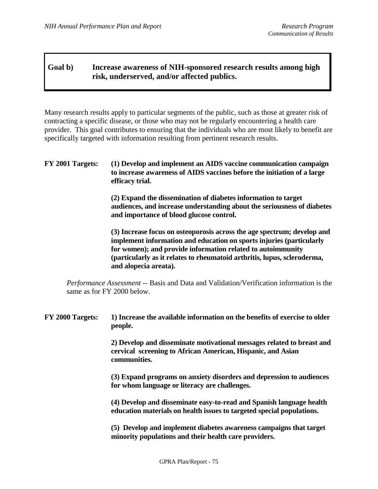### **Goal b) Increase awareness of NIH-sponsored research results among high risk, underserved, and/or affected publics.**

Many research results apply to particular segments of the public, such as those at greater risk of contracting a specific disease, or those who may not be regularly encountering a health care provider. This goal contributes to ensuring that the individuals who are most likely to benefit are specifically targeted with information resulting from pertinent research results.

# **FY 2001 Targets: (1) Develop and implement an AIDS vaccine communication campaign to increase awareness of AIDS vaccines before the initiation of a large efficacy trial. (2) Expand the dissemination of diabetes information to target audiences, and increase understanding about the seriousness of diabetes and importance of blood glucose control. (3) Increase focus on osteoporosis across the age spectrum; develop and implement information and education on sports injuries (particularly for women); and provide information related to autoimmunity (particularly as it relates to rheumatoid arthritis, lupus, scleroderma, and alopecia areata).** *Performance Assessment* -- Basis and Data and Validation/Verification information is the same as for FY 2000 below. **FY 2000 Targets: 1) Increase the available information on the benefits of exercise to older people. 2) Develop and disseminate motivational messages related to breast and cervical screening to African American, Hispanic, and Asian communities. (3) Expand programs on anxiety disorders and depression to audiences for whom language or literacy are challenges. (4) Develop and disseminate easy-to-read and Spanish language health education materials on health issues to targeted special populations. (5) Develop and implement diabetes awareness campaigns that target minority populations and their health care providers.**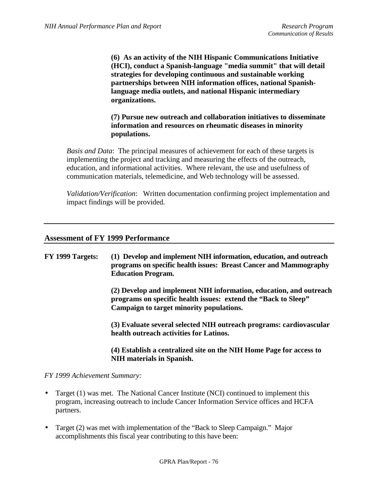**(6) As an activity of the NIH Hispanic Communications Initiative (HCI), conduct a Spanish-language "media summit" that will detail strategies for developing continuous and sustainable working partnerships between NIH information offices, national Spanishlanguage media outlets, and national Hispanic intermediary organizations.**

**(7) Pursue new outreach and collaboration initiatives to disseminate information and resources on rheumatic diseases in minority populations.**

*Basis and Data*: The principal measures of achievement for each of these targets is implementing the project and tracking and measuring the effects of the outreach, education, and informational activities. Where relevant, the use and usefulness of communication materials, telemedicine, and Web technology will be assessed.

*Validation/Verification*:Written documentation confirming project implementation and impact findings will be provided.

#### **Assessment of FY 1999 Performance**

**FY 1999 Targets: (1) Develop and implement NIH information, education, and outreach programs on specific health issues: Breast Cancer and Mammography Education Program. (2) Develop and implement NIH information, education, and outreach programs on specific health issues: extend the "Back to Sleep" Campaign to target minority populations. (3) Evaluate several selected NIH outreach programs: cardiovascular health outreach activities for Latinos.**

**(4) Establish a centralized site on the NIH Home Page for access to NIH materials in Spanish.**

*FY 1999 Achievement Summary:*

- Target (1) was met. The National Cancer Institute (NCI) continued to implement this program, increasing outreach to include Cancer Information Service offices and HCFA partners.
- Target (2) was met with implementation of the "Back to Sleep Campaign." Major accomplishments this fiscal year contributing to this have been: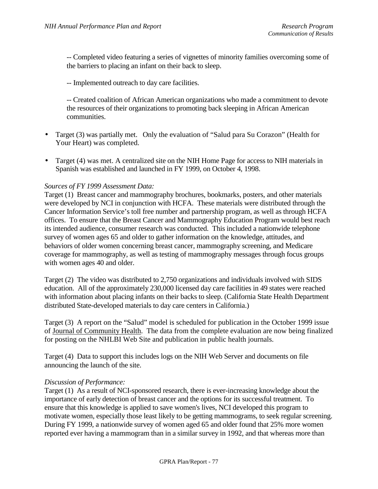-- Completed video featuring a series of vignettes of minority families overcoming some of the barriers to placing an infant on their back to sleep.

-- Implemented outreach to day care facilities.

-- Created coalition of African American organizations who made a commitment to devote the resources of their organizations to promoting back sleeping in African American communities.

- Target (3) was partially met. Only the evaluation of "Salud para Su Corazon" (Health for Your Heart) was completed.
- Target (4) was met. A centralized site on the NIH Home Page for access to NIH materials in Spanish was established and launched in FY 1999, on October 4, 1998.

#### *Sources of FY 1999 Assessment Data:*

Target (1) Breast cancer and mammography brochures, bookmarks, posters, and other materials were developed by NCI in conjunction with HCFA. These materials were distributed through the Cancer Information Service's toll free number and partnership program, as well as through HCFA offices. To ensure that the Breast Cancer and Mammography Education Program would best reach its intended audience, consumer research was conducted. This included a nationwide telephone survey of women ages 65 and older to gather information on the knowledge, attitudes, and behaviors of older women concerning breast cancer, mammography screening, and Medicare coverage for mammography, as well as testing of mammography messages through focus groups with women ages 40 and older.

Target (2) The video was distributed to 2,750 organizations and individuals involved with SIDS education. All of the approximately 230,000 licensed day care facilities in 49 states were reached with information about placing infants on their backs to sleep. (California State Health Department distributed State-developed materials to day care centers in California.)

Target (3) A report on the "Salud" model is scheduled for publication in the October 1999 issue of Journal of Community Health. The data from the complete evaluation are now being finalized for posting on the NHLBI Web Site and publication in public health journals.

Target (4) Data to support this includes logs on the NIH Web Server and documents on file announcing the launch of the site.

#### *Discussion of Performance:*

Target (1)As a result of NCI-sponsored research, there is ever-increasing knowledge about the importance of early detection of breast cancer and the options for its successful treatment. To ensure that this knowledge is applied to save women's lives, NCI developed this program to motivate women, especially those least likely to be getting mammograms, to seek regular screening. During FY 1999, a nationwide survey of women aged 65 and older found that 25% more women reported ever having a mammogram than in a similar survey in 1992, and that whereas more than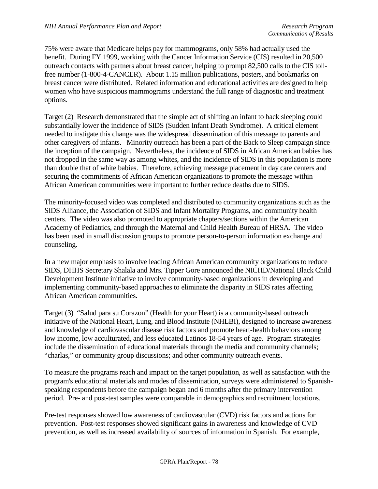75% were aware that Medicare helps pay for mammograms, only 58% had actually used the benefit. During FY 1999, working with the Cancer Information Service (CIS) resulted in 20,500 outreach contacts with partners about breast cancer, helping to prompt 82,500 calls to the CIS tollfree number (1-800-4-CANCER). About 1.15 million publications, posters, and bookmarks on breast cancer were distributed. Related information and educational activities are designed to help women who have suspicious mammograms understand the full range of diagnostic and treatment options.

Target (2)Research demonstrated that the simple act of shifting an infant to back sleeping could substantially lower the incidence of SIDS (Sudden Infant Death Syndrome). A critical element needed to instigate this change was the widespread dissemination of this message to parents and other caregivers of infants. Minority outreach has been a part of the Back to Sleep campaign since the inception of the campaign. Nevertheless, the incidence of SIDS in African American babies has not dropped in the same way as among whites, and the incidence of SIDS in this population is more than double that of white babies. Therefore, achieving message placement in day care centers and securing the commitments of African American organizations to promote the message within African American communities were important to further reduce deaths due to SIDS.

The minority-focused video was completed and distributed to community organizations such as the SIDS Alliance, the Association of SIDS and Infant Mortality Programs, and community health centers. The video was also promoted to appropriate chapters/sections within the American Academy of Pediatrics, and through the Maternal and Child Health Bureau of HRSA. The video has been used in small discussion groups to promote person-to-person information exchange and counseling.

In a new major emphasis to involve leading African American community organizations to reduce SIDS, DHHS Secretary Shalala and Mrs. Tipper Gore announced the NICHD/National Black Child Development Institute initiative to involve community-based organizations in developing and implementing community-based approaches to eliminate the disparity in SIDS rates affecting African American communities.

Target (3) "Salud para su Corazon" (Health for your Heart) is a community-based outreach initiative of the National Heart, Lung, and Blood Institute (NHLBI), designed to increase awareness and knowledge of cardiovascular disease risk factors and promote heart-health behaviors among low income, low acculturated, and less educated Latinos 18-54 years of age. Program strategies include the dissemination of educational materials through the media and community channels; "charlas," or community group discussions; and other community outreach events.

To measure the programs reach and impact on the target population, as well as satisfaction with the program's educational materials and modes of dissemination, surveys were administered to Spanishspeaking respondents before the campaign began and 6 months after the primary intervention period. Pre- and post-test samples were comparable in demographics and recruitment locations.

Pre-test responses showed low awareness of cardiovascular (CVD) risk factors and actions for prevention. Post-test responses showed significant gains in awareness and knowledge of CVD prevention, as well as increased availability of sources of information in Spanish. For example,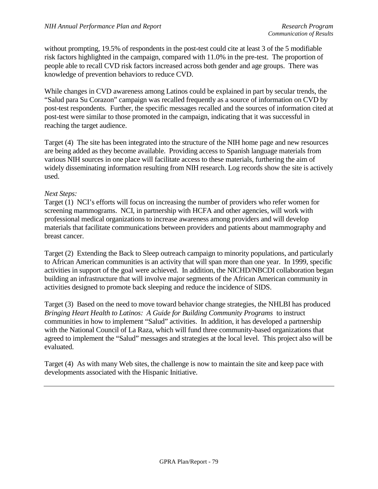without prompting, 19.5% of respondents in the post-test could cite at least 3 of the 5 modifiable risk factors highlighted in the campaign, compared with 11.0% in the pre-test. The proportion of people able to recall CVD risk factors increased across both gender and age groups. There was knowledge of prevention behaviors to reduce CVD.

While changes in CVD awareness among Latinos could be explained in part by secular trends, the "Salud para Su Corazon" campaign was recalled frequently as a source of information on CVD by post-test respondents. Further, the specific messages recalled and the sources of information cited at post-test were similar to those promoted in the campaign, indicating that it was successful in reaching the target audience.

Target (4) The site has been integrated into the structure of the NIH home page and new resources are being added as they become available. Providing access to Spanish language materials from various NIH sources in one place will facilitate access to these materials, furthering the aim of widely disseminating information resulting from NIH research. Log records show the site is actively used.

#### *Next Steps:*

Target (1) NCI's efforts will focus on increasing the number of providers who refer women for screening mammograms. NCI, in partnership with HCFA and other agencies, will work with professional medical organizations to increase awareness among providers and will develop materials that facilitate communications between providers and patients about mammography and breast cancer.

Target (2) Extending the Back to Sleep outreach campaign to minority populations, and particularly to African American communities is an activity that will span more than one year. In 1999, specific activities in support of the goal were achieved. In addition, the NICHD/NBCDI collaboration began building an infrastructure that will involve major segments of the African American community in activities designed to promote back sleeping and reduce the incidence of SIDS.

Target (3) Based on the need to move toward behavior change strategies, the NHLBI has produced *Bringing Heart Health to Latinos: A Guide for Building Community Programs* to instruct communities in how to implement "Salud" activities. In addition, it has developed a partnership with the National Council of La Raza, which will fund three community-based organizations that agreed to implement the "Salud" messages and strategies at the local level. This project also will be evaluated.

Target (4) As with many Web sites, the challenge is now to maintain the site and keep pace with developments associated with the Hispanic Initiative.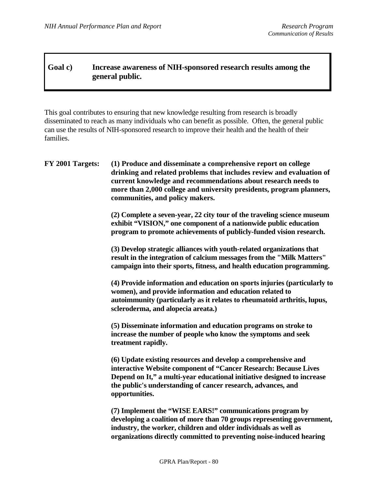# **Goal c) Increase awareness of NIH-sponsored research results among the general public.**

This goal contributes to ensuring that new knowledge resulting from research is broadly disseminated to reach as many individuals who can benefit as possible. Often, the general public can use the results of NIH-sponsored research to improve their health and the health of their families.

| FY 2001 Targets: | (1) Produce and disseminate a comprehensive report on college<br>drinking and related problems that includes review and evaluation of<br>current knowledge and recommendations about research needs to<br>more than 2,000 college and university presidents, program planners,<br>communities, and policy makers. |
|------------------|-------------------------------------------------------------------------------------------------------------------------------------------------------------------------------------------------------------------------------------------------------------------------------------------------------------------|
|                  | (2) Complete a seven-year, 22 city tour of the traveling science museum<br>exhibit "VISION," one component of a nationwide public education<br>program to promote achievements of publicly-funded vision research.                                                                                                |
|                  | (3) Develop strategic alliances with youth-related organizations that<br>result in the integration of calcium messages from the "Milk Matters"<br>campaign into their sports, fitness, and health education programming.                                                                                          |
|                  | (4) Provide information and education on sports injuries (particularly to<br>women), and provide information and education related to<br>autoimmunity (particularly as it relates to rheumatoid arthritis, lupus,<br>scleroderma, and alopecia areata.)                                                           |
|                  | (5) Disseminate information and education programs on stroke to<br>increase the number of people who know the symptoms and seek<br>treatment rapidly.                                                                                                                                                             |
|                  | (6) Update existing resources and develop a comprehensive and<br>interactive Website component of "Cancer Research: Because Lives<br>Depend on It," a multi-year educational initiative designed to increase<br>the public's understanding of cancer research, advances, and<br>opportunities.                    |
|                  | (7) Implement the "WISE EARS!" communications program by<br>developing a coalition of more than 70 groups representing government,<br>industry, the worker, children and older individuals as well as<br>organizations directly committed to preventing noise-induced hearing                                     |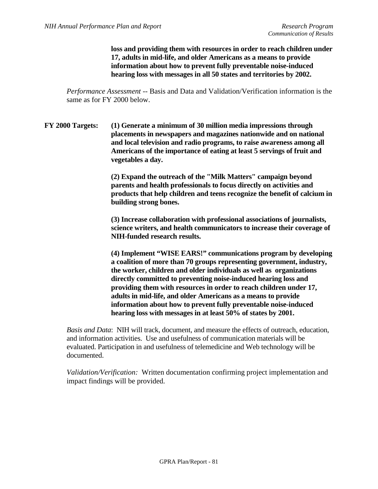**loss and providing them with resources in order to reach children under 17, adults in mid-life, and older Americans as a means to provide information about how to prevent fully preventable noise-induced hearing loss with messages in all 50 states and territories by 2002.**

*Performance Assessment* -- Basis and Data and Validation/Verification information is the same as for FY 2000 below.

### **FY 2000 Targets: (1) Generate a minimum of 30 million media impressions through placements in newspapers and magazines nationwide and on national and local television and radio programs, to raise awareness among all Americans of the importance of eating at least 5 servings of fruit and vegetables a day.**

**(2) Expand the outreach of the "Milk Matters" campaign beyond parents and health professionals to focus directly on activities and products that help children and teens recognize the benefit of calcium in building strong bones.**

**(3) Increase collaboration with professional associations of journalists, science writers, and health communicators to increase their coverage of NIH-funded research results.**

**(4) Implement "WISE EARS!" communications program by developing a coalition of more than 70 groups representing government, industry, the worker, children and older individuals as well as organizations directly committed to preventing noise-induced hearing loss and providing them with resources in order to reach children under 17, adults in mid-life, and older Americans as a means to provide information about how to prevent fully preventable noise-induced hearing loss with messages in at least 50% of states by 2001.**

*Basis and Data*: NIH will track, document, and measure the effects of outreach, education, and information activities. Use and usefulness of communication materials will be evaluated. Participation in and usefulness of telemedicine and Web technology will be documented.

*Validation/Verification:* Written documentation confirming project implementation and impact findings will be provided.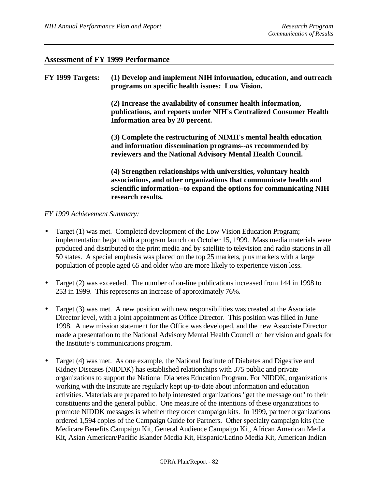#### **Assessment of FY 1999 Performance**

| FY 1999 Targets: (1) Develop and implement NIH information, education, and outreach |  |
|-------------------------------------------------------------------------------------|--|
| programs on specific health issues: Low Vision.                                     |  |

**(2) Increase the availability of consumer health information, publications, and reports under NIH's Centralized Consumer Health Information area by 20 percent.**

**(3) Complete the restructuring of NIMH's mental health education and information dissemination programs--as recommended by reviewers and the National Advisory Mental Health Council.**

**(4) Strengthen relationships with universities, voluntary health associations, and other organizations that communicate health and scientific information--to expand the options for communicating NIH research results.**

*FY 1999 Achievement Summary:*

- Target (1) was met. Completed development of the Low Vision Education Program; implementation began with a program launch on October 15, 1999. Mass media materials were produced and distributed to the print media and by satellite to television and radio stations in all 50 states. A special emphasis was placed on the top 25 markets, plus markets with a large population of people aged 65 and older who are more likely to experience vision loss.
- Target (2) was exceeded. The number of on-line publications increased from 144 in 1998 to 253 in 1999. This represents an increase of approximately 76%.
- Target (3) was met. A new position with new responsibilities was created at the Associate Director level, with a joint appointment as Office Director. This position was filled in June 1998. A new mission statement for the Office was developed, and the new Associate Director made a presentation to the National Advisory Mental Health Council on her vision and goals for the Institute's communications program.
- Target (4) was met. As one example, the National Institute of Diabetes and Digestive and Kidney Diseases (NIDDK) has established relationships with 375 public and private organizations to support the National Diabetes Education Program. For NIDDK, organizations working with the Institute are regularly kept up-to-date about information and education activities. Materials are prepared to help interested organizations "get the message out" to their constituents and the general public. One measure of the intentions of these organizations to promote NIDDK messages is whether they order campaign kits. In 1999, partner organizations ordered 1,594 copies of the Campaign Guide for Partners. Other specialty campaign kits (the Medicare Benefits Campaign Kit, General Audience Campaign Kit, African American Media Kit, Asian American/Pacific Islander Media Kit, Hispanic/Latino Media Kit, American Indian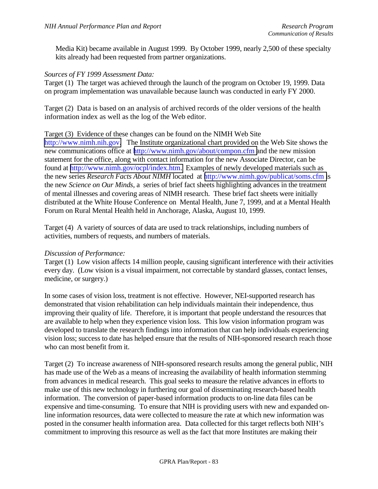Media Kit) became available in August 1999. By October 1999, nearly 2,500 of these specialty kits already had been requested from partner organizations.

#### *Sources of FY 1999 Assessment Data:*

Target (1) The target was achieved through the launch of the program on October 19, 1999. Data on program implementation was unavailable because launch was conducted in early FY 2000.

Target (2) Data is based on an analysis of archived records of the older versions of the health information index as well as the log of the Web editor.

#### Target (3) Evidence of these changes can be found on the NIMH Web Site

[http://www.nimh.nih.gov.](http://www.nimh.nih.gov/) The Institute organizational chart provided on the Web Site shows the new communications office at [http://www.nimh.gov/about/compon.cfm a](http://www.nimh.gov/about/compon.cfm)nd the new mission statement for the office, along with contact information for the new Associate Director, can be found at [http://www.nimh.gov/ocpl/index.htm.](http://www.nimh.gov/ocpl/index.htm) Examples of newly developed materials such as the new series *Research Facts About NIMH* located at [http://www.nimh.gov/publicat/soms.cfm i](http://www.nimh.gov/publicat/soms.cfm)s the new *Science on Our Minds*, a series of brief fact sheets highlighting advances in the treatment of mental illnesses and covering areas of NIMH research. These brief fact sheets were initially distributed at the White House Conference on Mental Health, June 7, 1999, and at a Mental Health Forum on Rural Mental Health held in Anchorage, Alaska, August 10, 1999.

Target (4) A variety of sources of data are used to track relationships, including numbers of activities, numbers of requests, and numbers of materials.

#### *Discussion of Performance:*

Target (1) Low vision affects 14 million people, causing significant interference with their activities every day. (Low vision is a visual impairment, not correctable by standard glasses, contact lenses, medicine, or surgery.)

In some cases of vision loss, treatment is not effective. However, NEI-supported research has demonstrated that vision rehabilitation can help individuals maintain their independence, thus improving their quality of life. Therefore, it is important that people understand the resources that are available to help when they experience vision loss. This low vision information program was developed to translate the research findings into information that can help individuals experiencing vision loss; success to date has helped ensure that the results of NIH-sponsored research reach those who can most benefit from it.

Target (2) To increase awareness of NIH-sponsored research results among the general public, NIH has made use of the Web as a means of increasing the availability of health information stemming from advances in medical research. This goal seeks to measure the relative advances in efforts to make use of this new technology in furthering our goal of disseminating research-based health information. The conversion of paper-based information products to on-line data files can be expensive and time-consuming. To ensure that NIH is providing users with new and expanded online information resources, data were collected to measure the rate at which new information was posted in the consumer health information area. Data collected for this target reflects both NIH's commitment to improving this resource as well as the fact that more Institutes are making their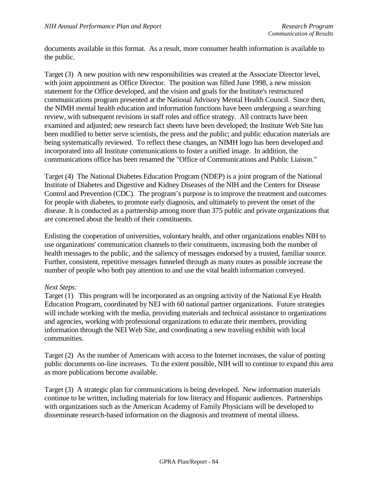documents available in this format. As a result, more consumer health information is available to the public.

Target (3) A new position with new responsibilities was created at the Associate Director level, with joint appointment as Office Director. The position was filled June 1998, a new mission statement for the Office developed, and the vision and goals for the Institute's restructured communications program presented at the National Advisory Mental Health Council. Since then, the NIMH mental health education and information functions have been undergoing a searching review, with subsequent revisions in staff roles and office strategy. All contracts have been examined and adjusted; new research fact sheets have been developed; the Institute Web Site has been modified to better serve scientists, the press and the public; and public education materials are being systematically reviewed. To reflect these changes, an NIMH logo has been developed and incorporated into all Institute communications to foster a unified image. In addition, the communications office has been renamed the "Office of Communications and Public Liaison."

Target (4) The National Diabetes Education Program (NDEP) is a joint program of the National Institute of Diabetes and Digestive and Kidney Diseases of the NIH and the Centers for Disease Control and Prevention (CDC). The program's purpose is to improve the treatment and outcomes for people with diabetes, to promote early diagnosis, and ultimately to prevent the onset of the disease. It is conducted as a partnership among more than 375 public and private organizations that are concerned about the health of their constituents.

Enlisting the cooperation of universities, voluntary health, and other organizations enables NIH to use organizations' communication channels to their constituents, increasing both the number of health messages to the public, and the saliency of messages endorsed by a trusted, familiar source. Further, consistent, repetitive messages funneled through as many routes as possible increase the number of people who both pay attention to and use the vital health information conveyed.

#### *Next Steps:*

Target (1) This program will be incorporated as an ongoing activity of the National Eye Health Education Program, coordinated by NEI with 60 national partner organizations. Future strategies will include working with the media, providing materials and technical assistance to organizations and agencies, working with professional organizations to educate their members, providing information through the NEI Web Site, and coordinating a new traveling exhibit with local communities.

Target (2) As the number of Americans with access to the Internet increases, the value of posting public documents on-line increases. To the extent possible, NIH will to continue to expand this area as more publications become available.

Target (3) A strategic plan for communications is being developed. New information materials continue to be written, including materials for low literacy and Hispanic audiences. Partnerships with organizations such as the American Academy of Family Physicians will be developed to disseminate research-based information on the diagnosis and treatment of mental illness.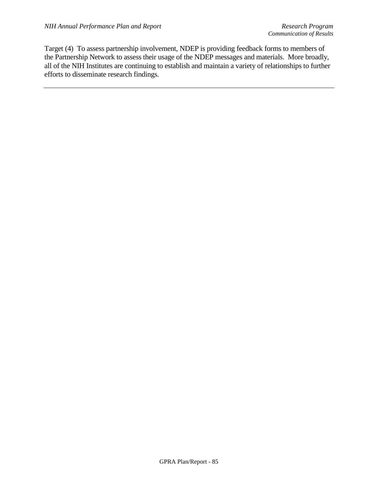Target (4) To assess partnership involvement, NDEP is providing feedback forms to members of the Partnership Network to assess their usage of the NDEP messages and materials. More broadly, all of the NIH Institutes are continuing to establish and maintain a variety of relationships to further efforts to disseminate research findings.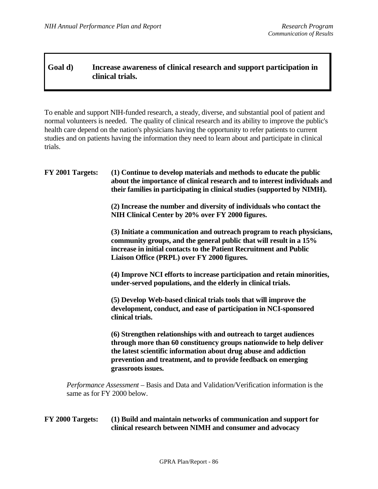# **Goal d) Increase awareness of clinical research and support participation in clinical trials.**

To enable and support NIH-funded research, a steady, diverse, and substantial pool of patient and normal volunteers is needed. The quality of clinical research and its ability to improve the public's health care depend on the nation's physicians having the opportunity to refer patients to current studies and on patients having the information they need to learn about and participate in clinical trials.

| FY 2001 Targets: | (1) Continue to develop materials and methods to educate the public<br>about the importance of clinical research and to interest individuals and<br>their families in participating in clinical studies (supported by NIMH).                                                                         |
|------------------|------------------------------------------------------------------------------------------------------------------------------------------------------------------------------------------------------------------------------------------------------------------------------------------------------|
|                  | (2) Increase the number and diversity of individuals who contact the<br>NIH Clinical Center by 20% over FY 2000 figures.                                                                                                                                                                             |
|                  | (3) Initiate a communication and outreach program to reach physicians,<br>community groups, and the general public that will result in a 15%<br>increase in initial contacts to the Patient Recruitment and Public<br>Liaison Office (PRPL) over FY 2000 figures.                                    |
|                  | (4) Improve NCI efforts to increase participation and retain minorities,<br>under-served populations, and the elderly in clinical trials.                                                                                                                                                            |
|                  | (5) Develop Web-based clinical trials tools that will improve the<br>development, conduct, and ease of participation in NCI-sponsored<br>clinical trials.                                                                                                                                            |
|                  | (6) Strengthen relationships with and outreach to target audiences<br>through more than 60 constituency groups nationwide to help deliver<br>the latest scientific information about drug abuse and addiction<br>prevention and treatment, and to provide feedback on emerging<br>grassroots issues. |
|                  | Performance Assessment - Basis and Data and Validation/Verification information is the<br>same as for FY 2000 below.                                                                                                                                                                                 |
|                  |                                                                                                                                                                                                                                                                                                      |

#### **FY 2000 Targets: (1) Build and maintain networks of communication and support for clinical research between NIMH and consumer and advocacy**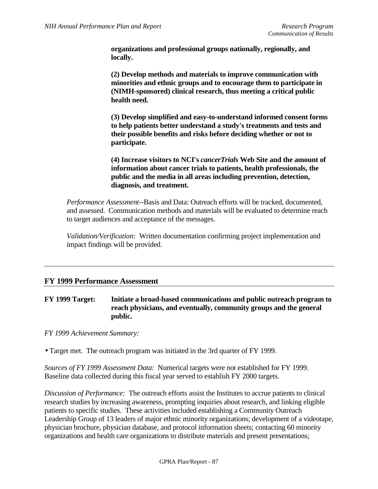**organizations and professional groups nationally, regionally, and locally.**

**(2) Develop methods and materials to improve communication with minorities and ethnic groups and to encourage them to participate in (NIMH-sponsored) clinical research, thus meeting a critical public health need.**

**(3) Develop simplified and easy-to-understand informed consent forms to help patients better understand a study's treatments and tests and their possible benefits and risks before deciding whether or not to participate.**

**(4) Increase visitors to NCI's** *cancerTrials* **Web Site and the amount of information about cancer trials to patients, health professionals, the public and the media in all areas including prevention, detection, diagnosis, and treatment.**

*Performance Assessment*--Basis and Data: Outreach efforts will be tracked, documented, and assessed. Communication methods and materials will be evaluated to determine reach to target audiences and acceptance of the messages.

*Validation/Verification:* Written documentation confirming project implementation and impact findings will be provided.

### **FY 1999 Performance Assessment**

**FY 1999 Target: Initiate a broad-based communications and public outreach program to reach physicians, and eventually, community groups and the general public.**

*FY 1999 Achievement Summary:*

• Target met. The outreach program was initiated in the 3rd quarter of FY 1999.

*Sources of FY 1999 Assessment Data:* Numerical targets were not established for FY 1999. Baseline data collected during this fiscal year served to establish FY 2000 targets.

*Discussion of Performance:* The outreach efforts assist the Institutes to accrue patients to clinical research studies by increasing awareness, prompting inquiries about research, and linking eligible patients to specific studies. These activities included establishing a Community Outreach Leadership Group of 13 leaders of major ethnic minority organizations; development of a videotape, physician brochure, physician database, and protocol information sheets; contacting 60 minority organizations and health care organizations to distribute materials and present presentations;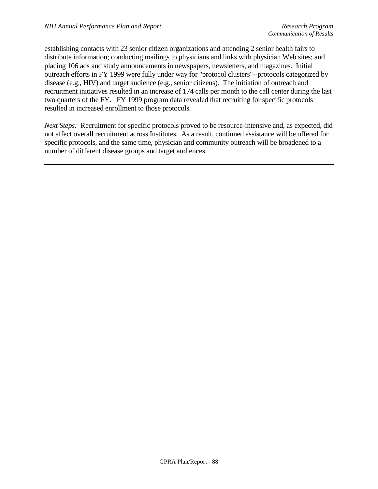establishing contacts with 23 senior citizen organizations and attending 2 senior health fairs to distribute information; conducting mailings to physicians and links with physician Web sites; and placing 106 ads and study announcements in newspapers, newsletters, and magazines. Initial outreach efforts in FY 1999 were fully under way for "protocol clusters"--protocols categorized by disease (e.g., HIV) and target audience (e.g., senior citizens). The initiation of outreach and recruitment initiatives resulted in an increase of 174 calls per month to the call center during the last two quarters of the FY. FY 1999 program data revealed that recruiting for specific protocols resulted in increased enrollment to those protocols.

*Next Steps:* Recruitment for specific protocols proved to be resource-intensive and, as expected, did not affect overall recruitment across Institutes. As a result, continued assistance will be offered for specific protocols, and the same time, physician and community outreach will be broadened to a number of different disease groups and target audiences.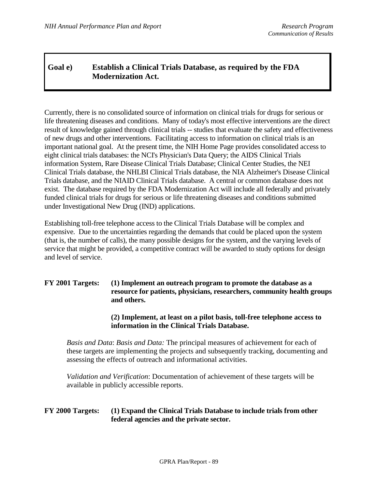# **Goal e) Establish a Clinical Trials Database, as required by the FDA Modernization Act.**

Currently, there is no consolidated source of information on clinical trials for drugs for serious or life threatening diseases and conditions. Many of today's most effective interventions are the direct result of knowledge gained through clinical trials -- studies that evaluate the safety and effectiveness of new drugs and other interventions. Facilitating access to information on clinical trials is an important national goal. At the present time, the NIH Home Page provides consolidated access to eight clinical trials databases: the NCI's Physician's Data Query; the AIDS Clinical Trials information System, Rare Disease Clinical Trials Database; Clinical Center Studies, the NEI Clinical Trials database, the NHLBI Clinical Trials database, the NIA Alzheimer's Disease Clinical Trials database, and the NIAID Clinical Trials database. A central or common database does not exist. The database required by the FDA Modernization Act will include all federally and privately funded clinical trials for drugs for serious or life threatening diseases and conditions submitted under Investigational New Drug (IND) applications.

Establishing toll-free telephone access to the Clinical Trials Database will be complex and expensive. Due to the uncertainties regarding the demands that could be placed upon the system (that is, the number of calls), the many possible designs for the system, and the varying levels of service that might be provided, a competitive contract will be awarded to study options for design and level of service.

### **FY 2001 Targets: (1) Implement an outreach program to promote the database as a resource for patients, physicians, researchers, community health groups and others.**

#### **(2) Implement, at least on a pilot basis, toll-free telephone access to information in the Clinical Trials Database.**

*Basis and Data*: *Basis and Data:* The principal measures of achievement for each of these targets are implementing the projects and subsequently tracking, documenting and assessing the effects of outreach and informational activities.

*Validation and Verification*: Documentation of achievement of these targets will be available in publicly accessible reports.

#### **FY 2000 Targets: (1) Expand the Clinical Trials Database to include trials from other federal agencies and the private sector.**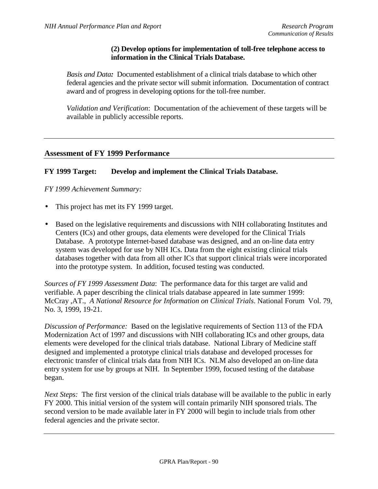#### **(2) Develop options for implementation of toll-free telephone access to information in the Clinical Trials Database.**

*Basis and Data:* Documented establishment of a clinical trials database to which other federal agencies and the private sector will submit information. Documentation of contract award and of progress in developing options for the toll-free number.

*Validation and Verification*: Documentation of the achievement of these targets will be available in publicly accessible reports.

#### **Assessment of FY 1999 Performance**

#### **FY 1999 Target: Develop and implement the Clinical Trials Database.**

#### *FY 1999 Achievement Summary:*

- This project has met its FY 1999 target.
- Based on the legislative requirements and discussions with NIH collaborating Institutes and Centers (ICs) and other groups, data elements were developed for the Clinical Trials Database. A prototype Internet-based database was designed, and an on-line data entry system was developed for use by NIH ICs. Data from the eight existing clinical trials databases together with data from all other ICs that support clinical trials were incorporated into the prototype system. In addition, focused testing was conducted.

*Sources of FY 1999 Assessment Data*: The performance data for this target are valid and verifiable. A paper describing the clinical trials database appeared in late summer 1999: McCray ,AT., *A National Resource for Information on Clinical Trials*. National Forum Vol. 79, No. 3, 1999, 19-21.

*Discussion of Performance:* Based on the legislative requirements of Section 113 of the FDA Modernization Act of 1997 and discussions with NIH collaborating ICs and other groups, data elements were developed for the clinical trials database. National Library of Medicine staff designed and implemented a prototype clinical trials database and developed processes for electronic transfer of clinical trials data from NIH ICs. NLM also developed an on-line data entry system for use by groups at NIH. In September 1999, focused testing of the database began.

*Next Steps:* The first version of the clinical trials database will be available to the public in early FY 2000. This initial version of the system will contain primarily NIH sponsored trials. The second version to be made available later in FY 2000 will begin to include trials from other federal agencies and the private sector.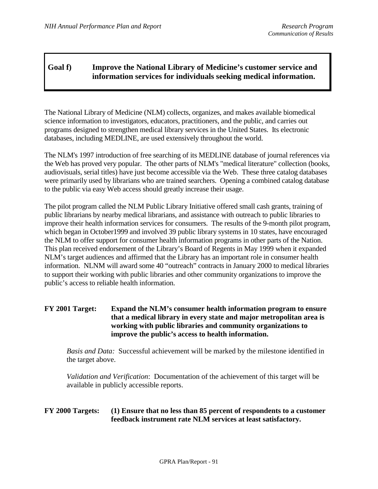# **Goal f) Improve the National Library of Medicine's customer service and information services for individuals seeking medical information.**

The National Library of Medicine (NLM) collects, organizes, and makes available biomedical science information to investigators, educators, practitioners, and the public, and carries out programs designed to strengthen medical library services in the United States. Its electronic databases, including MEDLINE, are used extensively throughout the world.

The NLM's 1997 introduction of free searching of its MEDLINE database of journal references via the Web has proved very popular. The other parts of NLM's "medical literature" collection (books, audiovisuals, serial titles) have just become accessible via the Web. These three catalog databases were primarily used by librarians who are trained searchers. Opening a combined catalog database to the public via easy Web access should greatly increase their usage.

The pilot program called the NLM Public Library Initiative offered small cash grants, training of public librarians by nearby medical librarians, and assistance with outreach to public libraries to improve their health information services for consumers. The results of the 9-month pilot program, which began in October1999 and involved 39 public library systems in 10 states, have encouraged the NLM to offer support for consumer health information programs in other parts of the Nation. This plan received endorsement of the Library's Board of Regents in May 1999 when it expanded NLM's target audiences and affirmed that the Library has an important role in consumer health information. NLNM will award some 40 "outreach" contracts in January 2000 to medical libraries to support their working with public libraries and other community organizations to improve the public's access to reliable health information.

### **FY 2001 Target: Expand the NLM's consumer health information program to ensure that a medical library in every state and major metropolitan area is working with public libraries and community organizations to improve the public's access to health information.**

*Basis and Data:* Successful achievement will be marked by the milestone identified in the target above.

*Validation and Verification*: Documentation of the achievement of this target will be available in publicly accessible reports.

### **FY 2000 Targets: (1) Ensure that no less than 85 percent of respondents to a customer feedback instrument rate NLM services at least satisfactory.**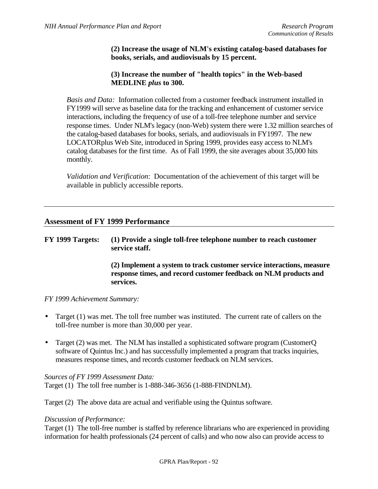**(2) Increase the usage of NLM's existing catalog-based databases for books, serials, and audiovisuals by 15 percent.**

#### **(3) Increase the number of "health topics" in the Web-based MEDLINE** *plus* **to 300.**

*Basis and Data:* Information collected from a customer feedback instrument installed in FY1999 will serve as baseline data for the tracking and enhancement of customer service interactions, including the frequency of use of a toll-free telephone number and service response times. Under NLM's legacy (non-Web) system there were 1.32 million searches of the catalog-based databases for books, serials, and audiovisuals in FY1997. The new LOCATORplus Web Site, introduced in Spring 1999, provides easy access to NLM's catalog databases for the first time. As of Fall 1999, the site averages about 35,000 hits monthly.

*Validation and Verification*: Documentation of the achievement of this target will be available in publicly accessible reports.

#### **Assessment of FY 1999 Performance**

**FY 1999 Targets: (1) Provide a single toll-free telephone number to reach customer service staff.**

> **(2) Implement a system to track customer service interactions, measure response times, and record customer feedback on NLM products and services.**

*FY 1999 Achievement Summary:*

- Target (1) was met. The toll free number was instituted. The current rate of callers on the toll-free number is more than 30,000 per year.
- Target (2) was met. The NLM has installed a sophisticated software program (CustomerQ) software of Quintus Inc.) and has successfully implemented a program that tracks inquiries, measures response times, and records customer feedback on NLM services.

*Sources of FY 1999 Assessment Data:* Target (1) The toll free number is 1-888-346-3656 (1-888-FINDNLM).

Target (2) The above data are actual and verifiable using the Quintus software.

#### *Discussion of Performance:*

Target (1) The toll-free number is staffed by reference librarians who are experienced in providing information for health professionals (24 percent of calls) and who now also can provide access to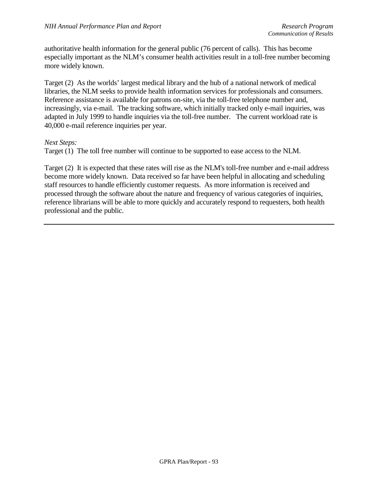authoritative health information for the general public (76 percent of calls). This has become especially important as the NLM's consumer health activities result in a toll-free number becoming more widely known.

Target (2) As the worlds' largest medical library and the hub of a national network of medical libraries, the NLM seeks to provide health information services for professionals and consumers. Reference assistance is available for patrons on-site, via the toll-free telephone number and, increasingly, via e-mail. The tracking software, which initially tracked only e-mail inquiries, was adapted in July 1999 to handle inquiries via the toll-free number. The current workload rate is 40,000 e-mail reference inquiries per year.

#### *Next Steps:*

Target (1) The toll free number will continue to be supported to ease access to the NLM.

Target (2) It is expected that these rates will rise as the NLM's toll-free number and e-mail address become more widely known. Data received so far have been helpful in allocating and scheduling staff resources to handle efficiently customer requests. As more information is received and processed through the software about the nature and frequency of various categories of inquiries, reference librarians will be able to more quickly and accurately respond to requesters, both health professional and the public.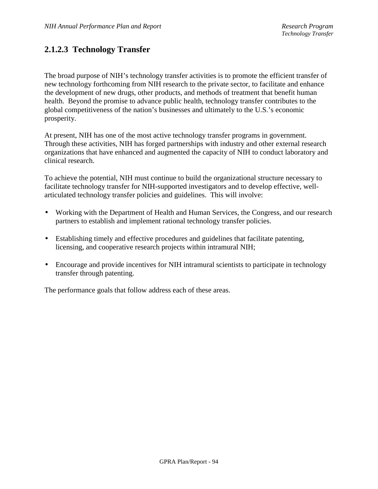# **2.1.2.3 Technology Transfer**

The broad purpose of NIH's technology transfer activities is to promote the efficient transfer of new technology forthcoming from NIH research to the private sector, to facilitate and enhance the development of new drugs, other products, and methods of treatment that benefit human health. Beyond the promise to advance public health, technology transfer contributes to the global competitiveness of the nation's businesses and ultimately to the U.S.'s economic prosperity.

At present, NIH has one of the most active technology transfer programs in government. Through these activities, NIH has forged partnerships with industry and other external research organizations that have enhanced and augmented the capacity of NIH to conduct laboratory and clinical research.

To achieve the potential, NIH must continue to build the organizational structure necessary to facilitate technology transfer for NIH-supported investigators and to develop effective, wellarticulated technology transfer policies and guidelines. This will involve:

- Working with the Department of Health and Human Services, the Congress, and our research partners to establish and implement rational technology transfer policies.
- Establishing timely and effective procedures and guidelines that facilitate patenting, licensing, and cooperative research projects within intramural NIH;
- Encourage and provide incentives for NIH intramural scientists to participate in technology transfer through patenting.

The performance goals that follow address each of these areas.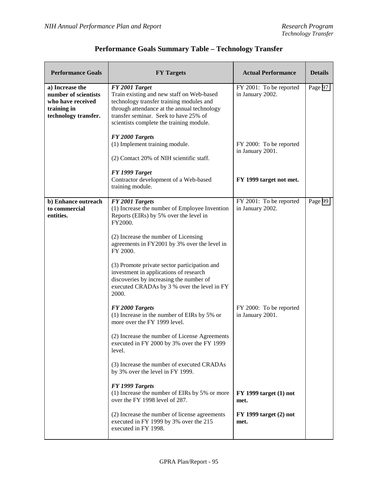| <b>Performance Goals</b>                                                                            | <b>FY</b> Targets                                                                                                                                                                                                                           | <b>Actual Performance</b>                   | <b>Details</b> |
|-----------------------------------------------------------------------------------------------------|---------------------------------------------------------------------------------------------------------------------------------------------------------------------------------------------------------------------------------------------|---------------------------------------------|----------------|
| a) Increase the<br>number of scientists<br>who have received<br>training in<br>technology transfer. | FY 2001 Target<br>Train existing and new staff on Web-based<br>technology transfer training modules and<br>through attendance at the annual technology<br>transfer seminar. Seek to have 25% of<br>scientists complete the training module. | FY 2001: To be reported<br>in January 2002. | Page 97        |
|                                                                                                     | FY 2000 Targets<br>(1) Implement training module.<br>(2) Contact 20% of NIH scientific staff.                                                                                                                                               | FY 2000: To be reported<br>in January 2001. |                |
|                                                                                                     | FY 1999 Target<br>Contractor development of a Web-based<br>training module.                                                                                                                                                                 | FY 1999 target not met.                     |                |
| b) Enhance outreach<br>to commercial<br>entities.                                                   | FY 2001 Targets<br>(1) Increase the number of Employee Invention<br>Reports (EIRs) by 5% over the level in<br>FY2000.                                                                                                                       | FY 2001: To be reported<br>in January 2002. | Page 99        |
|                                                                                                     | (2) Increase the number of Licensing<br>agreements in FY2001 by 3% over the level in<br>FY 2000.                                                                                                                                            |                                             |                |
|                                                                                                     | (3) Promote private sector participation and<br>investment in applications of research<br>discoveries by increasing the number of<br>executed CRADAs by 3 % over the level in FY<br>2000.                                                   |                                             |                |
|                                                                                                     | FY 2000 Targets<br>(1) Increase in the number of EIRs by 5% or<br>more over the FY 1999 level.                                                                                                                                              | FY 2000: To be reported<br>in January 2001. |                |
|                                                                                                     | (2) Increase the number of License Agreements<br>executed in FY 2000 by 3% over the FY 1999<br>level.                                                                                                                                       |                                             |                |
|                                                                                                     | (3) Increase the number of executed CRADAs<br>by 3% over the level in FY 1999.                                                                                                                                                              |                                             |                |
|                                                                                                     | FY 1999 Targets<br>(1) Increase the number of EIRs by 5% or more<br>over the FY 1998 level of 287.                                                                                                                                          | FY 1999 target (1) not<br>met.              |                |
|                                                                                                     | (2) Increase the number of license agreements<br>executed in FY 1999 by 3% over the 215<br>executed in FY 1998.                                                                                                                             | FY 1999 target (2) not<br>met.              |                |

# **Performance Goals Summary Table – Technology Transfer**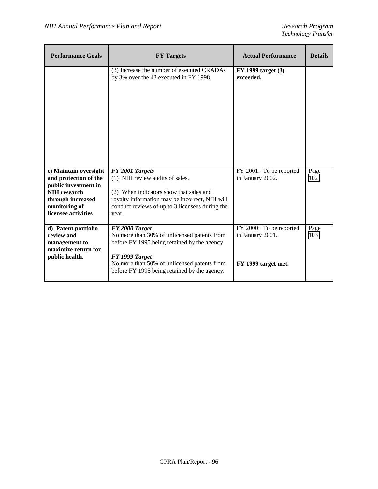| <b>Performance Goals</b>                                                                                                                                    | <b>FY</b> Targets                                                                                                                                                                                                              | <b>Actual Performance</b>                                          | <b>Details</b> |
|-------------------------------------------------------------------------------------------------------------------------------------------------------------|--------------------------------------------------------------------------------------------------------------------------------------------------------------------------------------------------------------------------------|--------------------------------------------------------------------|----------------|
|                                                                                                                                                             | (3) Increase the number of executed CRADAs<br>by 3% over the 43 executed in FY 1998.                                                                                                                                           | FY 1999 target (3)<br>exceeded.                                    |                |
| c) Maintain oversight<br>and protection of the<br>public investment in<br><b>NIH</b> research<br>through increased<br>monitoring of<br>licensee activities. | FY 2001 Targets<br>(1) NIH review audits of sales.<br>(2) When indicators show that sales and<br>royalty information may be incorrect, NIH will<br>conduct reviews of up to 3 licensees during the<br>year.                    | FY 2001: To be reported<br>in January 2002.                        | Page<br>102    |
| d) Patent portfolio<br>review and<br>management to<br>maximize return for<br>public health.                                                                 | FY 2000 Target<br>No more than 30% of unlicensed patents from<br>before FY 1995 being retained by the agency.<br>FY 1999 Target<br>No more than 50% of unlicensed patents from<br>before FY 1995 being retained by the agency. | FY 2000: To be reported<br>in January 2001.<br>FY 1999 target met. | Page<br>103    |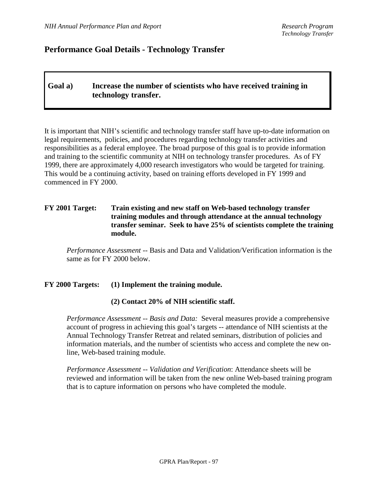### <span id="page-97-0"></span>**Performance Goal Details - Technology Transfer**

### **Goal a) Increase the number of scientists who have received training in technology transfer.**

It is important that NIH's scientific and technology transfer staff have up-to-date information on legal requirements, policies, and procedures regarding technology transfer activities and responsibilities as a federal employee. The broad purpose of this goal is to provide information and training to the scientific community at NIH on technology transfer procedures. As of FY 1999, there are approximately 4,000 research investigators who would be targeted for training. This would be a continuing activity, based on training efforts developed in FY 1999 and commenced in FY 2000.

### **FY 2001 Target: Train existing and new staff on Web-based technology transfer training modules and through attendance at the annual technology transfer seminar. Seek to have 25% of scientists complete the training module.**

*Performance Assessment* -- Basis and Data and Validation/Verification information is the same as for FY 2000 below.

#### **FY 2000 Targets: (1) Implement the training module.**

#### **(2) Contact 20% of NIH scientific staff.**

*Performance Assessment -- Basis and Data:* Several measures provide a comprehensive account of progress in achieving this goal's targets -- attendance of NIH scientists at the Annual Technology Transfer Retreat and related seminars, distribution of policies and information materials, and the number of scientists who access and complete the new online, Web-based training module.

*Performance Assessment -- Validation and Verification*: Attendance sheets will be reviewed and information will be taken from the new online Web-based training program that is to capture information on persons who have completed the module.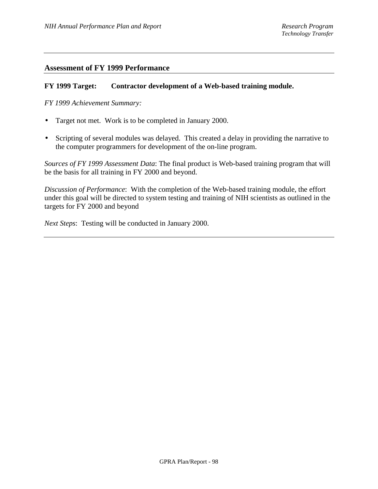#### **Assessment of FY 1999 Performance**

#### **FY 1999 Target: Contractor development of a Web-based training module.**

#### *FY 1999 Achievement Summary:*

- Target not met. Work is to be completed in January 2000.
- Scripting of several modules was delayed. This created a delay in providing the narrative to the computer programmers for development of the on-line program.

*Sources of FY 1999 Assessment Data*: The final product is Web-based training program that will be the basis for all training in FY 2000 and beyond.

*Discussion of Performance*: With the completion of the Web-based training module, the effort under this goal will be directed to system testing and training of NIH scientists as outlined in the targets for FY 2000 and beyond

*Next Steps*: Testing will be conducted in January 2000.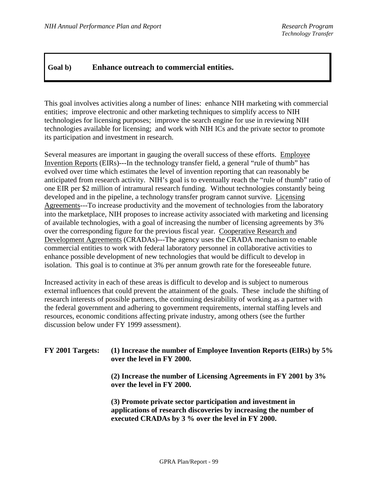### <span id="page-99-0"></span>**Goal b) Enhance outreach to commercial entities.**

This goal involves activities along a number of lines: enhance NIH marketing with commercial entities; improve electronic and other marketing techniques to simplify access to NIH technologies for licensing purposes; improve the search engine for use in reviewing NIH technologies available for licensing; and work with NIH ICs and the private sector to promote its participation and investment in research.

Several measures are important in gauging the overall success of these efforts. Employee Invention Reports (EIRs)---In the technology transfer field, a general "rule of thumb" has evolved over time which estimates the level of invention reporting that can reasonably be anticipated from research activity. NIH's goal is to eventually reach the "rule of thumb" ratio of one EIR per \$2 million of intramural research funding. Without technologies constantly being developed and in the pipeline, a technology transfer program cannot survive. Licensing Agreements---To increase productivity and the movement of technologies from the laboratory into the marketplace, NIH proposes to increase activity associated with marketing and licensing of available technologies, with a goal of increasing the number of licensing agreements by 3% over the corresponding figure for the previous fiscal year. Cooperative Research and Development Agreements (CRADAs)---The agency uses the CRADA mechanism to enable commercial entities to work with federal laboratory personnel in collaborative activities to enhance possible development of new technologies that would be difficult to develop in isolation. This goal is to continue at 3% per annum growth rate for the foreseeable future.

Increased activity in each of these areas is difficult to develop and is subject to numerous external influences that could prevent the attainment of the goals. These include the shifting of research interests of possible partners, the continuing desirability of working as a partner with the federal government and adhering to government requirements, internal staffing levels and resources, economic conditions affecting private industry, among others (see the further discussion below under FY 1999 assessment).

### **FY 2001 Targets: (1) Increase the number of Employee Invention Reports (EIRs) by 5% over the level in FY 2000.**

**(2) Increase the number of Licensing Agreements in FY 2001 by 3% over the level in FY 2000.**

**(3) Promote private sector participation and investment in applications of research discoveries by increasing the number of executed CRADAs by 3 % over the level in FY 2000.**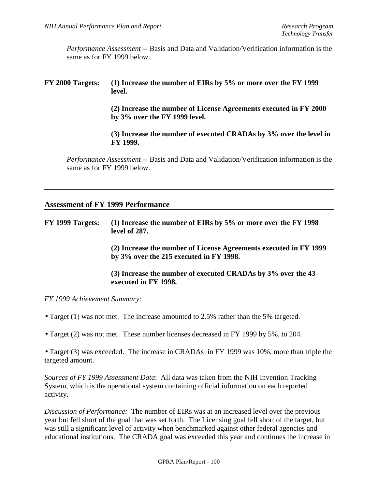*Performance Assessment* -- Basis and Data and Validation/Verification information is the same as for FY 1999 below.

### **FY 2000 Targets: (1) Increase the number of EIRs by 5% or more over the FY 1999 level.**

**(2) Increase the number of License Agreements executed in FY 2000 by 3% over the FY 1999 level.**

**(3) Increase the number of executed CRADAs by 3% over the level in FY 1999.**

*Performance Assessment* -- Basis and Data and Validation/Verification information is the same as for FY 1999 below.

#### **Assessment of FY 1999 Performance**

**FY 1999 Targets: (1) Increase the number of EIRs by 5% or more over the FY 1998 level of 287.**

> **(2) Increase the number of License Agreements executed in FY 1999 by 3% over the 215 executed in FY 1998.**

**(3) Increase the number of executed CRADAs by 3% over the 43 executed in FY 1998.**

*FY 1999 Achievement Summary:*

- Target (1) was not met. The increase amounted to 2.5% rather than the 5% targeted.
- Target (2) was not met. These number licenses decreased in FY 1999 by 5%, to 204.

• Target (3) was exceeded. The increase in CRADAs in FY 1999 was 10%, more than triple the targeted amount.

*Sources of FY 1999 Assessment Data*: All data was taken from the NIH Invention Tracking System, which is the operational system containing official information on each reported activity.

*Discussion of Performance:* The number of EIRs was at an increased level over the previous year but fell short of the goal that was set forth. The Licensing goal fell short of the target, but was still a significant level of activity when benchmarked against other federal agencies and educational institutions. The CRADA goal was exceeded this year and continues the increase in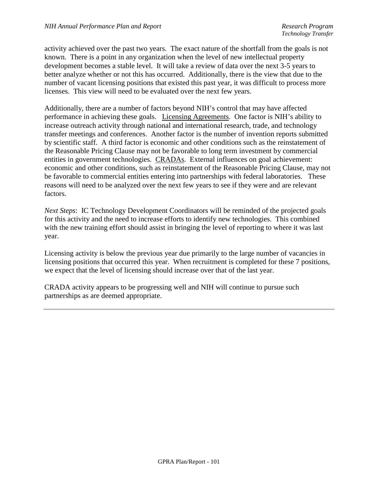activity achieved over the past two years. The exact nature of the shortfall from the goals is not known. There is a point in any organization when the level of new intellectual property development becomes a stable level. It will take a review of data over the next 3-5 years to better analyze whether or not this has occurred. Additionally, there is the view that due to the number of vacant licensing positions that existed this past year, it was difficult to process more licenses. This view will need to be evaluated over the next few years.

Additionally, there are a number of factors beyond NIH's control that may have affected performance in achieving these goals. Licensing Agreements. One factor is NIH's ability to increase outreach activity through national and international research, trade, and technology transfer meetings and conferences. Another factor is the number of invention reports submitted by scientific staff. A third factor is economic and other conditions such as the reinstatement of the Reasonable Pricing Clause may not be favorable to long term investment by commercial entities in government technologies. CRADAs. External influences on goal achievement: economic and other conditions, such as reinstatement of the Reasonable Pricing Clause, may not be favorable to commercial entities entering into partnerships with federal laboratories. These reasons will need to be analyzed over the next few years to see if they were and are relevant factors.

*Next Steps*: IC Technology Development Coordinators will be reminded of the projected goals for this activity and the need to increase efforts to identify new technologies. This combined with the new training effort should assist in bringing the level of reporting to where it was last year.

Licensing activity is below the previous year due primarily to the large number of vacancies in licensing positions that occurred this year. When recruitment is completed for these 7 positions, we expect that the level of licensing should increase over that of the last year.

CRADA activity appears to be progressing well and NIH will continue to pursue such partnerships as are deemed appropriate.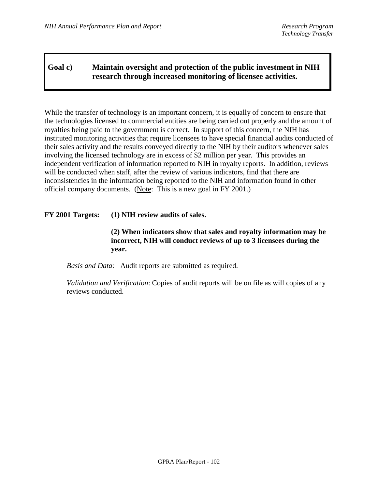# <span id="page-102-0"></span>**Goal c) Maintain oversight and protection of the public investment in NIH research through increased monitoring of licensee activities.**

While the transfer of technology is an important concern, it is equally of concern to ensure that the technologies licensed to commercial entities are being carried out properly and the amount of royalties being paid to the government is correct. In support of this concern, the NIH has instituted monitoring activities that require licensees to have special financial audits conducted of their sales activity and the results conveyed directly to the NIH by their auditors whenever sales involving the licensed technology are in excess of \$2 million per year. This provides an independent verification of information reported to NIH in royalty reports. In addition, reviews will be conducted when staff, after the review of various indicators, find that there are inconsistencies in the information being reported to the NIH and information found in other official company documents. (Note: This is a new goal in FY 2001.)

#### **FY 2001 Targets: (1) NIH review audits of sales.**

### **(2) When indicators show that sales and royalty information may be incorrect, NIH will conduct reviews of up to 3 licensees during the year.**

*Basis and Data:* Audit reports are submitted as required.

*Validation and Verification*: Copies of audit reports will be on file as will copies of any reviews conducted.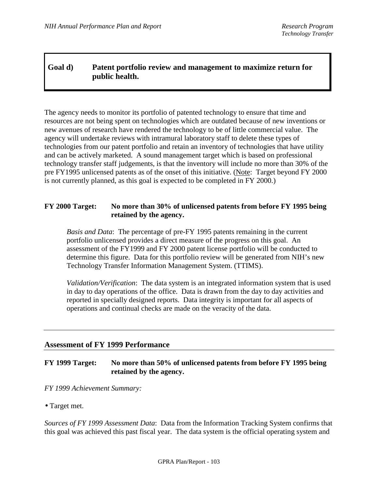# <span id="page-103-0"></span>**Goal d) Patent portfolio review and management to maximize return for public health.**

The agency needs to monitor its portfolio of patented technology to ensure that time and resources are not being spent on technologies which are outdated because of new inventions or new avenues of research have rendered the technology to be of little commercial value. The agency will undertake reviews with intramural laboratory staff to delete these types of technologies from our patent portfolio and retain an inventory of technologies that have utility and can be actively marketed. A sound management target which is based on professional technology transfer staff judgements, is that the inventory will include no more than 30% of the pre FY1995 unlicensed patents as of the onset of this initiative. (Note: Target beyond FY 2000 is not currently planned, as this goal is expected to be completed in FY 2000.)

#### **FY 2000 Target: No more than 30% of unlicensed patents from before FY 1995 being retained by the agency.**

*Basis and Data*: The percentage of pre-FY 1995 patents remaining in the current portfolio unlicensed provides a direct measure of the progress on this goal. An assessment of the FY1999 and FY 2000 patent license portfolio will be conducted to determine this figure. Data for this portfolio review will be generated from NIH's new Technology Transfer Information Management System. (TTIMS).

*Validation/Verification*: The data system is an integrated information system that is used in day to day operations of the office. Data is drawn from the day to day activities and reported in specially designed reports. Data integrity is important for all aspects of operations and continual checks are made on the veracity of the data.

### **Assessment of FY 1999 Performance**

### **FY 1999 Target: No more than 50% of unlicensed patents from before FY 1995 being retained by the agency.**

*FY 1999 Achievement Summary:*

• Target met.

*Sources of FY 1999 Assessment Data*: Data from the Information Tracking System confirms that this goal was achieved this past fiscal year. The data system is the official operating system and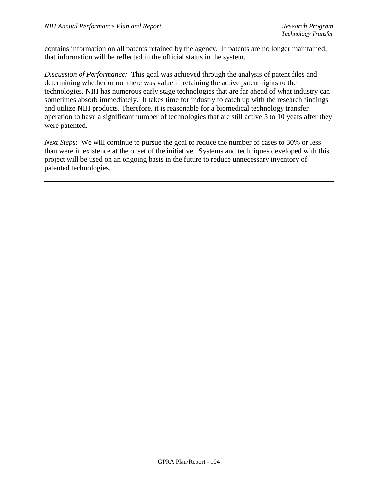contains information on all patents retained by the agency. If patents are no longer maintained, that information will be reflected in the official status in the system.

*Discussion of Performance:* This goal was achieved through the analysis of patent files and determining whether or not there was value in retaining the active patent rights to the technologies. NIH has numerous early stage technologies that are far ahead of what industry can sometimes absorb immediately. It takes time for industry to catch up with the research findings and utilize NIH products. Therefore, it is reasonable for a biomedical technology transfer operation to have a significant number of technologies that are still active 5 to 10 years after they were patented.

*Next Steps*: We will continue to pursue the goal to reduce the number of cases to 30% or less than were in existence at the onset of the initiative. Systems and techniques developed with this project will be used on an ongoing basis in the future to reduce unnecessary inventory of patented technologies.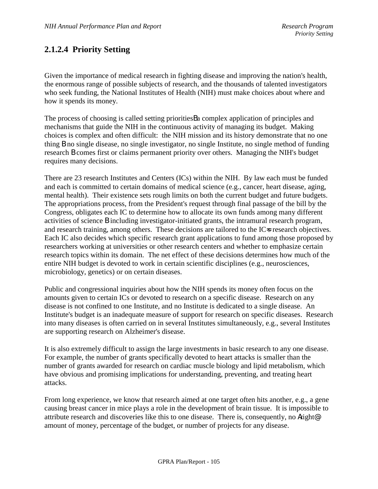# **2.1.2.4 Priority Setting**

Given the importance of medical research in fighting disease and improving the nation's health, the enormous range of possible subjects of research, and the thousands of talented investigators who seek funding, the National Institutes of Health (NIH) must make choices about where and how it spends its money.

The process of choosing is called setting prioritiesBa complex application of principles and mechanisms that guide the NIH in the continuous activity of managing its budget. Making choices is complex and often difficult: the NIH mission and its history demonstrate that no one thing B no single disease, no single investigator, no single Institute, no single method of funding research B comes first or claims permanent priority over others. Managing the NIH's budget requires many decisions.

There are 23 research Institutes and Centers (ICs) within the NIH. By law each must be funded and each is committed to certain domains of medical science (e.g., cancer, heart disease, aging, mental health). Their existence sets rough limits on both the current budget and future budgets. The appropriations process, from the President's request through final passage of the bill by the Congress, obligates each IC to determine how to allocate its own funds among many different activities of science B including investigator-initiated grants, the intramural research program, and research training, among others. These decisions are tailored to the IC=s research objectives. Each IC also decides which specific research grant applications to fund among those proposed by researchers working at universities or other research centers and whether to emphasize certain research topics within its domain. The net effect of these decisions determines how much of the entire NIH budget is devoted to work in certain scientific disciplines (e.g., neurosciences, microbiology, genetics) or on certain diseases.

Public and congressional inquiries about how the NIH spends its money often focus on the amounts given to certain ICs or devoted to research on a specific disease. Research on any disease is not confined to one Institute, and no Institute is dedicated to a single disease. An Institute's budget is an inadequate measure of support for research on specific diseases. Research into many diseases is often carried on in several Institutes simultaneously, e.g., several Institutes are supporting research on Alzheimer's disease.

It is also extremely difficult to assign the large investments in basic research to any one disease. For example, the number of grants specifically devoted to heart attacks is smaller than the number of grants awarded for research on cardiac muscle biology and lipid metabolism, which have obvious and promising implications for understanding, preventing, and treating heart attacks.

From long experience, we know that research aimed at one target often hits another, e.g., a gene causing breast cancer in mice plays a role in the development of brain tissue. It is impossible to attribute research and discoveries like this to one disease. There is, consequently, no Aright@ amount of money, percentage of the budget, or number of projects for any disease.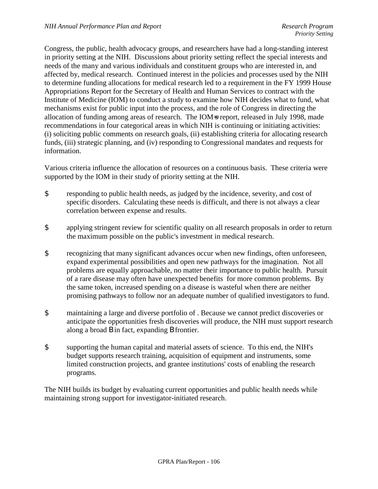Congress, the public, health advocacy groups, and researchers have had a long-standing interest in priority setting at the NIH. Discussions about priority setting reflect the special interests and needs of the many and various individuals and constituent groups who are interested in, and affected by, medical research. Continued interest in the policies and processes used by the NIH to determine funding allocations for medical research led to a requirement in the FY 1999 House Appropriations Report for the Secretary of Health and Human Services to contract with the Institute of Medicine (IOM) to conduct a study to examine how NIH decides what to fund, what mechanisms exist for public input into the process, and the role of Congress in directing the allocation of funding among areas of research. The IOM-s report, released in July 1998, made recommendations in four categorical areas in which NIH is continuing or initiating activities: (i) soliciting public comments on research goals, (ii) establishing criteria for allocating research funds, (iii) strategic planning, and (iv) responding to Congressional mandates and requests for information.

Various criteria influence the allocation of resources on a continuous basis. These criteria were supported by the IOM in their study of priority setting at the NIH.

- \$ responding to public health needs, as judged by the incidence, severity, and cost of specific disorders. Calculating these needs is difficult, and there is not always a clear correlation between expense and results.
- \$ applying stringent review for scientific quality on all research proposals in order to return the maximum possible on the public's investment in medical research.
- \$ recognizing that many significant advances occur when new findings, often unforeseen, expand experimental possibilities and open new pathways for the imagination. Not all problems are equally approachable, no matter their importance to public health. Pursuit of a rare disease may often have unexpected benefits for more common problems. By the same token, increased spending on a disease is wasteful when there are neither promising pathways to follow nor an adequate number of qualified investigators to fund.
- \$ maintaining a large and diverse portfolio of . Because we cannot predict discoveries or anticipate the opportunities fresh discoveries will produce, the NIH must support research along a broad B in fact, expanding B frontier.
- \$ supporting the human capital and material assets of science. To this end, the NIH's budget supports research training, acquisition of equipment and instruments, some limited construction projects, and grantee institutions' costs of enabling the research programs.

The NIH builds its budget by evaluating current opportunities and public health needs while maintaining strong support for investigator-initiated research.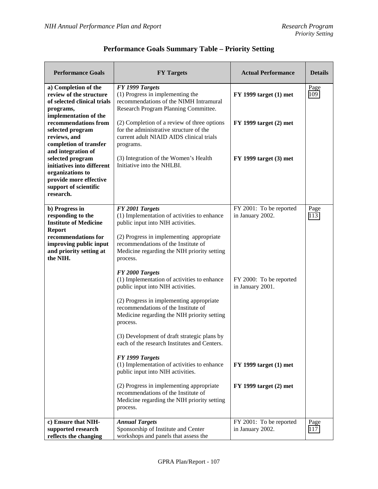| <b>Performance Goals</b>                                                                                                                                                                                                                                                                                                         | <b>FY</b> Targets                                                                                                                                                                                                                                                                                                                                                                                                                                                                                                                                                                                     | <b>Actual Performance</b>                                                                  | <b>Details</b> |
|----------------------------------------------------------------------------------------------------------------------------------------------------------------------------------------------------------------------------------------------------------------------------------------------------------------------------------|-------------------------------------------------------------------------------------------------------------------------------------------------------------------------------------------------------------------------------------------------------------------------------------------------------------------------------------------------------------------------------------------------------------------------------------------------------------------------------------------------------------------------------------------------------------------------------------------------------|--------------------------------------------------------------------------------------------|----------------|
| a) Completion of the<br>review of the structure<br>of selected clinical trials<br>programs,<br>implementation of the<br>recommendations from<br>selected program<br>reviews, and<br>completion of transfer<br>and integration of<br>selected program<br>initiatives into different<br>organizations to<br>provide more effective | FY 1999 Targets<br>(1) Progress in implementing the<br>recommendations of the NIMH Intramural<br>Research Program Planning Committee.                                                                                                                                                                                                                                                                                                                                                                                                                                                                 | FY 1999 target (1) met                                                                     | Page<br>109    |
|                                                                                                                                                                                                                                                                                                                                  | (2) Completion of a review of three options<br>for the administrative structure of the<br>current adult NIAID AIDS clinical trials<br>programs.                                                                                                                                                                                                                                                                                                                                                                                                                                                       | FY 1999 target (2) met                                                                     |                |
|                                                                                                                                                                                                                                                                                                                                  | (3) Integration of the Women's Health<br>Initiative into the NHLBI.                                                                                                                                                                                                                                                                                                                                                                                                                                                                                                                                   | FY 1999 target (3) met                                                                     |                |
| support of scientific<br>research.                                                                                                                                                                                                                                                                                               |                                                                                                                                                                                                                                                                                                                                                                                                                                                                                                                                                                                                       |                                                                                            |                |
| b) Progress in<br>responding to the<br><b>Institute of Medicine</b><br><b>Report</b><br>recommendations for<br>improving public input<br>and priority setting at<br>the NIH.                                                                                                                                                     | FY 2001 Targets<br>(1) Implementation of activities to enhance<br>public input into NIH activities.<br>(2) Progress in implementing appropriate<br>recommendations of the Institute of<br>Medicine regarding the NIH priority setting<br>process.<br>FY 2000 Targets<br>(1) Implementation of activities to enhance<br>public input into NIH activities.<br>(2) Progress in implementing appropriate<br>recommendations of the Institute of<br>Medicine regarding the NIH priority setting<br>process.<br>(3) Development of draft strategic plans by<br>each of the research Institutes and Centers. | FY 2001: To be reported<br>in January 2002.<br>FY 2000: To be reported<br>in January 2001. | Page<br>113    |
|                                                                                                                                                                                                                                                                                                                                  | FY 1999 Targets<br>(1) Implementation of activities to enhance<br>public input into NIH activities.                                                                                                                                                                                                                                                                                                                                                                                                                                                                                                   | FY 1999 target (1) met                                                                     |                |
|                                                                                                                                                                                                                                                                                                                                  | (2) Progress in implementing appropriate<br>recommendations of the Institute of<br>Medicine regarding the NIH priority setting<br>process.                                                                                                                                                                                                                                                                                                                                                                                                                                                            | FY 1999 target (2) met                                                                     |                |
| c) Ensure that NIH-                                                                                                                                                                                                                                                                                                              | <b>Annual Targets</b>                                                                                                                                                                                                                                                                                                                                                                                                                                                                                                                                                                                 | FY 2001: To be reported                                                                    | Page           |
| supported research                                                                                                                                                                                                                                                                                                               | Sponsorship of Institute and Center                                                                                                                                                                                                                                                                                                                                                                                                                                                                                                                                                                   | in January 2002.                                                                           | 117            |
| reflects the changing                                                                                                                                                                                                                                                                                                            | workshops and panels that assess the                                                                                                                                                                                                                                                                                                                                                                                                                                                                                                                                                                  |                                                                                            |                |

# **Performance Goals Summary Table – Priority Setting**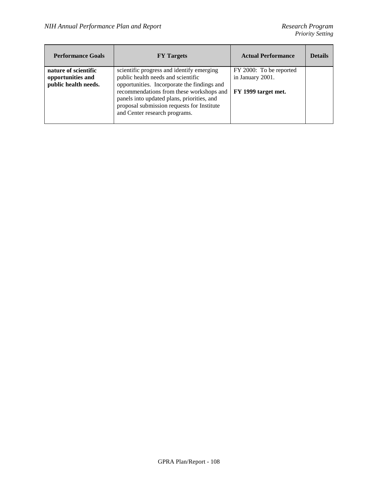| <b>Performance Goals</b> | <b>FY</b> Targets                                                                                                                                                     | <b>Actual Performance</b> | <b>Details</b> |
|--------------------------|-----------------------------------------------------------------------------------------------------------------------------------------------------------------------|---------------------------|----------------|
| nature of scientific     | scientific progress and identify emerging                                                                                                                             | FY 2000: To be reported   |                |
| opportunities and        | public health needs and scientific                                                                                                                                    | in January 2001.          |                |
| public health needs.     | opportunities. Incorporate the findings and                                                                                                                           |                           |                |
|                          | recommendations from these workshops and<br>panels into updated plans, priorities, and<br>proposal submission requests for Institute<br>and Center research programs. | FY 1999 target met.       |                |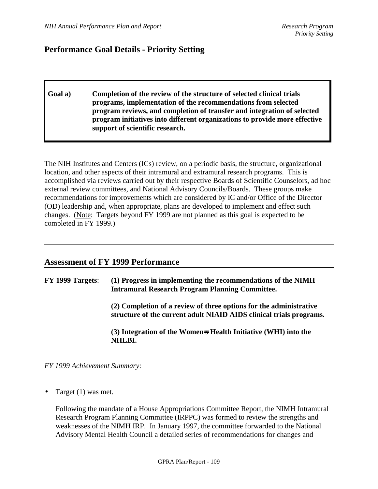## **Performance Goal Details - Priority Setting**

### **Goal a) Completion of the review of the structure of selected clinical trials programs, implementation of the recommendations from selected program reviews, and completion of transfer and integration of selected program initiatives into different organizations to provide more effective support of scientific research.**

The NIH Institutes and Centers (ICs) review, on a periodic basis, the structure, organizational location, and other aspects of their intramural and extramural research programs. This is accomplished via reviews carried out by their respective Boards of Scientific Counselors, ad hoc external review committees, and National Advisory Councils/Boards. These groups make recommendations for improvements which are considered by IC and/or Office of the Director (OD) leadership and, when appropriate, plans are developed to implement and effect such changes. (Note: Targets beyond FY 1999 are not planned as this goal is expected to be completed in FY 1999.)

#### **Assessment of FY 1999 Performance**

**FY 1999 Targets**: **(1) Progress in implementing the recommendations of the NIMH Intramural Research Program Planning Committee.**

> **(2) Completion of a review of three options for the administrative structure of the current adult NIAID AIDS clinical trials programs.**

**(3) Integration of the Women**=**s Health Initiative (WHI) into the NHLBI.**

*FY 1999 Achievement Summary:*

• Target (1) was met.

Following the mandate of a House Appropriations Committee Report, the NIMH Intramural Research Program Planning Committee (IRPPC) was formed to review the strengths and weaknesses of the NIMH IRP. In January 1997, the committee forwarded to the National Advisory Mental Health Council a detailed series of recommendations for changes and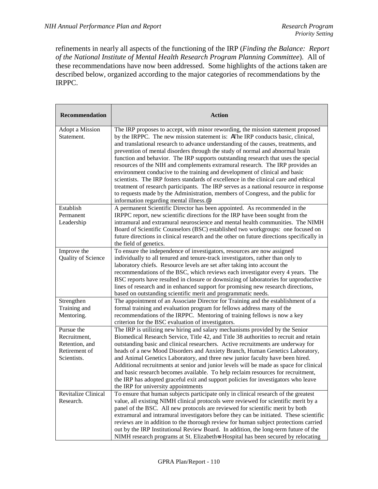refinements in nearly all aspects of the functioning of the IRP (*Finding the Balance: Report of the National Institute of Mental Health Research Program Planning Committee*). All of these recommendations have now been addressed. Some highlights of the actions taken are described below, organized according to the major categories of recommendations by the IRPPC.

| Recommendation                                                               | <b>Action</b>                                                                                                                                                                                                                                                                                                                                                                                                                                                                                                                                                                                                                                                                                                                                                                                                                                                                                                             |
|------------------------------------------------------------------------------|---------------------------------------------------------------------------------------------------------------------------------------------------------------------------------------------------------------------------------------------------------------------------------------------------------------------------------------------------------------------------------------------------------------------------------------------------------------------------------------------------------------------------------------------------------------------------------------------------------------------------------------------------------------------------------------------------------------------------------------------------------------------------------------------------------------------------------------------------------------------------------------------------------------------------|
| Adopt a Mission<br>Statement.                                                | The IRP proposes to accept, with minor rewording, the mission statement proposed<br>by the IRPPC. The new mission statement is: AThe IRP conducts basic, clinical,<br>and translational research to advance understanding of the causes, treatments, and<br>prevention of mental disorders through the study of normal and abnormal brain<br>function and behavior. The IRP supports outstanding research that uses the special<br>resources of the NIH and complements extramural research. The IRP provides an<br>environment conducive to the training and development of clinical and basic<br>scientists. The IRP fosters standards of excellence in the clinical care and ethical<br>treatment of research participants. The IRP serves as a national resource in response<br>to requests made by the Administration, members of Congress, and the public for<br>information regarding mental illness. <sup>®</sup> |
| Establish                                                                    | A permanent Scientific Director has been appointed. As recommended in the                                                                                                                                                                                                                                                                                                                                                                                                                                                                                                                                                                                                                                                                                                                                                                                                                                                 |
| Permanent<br>Leadership                                                      | IRPPC report, new scientific directions for the IRP have been sought from the<br>intramural and extramural neuroscience and mental health communities. The NIMH<br>Board of Scientific Counselors (BSC) established two workgroups: one focused on<br>future directions in clinical research and the other on future directions specifically in<br>the field of genetics.                                                                                                                                                                                                                                                                                                                                                                                                                                                                                                                                                 |
| Improve the                                                                  | To ensure the independence of investigators, resources are now assigned                                                                                                                                                                                                                                                                                                                                                                                                                                                                                                                                                                                                                                                                                                                                                                                                                                                   |
| Quality of Science                                                           | individually to all tenured and tenure-track investigators, rather than only to<br>laboratory chiefs. Resource levels are set after taking into account the                                                                                                                                                                                                                                                                                                                                                                                                                                                                                                                                                                                                                                                                                                                                                               |
|                                                                              | recommendations of the BSC, which reviews each investigator every 4 years. The<br>BSC reports have resulted in closure or downsizing of laboratories for unproductive<br>lines of research and in enhanced support for promising new research directions,<br>based on outstanding scientific merit and programmatic needs.                                                                                                                                                                                                                                                                                                                                                                                                                                                                                                                                                                                                |
| Strengthen                                                                   | The appointment of an Associate Director for Training and the establishment of a                                                                                                                                                                                                                                                                                                                                                                                                                                                                                                                                                                                                                                                                                                                                                                                                                                          |
| Training and<br>Mentoring.                                                   | formal training and evaluation program for fellows address many of the<br>recommendations of the IRPPC. Mentoring of training fellows is now a key<br>criterion for the BSC evaluation of investigators.                                                                                                                                                                                                                                                                                                                                                                                                                                                                                                                                                                                                                                                                                                                  |
| Pursue the<br>Recruitment,<br>Retention, and<br>Retirement of<br>Scientists. | The IRP is utilizing new hiring and salary mechanisms provided by the Senior<br>Biomedical Research Service, Title 42, and Title 38 authorities to recruit and retain<br>outstanding basic and clinical researchers. Active recruitments are underway for<br>heads of a new Mood Disorders and Anxiety Branch, Human Genetics Laboratory,<br>and Animal Genetics Laboratory, and three new junior faculty have been hired.<br>Additional recruitments at senior and junior levels will be made as space for clinical<br>and basic research becomes available. To help reclaim resources for recruitment,<br>the IRP has adopted graceful exit and support policies for investigators who leave<br>the IRP for university appointments                                                                                                                                                                                     |
| Revitalize Clinical<br>Research.                                             | To ensure that human subjects participate only in clinical research of the greatest<br>value, all existing NIMH clinical protocols were reviewed for scientific merit by a<br>panel of the BSC. All new protocols are reviewed for scientific merit by both<br>extramural and intramural investigators before they can be initiated. These scientific<br>reviews are in addition to the thorough review for human subject protections carried<br>out by the IRP Institutional Review Board. In addition, the long-term future of the<br>NIMH research programs at St. Elizabeth is Hospital has been secured by relocating                                                                                                                                                                                                                                                                                                |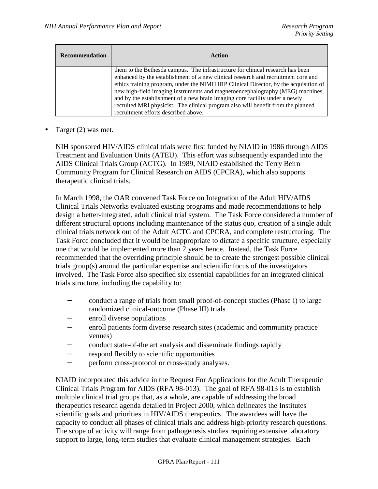| <b>Recommendation</b> | Action                                                                                                                                                                                                                                                                                                                                                                                                                                                                                                                                                  |
|-----------------------|---------------------------------------------------------------------------------------------------------------------------------------------------------------------------------------------------------------------------------------------------------------------------------------------------------------------------------------------------------------------------------------------------------------------------------------------------------------------------------------------------------------------------------------------------------|
|                       | them to the Bethesda campus. The infrastructure for clinical research has been<br>enhanced by the establishment of a new clinical research and recruitment core and<br>ethics training program, under the NIMH IRP Clinical Director, by the acquisition of<br>new high-field imaging instruments and magnetoencephalography (MEG) machines,<br>and by the establishment of a new brain imaging core facility under a newly<br>recruited MRI physicist. The clinical program also will benefit from the planned<br>recruitment efforts described above. |

• Target (2) was met.

NIH sponsored HIV/AIDS clinical trials were first funded by NIAID in 1986 through AIDS Treatment and Evaluation Units (ATEU). This effort was subsequently expanded into the AIDS Clinical Trials Group (ACTG). In 1989, NIAID established the Terry Beirn Community Program for Clinical Research on AIDS (CPCRA), which also supports therapeutic clinical trials.

In March 1998, the OAR convened Task Force on Integration of the Adult HIV/AIDS Clinical Trials Networks evaluated existing programs and made recommendations to help design a better-integrated, adult clinical trial system. The Task Force considered a number of different structural options including maintenance of the status quo, creation of a single adult clinical trials network out of the Adult ACTG and CPCRA, and complete restructuring. The Task Force concluded that it would be inappropriate to dictate a specific structure, especially one that would be implemented more than 2 years hence. Instead, the Task Force recommended that the overriding principle should be to create the strongest possible clinical trials group(s) around the particular expertise and scientific focus of the investigators involved. The Task Force also specified six essential capabilities for an integrated clinical trials structure, including the capability to:

- − conduct a range of trials from small proof-of-concept studies (Phase I) to large randomized clinical-outcome (Phase III) trials
- enroll diverse populations
- − enroll patients form diverse research sites (academic and community practice venues)
- − conduct state-of-the art analysis and disseminate findings rapidly
- − respond flexibly to scientific opportunities
- − perform cross-protocol or cross-study analyses.

NIAID incorporated this advice in the Request For Applications for the Adult Therapeutic Clinical Trials Program for AIDS (RFA 98-013). The goal of RFA 98-013 is to establish multiple clinical trial groups that, as a whole, are capable of addressing the broad therapeutics research agenda detailed in Project 2000, which delineates the Institutes' scientific goals and priorities in HIV/AIDS therapeutics. The awardees will have the capacity to conduct all phases of clinical trials and address high-priority research questions. The scope of activity will range from pathogenesis studies requiring extensive laboratory support to large, long-term studies that evaluate clinical management strategies. Each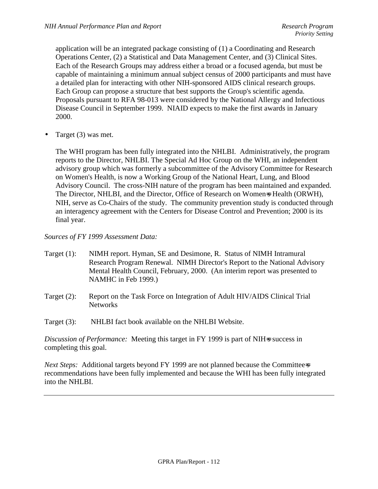application will be an integrated package consisting of (1) a Coordinating and Research Operations Center, (2) a Statistical and Data Management Center, and (3) Clinical Sites. Each of the Research Groups may address either a broad or a focused agenda, but must be capable of maintaining a minimum annual subject census of 2000 participants and must have a detailed plan for interacting with other NIH-sponsored AIDS clinical research groups. Each Group can propose a structure that best supports the Group's scientific agenda. Proposals pursuant to RFA 98-013 were considered by the National Allergy and Infectious Disease Council in September 1999. NIAID expects to make the first awards in January 2000.

• Target (3) was met.

The WHI program has been fully integrated into the NHLBI. Administratively, the program reports to the Director, NHLBI. The Special Ad Hoc Group on the WHI, an independent advisory group which was formerly a subcommittee of the Advisory Committee for Research on Women's Health, is now a Working Group of the National Heart, Lung, and Blood Advisory Council. The cross-NIH nature of the program has been maintained and expanded. The Director, NHLBI, and the Director, Office of Research on Women = Health (ORWH), NIH, serve as Co-Chairs of the study. The community prevention study is conducted through an interagency agreement with the Centers for Disease Control and Prevention; 2000 is its final year.

#### *Sources of FY 1999 Assessment Data:*

- Target (1): NIMH report. Hyman, SE and Desimone, R. Status of NIMH Intramural Research Program Renewal. NIMH Director's Report to the National Advisory Mental Health Council, February, 2000. (An interim report was presented to NAMHC in Feb 1999.)
- Target (2): Report on the Task Force on Integration of Adult HIV/AIDS Clinical Trial **Networks**
- Target (3): NHLBI fact book available on the NHLBI Website.

*Discussion of Performance:* Meeting this target in FY 1999 is part of NIH=s success in completing this goal.

*Next Steps:* Additional targets beyond FY 1999 are not planned because the Committee-s recommendations have been fully implemented and because the WHI has been fully integrated into the NHLBI.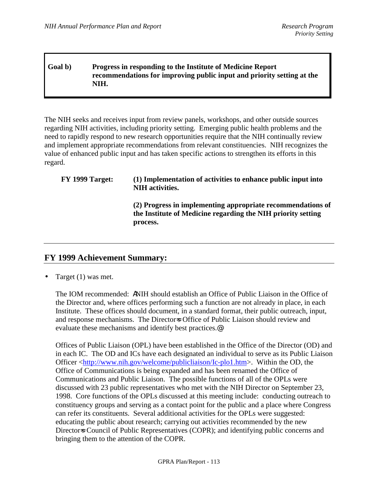# **Goal b) Progress in responding to the Institute of Medicine Report recommendations for improving public input and priority setting at the NIH.**

The NIH seeks and receives input from review panels, workshops, and other outside sources regarding NIH activities, including priority setting. Emerging public health problems and the need to rapidly respond to new research opportunities require that the NIH continually review and implement appropriate recommendations from relevant constituencies. NIH recognizes the value of enhanced public input and has taken specific actions to strengthen its efforts in this regard.

# **FY 1999 Target: (1) Implementation of activities to enhance public input into NIH activities. (2) Progress in implementing appropriate recommendations of the Institute of Medicine regarding the NIH priority setting process.**

# **FY 1999 Achievement Summary:**

• Target (1) was met.

The IOM recommended: ANIH should establish an Office of Public Liaison in the Office of the Director and, where offices performing such a function are not already in place, in each Institute. These offices should document, in a standard format, their public outreach, input, and response mechanisms. The Directors Office of Public Liaison should review and evaluate these mechanisms and identify best practices.@

Offices of Public Liaison (OPL) have been established in the Office of the Director (OD) and in each IC. The OD and ICs have each designated an individual to serve as its Public Liaison Officer <http://www.nih.gov/welcome/publicliaison/Ic-plo1.htm>. Within the OD, the Office of Communications is being expanded and has been renamed the Office of Communications and Public Liaison. The possible functions of all of the OPLs were discussed with 23 public representatives who met with the NIH Director on September 23, 1998. Core functions of the OPLs discussed at this meeting include: conducting outreach to constituency groups and serving as a contact point for the public and a place where Congress can refer its constituents. Several additional activities for the OPLs were suggested: educating the public about research; carrying out activities recommended by the new Director-s Council of Public Representatives (COPR); and identifying public concerns and bringing them to the attention of the COPR.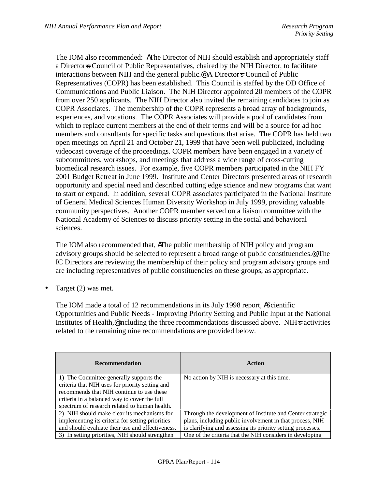The IOM also recommended: AThe Director of NIH should establish and appropriately staff a Director-s Council of Public Representatives, chaired by the NIH Director, to facilitate interactions between NIH and the general public.<sup>@</sup> A Director=s Council of Public Representatives (COPR) has been established. This Council is staffed by the OD Office of Communications and Public Liaison. The NIH Director appointed 20 members of the COPR from over 250 applicants. The NIH Director also invited the remaining candidates to join as COPR Associates. The membership of the COPR represents a broad array of backgrounds, experiences, and vocations. The COPR Associates will provide a pool of candidates from which to replace current members at the end of their terms and will be a source for ad hoc members and consultants for specific tasks and questions that arise. The COPR has held two open meetings on April 21 and October 21, 1999 that have been well publicized, including videocast coverage of the proceedings. COPR members have been engaged in a variety of subcommittees, workshops, and meetings that address a wide range of cross-cutting biomedical research issues. For example, five COPR members participated in the NIH FY 2001 Budget Retreat in June 1999. Institute and Center Directors presented areas of research opportunity and special need and described cutting edge science and new programs that want to start or expand. In addition, several COPR associates participated in the National Institute of General Medical Sciences Human Diversity Workshop in July 1999, providing valuable community perspectives. Another COPR member served on a liaison committee with the National Academy of Sciences to discuss priority setting in the social and behavioral sciences.

The IOM also recommended that, AThe public membership of NIH policy and program advisory groups should be selected to represent a broad range of public constituencies.@ The IC Directors are reviewing the membership of their policy and program advisory groups and are including representatives of public constituencies on these groups, as appropriate.

• Target (2) was met.

The IOM made a total of 12 recommendations in its July 1998 report, AScientific Opportunities and Public Needs - Improving Priority Setting and Public Input at the National Institutes of Health,<sup>@</sup> including the three recommendations discussed above. NIH=s activities related to the remaining nine recommendations are provided below.

| <b>Recommendation</b>                            | Action                                                      |
|--------------------------------------------------|-------------------------------------------------------------|
| 1) The Committee generally supports the          | No action by NIH is necessary at this time.                 |
| criteria that NIH uses for priority setting and  |                                                             |
| recommends that NIH continue to use these        |                                                             |
| criteria in a balanced way to cover the full     |                                                             |
| spectrum of research related to human health.    |                                                             |
| 2) NIH should make clear its mechanisms for      | Through the development of Institute and Center strategic   |
| implementing its criteria for setting priorities | plans, including public involvement in that process, NIH    |
| and should evaluate their use and effectiveness. | is clarifying and assessing its priority setting processes. |
| 3) In setting priorities, NIH should strengthen  | One of the criteria that the NIH considers in developing    |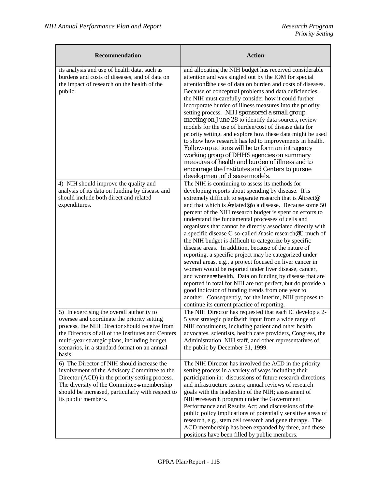| Recommendation                                                                                                                                                                                                                                                                                            | <b>Action</b>                                                                                                                                                                                                                                                                                                                                                                                                                                                                                                                                                                                                                                                                                                                                                                                                                                                                                                                                                                                                                                                        |
|-----------------------------------------------------------------------------------------------------------------------------------------------------------------------------------------------------------------------------------------------------------------------------------------------------------|----------------------------------------------------------------------------------------------------------------------------------------------------------------------------------------------------------------------------------------------------------------------------------------------------------------------------------------------------------------------------------------------------------------------------------------------------------------------------------------------------------------------------------------------------------------------------------------------------------------------------------------------------------------------------------------------------------------------------------------------------------------------------------------------------------------------------------------------------------------------------------------------------------------------------------------------------------------------------------------------------------------------------------------------------------------------|
| its analysis and use of health data, such as<br>burdens and costs of diseases, and of data on<br>the impact of research on the health of the<br>public.                                                                                                                                                   | and allocating the NIH budget has received considerable<br>attention and was singled out by the IOM for special<br>attentionBthe use of data on burden and costs of diseases.<br>Because of conceptual problems and data deficiencies,<br>the NIH must carefully consider how it could further<br>incorporate burden of illness measures into the priority<br>setting process. NIH sponsored a small group<br>meeting on June 28 to identify data sources, review<br>models for the use of burden/cost of disease data for<br>priority setting, and explore how these data might be used<br>to show how research has led to improvements in health.<br>Follow-up actions will be to form an intragency<br>working group of DHHS agencies on summary<br>measures of health and burden of illness and to<br>encourage the Institutes and Centers to pursue<br>development of disease models.                                                                                                                                                                           |
| 4) NIH should improve the quality and<br>analysis of its data on funding by disease and<br>should include both direct and related<br>expenditures.                                                                                                                                                        | The NIH is continuing to assess its methods for<br>developing reports about spending by disease. It is<br>extremely difficult to separate research that is Adirect®<br>and that which is Arelated@to a disease. Because some 50<br>percent of the NIH research budget is spent on efforts to<br>understand the fundamental processes of cells and<br>organisms that cannot be directly associated directly with<br>a specific disease C so-called Abasic research® C much of<br>the NIH budget is difficult to categorize by specific<br>disease areas. In addition, because of the nature of<br>reporting, a specific project may be categorized under<br>several areas, e.g., a project focused on liver cancer in<br>women would be reported under liver disease, cancer,<br>and womens health. Data on funding by disease that are<br>reported in total for NIH are not perfect, but do provide a<br>good indicator of funding trends from one year to<br>another. Consequently, for the interim, NIH proposes to<br>continue its current practice of reporting. |
| 5) In exercising the overall authority to<br>oversee and coordinate the priority setting<br>process, the NIH Director should receive from<br>the Directors of all of the Institutes and Centers<br>multi-year strategic plans, including budget<br>scenarios, in a standard format on an annual<br>basis. | The NIH Director has requested that each IC develop a 2-<br>5 year strategic planBwith input from a wide range of<br>NIH constituents, including patient and other health<br>advocates, scientists, health care providers, Congress, the<br>Administration, NIH staff, and other representatives of<br>the public by December 31, 1999.                                                                                                                                                                                                                                                                                                                                                                                                                                                                                                                                                                                                                                                                                                                              |
| 6) The Director of NIH should increase the<br>involvement of the Advisory Committee to the<br>Director (ACD) in the priority setting process.<br>The diversity of the Committee-s membership<br>should be increased, particularly with respect to<br>its public members.                                  | The NIH Director has involved the ACD in the priority<br>setting process in a variety of ways including their<br>participation in: discussions of future research directions<br>and infrastructure issues; annual reviews of research<br>goals with the leadership of the NIH; assessment of<br>NIH-s research program under the Government<br>Performance and Results Act; and discussions of the<br>public policy implications of potentially sensitive areas of<br>research, e.g., stem cell research and gene therapy. The<br>ACD membership has been expanded by three, and these<br>positions have been filled by public members.                                                                                                                                                                                                                                                                                                                                                                                                                              |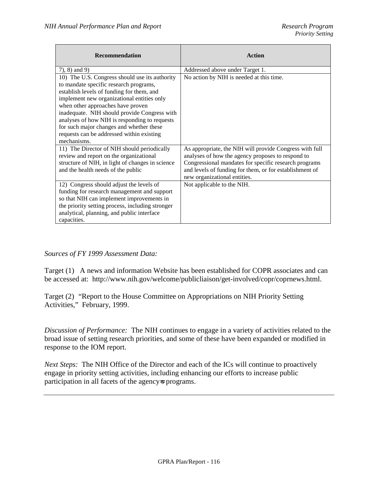| Recommendation                                                                                                                                                                                                                                        | <b>Action</b>                                                                                                                                                                                                                                                    |
|-------------------------------------------------------------------------------------------------------------------------------------------------------------------------------------------------------------------------------------------------------|------------------------------------------------------------------------------------------------------------------------------------------------------------------------------------------------------------------------------------------------------------------|
| $(7)$ , 8) and 9)                                                                                                                                                                                                                                     | Addressed above under Target 1.                                                                                                                                                                                                                                  |
| 10) The U.S. Congress should use its authority<br>to mandate specific research programs,<br>establish levels of funding for them, and<br>implement new organizational entities only<br>when other approaches have proven                              | No action by NIH is needed at this time.                                                                                                                                                                                                                         |
| inadequate. NIH should provide Congress with<br>analyses of how NIH is responding to requests<br>for such major changes and whether these<br>requests can be addressed within existing<br>mechanisms.                                                 |                                                                                                                                                                                                                                                                  |
| 11) The Director of NIH should periodically<br>review and report on the organizational<br>structure of NIH, in light of changes in science<br>and the health needs of the public                                                                      | As appropriate, the NIH will provide Congress with full<br>analyses of how the agency proposes to respond to<br>Congressional mandates for specific research programs<br>and levels of funding for them, or for establishment of<br>new organizational entities. |
| 12) Congress should adjust the levels of<br>funding for research management and support<br>so that NIH can implement improvements in<br>the priority setting process, including stronger<br>analytical, planning, and public interface<br>capacities. | Not applicable to the NIH.                                                                                                                                                                                                                                       |

#### *Sources of FY 1999 Assessment Data:*

Target (1) A news and information Website has been established for COPR associates and can be accessed at: http://www.nih.gov/welcome/publicliaison/get-involved/copr/coprnews.html.

Target (2) "Report to the House Committee on Appropriations on NIH Priority Setting Activities," February, 1999.

*Discussion of Performance:* The NIH continues to engage in a variety of activities related to the broad issue of setting research priorities, and some of these have been expanded or modified in response to the IOM report.

*Next Steps:* The NIH Office of the Director and each of the ICs will continue to proactively engage in priority setting activities, including enhancing our efforts to increase public participation in all facets of the agency-s programs.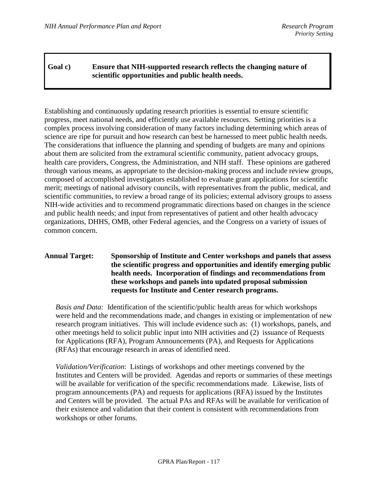### **Goal c) Ensure that NIH-supported research reflects the changing nature of scientific opportunities and public health needs.**

Establishing and continuously updating research priorities is essential to ensure scientific progress, meet national needs, and efficiently use available resources. Setting priorities is a complex process involving consideration of many factors including determining which areas of science are ripe for pursuit and how research can best be harnessed to meet public health needs. The considerations that influence the planning and spending of budgets are many and opinions about them are solicited from the extramural scientific community, patient advocacy groups, health care providers, Congress, the Administration, and NIH staff. These opinions are gathered through various means, as appropriate to the decision-making process and include review groups, composed of accomplished investigators established to evaluate grant applications for scientific merit; meetings of national advisory councils, with representatives from the public, medical, and scientific communities, to review a broad range of its policies; external advisory groups to assess NIH-wide activities and to recommend programmatic directions based on changes in the science and public health needs; and input from representatives of patient and other health advocacy organizations, DHHS, OMB, other Federal agencies, and the Congress on a variety of issues of common concern.

#### **Annual Target: Sponsorship of Institute and Center workshops and panels that assess the scientific progress and opportunities and identify emerging public health needs. Incorporation of findings and recommendations from these workshops and panels into updated proposal submission requests for Institute and Center research programs.**

*Basis and Data:* Identification of the scientific/public health areas for which workshops were held and the recommendations made, and changes in existing or implementation of new research program initiatives. This will include evidence such as: (1) workshops, panels, and other meetings held to solicit public input into NIH activities and (2) issuance of Requests for Applications (RFA), Program Announcements (PA), and Requests for Applications (RFAs) that encourage research in areas of identified need.

*Validation/Verification*: Listings of workshops and other meetings convened by the Institutes and Centers will be provided. Agendas and reports or summaries of these meetings will be available for verification of the specific recommendations made. Likewise, lists of program announcements (PA) and requests for applications (RFA) issued by the Institutes and Centers will be provided. The actual PAs and RFAs will be available for verification of their existence and validation that their content is consistent with recommendations from workshops or other forums.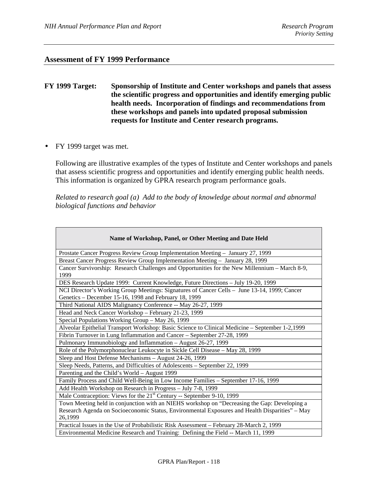#### **Assessment of FY 1999 Performance**

**FY 1999 Target: Sponsorship of Institute and Center workshops and panels that assess the scientific progress and opportunities and identify emerging public health needs. Incorporation of findings and recommendations from these workshops and panels into updated proposal submission requests for Institute and Center research programs.**

• FY 1999 target was met.

Following are illustrative examples of the types of Institute and Center workshops and panels that assess scientific progress and opportunities and identify emerging public health needs. This information is organized by GPRA research program performance goals.

*Related to research goal (a) Add to the body of knowledge about normal and abnormal biological functions and behavior*

| Name of Workshop, Panel, or Other Meeting and Date Held                                                                                               |
|-------------------------------------------------------------------------------------------------------------------------------------------------------|
| Prostate Cancer Progress Review Group Implementation Meeting - January 27, 1999                                                                       |
| Breast Cancer Progress Review Group Implementation Meeting - January 28, 1999                                                                         |
| Cancer Survivorship: Research Challenges and Opportunities for the New Millennium - March 8-9,<br>1999                                                |
| DES Research Update 1999: Current Knowledge, Future Directions - July 19-20, 1999                                                                     |
| NCI Director's Working Group Meetings: Signatures of Cancer Cells - June 13-14, 1999; Cancer<br>Genetics - December 15-16, 1998 and February 18, 1999 |
| Third National AIDS Malignancy Conference -- May 26-27, 1999                                                                                          |
| Head and Neck Cancer Workshop - February 21-23, 1999                                                                                                  |
| Special Populations Working Group - May 26, 1999                                                                                                      |
| Alveolar Epithelial Transport Workshop: Basic Science to Clinical Medicine – September 1-2,1999                                                       |
| Fibrin Turnover in Lung Inflammation and Cancer - September 27-28, 1999                                                                               |
| Pulmonary Immunobiology and Inflammation - August 26-27, 1999                                                                                         |
| Role of the Polymorphonuclear Leukocyte in Sickle Cell Disease - May 28, 1999                                                                         |
| Sleep and Host Defense Mechanisms - August 24-26, 1999                                                                                                |
| Sleep Needs, Patterns, and Difficulties of Adolescents - September 22, 1999                                                                           |
| Parenting and the Child's World - August 1999                                                                                                         |
| Family Process and Child Well-Being in Low Income Families - September 17-16, 1999                                                                    |
| Add Health Workshop on Research in Progress - July 7-8, 1999                                                                                          |
| Male Contraception: Views for the 21 <sup>st</sup> Century -- September 9-10, 1999                                                                    |
| Town Meeting held in conjunction with an NIEHS workshop on "Decreasing the Gap: Developing a                                                          |
| Research Agenda on Socioeconomic Status, Environmental Exposures and Health Disparities" - May                                                        |
| 26,1999                                                                                                                                               |
| Practical Issues in the Use of Probabilistic Risk Assessment - February 28-March 2, 1999                                                              |
| Environmental Medicine Research and Training: Defining the Field -- March 11, 1999                                                                    |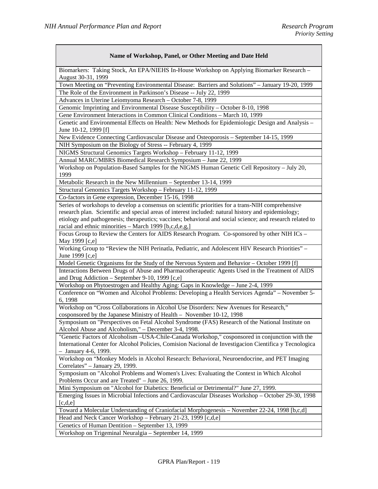| Name of Workshop, Panel, or Other Meeting and Date Held                                                                                                         |
|-----------------------------------------------------------------------------------------------------------------------------------------------------------------|
| Biomarkers: Taking Stock, An EPA/NIEHS In-House Workshop on Applying Biomarker Research -<br>August 30-31, 1999                                                 |
| Town Meeting on "Preventing Environmental Disease: Barriers and Solutions" - January 19-20, 1999                                                                |
| The Role of the Environment in Parkinson's Disease -- July 22, 1999                                                                                             |
| Advances in Uterine Leiomyoma Research - October 7-8, 1999                                                                                                      |
| Genomic Imprinting and Environmental Disease Susceptibility - October 8-10, 1998                                                                                |
| Gene Environment Interactions in Common Clinical Conditions - March 10, 1999                                                                                    |
| Genetic and Environmental Effects on Health: New Methods for Epidemiologic Design and Analysis -<br>June 10-12, 1999 [f]                                        |
| New Evidence Connecting Cardiovascular Disease and Osteoporosis - September 14-15, 1999                                                                         |
| NIH Symposium on the Biology of Stress -- February 4, 1999                                                                                                      |
| NIGMS Structural Genomics Targets Workshop - February 11-12, 1999                                                                                               |
| Annual MARC/MBRS Biomedical Research Symposium - June 22, 1999                                                                                                  |
| Workshop on Population-Based Samples for the NIGMS Human Genetic Cell Repository - July 20,                                                                     |
| 1999                                                                                                                                                            |
| Metabolic Research in the New Millennium - September 13-14, 1999                                                                                                |
| Structural Genomics Targets Workshop - February 11-12, 1999                                                                                                     |
| Co-factors in Gene expression, December 15-16, 1998                                                                                                             |
| Series of workshops to develop a consensus on scientific priorities for a trans-NIH comprehensive                                                               |
| research plan. Scientific and special areas of interest included: natural history and epidemiology;                                                             |
| etiology and pathogenesis; therapeutics; vaccines; behavioral and social science; and research related to                                                       |
| racial and ethnic minorities - March 1999 [b,c,d,e,g,]                                                                                                          |
| Focus Group to Review the Centers for AIDS Research Program. Co-sponsored by other NIH ICs -<br>May 1999 [c,e]                                                  |
| Working Group to "Review the NIH Perinatla, Pediatric, and Adolescent HIV Research Priorities" -                                                                |
| June 1999 [c,e]                                                                                                                                                 |
| Model Genetic Organisms for the Study of the Nervous System and Behavior - October 1999 [f]                                                                     |
| Interactions Between Drugs of Abuse and Pharmacotherapeutic Agents Used in the Treatment of AIDS                                                                |
| and Drug Addiction - September 9-10, 1999 [c,e]                                                                                                                 |
| Workshop on Phytoestrogen and Healthy Aging: Gaps in Knowledge - June 2-4, 1999                                                                                 |
| Conference on "Women and Alcohol Problems: Developing a Health Services Agenda" – November 5-<br>6, 1998                                                        |
| Workshop on "Cross Collaborations in Alcohol Use Disorders: New Avenues for Research,"<br>cosponsored by the Japanese Ministry of Health - November 10-12, 1998 |
| Symposium on "Perspectives on Fetal Alcohol Syndrome (FAS) Research of the National Institute on                                                                |
| Alcohol Abuse and Alcoholism," – December 3-4, 1998.                                                                                                            |
| "Genetic Factors of Alcoholism - USA-Chile-Canada Workshop," cosponsored in conjunction with the                                                                |
| International Center for Alcohol Policies, Comision Nacional de Investigacion Científica y Tecnologica                                                          |
| $-$ January 4-6, 1999.                                                                                                                                          |
| Workshop on "Monkey Models in Alcohol Research: Behavioral, Neuroendocrine, and PET Imaging                                                                     |
| Correlates" - January 29, 1999.                                                                                                                                 |
| Symposium on "Alcohol Problems and Women's Lives: Evaluating the Context in Which Alcohol<br>Problems Occur and are Treated" - June 26, 1999.                   |
| Mini Symposium on "Alcohol for Diabetics: Beneficial or Detrimental?" June 27, 1999.                                                                            |
| Emerging Issues in Microbial Infections and Cardiovascular Diseases Workshop - October 29-30, 1998                                                              |
| [c,d,e]                                                                                                                                                         |
| Toward a Molecular Understanding of Craniofacial Morphogenesis - November 22-24, 1998 [b,c,d]                                                                   |
| Head and Neck Cancer Workshop - February 21-23, 1999 [c,d,e]                                                                                                    |
| Genetics of Human Dentition - September 13, 1999                                                                                                                |
| Workshop on Trigeminal Neuralgia - September 14, 1999                                                                                                           |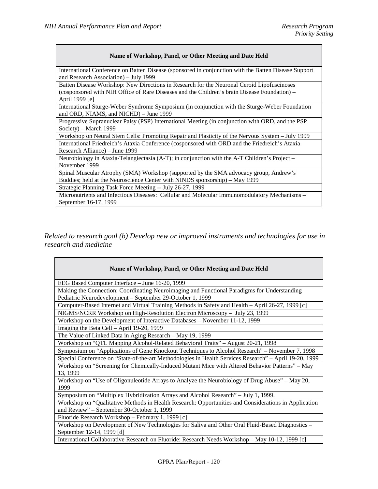#### **Name of Workshop, Panel, or Other Meeting and Date Held**

International Conference on Batten Disease (sponsored in conjunction with the Batten Disease Support and Research Association) – July 1999

Batten Disease Workshop: New Directions in Research for the Neuronal Ceroid Lipofuscinoses (cosponsored with NIH Office of Rare Diseases and the Children's brain Disease Foundation) – April 1999 [e]

International Sturge-Weber Syndrome Symposium (in conjunction with the Sturge-Weber Foundation and ORD, NIAMS, and NICHD) – June 1999

Progressive Supranuclear Palsy (PSP) International Meeting (in conjunction with ORD, and the PSP Society) – March 1999

Workshop on Neural Stem Cells: Promoting Repair and Plasticity of the Nervous System – July 1999

International Friedreich's Ataxia Conference (cosponsored with ORD and the Friedreich's Ataxia Research Alliance) – June 1999

Neurobiology in Ataxia-Telangiectasia (A-T); in conjunction with the A-T Children's Project – November 1999

Spinal Muscular Atrophy (SMA) Workshop (supported by the SMA advocacy group, Andrew's Buddies; held at the Neuroscience Center with NINDS sponsorship) – May 1999

Strategic Planning Task Force Meeting -- July 26-27, 1999

Micronutrients and Infectious Diseases: Cellular and Molecular Immunomodulatory Mechanisms – September 16-17, 1999

*Related to research goal (b) Develop new or improved instruments and technologies for use in research and medicine*

| Name of Workshop, Panel, or Other Meeting and Date Held                                                                                                  |
|----------------------------------------------------------------------------------------------------------------------------------------------------------|
| EEG Based Computer Interface - June 16-20, 1999                                                                                                          |
| Making the Connection: Coordinating Neuroimaging and Functional Paradigms for Understanding<br>Pediatric Neurodevelopment - September 29-October 1, 1999 |
| Computer-Based Internet and Virtual Training Methods in Safety and Health - April 26-27, 1999 [c]                                                        |
| NIGMS/NCRR Workshop on High-Resolution Electron Microscopy - July 23, 1999                                                                               |
| Workshop on the Development of Interactive Databases - November 11-12, 1999                                                                              |
| Imaging the Beta Cell - April 19-20, 1999                                                                                                                |
| The Value of Linked Data in Aging Research – May 19, 1999                                                                                                |
| Workshop on "QTL Mapping Alcohol-Related Behavioral Traits" - August 20-21, 1998                                                                         |
| Symposium on "Applications of Gene Knockout Techniques to Alcohol Research" – November 7, 1998                                                           |
| Special Conference on "State-of-the-art Methodologies in Health Services Research" - April 19-20, 1999                                                   |
| Workshop on "Screening for Chemically-Induced Mutant Mice with Altered Behavior Patterns" - May<br>13, 1999                                              |
| Workshop on "Use of Oligonuleotide Arrays to Analyze the Neurobiology of Drug Abuse" – May 20,<br>1999                                                   |
| Symposium on "Multiplex Hybridization Arrays and Alcohol Research" – July 1, 1999.                                                                       |
| Workshop on "Qualitative Methods in Health Research: Opportunities and Considerations in Application                                                     |
| and Review" - September 30-October 1, 1999                                                                                                               |
| Fluoride Research Workshop - February 1, 1999 [c]                                                                                                        |
| Workshop on Development of New Technologies for Saliva and Other Oral Fluid-Based Diagnostics -                                                          |
| September 12-14, 1999 [d]                                                                                                                                |
| International Collaborative Research on Fluoride: Research Needs Workshop - May 10-12, 1999 [c]                                                          |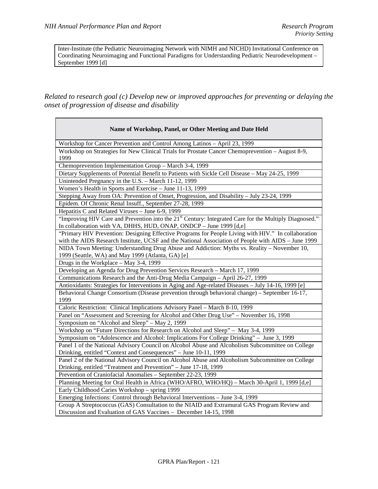Inter-Institute (the Pediatric Neuroimaging Network with NIMH and NICHD) Invitational Conference on Coordinating Neuroimaging and Functional Paradigms for Understanding Pediatric Neurodevelopment – September 1999 [d]

*Related to research goal (c) Develop new or improved approaches for preventing or delaying the onset of progression of disease and disability*

| Name of Workshop, Panel, or Other Meeting and Date Held                                                                                                                                                    |
|------------------------------------------------------------------------------------------------------------------------------------------------------------------------------------------------------------|
| Workshop for Cancer Prevention and Control Among Latinos - April 23, 1999                                                                                                                                  |
| Workshop on Strategies for New Clinical Trials for Prostate Cancer Chemoprevention - August 8-9,<br>1999                                                                                                   |
| Chemoprevention Implementation Group - March 3-4, 1999                                                                                                                                                     |
| Dietary Supplements of Potential Benefit to Patients with Sickle Cell Disease - May 24-25, 1999                                                                                                            |
| Unintended Pregnancy in the U.S. - March 11-12, 1999                                                                                                                                                       |
| Women's Health in Sports and Exercise - June 11-13, 1999                                                                                                                                                   |
| Stepping Away from OA: Prevention of Onset, Progression, and Disability - July 23-24, 1999                                                                                                                 |
| Epidem. Of Chronic Renal Insuff., September 27-28, 1999                                                                                                                                                    |
| Hepatitis C and Related Viruses - June 6-9, 1999                                                                                                                                                           |
| "Improving HIV Care and Prevention into the 21 <sup>st</sup> Century: Integrated Care for the Multiply Diagnosed."<br>In collaboration with VA, DHHS, HUD, ONAP, ONDCP - June 1999 [d,e]                   |
| "Primary HIV Prevention: Designing Effective Programs for People Living with HIV." In collaboration<br>with the AIDS Research Institute, UCSF and the National Association of People with AIDS - June 1999 |
| NIDA Town Meeting: Understanding Drug Abuse and Addiction: Myths vs. Reality - November 10,                                                                                                                |
| 1999 (Seattle, WA) and May 1999 (Atlanta, GA) [e]                                                                                                                                                          |
| Drugs in the Workplace - May 3-4, 1999                                                                                                                                                                     |
| Developing an Agenda for Drug Prevention Services Research - March 17, 1999                                                                                                                                |
| Communications Research and the Anti-Drug Media Campaign - April 26-27, 1999                                                                                                                               |
| Antioxidants: Strategies for Interventions in Aging and Age-related Diseases - July 14-16, 1999 [e]                                                                                                        |
| Behavioral Change Consortium (Disease prevention through behavioral change) – September 16-17,<br>1999                                                                                                     |
| Caloric Restriction: Clinical Implications Advisory Panel - March 8-10, 1999                                                                                                                               |
| Panel on "Assessment and Screening for Alcohol and Other Drug Use" - November 16, 1998                                                                                                                     |
| Symposium on "Alcohol and Sleep" - May 2, 1999                                                                                                                                                             |
| Workshop on "Future Directions for Research on Alcohol and Sleep" - May 3-4, 1999                                                                                                                          |
| Symposium on "Adolescence and Alcohol: Implications For College Drinking" - June 3, 1999                                                                                                                   |
| Panel 1 of the National Advisory Council on Alcohol Abuse and Alcoholism Subcommittee on College                                                                                                           |
| Drinking, entitled "Context and Consequences" - June 10-11, 1999                                                                                                                                           |
| Panel 2 of the National Advisory Council on Alcohol Abuse and Alcoholism Subcommittee on College                                                                                                           |
| Drinking, entitled "Treatment and Prevention" - June 17-18, 1999                                                                                                                                           |
| Prevention of Craniofacial Anomalies - September 22-23, 1999                                                                                                                                               |
| Planning Meeting for Oral Health in Africa (WHO/AFRO, WHO/HQ) - March 30-April 1, 1999 [d,e]                                                                                                               |
| Early Childhood Caries Workshop - spring 1999                                                                                                                                                              |
| Emerging Infections: Control through Behavioral Interventions - June 3-4, 1999                                                                                                                             |
| Group A Streptococcus (GAS) Consultation to the NIAID and Extramural GAS Program Review and                                                                                                                |
| Discussion and Evaluation of GAS Vaccines - December 14-15, 1998                                                                                                                                           |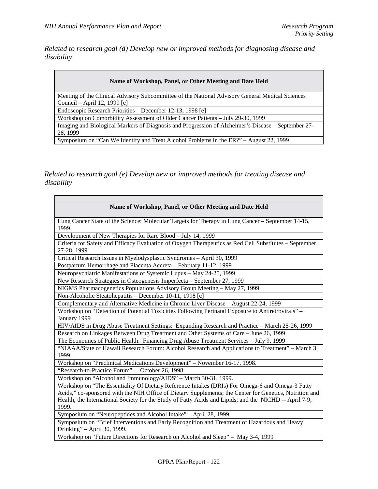*Related to research goal (d) Develop new or improved methods for diagnosing disease and disability*

| Name of Workshop, Panel, or Other Meeting and Date Held                                                                         |
|---------------------------------------------------------------------------------------------------------------------------------|
| Meeting of the Clinical Advisory Subcommittee of the National Advisory General Medical Sciences<br>Council – April 12, 1999 [e] |
| Endoscopic Research Priorities – December 12-13, 1998 [e]                                                                       |
| Workshop on Comorbidity Assessment of Older Cancer Patients – July 29-30, 1999                                                  |
| Imaging and Biological Markers of Diagnosis and Progression of Alzheimer's Disease – September 27-<br>28.1999                   |
| Symposium on "Can We Identify and Treat Alcohol Problems in the ER?" – August 22, 1999                                          |

*Related to research goal (e) Develop new or improved methods for treating disease and disability*

<u> 1989 - Johann Barbara, martxa amerikan personal (</u>

| Name of Workshop, Panel, or Other Meeting and Date Held                                                                                                                                                                                                                                                                       |
|-------------------------------------------------------------------------------------------------------------------------------------------------------------------------------------------------------------------------------------------------------------------------------------------------------------------------------|
| Lung Cancer State of the Science: Molecular Targets for Therapy in Lung Cancer – September 14-15,<br>1999                                                                                                                                                                                                                     |
| Development of New Therapies for Rare Blood - July 14, 1999                                                                                                                                                                                                                                                                   |
| Criteria for Safety and Efficacy Evaluation of Oxygen Therapeutics as Red Cell Substitutes - September<br>27-28, 1999                                                                                                                                                                                                         |
| Critical Research Issues in Myelodysplastic Syndromes - April 30, 1999                                                                                                                                                                                                                                                        |
| Postpartum Hemorrhage and Placenta Accreta - February 11-12, 1999                                                                                                                                                                                                                                                             |
| Neuropsychiatric Manifestations of Systemic Lupus - May 24-25, 1999                                                                                                                                                                                                                                                           |
| New Research Strategies in Osteogenesis Imperfecta - September 27, 1999                                                                                                                                                                                                                                                       |
| NIGMS Pharmacogenetics Populations Advisory Group Meeting - May 27, 1999                                                                                                                                                                                                                                                      |
| Non-Alcoholic Steatohepatitis - December 10-11, 1998 [c]                                                                                                                                                                                                                                                                      |
| Complementary and Alternative Medicine in Chronic Liver Disease - August 22-24, 1999                                                                                                                                                                                                                                          |
| Workshop on "Detection of Potential Toxicities Following Perinatal Exposure to Antiretrovirals" -                                                                                                                                                                                                                             |
| January 1999                                                                                                                                                                                                                                                                                                                  |
| HIV/AIDS in Drug Abuse Treatment Settings: Expanding Research and Practice - March 25-26, 1999                                                                                                                                                                                                                                |
| Research on Linkages Between Drug Treatment and Other Systems of Care - June 26, 1999                                                                                                                                                                                                                                         |
| The Economics of Public Health: Financing Drug Abuse Treatment Services - July 9, 1999                                                                                                                                                                                                                                        |
| "NIAAA/State of Hawaii Research Forum: Alcohol Research and Applications to Treatment" - March 3,<br>1999.                                                                                                                                                                                                                    |
| Workshop on "Preclinical Medications Development" - November 16-17, 1998.                                                                                                                                                                                                                                                     |
| "Research-to-Practice Forum" - October 26, 1998.                                                                                                                                                                                                                                                                              |
| Workshop on "Alcohol and Immunology/AIDS" - March 30-31, 1999.                                                                                                                                                                                                                                                                |
| Workshop on "The Essentiality Of Dietary Reference Intakes (DRIs) For Omega-6 and Omega-3 Fatty<br>Acids," co-sponsored with the NIH Office of Dietary Supplements; the Center for Genetics, Nutrition and<br>Health; the International Society for the Study of Fatty Acids and Lipids; and the NICHD -- April 7-9,<br>1999. |
| Symposium on "Neuropeptides and Alcohol Intake" - April 28, 1999.                                                                                                                                                                                                                                                             |
| Symposium on "Brief Interventions and Early Recognition and Treatment of Hazardous and Heavy<br>Drinking" - April 30, 1999.                                                                                                                                                                                                   |
| Workshop on "Future Directions for Research on Alcohol and Sleep" - May 3-4, 1999                                                                                                                                                                                                                                             |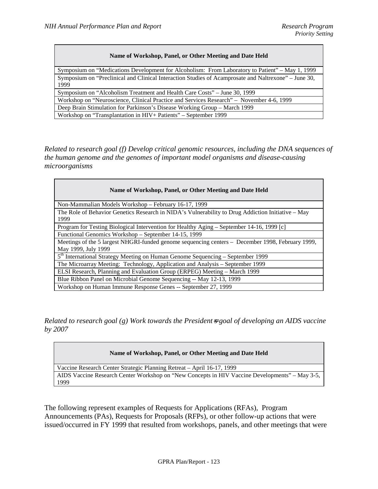#### **Name of Workshop, Panel, or Other Meeting and Date Held**

Symposium on "Medications Development for Alcoholism: From Laboratory to Patient" – May 1, 1999 Symposium on "Preclinical and Clinical Interaction Studies of Acamprosate and Naltrexone" – June 30, 1999

Symposium on "Alcoholism Treatment and Health Care Costs" – June 30, 1999

Workshop on "Neuroscience, Clinical Practice and Services Research" – November 4-6, 1999

Deep Brain Stimulation for Parkinson's Disease Working Group – March 1999

Workshop on "Transplantation in HIV+ Patients" – September 1999

*Related to research goal (f) Develop critical genomic resources, including the DNA sequences of the human genome and the genomes of important model organisms and disease-causing microorganisms*

| Name of Workshop, Panel, or Other Meeting and Date Held                                                                 |
|-------------------------------------------------------------------------------------------------------------------------|
| Non-Mammalian Models Workshop – February 16-17, 1999                                                                    |
| The Role of Behavior Genetics Research in NIDA's Vulnerability to Drug Addiction Initiative – May<br>1999               |
| Program for Testing Biological Intervention for Healthy Aging – September 14-16, 1999 [c]                               |
| Functional Genomics Workshop - September 14-15, 1999                                                                    |
| Meetings of the 5 largest NHGRI-funded genome sequencing centers – December 1998, February 1999,<br>May 1999, July 1999 |
| 5 <sup>th</sup> International Strategy Meeting on Human Genome Sequencing – September 1999                              |
| The Microarray Meeting: Technology, Application and Analysis - September 1999                                           |
| ELSI Research, Planning and Evaluation Group (ERPEG) Meeting - March 1999                                               |
| Blue Ribbon Panel on Microbial Genome Sequencing -- May 12-13, 1999                                                     |
| Workshop on Human Immune Response Genes -- September 27, 1999                                                           |

*Related to research goal (g) Work towards the President<sup>{</sup></sup> s goal of developing an AIDS vaccine by 2007*

#### **Name of Workshop, Panel, or Other Meeting and Date Held**

Vaccine Research Center Strategic Planning Retreat – April 16-17, 1999 AIDS Vaccine Research Center Workshop on "New Concepts in HIV Vaccine Developments" – May 3-5, 1999

The following represent examples of Requests for Applications (RFAs), Program Announcements (PAs), Requests for Proposals (RFPs), or other follow-up actions that were issued/occurred in FY 1999 that resulted from workshops, panels, and other meetings that were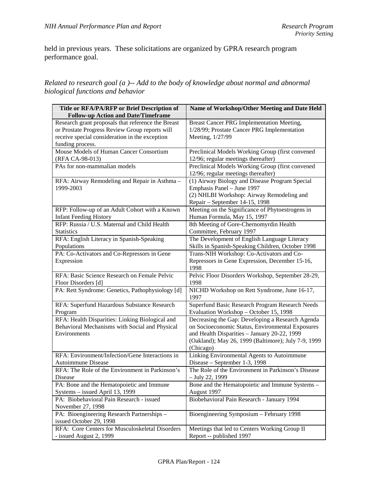held in previous years. These solicitations are organized by GPRA research program performance goal.

*Related to research goal (a )-- Add to the body of knowledge about normal and abnormal biological functions and behavior*

| Title or RFA/PA/RFP or Brief Description of        | Name of Workshop/Other Meeting and Date Held           |
|----------------------------------------------------|--------------------------------------------------------|
| <b>Follow-up Action and Date/Timeframe</b>         |                                                        |
| Research grant proposals that reference the Breast | Breast Cancer PRG Implementation Meeting,              |
| or Prostate Progress Review Group reports will     | 1/28/99; Prostate Cancer PRG Implementation            |
| receive special consideration in the exception     | Meeting, 1/27/99                                       |
| funding process.                                   |                                                        |
| Mouse Models of Human Cancer Consortium            | Preclinical Models Working Group (first convened       |
| (RFA CA-98-013)                                    | 12/96; regular meetings thereafter)                    |
| PAs for non-mammalian models                       | Preclinical Models Working Group (first convened       |
|                                                    | 12/96; regular meetings thereafter)                    |
| RFA: Airway Remodeling and Repair in Asthma -      | (1) Airway Biology and Disease Program Special         |
| 1999-2003                                          | Emphasis Panel - June 1997                             |
|                                                    | (2) NHLBI Workshop: Airway Remodeling and              |
|                                                    | Repair - September 14-15, 1998                         |
| RFP: Follow-up of an Adult Cohort with a Known     | Meeting on the Significance of Phytoestrogens in       |
| <b>Infant Feeding History</b>                      | Human Formula, May 15, 1997                            |
| RFP: Russia / U.S. Maternal and Child Health       | 8th Meeting of Gore-Chernomyrdin Health                |
| <b>Statistics</b>                                  | Committee, February 1997                               |
| RFA: English Literacy in Spanish-Speaking          | The Development of English Language Literacy           |
| Populations                                        | Skills in Spanish-Speaking Children, October 1998      |
| PA: Co-Activators and Co-Repressors in Gene        | Trans-NIH Workshop: Co-Activators and Co-              |
| Expression                                         | Repressors in Gene Expression, December 15-16,<br>1998 |
| RFA: Basic Science Research on Female Pelvic       | Pelvic Floor Disorders Workshop, September 28-29,      |
| Floor Disorders [d]                                | 1998                                                   |
| PA: Rett Syndrome: Genetics, Pathophysiology [d]   | NICHD Workshop on Rett Syndrome, June 16-17,           |
|                                                    | 1997                                                   |
| RFA: Superfund Hazardous Substance Research        | Superfund Basic Research Program Research Needs        |
| Program                                            | Evaluation Workshop - October 15, 1998                 |
| RFA: Health Disparities: Linking Biological and    | Decreasing the Gap: Developing a Research Agenda       |
| Behavioral Mechanisms with Social and Physical     | on Socioeconomic Status, Environmental Exposures       |
| Environments                                       | and Health Disparities - January 20-22, 1999           |
|                                                    | (Oakland); May 26, 1999 (Baltimore); July 7-9, 1999    |
|                                                    | (Chicago)                                              |
| RFA: Environment/Infection/Gene Interactions in    | Linking Environmental Agents to Autoimmune             |
| <b>Autoimmune Disease</b>                          | Disease – September 1-3, 1998                          |
| RFA: The Role of the Environment in Parkinson's    | The Role of the Environment in Parkinson's Disease     |
| Disease                                            | $-$ July 22, 1999                                      |
| PA: Bone and the Hematopoietic and Immune          | Bone and the Hematopoietic and Immune Systems -        |
| Systems - issued April 13, 1999                    | August 1997                                            |
| PA: Biobehavioral Pain Research - issued           | Biobehavioral Pain Research - January 1994             |
| November 27, 1998                                  |                                                        |
| PA: Bioengineering Research Partnerships -         | Bioengineering Symposium - February 1998               |
| issued October 29, 1998                            |                                                        |
| RFA: Core Centers for Musculoskeletal Disorders    | Meetings that led to Centers Working Group II          |
| - issued August 2, 1999                            | Report -- published 1997                               |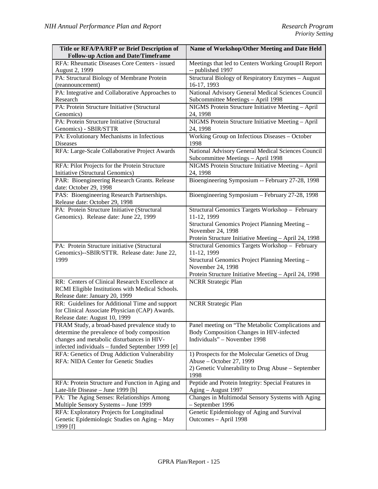| Title or RFA/PA/RFP or Brief Description of<br><b>Follow-up Action and Date/Timeframe</b>                                                                                                       | Name of Workshop/Other Meeting and Date Held                                                                                                                                                   |
|-------------------------------------------------------------------------------------------------------------------------------------------------------------------------------------------------|------------------------------------------------------------------------------------------------------------------------------------------------------------------------------------------------|
| RFA: Rheumatic Diseases Core Centers - issued<br>August 2, 1999                                                                                                                                 | Meetings that led to Centers Working GroupII Report<br>-- published 1997                                                                                                                       |
| PA: Structural Biology of Membrane Protein<br>(reannouncement)                                                                                                                                  | Structural Biology of Respiratory Enzymes - August<br>16-17, 1993                                                                                                                              |
| PA: Integrative and Collaborative Approaches to<br>Research                                                                                                                                     | National Advisory General Medical Sciences Council<br>Subcommittee Meetings - April 1998                                                                                                       |
| PA: Protein Structure Initiative (Structural<br>Genomics)                                                                                                                                       | NIGMS Protein Structure Initiative Meeting - April<br>24, 1998                                                                                                                                 |
| PA: Protein Structure Initiative (Structural<br>Genomics) - SBIR/STTR                                                                                                                           | NIGMS Protein Structure Initiative Meeting - April<br>24, 1998                                                                                                                                 |
| PA: Evolutionary Mechanisms in Infectious<br><b>Diseases</b>                                                                                                                                    | Working Group on Infectious Diseases - October<br>1998                                                                                                                                         |
| RFA: Large-Scale Collaborative Project Awards                                                                                                                                                   | National Advisory General Medical Sciences Council<br>Subcommittee Meetings - April 1998                                                                                                       |
| RFA: Pilot Projects for the Protein Structure<br>Initiative (Structural Genomics)                                                                                                               | NIGMS Protein Structure Initiative Meeting - April<br>24, 1998                                                                                                                                 |
| PAR: Bioengineering Research Grants. Release<br>date: October 29, 1998                                                                                                                          | Bioengineering Symposium -- February 27-28, 1998                                                                                                                                               |
| PAS: Bioengineering Research Partnerships.<br>Release date: October 29, 1998                                                                                                                    | Bioengineering Symposium - February 27-28, 1998                                                                                                                                                |
| PA: Protein Structure Initiative (Structural<br>Genomics). Release date: June 22, 1999                                                                                                          | Structural Genomics Targets Workshop - February<br>11-12, 1999<br>Structural Genomics Project Planning Meeting -<br>November 24, 1998<br>Protein Structure Initiative Meeting - April 24, 1998 |
| PA: Protein Structure initiative (Structural<br>Genomics)--SBIR/STTR. Release date: June 22,<br>1999                                                                                            | Structural Genomics Targets Workshop - February<br>11-12, 1999<br>Structural Genomics Project Planning Meeting -<br>November 24, 1998<br>Protein Structure Initiative Meeting - April 24, 1998 |
| RR: Centers of Clinical Research Excellence at<br>RCMI Eligible Institutions with Medical Schools.<br>Release date: January 20, 1999                                                            | NCRR Strategic Plan                                                                                                                                                                            |
| RR: Guidelines for Additional Time and support<br>for Clinical Associate Physician (CAP) Awards.<br>Release date: August 10, 1999                                                               | NCRR Strategic Plan                                                                                                                                                                            |
| FRAM Study, a broad-based prevalence study to<br>determine the prevalence of body composition<br>changes and metabolic disturbances in HIV-<br>infected individuals - funded September 1999 [e] | Panel meeting on "The Metabolic Complications and<br>Body Composition Changes in HIV-infected<br>Individuals" - November 1998                                                                  |
| RFA: Genetics of Drug Addiction Vulnerability<br>RFA: NIDA Center for Genetic Studies                                                                                                           | 1) Prospects for the Molecular Genetics of Drug<br>Abuse - October 27, 1999<br>2) Genetic Vulnerability to Drug Abuse – September<br>1998                                                      |
| RFA: Protein Structure and Function in Aging and<br>Late-life Disease - June 1999 [b]                                                                                                           | Peptide and Protein Integrity: Special Features in<br>Aging - August 1997                                                                                                                      |
| PA: The Aging Senses: Relationships Among<br>Multiple Sensory Systems - June 1999                                                                                                               | Changes in Multimodal Sensory Systems with Aging<br>- September 1996                                                                                                                           |
| RFA: Exploratory Projects for Longitudinal<br>Genetic Epidemiologic Studies on Aging - May<br>1999 [f]                                                                                          | Genetic Epidemiology of Aging and Survival<br>Outcomes - April 1998                                                                                                                            |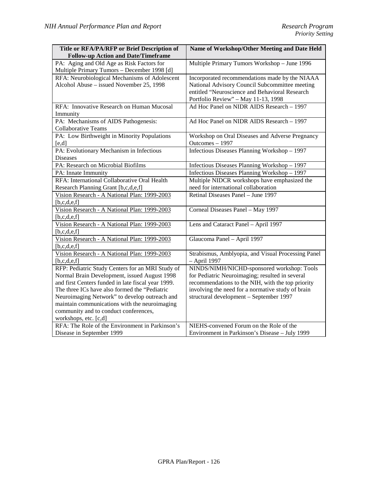| Title or RFA/PA/RFP or Brief Description of                                              | Name of Workshop/Other Meeting and Date Held       |
|------------------------------------------------------------------------------------------|----------------------------------------------------|
| <b>Follow-up Action and Date/Timeframe</b>                                               |                                                    |
| PA: Aging and Old Age as Risk Factors for<br>Multiple Primary Tumors - December 1998 [d] | Multiple Primary Tumors Workshop - June 1996       |
| RFA: Neurobiological Mechanisms of Adolescent                                            | Incorporated recommendations made by the NIAAA     |
| Alcohol Abuse - issued November 25, 1998                                                 | National Advisory Council Subcommittee meeting     |
|                                                                                          | entitled "Neuroscience and Behavioral Research     |
|                                                                                          | Portfolio Review" - May 11-13, 1998                |
| RFA: Innovative Research on Human Mucosal                                                | Ad Hoc Panel on NIDR AIDS Research - 1997          |
| Immunity                                                                                 |                                                    |
| PA: Mechanisms of AIDS Pathogenesis:                                                     | Ad Hoc Panel on NIDR AIDS Research - 1997          |
| <b>Collaborative Teams</b>                                                               |                                                    |
| PA: Low Birthweight in Minority Populations                                              | Workshop on Oral Diseases and Adverse Pregnancy    |
| [e,d]                                                                                    | Outcomes - 1997                                    |
| PA: Evolutionary Mechanism in Infectious                                                 | Infectious Diseases Planning Workshop - 1997       |
| <b>Diseases</b>                                                                          |                                                    |
| PA: Research on Microbial Biofilms                                                       | Infectious Diseases Planning Workshop - 1997       |
| PA: Innate Immunity                                                                      | Infectious Diseases Planning Workshop - 1997       |
| RFA: International Collaborative Oral Health                                             | Multiple NIDCR workshops have emphasized the       |
| Research Planning Grant [b,c,d,e,f]                                                      | need for international collaboration               |
| Vision Research - A National Plan: 1999-2003                                             | Retinal Diseases Panel – June 1997                 |
| [b,c,d,e,f]                                                                              |                                                    |
| Vision Research - A National Plan: 1999-2003                                             | Corneal Diseases Panel - May 1997                  |
| [b,c,d,e,f]                                                                              |                                                    |
| Vision Research - A National Plan: 1999-2003                                             | Lens and Cataract Panel - April 1997               |
| [b,c,d,e,f]                                                                              |                                                    |
| Vision Research - A National Plan: 1999-2003                                             | Glaucoma Panel - April 1997                        |
| [b,c,d,e,f]                                                                              |                                                    |
| Vision Research - A National Plan: 1999-2003                                             | Strabismus, Amblyopia, and Visual Processing Panel |
| [b,c,d,e,f]                                                                              | $-$ April 1997                                     |
| RFP: Pediatric Study Centers for an MRI Study of                                         | NINDS/NIMH/NICHD-sponsored workshop: Tools         |
| Normal Brain Development, issued August 1998                                             | for Pediatric Neuroimaging; resulted in several    |
| and first Centers funded in late fiscal year 1999.                                       | recommendations to the NIH, with the top priority  |
| The three ICs have also formed the "Pediatric                                            | involving the need for a normative study of brain  |
| Neuroimaging Network" to develop outreach and                                            | structural development - September 1997            |
| maintain communications with the neuroimaging                                            |                                                    |
| community and to conduct conferences,                                                    |                                                    |
| workshops, etc. [c,d]                                                                    |                                                    |
| RFA: The Role of the Environment in Parkinson's                                          | NIEHS-convened Forum on the Role of the            |
| Disease in September 1999                                                                | Environment in Parkinson's Disease - July 1999     |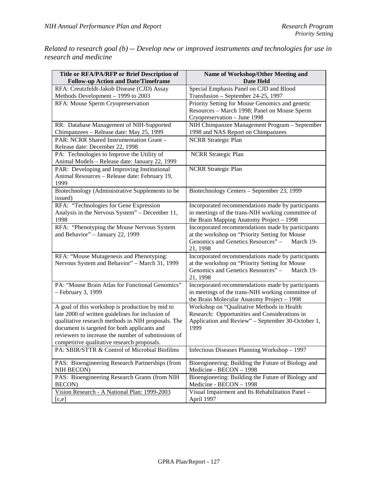*Related to research goal (b) -- Develop new or improved instruments and technologies for use in research and medicine*

| Title or RFA/PA/RFP or Brief Description of                                                            | Name of Workshop/Other Meeting and                                                                 |
|--------------------------------------------------------------------------------------------------------|----------------------------------------------------------------------------------------------------|
| <b>Follow-up Action and Date/Timeframe</b>                                                             | Date Held                                                                                          |
| RFA: Creutzfeldt-Jakob Disease (CJD) Assay                                                             | Special Emphasis Panel on CJD and Blood                                                            |
| Methods Development - 1999 to 2003                                                                     | Transfusion - September 24-25, 1997                                                                |
| RFA: Mouse Sperm Cryopreservation                                                                      | Priority Setting for Mouse Genomics and genetic                                                    |
|                                                                                                        | Resources - March 1998; Panel on Mouse Sperm                                                       |
|                                                                                                        | Cryopreservation - June 1998                                                                       |
| RR: Database Management of NIH-Supported                                                               | NIH Chimpanzee Management Program - September                                                      |
| Chimpanzees - Release date: May 25, 1999                                                               | 1998 and NAS Report on Chimpanzees                                                                 |
| PAR: NCRR Shared Instrumentation Grant-                                                                | <b>NCRR</b> Strategic Plan                                                                         |
| Release date: December 22, 1998                                                                        |                                                                                                    |
| PA: Technologies to Improve the Utility of                                                             | NCRR Strategic Plan                                                                                |
| Animal Models - Release date: January 22, 1999                                                         |                                                                                                    |
| PAR: Developing and Improving Institutional                                                            | <b>NCRR</b> Strategic Plan                                                                         |
| Animal Resources - Release date: February 19,<br>1999                                                  |                                                                                                    |
| Biotechnology (Administrative Supplements to be                                                        | Biotechnology Centers - September 23, 1999                                                         |
| issued)                                                                                                |                                                                                                    |
| RFA: "Technologies for Gene Expression                                                                 | Incorporated recommendations made by participants                                                  |
| Analysis in the Nervous System" - December 11,                                                         | in meetings of the trans-NIH working committee of                                                  |
| 1998                                                                                                   | the Brain Mapping Anatomy Project - 1998                                                           |
| RFA: "Phenotyping the Mouse Nervous System                                                             | Incorporated recommendations made by participants                                                  |
| and Behavior" - January 22, 1999                                                                       | at the workshop on "Priority Setting for Mouse                                                     |
|                                                                                                        | Genomics and Genetics Resources" -<br>March 19-                                                    |
|                                                                                                        | 21, 1998                                                                                           |
| RFA: "Mouse Mutagenesis and Phenotyping:                                                               | Incorporated recommendations made by participants                                                  |
| Nervous System and Behavior" - March 31, 1999                                                          | at the workshop on "Priority Setting for Mouse                                                     |
|                                                                                                        | Genomics and Genetics Resources" -<br>March 19-                                                    |
|                                                                                                        | 21, 1998                                                                                           |
| PA: "Mouse Brain Atlas for Functional Genomics"                                                        | Incorporated recommendations made by participants                                                  |
| $-$ February 3, 1999                                                                                   | in meetings of the trans-NIH working committee of                                                  |
|                                                                                                        | the Brain Molecular Anatomy Project - 1998                                                         |
| A goal of this workshop is production by mid to                                                        | Workshop on "Qualitative Methods in Health                                                         |
| late 2000 of written guidelines for inclusion of<br>qualitative research methods in NIH proposals. The | Research: Opportunities and Considerations in<br>Application and Review" - September 30-October 1, |
| document is targeted for both applicants and                                                           | 1999                                                                                               |
| reviewers to increase the number of submissions of                                                     |                                                                                                    |
| competitive qualitative research proposals.                                                            |                                                                                                    |
| PA: SBIR/STTR & Control of Microbial Biofilms                                                          | Infectious Diseases Planning Workshop - 1997                                                       |
|                                                                                                        |                                                                                                    |
| PAS: Bioengineering Research Partnerships (from                                                        | Bioengineering: Building the Future of Biology and                                                 |
| NIH BECON)                                                                                             | Medicine - BECON - 1998                                                                            |
| PAS: Bioengineering Research Grants (from NIH                                                          | Bioengineering: Building the Future of Biology and                                                 |
| BECON)                                                                                                 | Medicine - BECON - 1998                                                                            |
| Vision Research - A National Plan: 1999-2003                                                           | Visual Impairment and Its Rehabilitation Panel -                                                   |
| [c,e]                                                                                                  | April 1997                                                                                         |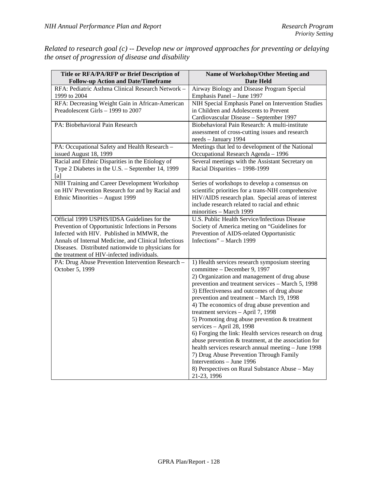*Related to research goal (c) -- Develop new or improved approaches for preventing or delaying the onset of progression of disease and disability*

| Title or RFA/PA/RFP or Brief Description of<br><b>Follow-up Action and Date/Timeframe</b>                                                                                                                                                                                                                 | Name of Workshop/Other Meeting and<br><b>Date Held</b>                                                                                                                                                                                                                                                                                                                                                                                                                                                                                                                                                                                                                                                                                                                   |
|-----------------------------------------------------------------------------------------------------------------------------------------------------------------------------------------------------------------------------------------------------------------------------------------------------------|--------------------------------------------------------------------------------------------------------------------------------------------------------------------------------------------------------------------------------------------------------------------------------------------------------------------------------------------------------------------------------------------------------------------------------------------------------------------------------------------------------------------------------------------------------------------------------------------------------------------------------------------------------------------------------------------------------------------------------------------------------------------------|
| RFA: Pediatric Asthma Clinical Research Network -<br>1999 to 2004                                                                                                                                                                                                                                         | Airway Biology and Disease Program Special<br>Emphasis Panel - June 1997                                                                                                                                                                                                                                                                                                                                                                                                                                                                                                                                                                                                                                                                                                 |
| RFA: Decreasing Weight Gain in African-American<br>Preadolescent Girls - 1999 to 2007                                                                                                                                                                                                                     | NIH Special Emphasis Panel on Intervention Studies<br>in Children and Adolescents to Prevent<br>Cardiovascular Disease - September 1997                                                                                                                                                                                                                                                                                                                                                                                                                                                                                                                                                                                                                                  |
| PA: Biobehavioral Pain Research                                                                                                                                                                                                                                                                           | Biobehavioral Pain Research: A multi-institute<br>assessment of cross-cutting issues and research<br>needs - January 1994                                                                                                                                                                                                                                                                                                                                                                                                                                                                                                                                                                                                                                                |
| PA: Occupational Safety and Health Research -<br>issued August 18, 1999                                                                                                                                                                                                                                   | Meetings that led to development of the National<br>Occupational Research Agenda - 1996                                                                                                                                                                                                                                                                                                                                                                                                                                                                                                                                                                                                                                                                                  |
| Racial and Ethnic Disparities in the Etiology of<br>Type 2 Diabetes in the U.S. - September 14, 1999<br>[a]                                                                                                                                                                                               | Several meetings with the Assistant Secretary on<br>Racial Disparities - 1998-1999                                                                                                                                                                                                                                                                                                                                                                                                                                                                                                                                                                                                                                                                                       |
| NIH Training and Career Development Workshop<br>on HIV Prevention Research for and by Racial and<br>Ethnic Minorities - August 1999                                                                                                                                                                       | Series of workshops to develop a consensus on<br>scientific priorities for a trans-NIH comprehensive<br>HIV/AIDS research plan. Special areas of interest<br>include research related to racial and ethnic<br>minorities - March 1999                                                                                                                                                                                                                                                                                                                                                                                                                                                                                                                                    |
| Official 1999 USPHS/IDSA Guidelines for the<br>Prevention of Opportunistic Infections in Persons<br>Infected with HIV. Published in MMWR, the<br>Annals of Internal Medicine, and Clinical Infectious<br>Diseases. Distributed nationwide to physicians for<br>the treatment of HIV-infected individuals. | U.S. Public Health Service/Infectious Disease<br>Society of America meting on "Guidelines for<br>Prevention of AIDS-related Opportunistic<br>Infections" - March 1999                                                                                                                                                                                                                                                                                                                                                                                                                                                                                                                                                                                                    |
| PA: Drug Abuse Prevention Intervention Research -<br>October 5, 1999                                                                                                                                                                                                                                      | 1) Health services research symposium steering<br>committee - December 9, 1997<br>2) Organization and management of drug abuse<br>prevention and treatment services - March 5, 1998<br>3) Effectiveness and outcomes of drug abuse<br>prevention and treatment - March 19, 1998<br>4) The economics of drug abuse prevention and<br>treatment services - April 7, 1998<br>5) Promoting drug abuse prevention $&$ treatment<br>services - April 28, 1998<br>6) Forging the link: Health services research on drug<br>abuse prevention & treatment, at the association for<br>health services research annual meeting - June 1998<br>7) Drug Abuse Prevention Through Family<br>Interventions - June 1996<br>8) Perspectives on Rural Substance Abuse - May<br>21-23, 1996 |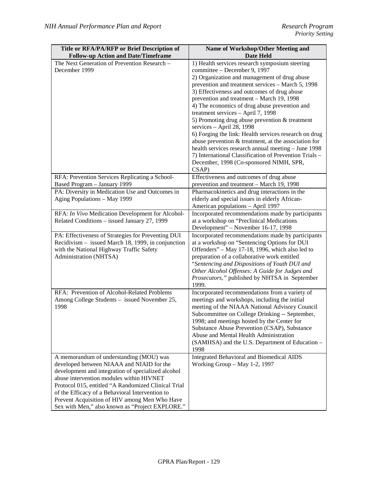| Title or RFA/PA/RFP or Brief Description of<br><b>Follow-up Action and Date/Timeframe</b>        | Name of Workshop/Other Meeting and<br>Date Held                                                 |
|--------------------------------------------------------------------------------------------------|-------------------------------------------------------------------------------------------------|
| The Next Generation of Prevention Research -                                                     | 1) Health services research symposium steering                                                  |
| December 1999                                                                                    | committee - December 9, 1997                                                                    |
|                                                                                                  | 2) Organization and management of drug abuse                                                    |
|                                                                                                  | prevention and treatment services - March 5, 1998                                               |
|                                                                                                  | 3) Effectiveness and outcomes of drug abuse                                                     |
|                                                                                                  | prevention and treatment - March 19, 1998                                                       |
|                                                                                                  | 4) The economics of drug abuse prevention and<br>treatment services - April 7, 1998             |
|                                                                                                  | 5) Promoting drug abuse prevention $&$ treatment<br>services - April 28, 1998                   |
|                                                                                                  | 6) Forging the link: Health services research on drug                                           |
|                                                                                                  | abuse prevention $&$ treatment, at the association for                                          |
|                                                                                                  | health services research annual meeting - June 1998                                             |
|                                                                                                  | 7) International Classification of Prevention Trials -                                          |
|                                                                                                  | December, 1998 (Co-sponsored NIMH, SPR,<br>CSAP)                                                |
| RFA: Prevention Services Replicating a School-                                                   | Effectiveness and outcomes of drug abuse                                                        |
| Based Program - January 1999                                                                     | prevention and treatment - March 19, 1998                                                       |
| PA: Diversity in Medication Use and Outcomes in                                                  | Pharmacokinetics and drug interactions in the                                                   |
| Aging Populations - May 1999                                                                     | elderly and special issues in elderly African-                                                  |
|                                                                                                  | American populations - April 1997                                                               |
| RFA: In Vivo Medication Development for Alcohol-<br>Related Conditions - issued January 27, 1999 | Incorporated recommendations made by participants<br>at a workshop on "Preclinical Medications  |
|                                                                                                  | Development" - November 16-17, 1998                                                             |
| PA: Effectiveness of Strategies for Preventing DUI                                               | Incorporated recommendations made by participants                                               |
| Recidivism – issued March 18, 1999, in conjunction                                               | at a workshop on "Sentencing Options for DUI                                                    |
| with the National Highway Traffic Safety                                                         | Offenders" - May 17-18, 1996, which also led to                                                 |
| Administration (NHTSA)                                                                           | preparation of a collaborative work entitled                                                    |
|                                                                                                  | "Sentencing and Dispositions of Youth DUI and                                                   |
|                                                                                                  | Other Alcohol Offenses: A Guide for Judges and                                                  |
|                                                                                                  | Prosecutors," published by NHTSA in September                                                   |
|                                                                                                  | 1999.                                                                                           |
| RFA: Prevention of Alcohol-Related Problems                                                      | Incorporated recommendations from a variety of                                                  |
| Among College Students - issued November 25,<br>1998                                             | meetings and workshops, including the initial<br>meeting of the NIAAA National Advisory Council |
|                                                                                                  | Subcommittee on College Drinking -- September,                                                  |
|                                                                                                  | 1998; and meetings hosted by the Center for                                                     |
|                                                                                                  | Substance Abuse Prevention (CSAP), Substance                                                    |
|                                                                                                  | Abuse and Mental Health Administration                                                          |
|                                                                                                  | (SAMHSA) and the U.S. Department of Education –                                                 |
|                                                                                                  | 1998                                                                                            |
| A memorandum of understanding (MOU) was                                                          | Integrated Behavioral and Biomedical AIDS                                                       |
| developed between NIAAA and NIAID for the                                                        | Working Group $-$ May 1-2, 1997                                                                 |
| development and integration of specialized alcohol                                               |                                                                                                 |
| abuse intervention modules within HIVNET                                                         |                                                                                                 |
| Protocol 015, entitled "A Randomized Clinical Trial                                              |                                                                                                 |
| of the Efficacy of a Behavioral Intervention to                                                  |                                                                                                 |
| Prevent Acquisition of HIV among Men Who Have<br>Sex with Men," also known as "Project EXPLORE." |                                                                                                 |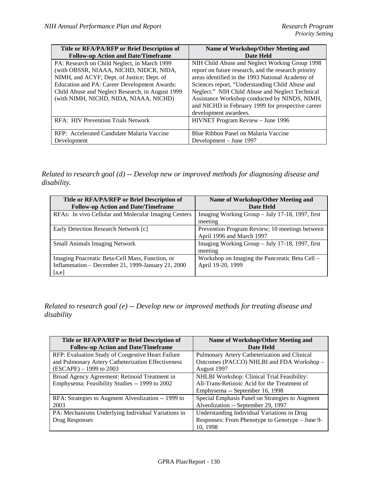| Title or RFA/PA/RFP or Brief Description of      | Name of Workshop/Other Meeting and                   |
|--------------------------------------------------|------------------------------------------------------|
| <b>Follow-up Action and Date/Timeframe</b>       | Date Held                                            |
| PA: Research on Child Neglect, in March 1999     | NIH Child Abuse and Neglect Working Group 1998       |
| (with OBSSR, NIAAA, NICHD, NIDCR, NIDA,          | report on future research, and the research priority |
| NIMH, and ACYF; Dept. of Justice; Dept. of       | areas identified in the 1993 National Academy of     |
| Education and PA: Career Development Awards:     | Sciences report, "Understanding Child Abuse and      |
| Child Abuse and Neglect Research, in August 1999 | Neglect." NIH Child Abuse and Neglect Technical      |
| (with NIMH, NICHD, NIDA, NIAAA, NICHD)           | Assistance Workshop conducted by NINDS, NIMH,        |
|                                                  | and NICHD in February 1999 for prospective career    |
|                                                  | development awardees.                                |
| <b>RFA: HIV Prevention Trials Network</b>        | HIVNET Program Review - June 1996                    |
|                                                  |                                                      |
| RFP: Accelerated Candidate Malaria Vaccine       | Blue Ribbon Panel on Malaria Vaccine                 |
| Development                                      | Development – June 1997                              |

*Related to research goal (d) -- Develop new or improved methods for diagnosing disease and disability.*

| Title or RFA/PA/RFP or Brief Description of          | Name of Workshop/Other Meeting and              |
|------------------------------------------------------|-------------------------------------------------|
| <b>Follow-up Action and Date/Timeframe</b>           | Date Held                                       |
| RFAs: In vivo Cellular and Molecular Imaging Centers | Imaging Working Group - July 17-18, 1997, first |
|                                                      | meeting                                         |
| Early Detection Research Network [c]                 | Prevention Program Review; 10 meetings between  |
|                                                      | April 1996 and March 1997                       |
| <b>Small Animals Imaging Network</b>                 | Imaging Working Group - July 17-18, 1997, first |
|                                                      | meeting                                         |
| Imaging Pnacreatic Beta-Cell Mass, Function, or      | Workshop on Imaging the Pancreatic Beta Cell -  |
| Inflammation – December 21, 1999-January 21, 2000    | April 19-20, 1999                               |
| [a,e]                                                |                                                 |

*Related to research goal (e) -- Develop new or improved methods for treating disease and disability*

| Title or RFA/PA/RFP or Brief Description of         | Name of Workshop/Other Meeting and              |
|-----------------------------------------------------|-------------------------------------------------|
| <b>Follow-up Action and Date/Timeframe</b>          | Date Held                                       |
| RFP: Evaluation Study of Congestive Heart Failure   | Pulmonary Artery Catheterization and Clinical   |
| and Pulmonary Artery Catheterization Effectiveness  | Outcomes (PACCO) NHLBI and FDA Workshop -       |
| (ESCAPE) – 1999 to 2003                             | August 1997                                     |
| Broad Agency Agreement: Retinoid Treatment in       | NHLBI Workshop: Clinical Trial Feasibility:     |
| Emphysema: Feasibility Studies -- 1999 to 2002      | All-Trans-Retinoic Acid for the Treatment of    |
|                                                     | Emphysema -- September 16, 1998                 |
| RFA: Strategies to Augment Alveolization -- 1999 to | Special Emphasis Panel on Strategies to Augment |
| 2003                                                | Alveolization -- September 29, 1997             |
| PA: Mechanisms Underlying Individual Variations in  | Understanding Individual Variations in Drug     |
| Drug Responses                                      | Responses: From Phenotype to Genotype – June 9- |
|                                                     | 10.1998                                         |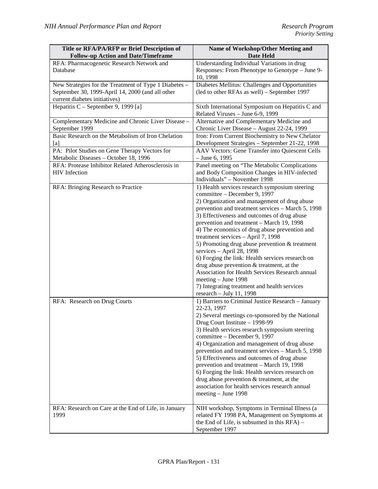| Title or RFA/PA/RFP or Brief Description of<br><b>Follow-up Action and Date/Timeframe</b>                                                  | Name of Workshop/Other Meeting and<br><b>Date Held</b>                                                                                                                                                                                                                                                                                                                                                                                                                                                                                                                                                                                                                                                           |
|--------------------------------------------------------------------------------------------------------------------------------------------|------------------------------------------------------------------------------------------------------------------------------------------------------------------------------------------------------------------------------------------------------------------------------------------------------------------------------------------------------------------------------------------------------------------------------------------------------------------------------------------------------------------------------------------------------------------------------------------------------------------------------------------------------------------------------------------------------------------|
| RFA: Pharmacogenetic Research Network and<br>Database                                                                                      | Understanding Individual Variations in drug<br>Responses: From Phenotype to Genotype - June 9-<br>10, 1998                                                                                                                                                                                                                                                                                                                                                                                                                                                                                                                                                                                                       |
| New Strategies for the Treatment of Type 1 Diabetes -<br>September 30, 1999-April 14, 2000 (and all other<br>current diabetes initiatives) | Diabetes Mellitus: Challenges and Opportunities<br>(led to other RFAs as well) - September 1997                                                                                                                                                                                                                                                                                                                                                                                                                                                                                                                                                                                                                  |
| Hepatitis C - September 9, 1999 [a]                                                                                                        | Sixth International Symposium on Hepatitis C and<br>Related Viruses - June 6-9, 1999                                                                                                                                                                                                                                                                                                                                                                                                                                                                                                                                                                                                                             |
| Complementary Medicine and Chronic Liver Disease -<br>September 1999                                                                       | Alternative and Complementary Medicine and<br>Chronic Liver Disease - August 22-24, 1999                                                                                                                                                                                                                                                                                                                                                                                                                                                                                                                                                                                                                         |
| Basic Research on the Metabolism of Iron Chelation<br>[a]                                                                                  | Iron: From Current Biochemistry to New Chelator<br>Development Strategies - September 21-22, 1998                                                                                                                                                                                                                                                                                                                                                                                                                                                                                                                                                                                                                |
| PA: Pilot Studies on Gene Therapy Vectors for<br>Metabolic Diseases - October 18, 1996                                                     | AAV Vectors: Gene Transfer into Quiescent Cells<br>$-$ June 6, 1995                                                                                                                                                                                                                                                                                                                                                                                                                                                                                                                                                                                                                                              |
| RFA: Protease Inhibitor Related Atherosclerosis in<br><b>HIV</b> Infection                                                                 | Panel meeting on "The Metabolic Complications<br>and Body Composition Changes in HIV-infected<br>Individuals" - November 1998                                                                                                                                                                                                                                                                                                                                                                                                                                                                                                                                                                                    |
| RFA: Bringing Research to Practice                                                                                                         | 1) Health services research symposium steering<br>committee - December 9, 1997<br>2) Organization and management of drug abuse<br>prevention and treatment services - March 5, 1998<br>3) Effectiveness and outcomes of drug abuse<br>prevention and treatment - March 19, 1998<br>4) The economics of drug abuse prevention and<br>treatment services - April 7, 1998<br>5) Promoting drug abuse prevention $&$ treatment<br>services - April 28, 1998<br>6) Forging the link: Health services research on<br>drug abuse prevention & treatment, at the<br>Association for Health Services Research annual<br>meeting - June 1998<br>7) Integrating treatment and health services<br>research $-$ July 11, 1998 |
| RFA: Research on Drug Courts                                                                                                               | 1) Barriers to Criminal Justice Research - January<br>22-23, 1997<br>2) Several meetings co-sponsored by the National<br>Drug Court Institute - 1998-99<br>3) Health services research symposium steering<br>committee - December 9, 1997<br>4) Organization and management of drug abuse<br>prevention and treatment services - March 5, 1998<br>5) Effectiveness and outcomes of drug abuse<br>prevention and treatment - March 19, 1998<br>6) Forging the link: Health services research on<br>drug abuse prevention $&$ treatment, at the<br>association for health services research annual<br>meeting – June 1998                                                                                          |
| RFA: Research on Care at the End of Life, in January<br>1999                                                                               | NIH workshop, Symptoms in Terminal Illness (a<br>related FY 1998 PA, Management on Symptoms at<br>the End of Life, is subsumed in this RFA) –<br>September 1997                                                                                                                                                                                                                                                                                                                                                                                                                                                                                                                                                  |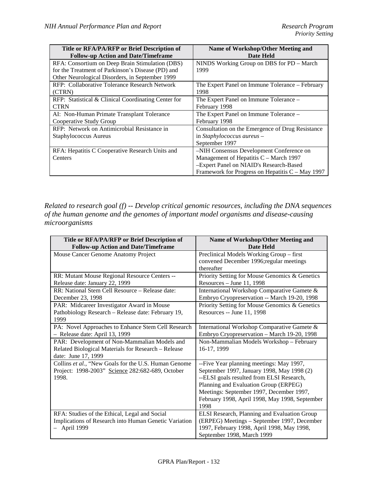| Title or RFA/PA/RFP or Brief Description of         | <b>Name of Workshop/Other Meeting and</b>          |
|-----------------------------------------------------|----------------------------------------------------|
| <b>Follow-up Action and Date/Timeframe</b>          | Date Held                                          |
| RFA: Consortium on Deep Brain Stimulation (DBS)     | NINDS Working Group on DBS for PD - March          |
| for the Treatment of Parkinson's Disease (PD) and   | 1999                                               |
| Other Neurological Disorders, in September 1999     |                                                    |
| RFP: Collaborative Tolerance Research Network       | The Expert Panel on Immune Tolerance – February    |
| (CTRN)                                              | 1998                                               |
| RFP: Statistical & Clinical Coordinating Center for | The Expert Panel on Immune Tolerance –             |
| <b>CTRN</b>                                         | February 1998                                      |
| AI: Non-Human Primate Transplant Tolerance          | The Expert Panel on Immune Tolerance -             |
| Cooperative Study Group                             | February 1998                                      |
| RFP: Network on Antimicrobial Resistance in         | Consultation on the Emergence of Drug Resistance   |
| Staphylococcus Aureus                               | in Staphylococcus aureus $-$                       |
|                                                     | September 1997                                     |
| RFA: Hepatitis C Cooperative Research Units and     | -NIH Consensus Development Conference on           |
| <b>Centers</b>                                      | Management of Hepatitis C - March 1997             |
|                                                     | -Expert Panel on NIAID's Research-Based            |
|                                                     | Framework for Progress on Hepatitis $C - May$ 1997 |

*Related to research goal (f) -- Develop critical genomic resources, including the DNA sequences of the human genome and the genomes of important model organisms and disease-causing microorganisms*

| Title or RFA/PA/RFP or Brief Description of           | Name of Workshop/Other Meeting and             |
|-------------------------------------------------------|------------------------------------------------|
| <b>Follow-up Action and Date/Timeframe</b>            | <b>Date Held</b>                               |
| Mouse Cancer Genome Anatomy Project                   | Preclinical Models Working Group – first       |
|                                                       | convened December 1996; regular meetings       |
|                                                       | thereafter                                     |
| RR: Mutant Mouse Regional Resource Centers --         | Priority Setting for Mouse Genomics & Genetics |
| Release date: January 22, 1999                        | Resources $-$ June 11, 1998                    |
| RR: National Stem Cell Resource - Release date:       | International Workshop Comparative Gamete &    |
| December 23, 1998                                     | Embryo Cryopreservation -- March 19-20, 1998   |
| PAR: Midcareer Investigator Award in Mouse            | Priority Setting for Mouse Genomics & Genetics |
| Pathobiology Research - Release date: February 19,    | Resources -- June 11, 1998                     |
| 1999                                                  |                                                |
| PA: Novel Approaches to Enhance Stem Cell Research    | International Workshop Comparative Gamete &    |
| - Release date: April 13, 1999                        | Embryo Cryopreservation - March 19-20, 1998    |
| PAR: Development of Non-Mammalian Models and          | Non-Mammalian Models Workshop - February       |
| Related Biological Materials for Research - Release   | 16-17, 1999                                    |
| date: June 17, 1999                                   |                                                |
| Collins et al., "New Goals for the U.S. Human Genome  | --Five Year planning meetings: May 1997,       |
| Project: 1998-2003" Science 282:682-689, October      | September 1997, January 1998, May 1998 (2)     |
| 1998.                                                 | --ELSI goals resulted from ELSI Research,      |
|                                                       | Planning and Evaluation Group (ERPEG)          |
|                                                       | Meetings: September 1997, December 1997,       |
|                                                       | February 1998, April 1998, May 1998, September |
|                                                       | 1998                                           |
| RFA: Studies of the Ethical, Legal and Social         | ELSI Research, Planning and Evaluation Group   |
| Implications of Research into Human Genetic Variation | (ERPEG) Meetings - September 1997, December    |
| $-$ April 1999                                        | 1997, February 1998, April 1998, May 1998,     |
|                                                       | September 1998, March 1999                     |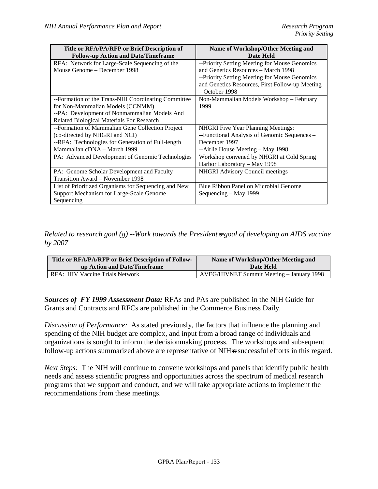| Title or RFA/PA/RFP or Brief Description of          | Name of Workshop/Other Meeting and              |
|------------------------------------------------------|-------------------------------------------------|
| <b>Follow-up Action and Date/Timeframe</b>           | <b>Date Held</b>                                |
| RFA: Network for Large-Scale Sequencing of the       | --Priority Setting Meeting for Mouse Genomics   |
| Mouse Genome – December 1998                         | and Genetics Resources – March 1998             |
|                                                      | --Priority Setting Meeting for Mouse Genomics   |
|                                                      | and Genetics Resources, First Follow-up Meeting |
|                                                      | $-$ October 1998                                |
| --Formation of the Trans-NIH Coordinating Committee  | Non-Mammalian Models Workshop – February        |
| for Non-Mammalian Models (CCNMM)                     | 1999                                            |
| --PA: Development of Nonmammalian Models And         |                                                 |
| Related Biological Materials For Research            |                                                 |
| --Formation of Mammalian Gene Collection Project     | <b>NHGRI Five Year Planning Meetings:</b>       |
| (co-directed by NHGRI and NCI)                       | --Functional Analysis of Genomic Sequences –    |
| --RFA: Technologies for Generation of Full-length    | December 1997                                   |
| Mammalian cDNA - March 1999                          | --Airlie House Meeting - May 1998               |
| PA: Advanced Development of Genomic Technologies     | Workshop convened by NHGRI at Cold Spring       |
|                                                      | Harbor Laboratory - May 1998                    |
| PA: Genome Scholar Development and Faculty           | <b>NHGRI</b> Advisory Council meetings          |
| Transition Award – November 1998                     |                                                 |
| List of Prioritized Organisms for Sequencing and New | Blue Ribbon Panel on Microbial Genome           |
| Support Mechanism for Large-Scale Genome             | Sequencing – May 1999                           |
| Sequencing                                           |                                                 |

*Related to research goal (g) --Work towards the President a goal of developing an AIDS vaccine by 2007*

| Title or RFA/PA/RFP or Brief Description of Follow- | Name of Workshop/Other Meeting and        |
|-----------------------------------------------------|-------------------------------------------|
| up Action and Date/Timeframe                        | Date Held                                 |
| RFA: HIV Vaccine Trials Network                     | AVEG/HIVNET Summit Meeting – January 1998 |

*Sources of FY 1999 Assessment Data:* RFAs and PAs are published in the NIH Guide for Grants and Contracts and RFCs are published in the Commerce Business Daily.

*Discussion of Performance:* As stated previously, the factors that influence the planning and spending of the NIH budget are complex, and input from a broad range of individuals and organizations is sought to inform the decisionmaking process. The workshops and subsequent follow-up actions summarized above are representative of NIH=s successful efforts in this regard.

*Next Steps:* The NIH will continue to convene workshops and panels that identify public health needs and assess scientific progress and opportunities across the spectrum of medical research programs that we support and conduct, and we will take appropriate actions to implement the recommendations from these meetings.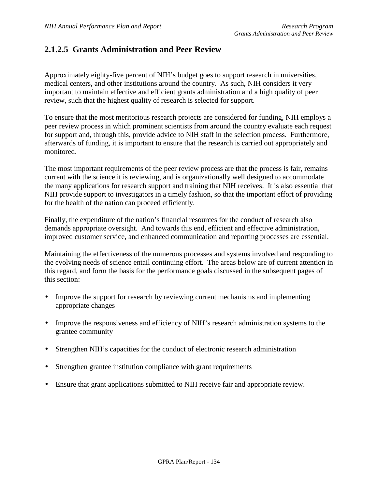# **2.1.2.5 Grants Administration and Peer Review**

Approximately eighty-five percent of NIH's budget goes to support research in universities, medical centers, and other institutions around the country. As such, NIH considers it very important to maintain effective and efficient grants administration and a high quality of peer review, such that the highest quality of research is selected for support.

To ensure that the most meritorious research projects are considered for funding, NIH employs a peer review process in which prominent scientists from around the country evaluate each request for support and, through this, provide advice to NIH staff in the selection process. Furthermore, afterwards of funding, it is important to ensure that the research is carried out appropriately and monitored.

The most important requirements of the peer review process are that the process is fair, remains current with the science it is reviewing, and is organizationally well designed to accommodate the many applications for research support and training that NIH receives. It is also essential that NIH provide support to investigators in a timely fashion, so that the important effort of providing for the health of the nation can proceed efficiently.

Finally, the expenditure of the nation's financial resources for the conduct of research also demands appropriate oversight. And towards this end, efficient and effective administration, improved customer service, and enhanced communication and reporting processes are essential.

Maintaining the effectiveness of the numerous processes and systems involved and responding to the evolving needs of science entail continuing effort. The areas below are of current attention in this regard, and form the basis for the performance goals discussed in the subsequent pages of this section:

- Improve the support for research by reviewing current mechanisms and implementing appropriate changes
- Improve the responsiveness and efficiency of NIH's research administration systems to the grantee community
- Strengthen NIH's capacities for the conduct of electronic research administration
- Strengthen grantee institution compliance with grant requirements
- Ensure that grant applications submitted to NIH receive fair and appropriate review.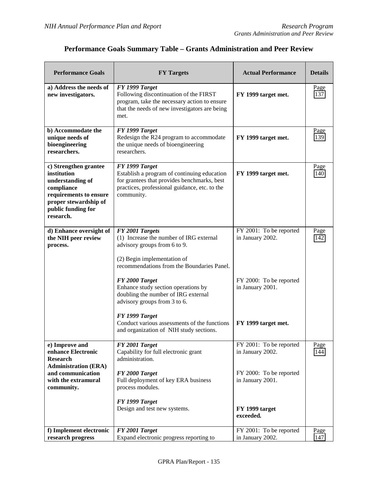| <b>Performance Goals</b>                                                                                                                                     | <b>FY</b> Targets                                                                                                                                                           | <b>Actual Performance</b>                   | <b>Details</b> |
|--------------------------------------------------------------------------------------------------------------------------------------------------------------|-----------------------------------------------------------------------------------------------------------------------------------------------------------------------------|---------------------------------------------|----------------|
| a) Address the needs of<br>new investigators.                                                                                                                | FY 1999 Target<br>Following discontinuation of the FIRST<br>program, take the necessary action to ensure<br>that the needs of new investigators are being<br>met.           | FY 1999 target met.                         | Page<br>137    |
| b) Accommodate the<br>unique needs of<br>bioengineering<br>researchers.                                                                                      | FY 1999 Target<br>Redesign the R24 program to accommodate<br>the unique needs of bioengineering<br>researchers.                                                             | FY 1999 target met.                         | Page<br>139    |
| c) Strengthen grantee<br>institution<br>understanding of<br>compliance<br>requirements to ensure<br>proper stewardship of<br>public funding for<br>research. | FY 1999 Target<br>Establish a program of continuing education<br>for grantees that provides benchmarks, best<br>practices, professional guidance, etc. to the<br>community. | FY 1999 target met.                         | Page<br>140    |
| d) Enhance oversight of<br>the NIH peer review<br>process.                                                                                                   | FY 2001 Targets<br>(1) Increase the number of IRG external<br>advisory groups from 6 to 9.<br>(2) Begin implementation of<br>recommendations from the Boundaries Panel.     | FY 2001: To be reported<br>in January 2002. | Page<br>142    |
|                                                                                                                                                              | FY 2000 Target<br>Enhance study section operations by<br>doubling the number of IRG external<br>advisory groups from 3 to 6.                                                | FY 2000: To be reported<br>in January 2001. |                |
|                                                                                                                                                              | FY 1999 Target<br>Conduct various assessments of the functions<br>and organization of NIH study sections.                                                                   | FY 1999 target met.                         |                |
| e) Improve and<br>enhance Electronic<br><b>Research</b><br><b>Administration (ERA)</b>                                                                       | FY 2001 Target<br>Capability for full electronic grant<br>administration.                                                                                                   | FY 2001: To be reported<br>in January 2002. | Page<br>144    |
| and communication<br>with the extramural<br>community.                                                                                                       | FY 2000 Target<br>Full deployment of key ERA business<br>process modules.                                                                                                   | FY 2000: To be reported<br>in January 2001. |                |
|                                                                                                                                                              | FY 1999 Target<br>Design and test new systems.                                                                                                                              | FY 1999 target<br>exceeded.                 |                |
| f) Implement electronic<br>research progress                                                                                                                 | FY 2001 Target<br>Expand electronic progress reporting to                                                                                                                   | FY 2001: To be reported<br>in January 2002. | Page<br>147    |

# **Performance Goals Summary Table – Grants Administration and Peer Review**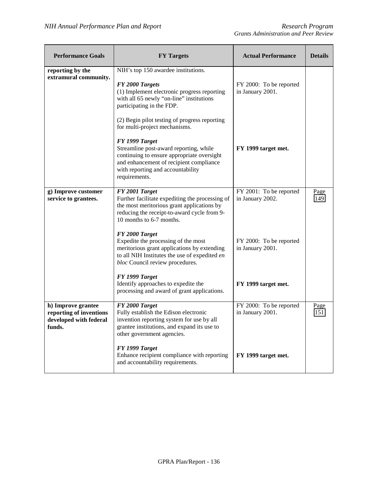| <b>Performance Goals</b>                                                          | <b>FY</b> Targets                                                                                                                                                                                                                                                                         | <b>Actual Performance</b>                   | <b>Details</b> |
|-----------------------------------------------------------------------------------|-------------------------------------------------------------------------------------------------------------------------------------------------------------------------------------------------------------------------------------------------------------------------------------------|---------------------------------------------|----------------|
| reporting by the<br>extramural community.                                         | NIH's top 150 awardee institutions.<br>FY 2000 Targets<br>(1) Implement electronic progress reporting<br>with all 65 newly "on-line" institutions<br>participating in the FDP.                                                                                                            | FY 2000: To be reported<br>in January 2001. |                |
|                                                                                   | (2) Begin pilot testing of progress reporting<br>for multi-project mechanisms.<br>FY 1999 Target<br>Streamline post-award reporting, while<br>continuing to ensure appropriate oversight<br>and enhancement of recipient compliance<br>with reporting and accountability<br>requirements. | FY 1999 target met.                         |                |
| g) Improve customer<br>service to grantees.                                       | FY 2001 Target<br>Further facilitate expediting the processing of<br>the most meritorious grant applications by<br>reducing the receipt-to-award cycle from 9-<br>10 months to 6-7 months.                                                                                                | FY 2001: To be reported<br>in January 2002. | Page<br>149    |
|                                                                                   | FY 2000 Target<br>Expedite the processing of the most<br>meritorious grant applications by extending<br>to all NIH Institutes the use of expedited en<br>bloc Council review procedures.                                                                                                  | FY 2000: To be reported<br>in January 2001. |                |
|                                                                                   | FY 1999 Target<br>Identify approaches to expedite the<br>processing and award of grant applications.                                                                                                                                                                                      | FY 1999 target met.                         |                |
| h) Improve grantee<br>reporting of inventions<br>developed with federal<br>funds. | FY 2000 Target<br>Fully establish the Edison electronic<br>invention reporting system for use by all<br>grantee institutions, and expand its use to<br>other government agencies.                                                                                                         | FY 2000: To be reported<br>in January 2001. | Page<br>151    |
|                                                                                   | FY 1999 Target<br>Enhance recipient compliance with reporting<br>and accountability requirements.                                                                                                                                                                                         | FY 1999 target met.                         |                |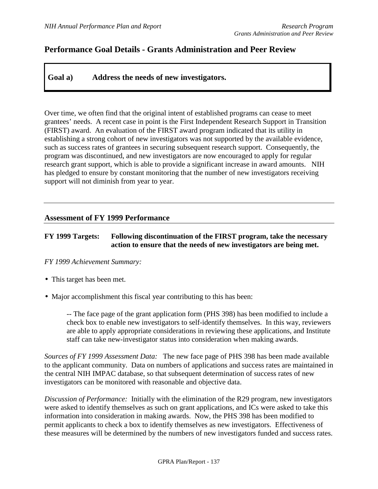# <span id="page-137-0"></span>**Performance Goal Details - Grants Administration and Peer Review**

**Goal a) Address the needs of new investigators.**

Over time, we often find that the original intent of established programs can cease to meet grantees' needs. A recent case in point is the First Independent Research Support in Transition (FIRST) award. An evaluation of the FIRST award program indicated that its utility in establishing a strong cohort of new investigators was not supported by the available evidence, such as success rates of grantees in securing subsequent research support. Consequently, the program was discontinued, and new investigators are now encouraged to apply for regular research grant support, which is able to provide a significant increase in award amounts. NIH has pledged to ensure by constant monitoring that the number of new investigators receiving support will not diminish from year to year.

#### **Assessment of FY 1999 Performance**

### **FY 1999 Targets: Following discontinuation of the FIRST program, take the necessary action to ensure that the needs of new investigators are being met.**

*FY 1999 Achievement Summary:*

- This target has been met.
- Major accomplishment this fiscal year contributing to this has been:

-- The face page of the grant application form (PHS 398) has been modified to include a check box to enable new investigators to self-identify themselves. In this way, reviewers are able to apply appropriate considerations in reviewing these applications, and Institute staff can take new-investigator status into consideration when making awards.

*Sources of FY 1999 Assessment Data:* The new face page of PHS 398 has been made available to the applicant community. Data on numbers of applications and success rates are maintained in the central NIH IMPAC database, so that subsequent determination of success rates of new investigators can be monitored with reasonable and objective data.

*Discussion of Performance:* Initially with the elimination of the R29 program, new investigators were asked to identify themselves as such on grant applications, and ICs were asked to take this information into consideration in making awards. Now, the PHS 398 has been modified to permit applicants to check a box to identify themselves as new investigators. Effectiveness of these measures will be determined by the numbers of new investigators funded and success rates.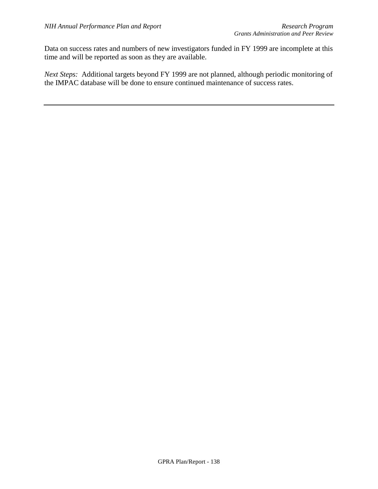Data on success rates and numbers of new investigators funded in FY 1999 are incomplete at this time and will be reported as soon as they are available.

*Next Steps:* Additional targets beyond FY 1999 are not planned, although periodic monitoring of the IMPAC database will be done to ensure continued maintenance of success rates.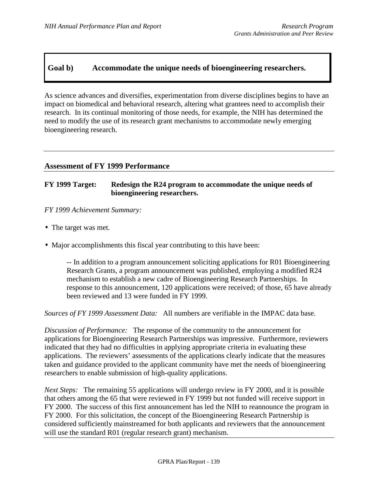# <span id="page-139-0"></span>**Goal b) Accommodate the unique needs of bioengineering researchers.**

As science advances and diversifies, experimentation from diverse disciplines begins to have an impact on biomedical and behavioral research, altering what grantees need to accomplish their research. In its continual monitoring of those needs, for example, the NIH has determined the need to modify the use of its research grant mechanisms to accommodate newly emerging bioengineering research.

#### **Assessment of FY 1999 Performance**

#### **FY 1999 Target: Redesign the R24 program to accommodate the unique needs of bioengineering researchers.**

*FY 1999 Achievement Summary:*

- The target was met.
- Major accomplishments this fiscal year contributing to this have been:

-- In addition to a program announcement soliciting applications for R01 Bioengineering Research Grants, a program announcement was published, employing a modified R24 mechanism to establish a new cadre of Bioengineering Research Partnerships. In response to this announcement, 120 applications were received; of those, 65 have already been reviewed and 13 were funded in FY 1999.

*Sources of FY 1999 Assessment Data:* All numbers are verifiable in the IMPAC data base.

*Discussion of Performance:* The response of the community to the announcement for applications for Bioengineering Research Partnerships was impressive. Furthermore, reviewers indicated that they had no difficulties in applying appropriate criteria in evaluating these applications. The reviewers' assessments of the applications clearly indicate that the measures taken and guidance provided to the applicant community have met the needs of bioengineering researchers to enable submission of high-quality applications.

*Next Steps:* The remaining 55 applications will undergo review in FY 2000, and it is possible that others among the 65 that were reviewed in FY 1999 but not funded will receive support in FY 2000. The success of this first announcement has led the NIH to reannounce the program in FY 2000. For this solicitation, the concept of the Bioengineering Research Partnership is considered sufficiently mainstreamed for both applicants and reviewers that the announcement will use the standard R01 (regular research grant) mechanism.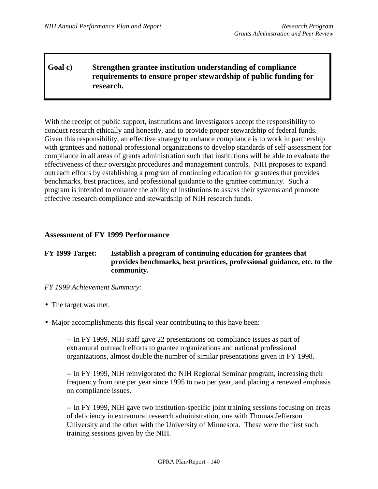# <span id="page-140-0"></span>**Goal c) Strengthen grantee institution understanding of compliance requirements to ensure proper stewardship of public funding for research.**

With the receipt of public support, institutions and investigators accept the responsibility to conduct research ethically and honestly, and to provide proper stewardship of federal funds. Given this responsibility, an effective strategy to enhance compliance is to work in partnership with grantees and national professional organizations to develop standards of self-assessment for compliance in all areas of grants administration such that institutions will be able to evaluate the effectiveness of their oversight procedures and management controls. NIH proposes to expand outreach efforts by establishing a program of continuing education for grantees that provides benchmarks, best practices, and professional guidance to the grantee community. Such a program is intended to enhance the ability of institutions to assess their systems and promote effective research compliance and stewardship of NIH research funds.

### **Assessment of FY 1999 Performance**

## **FY 1999 Target: Establish a program of continuing education for grantees that provides benchmarks, best practices, professional guidance, etc. to the community.**

*FY 1999 Achievement Summary:*

- The target was met.
- Major accomplishments this fiscal year contributing to this have been:

-- In FY 1999, NIH staff gave 22 presentations on compliance issues as part of extramural outreach efforts to grantee organizations and national professional organizations, almost double the number of similar presentations given in FY 1998.

-- In FY 1999, NIH reinvigorated the NIH Regional Seminar program, increasing their frequency from one per year since 1995 to two per year, and placing a renewed emphasis on compliance issues.

-- In FY 1999, NIH gave two institution-specific joint training sessions focusing on areas of deficiency in extramural research administration, one with Thomas Jefferson University and the other with the University of Minnesota. These were the first such training sessions given by the NIH.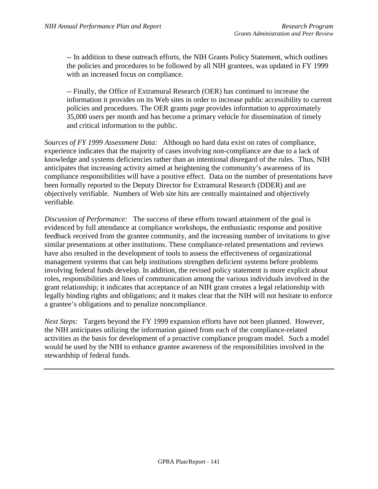-- In addition to these outreach efforts, the NIH Grants Policy Statement, which outlines the policies and procedures to be followed by all NIH grantees, was updated in FY 1999 with an increased focus on compliance.

-- Finally, the Office of Extramural Research (OER) has continued to increase the information it provides on its Web sites in order to increase public accessibility to current policies and procedures. The OER grants page provides information to approximately 35,000 users per month and has become a primary vehicle for dissemination of timely and critical information to the public.

*Sources of FY 1999 Assessment Data:* Although no hard data exist on rates of compliance, experience indicates that the majority of cases involving non-compliance are due to a lack of knowledge and systems deficiencies rather than an intentional disregard of the rules. Thus, NIH anticipates that increasing activity aimed at heightening the community's awareness of its compliance responsibilities will have a positive effect. Data on the number of presentations have been formally reported to the Deputy Director for Extramural Research (DDER) and are objectively verifiable. Numbers of Web site hits are centrally maintained and objectively verifiable.

*Discussion of Performance:* The success of these efforts toward attainment of the goal is evidenced by full attendance at compliance workshops, the enthusiastic response and positive feedback received from the grantee community, and the increasing number of invitations to give similar presentations at other institutions. These compliance-related presentations and reviews have also resulted in the development of tools to assess the effectiveness of organizational management systems that can help institutions strengthen deficient systems before problems involving federal funds develop. In addition, the revised policy statement is more explicit about roles, responsibilities and lines of communication among the various individuals involved in the grant relationship; it indicates that acceptance of an NIH grant creates a legal relationship with legally binding rights and obligations; and it makes clear that the NIH will not hesitate to enforce a grantee's obligations and to penalize noncompliance.

*Next Steps:* Targets beyond the FY 1999 expansion efforts have not been planned. However, the NIH anticipates utilizing the information gained from each of the compliance-related activities as the basis for development of a proactive compliance program model. Such a model would be used by the NIH to enhance grantee awareness of the responsibilities involved in the stewardship of federal funds.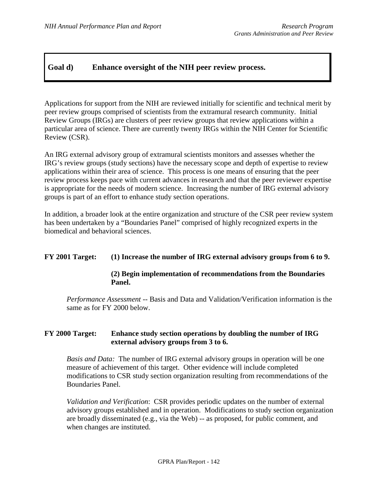# <span id="page-142-0"></span>**Goal d) Enhance oversight of the NIH peer review process.**

Applications for support from the NIH are reviewed initially for scientific and technical merit by peer review groups comprised of scientists from the extramural research community. Initial Review Groups (IRGs) are clusters of peer review groups that review applications within a particular area of science. There are currently twenty IRGs within the NIH Center for Scientific Review (CSR).

An IRG external advisory group of extramural scientists monitors and assesses whether the IRG's review groups (study sections) have the necessary scope and depth of expertise to review applications within their area of science. This process is one means of ensuring that the peer review process keeps pace with current advances in research and that the peer reviewer expertise is appropriate for the needs of modern science. Increasing the number of IRG external advisory groups is part of an effort to enhance study section operations.

In addition, a broader look at the entire organization and structure of the CSR peer review system has been undertaken by a "Boundaries Panel" comprised of highly recognized experts in the biomedical and behavioral sciences.

#### **FY 2001 Target: (1) Increase the number of IRG external advisory groups from 6 to 9.**

#### **(2) Begin implementation of recommendations from the Boundaries Panel.**

*Performance Assessment* -- Basis and Data and Validation/Verification information is the same as for FY 2000 below.

#### **FY 2000 Target: Enhance study section operations by doubling the number of IRG external advisory groups from 3 to 6.**

*Basis and Data:* The number of IRG external advisory groups in operation will be one measure of achievement of this target. Other evidence will include completed modifications to CSR study section organization resulting from recommendations of the Boundaries Panel.

*Validation and Verification*: CSR provides periodic updates on the number of external advisory groups established and in operation. Modifications to study section organization are broadly disseminated (e.g., via the Web) -- as proposed, for public comment, and when changes are instituted.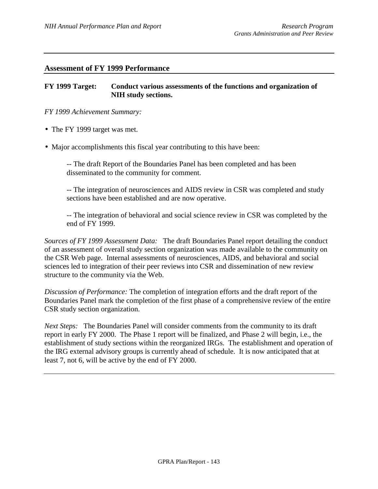#### **Assessment of FY 1999 Performance**

#### **FY 1999 Target: Conduct various assessments of the functions and organization of NIH study sections.**

*FY 1999 Achievement Summary:*

- The FY 1999 target was met.
- Major accomplishments this fiscal year contributing to this have been:

-- The draft Report of the Boundaries Panel has been completed and has been disseminated to the community for comment.

-- The integration of neurosciences and AIDS review in CSR was completed and study sections have been established and are now operative.

-- The integration of behavioral and social science review in CSR was completed by the end of FY 1999.

*Sources of FY 1999 Assessment Data:* The draft Boundaries Panel report detailing the conduct of an assessment of overall study section organization was made available to the community on the CSR Web page. Internal assessments of neurosciences, AIDS, and behavioral and social sciences led to integration of their peer reviews into CSR and dissemination of new review structure to the community via the Web.

*Discussion of Performance:* The completion of integration efforts and the draft report of the Boundaries Panel mark the completion of the first phase of a comprehensive review of the entire CSR study section organization.

*Next Steps:* The Boundaries Panel will consider comments from the community to its draft report in early FY 2000. The Phase 1 report will be finalized, and Phase 2 will begin, i.e., the establishment of study sections within the reorganized IRGs. The establishment and operation of the IRG external advisory groups is currently ahead of schedule. It is now anticipated that at least 7, not 6, will be active by the end of FY 2000.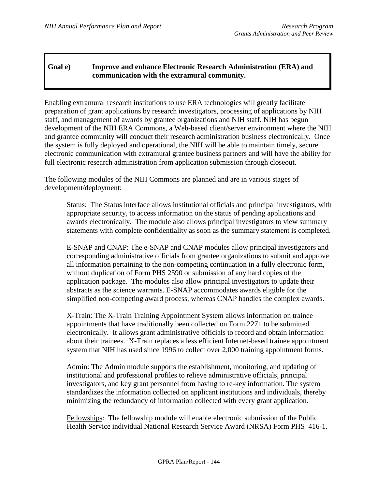## **Goal e) Improve and enhance Electronic Research Administration (ERA) and communication with the extramural community.**

Enabling extramural research institutions to use ERA technologies will greatly facilitate preparation of grant applications by research investigators, processing of applications by NIH staff, and management of awards by grantee organizations and NIH staff. NIH has begun development of the NIH ERA Commons, a Web-based client/server environment where the NIH and grantee community will conduct their research administration business electronically. Once the system is fully deployed and operational, the NIH will be able to maintain timely, secure electronic communication with extramural grantee business partners and will have the ability for full electronic research administration from application submission through closeout.

The following modules of the NIH Commons are planned and are in various stages of development/deployment:

Status: The Status interface allows institutional officials and principal investigators, with appropriate security, to access information on the status of pending applications and awards electronically. The module also allows principal investigators to view summary statements with complete confidentiality as soon as the summary statement is completed.

E-SNAP and CNAP: The e-SNAP and CNAP modules allow principal investigators and corresponding administrative officials from grantee organizations to submit and approve all information pertaining to the non-competing continuation in a fully electronic form, without duplication of Form PHS 2590 or submission of any hard copies of the application package. The modules also allow principal investigators to update their abstracts as the science warrants. E-SNAP accommodates awards eligible for the simplified non-competing award process, whereas CNAP handles the complex awards.

X-Train: The X-Train Training Appointment System allows information on trainee appointments that have traditionally been collected on Form 2271 to be submitted electronically. It allows grant administrative officials to record and obtain information about their trainees. X-Train replaces a less efficient Internet-based trainee appointment system that NIH has used since 1996 to collect over 2,000 training appointment forms.

Admin: The Admin module supports the establishment, monitoring, and updating of institutional and professional profiles to relieve administrative officials, principal investigators, and key grant personnel from having to re-key information. The system standardizes the information collected on applicant institutions and individuals, thereby minimizing the redundancy of information collected with every grant application.

Fellowships: The fellowship module will enable electronic submission of the Public Health Service individual National Research Service Award (NRSA) Form PHS 416-1.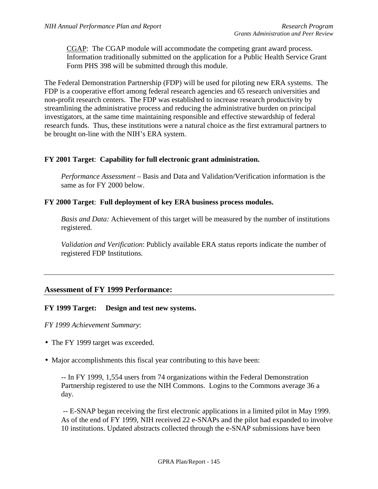CGAP: The CGAP module will accommodate the competing grant award process. Information traditionally submitted on the application for a Public Health Service Grant Form PHS 398 will be submitted through this module.

The Federal Demonstration Partnership (FDP) will be used for piloting new ERA systems. The FDP is a cooperative effort among federal research agencies and 65 research universities and non-profit research centers. The FDP was established to increase research productivity by streamlining the administrative process and reducing the administrative burden on principal investigators, at the same time maintaining responsible and effective stewardship of federal research funds. Thus, these institutions were a natural choice as the first extramural partners to be brought on-line with the NIH's ERA system.

### **FY 2001 Target**: **Capability for full electronic grant administration.**

*Performance Assessment –* Basis and Data and Validation/Verification information is the same as for FY 2000 below.

#### **FY 2000 Target**: **Full deployment of key ERA business process modules.**

*Basis and Data:* Achievement of this target will be measured by the number of institutions registered.

*Validation and Verification*: Publicly available ERA status reports indicate the number of registered FDP Institutions.

## **Assessment of FY 1999 Performance:**

#### **FY 1999 Target: Design and test new systems.**

*FY 1999 Achievement Summary*:

- The FY 1999 target was exceeded.
- Major accomplishments this fiscal year contributing to this have been:

-- In FY 1999, 1,554 users from 74 organizations within the Federal Demonstration Partnership registered to use the NIH Commons. Logins to the Commons average 36 a day.

 -- E-SNAP began receiving the first electronic applications in a limited pilot in May 1999. As of the end of FY 1999, NIH received 22 e-SNAPs and the pilot had expanded to involve 10 institutions. Updated abstracts collected through the e-SNAP submissions have been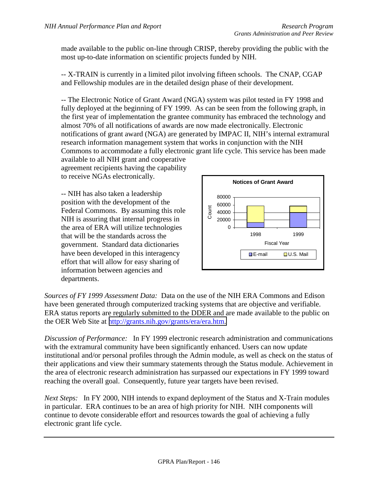made available to the public on-line through CRISP, thereby providing the public with the most up-to-date information on scientific projects funded by NIH.

-- X-TRAIN is currently in a limited pilot involving fifteen schools. The CNAP, CGAP and Fellowship modules are in the detailed design phase of their development.

-- The Electronic Notice of Grant Award (NGA) system was pilot tested in FY 1998 and fully deployed at the beginning of FY 1999. As can be seen from the following graph, in the first year of implementation the grantee community has embraced the technology and almost 70% of all notifications of awards are now made electronically. Electronic notifications of grant award (NGA) are generated by IMPAC II, NIH's internal extramural research information management system that works in conjunction with the NIH Commons to accommodate a fully electronic grant life cycle. This service has been made

available to all NIH grant and cooperative agreement recipients having the capability to receive NGAs electronically.

-- NIH has also taken a leadership position with the development of the Federal Commons. By assuming this role NIH is assuring that internal progress in the area of ERA will utilize technologies that will be the standards across the government. Standard data dictionaries have been developed in this interagency effort that will allow for easy sharing of information between agencies and departments.



*Sources of FY 1999 Assessment Data:* Data on the use of the NIH ERA Commons and Edison have been generated through computerized tracking systems that are objective and verifiable. ERA status reports are regularly submitted to the DDER and are made available to the public on the OER Web Site at [http://grants.nih.gov/grants/era/era.htm.](http://grants.nih.gov/grants/era/era.htm)

*Discussion of Performance:* In FY 1999 electronic research administration and communications with the extramural community have been significantly enhanced. Users can now update institutional and/or personal profiles through the Admin module, as well as check on the status of their applications and view their summary statements through the Status module. Achievement in the area of electronic research administration has surpassed our expectations in FY 1999 toward reaching the overall goal. Consequently, future year targets have been revised.

*Next Steps:* In FY 2000, NIH intends to expand deployment of the Status and X-Train modules in particular. ERA continues to be an area of high priority for NIH. NIH components will continue to devote considerable effort and resources towards the goal of achieving a fully electronic grant life cycle.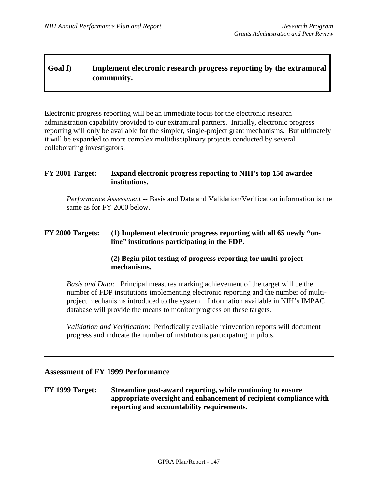# **Goal f) Implement electronic research progress reporting by the extramural community.**

Electronic progress reporting will be an immediate focus for the electronic research administration capability provided to our extramural partners. Initially, electronic progress reporting will only be available for the simpler, single-project grant mechanisms. But ultimately it will be expanded to more complex multidisciplinary projects conducted by several collaborating investigators.

### **FY 2001 Target: Expand electronic progress reporting to NIH's top 150 awardee institutions.**

*Performance Assessment* -- Basis and Data and Validation/Verification information is the same as for FY 2000 below.

## **FY 2000 Targets: (1) Implement electronic progress reporting with all 65 newly "online" institutions participating in the FDP.**

### **(2) Begin pilot testing of progress reporting for multi-project mechanisms.**

*Basis and Data:* Principal measures marking achievement of the target will be the number of FDP institutions implementing electronic reporting and the number of multiproject mechanisms introduced to the system. Information available in NIH's IMPAC database will provide the means to monitor progress on these targets.

*Validation and Verification*: Periodically available reinvention reports will document progress and indicate the number of institutions participating in pilots.

## **Assessment of FY 1999 Performance**

**FY 1999 Target: Streamline post-award reporting, while continuing to ensure appropriate oversight and enhancement of recipient compliance with reporting and accountability requirements.**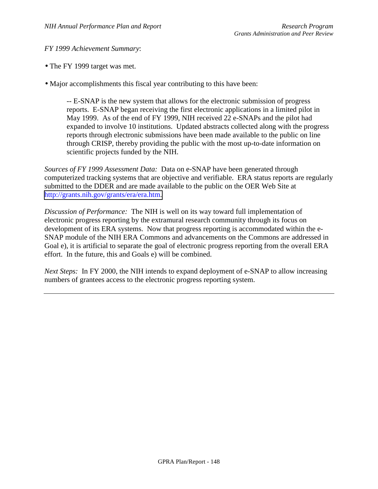*FY 1999 Achievement Summary*:

- The FY 1999 target was met.
- Major accomplishments this fiscal year contributing to this have been:

-- E-SNAP is the new system that allows for the electronic submission of progress reports. E-SNAP began receiving the first electronic applications in a limited pilot in May 1999. As of the end of FY 1999, NIH received 22 e-SNAPs and the pilot had expanded to involve 10 institutions. Updated abstracts collected along with the progress reports through electronic submissions have been made available to the public on line through CRISP, thereby providing the public with the most up-to-date information on scientific projects funded by the NIH.

*Sources of FY 1999 Assessment Data:* Data on e-SNAP have been generated through computerized tracking systems that are objective and verifiable. ERA status reports are regularly submitted to the DDER and are made available to the public on the OER Web Site at [http://grants.nih.gov/grants/era/era.htm.](http://grants.nih.gov/grants/era/era.htm)

*Discussion of Performance:* The NIH is well on its way toward full implementation of electronic progress reporting by the extramural research community through its focus on development of its ERA systems. Now that progress reporting is accommodated within the e-SNAP module of the NIH ERA Commons and advancements on the Commons are addressed in Goal e), it is artificial to separate the goal of electronic progress reporting from the overall ERA effort. In the future, this and Goals e) will be combined.

*Next Steps:* In FY 2000, the NIH intends to expand deployment of e-SNAP to allow increasing numbers of grantees access to the electronic progress reporting system.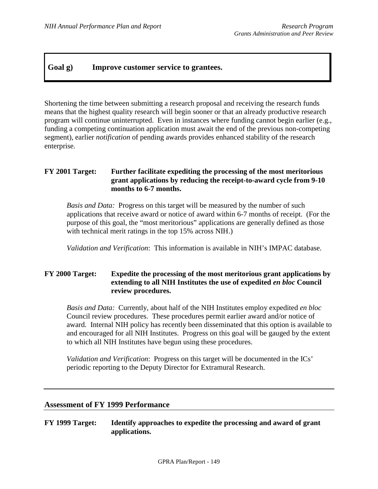## **Goal g) Improve customer service to grantees.**

Shortening the time between submitting a research proposal and receiving the research funds means that the highest quality research will begin sooner or that an already productive research program will continue uninterrupted. Even in instances where funding cannot begin earlier (e.g., funding a competing continuation application must await the end of the previous non-competing segment), earlier *notification* of pending awards provides enhanced stability of the research enterprise.

### **FY 2001 Target: Further facilitate expediting the processing of the most meritorious grant applications by reducing the receipt-to-award cycle from 9-10 months to 6-7 months.**

*Basis and Data:* Progress on this target will be measured by the number of such applications that receive award or notice of award within 6-7 months of receipt. (For the purpose of this goal, the "most meritorious" applications are generally defined as those with technical merit ratings in the top 15% across NIH.)

*Validation and Verification*: This information is available in NIH's IMPAC database.

## **FY 2000 Target: Expedite the processing of the most meritorious grant applications by extending to all NIH Institutes the use of expedited** *en bloc* **Council review procedures.**

*Basis and Data:* Currently, about half of the NIH Institutes employ expedited *en bloc* Council review procedures. These procedures permit earlier award and/or notice of award. Internal NIH policy has recently been disseminated that this option is available to and encouraged for all NIH Institutes. Progress on this goal will be gauged by the extent to which all NIH Institutes have begun using these procedures.

*Validation and Verification*: Progress on this target will be documented in the ICs' periodic reporting to the Deputy Director for Extramural Research.

#### **Assessment of FY 1999 Performance**

#### **FY 1999 Target: Identify approaches to expedite the processing and award of grant applications.**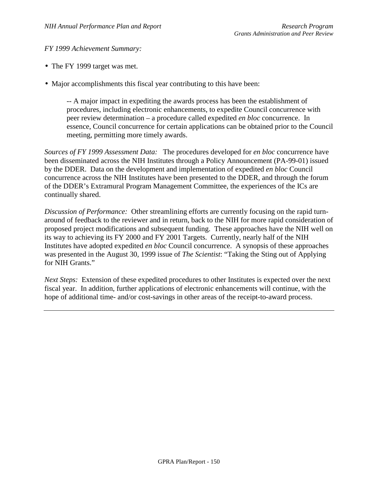*FY 1999 Achievement Summary:*

- The FY 1999 target was met.
- Major accomplishments this fiscal year contributing to this have been:

-- A major impact in expediting the awards process has been the establishment of procedures, including electronic enhancements, to expedite Council concurrence with peer review determination – a procedure called expedited *en bloc* concurrence. In essence, Council concurrence for certain applications can be obtained prior to the Council meeting, permitting more timely awards.

*Sources of FY 1999 Assessment Data:* The procedures developed for *en bloc* concurrence have been disseminated across the NIH Institutes through a Policy Announcement (PA-99-01) issued by the DDER. Data on the development and implementation of expedited *en bloc* Council concurrence across the NIH Institutes have been presented to the DDER, and through the forum of the DDER's Extramural Program Management Committee, the experiences of the ICs are continually shared.

*Discussion of Performance:* Other streamlining efforts are currently focusing on the rapid turnaround of feedback to the reviewer and in return, back to the NIH for more rapid consideration of proposed project modifications and subsequent funding. These approaches have the NIH well on its way to achieving its FY 2000 and FY 2001 Targets. Currently, nearly half of the NIH Institutes have adopted expedited *en bloc* Council concurrence. A synopsis of these approaches was presented in the August 30, 1999 issue of *The Scientist*: "Taking the Sting out of Applying for NIH Grants."

*Next Steps:* Extension of these expedited procedures to other Institutes is expected over the next fiscal year. In addition, further applications of electronic enhancements will continue, with the hope of additional time- and/or cost-savings in other areas of the receipt-to-award process.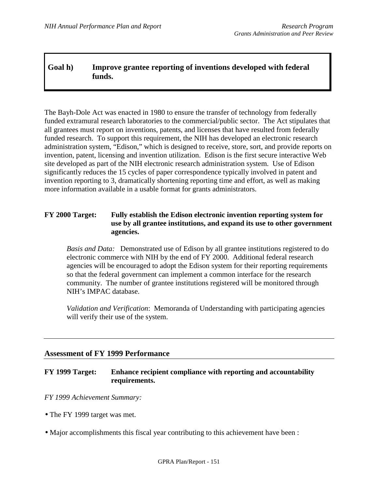# **Goal h) Improve grantee reporting of inventions developed with federal funds.**

The Bayh-Dole Act was enacted in 1980 to ensure the transfer of technology from federally funded extramural research laboratories to the commercial/public sector. The Act stipulates that all grantees must report on inventions, patents, and licenses that have resulted from federally funded research. To support this requirement, the NIH has developed an electronic research administration system, "Edison," which is designed to receive, store, sort, and provide reports on invention, patent, licensing and invention utilization. Edison is the first secure interactive Web site developed as part of the NIH electronic research administration system. Use of Edison significantly reduces the 15 cycles of paper correspondence typically involved in patent and invention reporting to 3, dramatically shortening reporting time and effort, as well as making more information available in a usable format for grants administrators.

## **FY 2000 Target: Fully establish the Edison electronic invention reporting system for use by all grantee institutions, and expand its use to other government agencies.**

*Basis and Data:* Demonstrated use of Edison by all grantee institutions registered to do electronic commerce with NIH by the end of FY 2000. Additional federal research agencies will be encouraged to adopt the Edison system for their reporting requirements so that the federal government can implement a common interface for the research community. The number of grantee institutions registered will be monitored through NIH's IMPAC database.

*Validation and Verification*: Memoranda of Understanding with participating agencies will verify their use of the system.

## **Assessment of FY 1999 Performance**

## **FY 1999 Target: Enhance recipient compliance with reporting and accountability requirements.**

*FY 1999 Achievement Summary:*

- The FY 1999 target was met.
- Major accomplishments this fiscal year contributing to this achievement have been :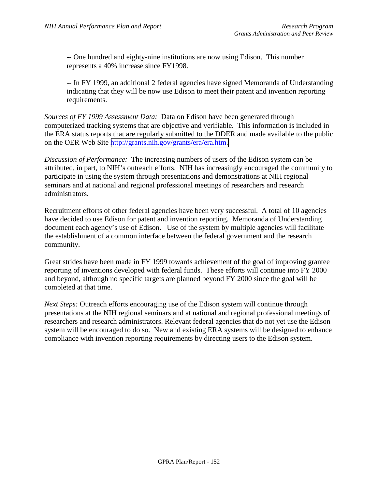-- One hundred and eighty-nine institutions are now using Edison. This number represents a 40% increase since FY1998.

-- In FY 1999, an additional 2 federal agencies have signed Memoranda of Understanding indicating that they will be now use Edison to meet their patent and invention reporting requirements.

*Sources of FY 1999 Assessment Data:* Data on Edison have been generated through computerized tracking systems that are objective and verifiable. This information is included in the ERA status reports that are regularly submitted to the DDER and made available to the public on the OER Web Site [http://grants.nih.gov/grants/era/era.htm.](http://grants.nih.gov/grants/era/era.htm)

*Discussion of Performance:* The increasing numbers of users of the Edison system can be attributed, in part, to NIH's outreach efforts. NIH has increasingly encouraged the community to participate in using the system through presentations and demonstrations at NIH regional seminars and at national and regional professional meetings of researchers and research administrators.

Recruitment efforts of other federal agencies have been very successful. A total of 10 agencies have decided to use Edison for patent and invention reporting. Memoranda of Understanding document each agency's use of Edison. Use of the system by multiple agencies will facilitate the establishment of a common interface between the federal government and the research community.

Great strides have been made in FY 1999 towards achievement of the goal of improving grantee reporting of inventions developed with federal funds. These efforts will continue into FY 2000 and beyond, although no specific targets are planned beyond FY 2000 since the goal will be completed at that time.

*Next Steps:* Outreach efforts encouraging use of the Edison system will continue through presentations at the NIH regional seminars and at national and regional professional meetings of researchers and research administrators. Relevant federal agencies that do not yet use the Edison system will be encouraged to do so. New and existing ERA systems will be designed to enhance compliance with invention reporting requirements by directing users to the Edison system.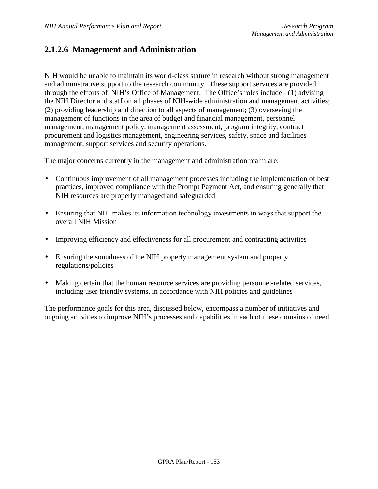# **2.1.2.6 Management and Administration**

NIH would be unable to maintain its world-class stature in research without strong management and administrative support to the research community. These support services are provided through the efforts of NIH's Office of Management. The Office's roles include: (1) advising the NIH Director and staff on all phases of NIH-wide administration and management activities; (2) providing leadership and direction to all aspects of management; (3) overseeing the management of functions in the area of budget and financial management, personnel management, management policy, management assessment, program integrity, contract procurement and logistics management, engineering services, safety, space and facilities management, support services and security operations.

The major concerns currently in the management and administration realm are:

- Continuous improvement of all management processes including the implementation of best practices, improved compliance with the Prompt Payment Act, and ensuring generally that NIH resources are properly managed and safeguarded
- Ensuring that NIH makes its information technology investments in ways that support the overall NIH Mission
- Improving efficiency and effectiveness for all procurement and contracting activities
- Ensuring the soundness of the NIH property management system and property regulations/policies
- Making certain that the human resource services are providing personnel-related services, including user friendly systems, in accordance with NIH policies and guidelines

The performance goals for this area, discussed below, encompass a number of initiatives and ongoing activities to improve NIH's processes and capabilities in each of these domains of need.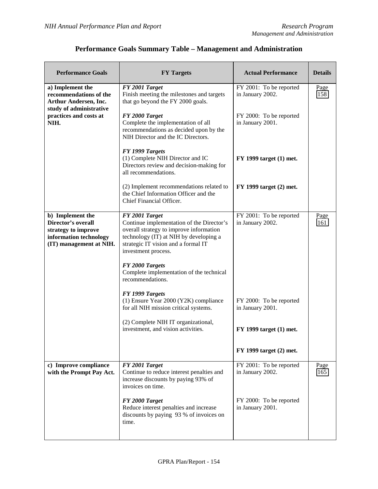| <b>Performance Goals</b>                                                                                           | <b>FY</b> Targets                                                                                                                                                                                              | <b>Actual Performance</b>                   | <b>Details</b> |
|--------------------------------------------------------------------------------------------------------------------|----------------------------------------------------------------------------------------------------------------------------------------------------------------------------------------------------------------|---------------------------------------------|----------------|
| a) Implement the<br>recommendations of the<br>Arthur Andersen, Inc.                                                | FY 2001 Target<br>Finish meeting the milestones and targets<br>that go beyond the FY 2000 goals.                                                                                                               | FY 2001: To be reported<br>in January 2002. | Page<br>158    |
| study of administrative<br>practices and costs at<br>NIH.                                                          | FY 2000 Target<br>Complete the implementation of all<br>recommendations as decided upon by the<br>NIH Director and the IC Directors.                                                                           | FY 2000: To be reported<br>in January 2001. |                |
|                                                                                                                    | FY 1999 Targets<br>(1) Complete NIH Director and IC<br>Directors review and decision-making for<br>all recommendations.                                                                                        | FY 1999 target (1) met.                     |                |
|                                                                                                                    | (2) Implement recommendations related to<br>the Chief Information Officer and the<br>Chief Financial Officer.                                                                                                  | FY 1999 target (2) met.                     |                |
| b) Implement the<br>Director's overall<br>strategy to improve<br>information technology<br>(IT) management at NIH. | FY 2001 Target<br>Continue implementation of the Director's<br>overall strategy to improve information<br>technology (IT) at NIH by developing a<br>strategic IT vision and a formal IT<br>investment process. | FY 2001: To be reported<br>in January 2002. | Page<br>161    |
|                                                                                                                    | FY 2000 Targets<br>Complete implementation of the technical<br>recommendations.                                                                                                                                |                                             |                |
|                                                                                                                    | FY 1999 Targets<br>(1) Ensure Year 2000 (Y2K) compliance<br>for all NIH mission critical systems.                                                                                                              | FY 2000: To be reported<br>in January 2001. |                |
|                                                                                                                    | (2) Complete NIH IT organizational,<br>investment, and vision activities.                                                                                                                                      | FY 1999 target (1) met.                     |                |
|                                                                                                                    |                                                                                                                                                                                                                | FY 1999 target (2) met.                     |                |
| c) Improve compliance<br>with the Prompt Pay Act.                                                                  | FY 2001 Target<br>Continue to reduce interest penalties and<br>increase discounts by paying 93% of<br>invoices on time.                                                                                        | FY 2001: To be reported<br>in January 2002. | Page<br>165    |
|                                                                                                                    | FY 2000 Target<br>Reduce interest penalties and increase<br>discounts by paying 93 % of invoices on<br>time.                                                                                                   | FY 2000: To be reported<br>in January 2001. |                |

# **Performance Goals Summary Table – Management and Administration**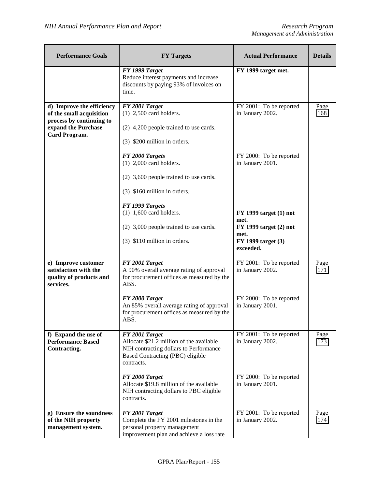| <b>Performance Goals</b>                                                                                                         | <b>FY</b> Targets                                                                                                                                                                                                                                                             | <b>Actual Performance</b>                                                                           | <b>Details</b> |
|----------------------------------------------------------------------------------------------------------------------------------|-------------------------------------------------------------------------------------------------------------------------------------------------------------------------------------------------------------------------------------------------------------------------------|-----------------------------------------------------------------------------------------------------|----------------|
|                                                                                                                                  | FY 1999 Target<br>Reduce interest payments and increase<br>discounts by paying 93% of invoices on<br>time.                                                                                                                                                                    | FY 1999 target met.                                                                                 |                |
| d) Improve the efficiency<br>of the small acquisition<br>process by continuing to<br>expand the Purchase<br><b>Card Program.</b> | FY 2001 Target<br>$(1)$ 2,500 card holders.<br>(2) 4,200 people trained to use cards.<br>(3) \$200 million in orders.<br>FY 2000 Targets<br>$(1)$ 2,000 card holders.                                                                                                         | FY 2001: To be reported<br>in January 2002.<br>FY 2000: To be reported<br>in January 2001.          | Page<br>168    |
|                                                                                                                                  | (2) 3,600 people trained to use cards.<br>$(3)$ \$160 million in orders.<br>FY 1999 Targets<br>$(1)$ 1,600 card holders.<br>(2) 3,000 people trained to use cards.<br>(3) \$110 million in orders.                                                                            | FY 1999 target (1) not<br>met.<br>FY 1999 target (2) not<br>met.<br>FY 1999 target (3)<br>exceeded. |                |
| e) Improve customer<br>satisfaction with the<br>quality of products and<br>services.                                             | FY 2001 Target<br>A 90% overall average rating of approval<br>for procurement offices as measured by the<br>ABS.<br>FY 2000 Target<br>An 85% overall average rating of approval<br>for procurement offices as measured by the<br>ABS.                                         | FY 2001: To be reported<br>in January 2002.<br>FY 2000: To be reported<br>in January 2001.          | Page<br>171    |
| f) Expand the use of<br><b>Performance Based</b><br>Contracting.                                                                 | FY 2001 Target<br>Allocate \$21.2 million of the available<br>NIH contracting dollars to Performance<br>Based Contracting (PBC) eligible<br>contracts.<br>FY 2000 Target<br>Allocate \$19.8 million of the available<br>NIH contracting dollars to PBC eligible<br>contracts. | FY 2001: To be reported<br>in January 2002.<br>FY 2000: To be reported<br>in January 2001.          | Page<br>173    |
| g) Ensure the soundness<br>of the NIH property<br>management system.                                                             | FY 2001 Target<br>Complete the FY 2001 milestones in the<br>personal property management<br>improvement plan and achieve a loss rate                                                                                                                                          | FY 2001: To be reported<br>in January 2002.                                                         | Page<br>174    |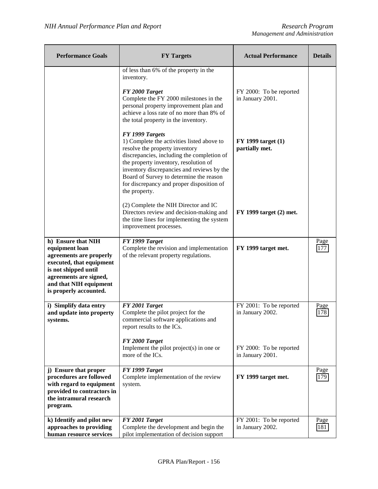| <b>Performance Goals</b>                                                                                                                                                                          | <b>Actual Performance</b><br><b>FY</b> Targets                                                                                                                                                                                                                                                                                                |                                                                                            | <b>Details</b> |
|---------------------------------------------------------------------------------------------------------------------------------------------------------------------------------------------------|-----------------------------------------------------------------------------------------------------------------------------------------------------------------------------------------------------------------------------------------------------------------------------------------------------------------------------------------------|--------------------------------------------------------------------------------------------|----------------|
|                                                                                                                                                                                                   | of less than 6% of the property in the<br>inventory.<br>FY 2000 Target<br>Complete the FY 2000 milestones in the<br>personal property improvement plan and<br>achieve a loss rate of no more than 8% of<br>the total property in the inventory.                                                                                               | FY 2000: To be reported<br>in January 2001.                                                |                |
|                                                                                                                                                                                                   | FY 1999 Targets<br>1) Complete the activities listed above to<br>resolve the property inventory<br>discrepancies, including the completion of<br>the property inventory, resolution of<br>inventory discrepancies and reviews by the<br>Board of Survey to determine the reason<br>for discrepancy and proper disposition of<br>the property. | FY 1999 target (1)<br>partially met.                                                       |                |
|                                                                                                                                                                                                   | (2) Complete the NIH Director and IC<br>Directors review and decision-making and<br>the time lines for implementing the system<br>improvement processes.                                                                                                                                                                                      | FY 1999 target (2) met.                                                                    |                |
| h) Ensure that NIH<br>equipment loan<br>agreements are properly<br>executed, that equipment<br>is not shipped until<br>agreements are signed,<br>and that NIH equipment<br>is properly accounted. | FY 1999 Target<br>Complete the revision and implementation<br>of the relevant property regulations.                                                                                                                                                                                                                                           | FY 1999 target met.                                                                        | Page<br>177    |
| i) Simplify data entry<br>and update into property<br>systems.                                                                                                                                    | FY 2001 Target<br>Complete the pilot project for the<br>commercial software applications and<br>report results to the ICs.<br>FY 2000 Target<br>Implement the pilot project(s) in one or<br>more of the ICs.                                                                                                                                  | FY 2001: To be reported<br>in January 2002.<br>FY 2000: To be reported<br>in January 2001. | Page<br>178    |
| j) Ensure that proper<br>procedures are followed<br>with regard to equipment<br>provided to contractors in<br>the intramural research<br>program.                                                 | FY 1999 Target<br>Complete implementation of the review<br>system.                                                                                                                                                                                                                                                                            | FY 1999 target met.                                                                        | Page<br>179    |
| k) Identify and pilot new<br>approaches to providing<br>human resource services                                                                                                                   | FY 2001 Target<br>Complete the development and begin the<br>pilot implementation of decision support                                                                                                                                                                                                                                          | FY 2001: To be reported<br>in January 2002.                                                | Page<br>181    |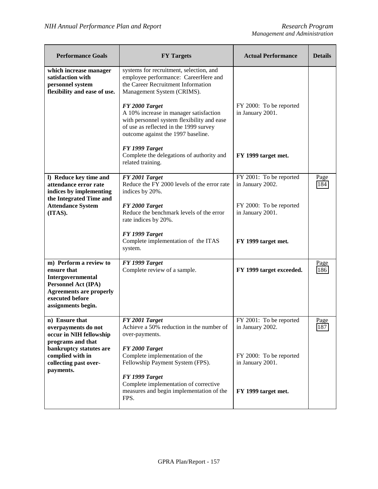| <b>Performance Goals</b>                                                                                                                                            | <b>FY</b> Targets                                                                                                                                                                      | <b>Actual Performance</b>                   | <b>Details</b> |
|---------------------------------------------------------------------------------------------------------------------------------------------------------------------|----------------------------------------------------------------------------------------------------------------------------------------------------------------------------------------|---------------------------------------------|----------------|
| which increase manager<br>satisfaction with<br>personnel system<br>flexibility and ease of use.                                                                     | systems for recruitment, selection, and<br>employee performance: CareerHere and<br>the Career Recruitment Information<br>Management System (CRIMS).                                    |                                             |                |
|                                                                                                                                                                     | FY 2000 Target<br>A 10% increase in manager satisfaction<br>with personnel system flexibility and ease<br>of use as reflected in the 1999 survey<br>outcome against the 1997 baseline. | FY 2000: To be reported<br>in January 2001. |                |
|                                                                                                                                                                     | FY 1999 Target<br>Complete the delegations of authority and<br>related training.                                                                                                       | FY 1999 target met.                         |                |
| 1) Reduce key time and<br>attendance error rate<br>indices by implementing                                                                                          | FY 2001 Target<br>Reduce the FY 2000 levels of the error rate<br>indices by 20%.                                                                                                       | FY 2001: To be reported<br>in January 2002. | Page<br>184    |
| the Integrated Time and<br><b>Attendance System</b><br>(ITAS).                                                                                                      | FY 2000 Target<br>Reduce the benchmark levels of the error<br>rate indices by 20%.                                                                                                     | FY 2000: To be reported<br>in January 2001. |                |
|                                                                                                                                                                     | FY 1999 Target<br>Complete implementation of the ITAS<br>system.                                                                                                                       | FY 1999 target met.                         |                |
| m) Perform a review to<br>ensure that<br>Intergovernmental<br><b>Personnel Act (IPA)</b><br><b>Agreements are properly</b><br>executed before<br>assignments begin. | FY 1999 Target<br>Complete review of a sample.                                                                                                                                         | FY 1999 target exceeded.                    | Page<br>186    |
| n) Ensure that<br>overpayments do not<br>occur in NIH fellowship<br>programs and that                                                                               | FY 2001 Target<br>Achieve a 50% reduction in the number of<br>over-payments.                                                                                                           | FY 2001: To be reported<br>in January 2002. | Page<br>187    |
| bankruptcy statutes are<br>complied with in<br>collecting past over-<br>payments.                                                                                   | FY 2000 Target<br>Complete implementation of the<br>Fellowship Payment System (FPS).                                                                                                   | FY 2000: To be reported<br>in January 2001. |                |
|                                                                                                                                                                     | FY 1999 Target<br>Complete implementation of corrective<br>measures and begin implementation of the<br>FPS.                                                                            | FY 1999 target met.                         |                |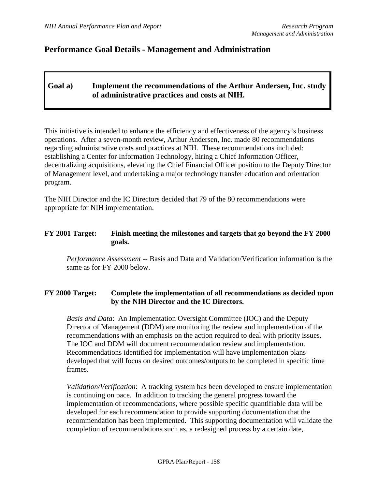# <span id="page-158-0"></span>**Performance Goal Details - Management and Administration**

## **Goal a) Implement the recommendations of the Arthur Andersen, Inc. study of administrative practices and costs at NIH.**

This initiative is intended to enhance the efficiency and effectiveness of the agency's business operations. After a seven-month review, Arthur Andersen, Inc. made 80 recommendations regarding administrative costs and practices at NIH. These recommendations included: establishing a Center for Information Technology, hiring a Chief Information Officer, decentralizing acquisitions, elevating the Chief Financial Officer position to the Deputy Director of Management level, and undertaking a major technology transfer education and orientation program.

The NIH Director and the IC Directors decided that 79 of the 80 recommendations were appropriate for NIH implementation.

## **FY 2001 Target: Finish meeting the milestones and targets that go beyond the FY 2000 goals.**

*Performance Assessment* -- Basis and Data and Validation/Verification information is the same as for FY 2000 below.

### **FY 2000 Target: Complete the implementation of all recommendations as decided upon by the NIH Director and the IC Directors.**

*Basis and Data*: An Implementation Oversight Committee (IOC) and the Deputy Director of Management (DDM) are monitoring the review and implementation of the recommendations with an emphasis on the action required to deal with priority issues. The IOC and DDM will document recommendation review and implementation. Recommendations identified for implementation will have implementation plans developed that will focus on desired outcomes/outputs to be completed in specific time frames.

*Validation/Verification*: A tracking system has been developed to ensure implementation is continuing on pace. In addition to tracking the general progress toward the implementation of recommendations, where possible specific quantifiable data will be developed for each recommendation to provide supporting documentation that the recommendation has been implemented. This supporting documentation will validate the completion of recommendations such as, a redesigned process by a certain date,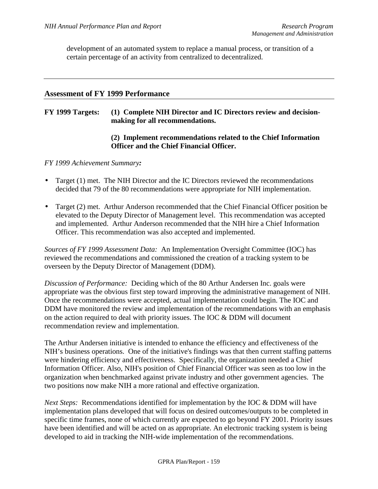development of an automated system to replace a manual process, or transition of a certain percentage of an activity from centralized to decentralized.

#### **Assessment of FY 1999 Performance**

## **FY 1999 Targets: (1) Complete NIH Director and IC Directors review and decisionmaking for all recommendations.**

## **(2) Implement recommendations related to the Chief Information Officer and the Chief Financial Officer.**

*FY 1999 Achievement Summary:*

- Target (1) met. The NIH Director and the IC Directors reviewed the recommendations decided that 79 of the 80 recommendations were appropriate for NIH implementation.
- Target (2) met. Arthur Anderson recommended that the Chief Financial Officer position be elevated to the Deputy Director of Management level. This recommendation was accepted and implemented. Arthur Anderson recommended that the NIH hire a Chief Information Officer. This recommendation was also accepted and implemented.

*Sources of FY 1999 Assessment Data:* An Implementation Oversight Committee (IOC) has reviewed the recommendations and commissioned the creation of a tracking system to be overseen by the Deputy Director of Management (DDM).

*Discussion of Performance:* Deciding which of the 80 Arthur Andersen Inc. goals were appropriate was the obvious first step toward improving the administrative management of NIH. Once the recommendations were accepted, actual implementation could begin. The IOC and DDM have monitored the review and implementation of the recommendations with an emphasis on the action required to deal with priority issues. The IOC & DDM will document recommendation review and implementation.

The Arthur Andersen initiative is intended to enhance the efficiency and effectiveness of the NIH's business operations. One of the initiative's findings was that then current staffing patterns were hindering efficiency and effectiveness. Specifically, the organization needed a Chief Information Officer. Also, NIH's position of Chief Financial Officer was seen as too low in the organization when benchmarked against private industry and other government agencies. The two positions now make NIH a more rational and effective organization.

*Next Steps:* Recommendations identified for implementation by the IOC & DDM will have implementation plans developed that will focus on desired outcomes/outputs to be completed in specific time frames, none of which currently are expected to go beyond FY 2001. Priority issues have been identified and will be acted on as appropriate. An electronic tracking system is being developed to aid in tracking the NIH-wide implementation of the recommendations.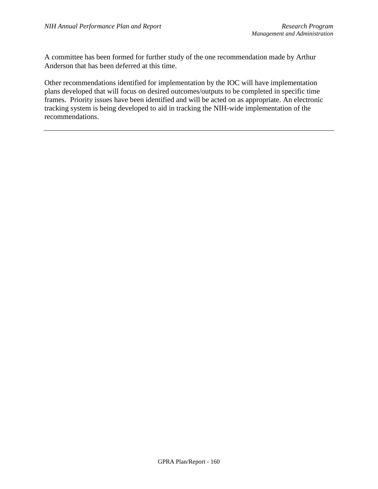A committee has been formed for further study of the one recommendation made by Arthur Anderson that has been deferred at this time.

Other recommendations identified for implementation by the IOC will have implementation plans developed that will focus on desired outcomes/outputs to be completed in specific time frames. Priority issues have been identified and will be acted on as appropriate. An electronic tracking system is being developed to aid in tracking the NIH-wide implementation of the recommendations.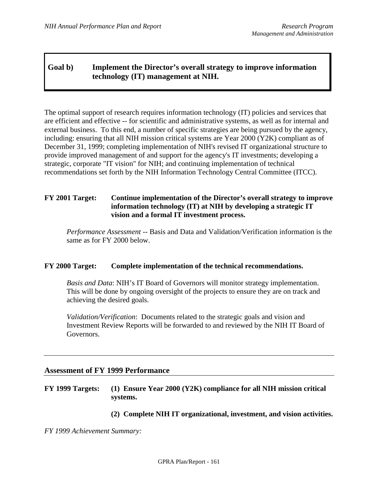# <span id="page-161-0"></span>**Goal b) Implement the Director's overall strategy to improve information technology (IT) management at NIH.**

The optimal support of research requires information technology (IT) policies and services that are efficient and effective -- for scientific and administrative systems, as well as for internal and external business. To this end, a number of specific strategies are being pursued by the agency, including: ensuring that all NIH mission critical systems are Year 2000 (Y2K) compliant as of December 31, 1999; completing implementation of NIH's revised IT organizational structure to provide improved management of and support for the agency's IT investments; developing a strategic, corporate "IT vision" for NIH; and continuing implementation of technical recommendations set forth by the NIH Information Technology Central Committee (ITCC).

## **FY 2001 Target: Continue implementation of the Director's overall strategy to improve information technology (IT) at NIH by developing a strategic IT vision and a formal IT investment process.**

*Performance Assessment* -- Basis and Data and Validation/Verification information is the same as for FY 2000 below.

#### **FY 2000 Target: Complete implementation of the technical recommendations.**

*Basis and Data*: NIH's IT Board of Governors will monitor strategy implementation. This will be done by ongoing oversight of the projects to ensure they are on track and achieving the desired goals.

*Validation/Verification*: Documents related to the strategic goals and vision and Investment Review Reports will be forwarded to and reviewed by the NIH IT Board of Governors.

## **Assessment of FY 1999 Performance**

## **FY 1999 Targets: (1) Ensure Year 2000 (Y2K) compliance for all NIH mission critical systems.**

## **(2) Complete NIH IT organizational, investment, and vision activities.**

*FY 1999 Achievement Summary:*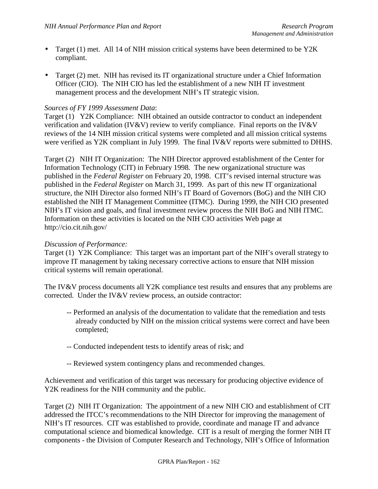- Target (1) met. All 14 of NIH mission critical systems have been determined to be Y2K compliant.
- Target (2) met. NIH has revised its IT organizational structure under a Chief Information Officer (CIO). The NIH CIO has led the establishment of a new NIH IT investment management process and the development NIH's IT strategic vision.

### *Sources of FY 1999 Assessment Data*:

Target (1) Y2K Compliance: NIH obtained an outside contractor to conduct an independent verification and validation (IV&V) review to verify compliance. Final reports on the IV&V reviews of the 14 NIH mission critical systems were completed and all mission critical systems were verified as Y2K compliant in July 1999. The final IV&V reports were submitted to DHHS.

Target (2)NIH IT Organization:The NIH Director approved establishment of the Center for Information Technology (CIT) in February 1998. The new organizational structure was published in the *Federal Register* on February 20, 1998. CIT's revised internal structure was published in the *Federal Register* on March 31, 1999. As part of this new IT organizational structure, the NIH Director also formed NIH's IT Board of Governors (BoG) and the NIH CIO established the NIH IT Management Committee (ITMC). During 1999, the NIH CIO presented NIH's IT vision and goals, and final investment review process the NIH BoG and NIH ITMC. Information on these activities is located on the NIH CIO activities Web page at http://cio.cit.nih.gov/

#### *Discussion of Performance:*

Target (1) Y2K Compliance: This target was an important part of the NIH's overall strategy to improve IT management by taking necessary corrective actions to ensure that NIH mission critical systems will remain operational.

The IV&V process documents all Y2K compliance test results and ensures that any problems are corrected. Under the IV&V review process, an outside contractor:

- -- Performed an analysis of the documentation to validate that the remediation and tests already conducted by NIH on the mission critical systems were correct and have been completed;
- -- Conducted independent tests to identify areas of risk; and
- -- Reviewed system contingency plans and recommended changes.

Achievement and verification of this target was necessary for producing objective evidence of Y2K readiness for the NIH community and the public.

Target (2) NIH IT Organization: The appointment of a new NIH CIO and establishment of CIT addressed the ITCC's recommendations to the NIH Director for improving the management of NIH's IT resources. CIT was established to provide, coordinate and manage IT and advance computational science and biomedical knowledge. CIT is a result of merging the former NIH IT components - the Division of Computer Research and Technology, NIH's Office of Information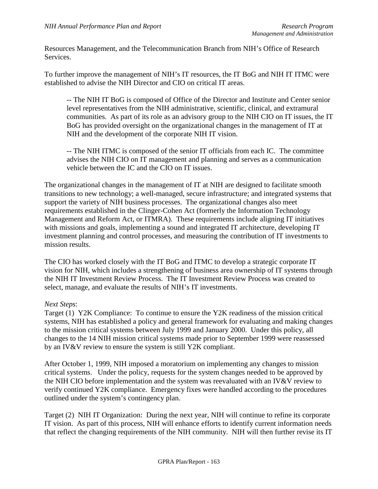Resources Management, and the Telecommunication Branch from NIH's Office of Research Services.

To further improve the management of NIH's IT resources, the IT BoG and NIH IT ITMC were established to advise the NIH Director and CIO on critical IT areas.

-- The NIH IT BoG is composed of Office of the Director and Institute and Center senior level representatives from the NIH administrative, scientific, clinical, and extramural communities. As part of its role as an advisory group to the NIH CIO on IT issues, the IT BoG has provided oversight on the organizational changes in the management of IT at NIH and the development of the corporate NIH IT vision.

-- The NIH ITMC is composed of the senior IT officials from each IC. The committee advises the NIH CIO on IT management and planning and serves as a communication vehicle between the IC and the CIO on IT issues.

The organizational changes in the management of IT at NIH are designed to facilitate smooth transitions to new technology; a well-managed, secure infrastructure; and integrated systems that support the variety of NIH business processes. The organizational changes also meet requirements established in the Clinger-Cohen Act (formerly the Information Technology Management and Reform Act, or ITMRA). These requirements include aligning IT initiatives with missions and goals, implementing a sound and integrated IT architecture, developing IT investment planning and control processes, and measuring the contribution of IT investments to mission results.

The CIO has worked closely with the IT BoG and ITMC to develop a strategic corporate IT vision for NIH, which includes a strengthening of business area ownership of IT systems through the NIH IT Investment Review Process. The IT Investment Review Process was created to select, manage, and evaluate the results of NIH's IT investments.

## *Next Steps*:

Target (1) Y2K Compliance: To continue to ensure the Y2K readiness of the mission critical systems, NIH has established a policy and general framework for evaluating and making changes to the mission critical systems between July 1999 and January 2000. Under this policy, all changes to the 14 NIH mission critical systems made prior to September 1999 were reassessed by an IV&V review to ensure the system is still Y2K compliant.

After October 1, 1999, NIH imposed a moratorium on implementing any changes to mission critical systems. Under the policy, requests for the system changes needed to be approved by the NIH CIO before implementation and the system was reevaluated with an IV&V review to verify continued Y2K compliance. Emergency fixes were handled according to the procedures outlined under the system's contingency plan.

Target (2) NIH IT Organization: During the next year, NIH will continue to refine its corporate IT vision. As part of this process, NIH will enhance efforts to identify current information needs that reflect the changing requirements of the NIH community. NIH will then further revise its IT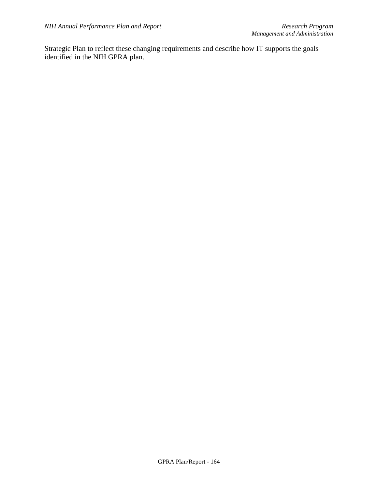Strategic Plan to reflect these changing requirements and describe how IT supports the goals identified in the NIH GPRA plan.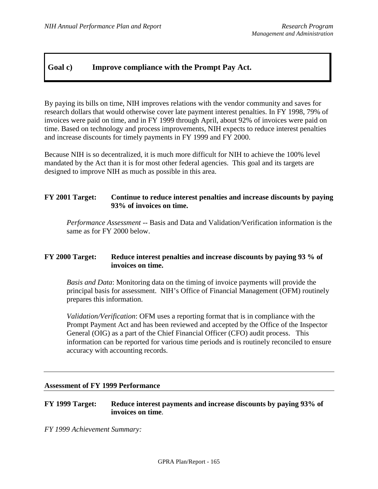# <span id="page-165-0"></span>**Goal c) Improve compliance with the Prompt Pay Act.**

By paying its bills on time, NIH improves relations with the vendor community and saves for research dollars that would otherwise cover late payment interest penalties. In FY 1998, 79% of invoices were paid on time, and in FY 1999 through April, about 92% of invoices were paid on time. Based on technology and process improvements, NIH expects to reduce interest penalties and increase discounts for timely payments in FY 1999 and FY 2000.

Because NIH is so decentralized, it is much more difficult for NIH to achieve the 100% level mandated by the Act than it is for most other federal agencies. This goal and its targets are designed to improve NIH as much as possible in this area.

### **FY 2001 Target: Continue to reduce interest penalties and increase discounts by paying 93% of invoices on time.**

*Performance Assessment* -- Basis and Data and Validation/Verification information is the same as for FY 2000 below.

## **FY 2000 Target: Reduce interest penalties and increase discounts by paying 93 % of invoices on time.**

*Basis and Data*: Monitoring data on the timing of invoice payments will provide the principal basis for assessment. NIH's Office of Financial Management (OFM) routinely prepares this information.

*Validation/Verification*: OFM uses a reporting format that is in compliance with the Prompt Payment Act and has been reviewed and accepted by the Office of the Inspector General (OIG) as a part of the Chief Financial Officer (CFO) audit process. This information can be reported for various time periods and is routinely reconciled to ensure accuracy with accounting records.

#### **Assessment of FY 1999 Performance**

#### **FY 1999 Target: Reduce interest payments and increase discounts by paying 93% of invoices on time**.

*FY 1999 Achievement Summary:*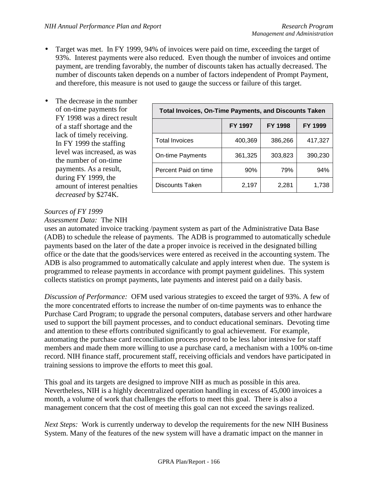- Target was met. In FY 1999, 94% of invoices were paid on time, exceeding the target of 93%. Interest payments were also reduced. Even though the number of invoices and ontime payment, are trending favorably, the number of discounts taken has actually decreased. The number of discounts taken depends on a number of factors independent of Prompt Payment, and therefore, this measure is not used to gauge the success or failure of this target.
- The decrease in the number of on-time payments for FY 1998 was a direct result of a staff shortage and the lack of timely receiving. In FY 1999 the staffing level was increased, as was the number of on-time payments. As a result, during FY 1999, the amount of interest penalties *decreased* by \$274K.

| <b>Total Invoices, On-Time Payments, and Discounts Taken</b> |         |         |                |
|--------------------------------------------------------------|---------|---------|----------------|
|                                                              | FY 1997 | FY 1998 | <b>FY 1999</b> |
| <b>Total Invoices</b>                                        | 400,369 | 386,266 | 417,327        |
| <b>On-time Payments</b>                                      | 361,325 | 303,823 | 390,230        |
| Percent Paid on time                                         | 90%     | 79%     | 94%            |
| Discounts Taken                                              | 2,197   | 2,281   | 1,738          |

## *Sources of FY 1999*

#### *Assessment Data:* The NIH

uses an automated invoice tracking /payment system as part of the Administrative Data Base (ADB) to schedule the release of payments. The ADB is programmed to automatically schedule payments based on the later of the date a proper invoice is received in the designated billing office or the date that the goods/services were entered as received in the accounting system. The ADB is also programmed to automatically calculate and apply interest when due. The system is programmed to release payments in accordance with prompt payment guidelines. This system collects statistics on prompt payments, late payments and interest paid on a daily basis.

*Discussion of Performance:* OFM used various strategies to exceed the target of 93%. A few of the more concentrated efforts to increase the number of on-time payments was to enhance the Purchase Card Program; to upgrade the personal computers, database servers and other hardware used to support the bill payment processes, and to conduct educational seminars. Devoting time and attention to these efforts contributed significantly to goal achievement. For example, automating the purchase card reconciliation process proved to be less labor intensive for staff members and made them more willing to use a purchase card, a mechanism with a 100% on-time record. NIH finance staff, procurement staff, receiving officials and vendors have participated in training sessions to improve the efforts to meet this goal.

This goal and its targets are designed to improve NIH as much as possible in this area. Nevertheless, NIH is a highly decentralized operation handling in excess of 45,000 invoices a month, a volume of work that challenges the efforts to meet this goal. There is also a management concern that the cost of meeting this goal can not exceed the savings realized.

*Next Steps:* Work is currently underway to develop the requirements for the new NIH Business System. Many of the features of the new system will have a dramatic impact on the manner in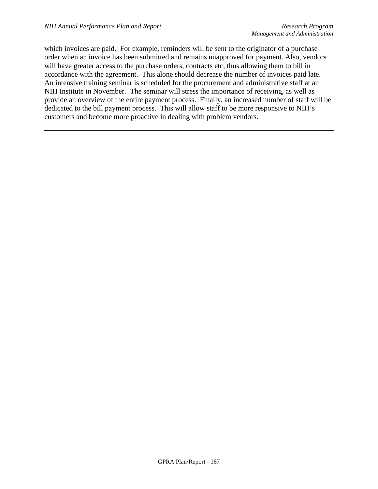which invoices are paid. For example, reminders will be sent to the originator of a purchase order when an invoice has been submitted and remains unapproved for payment. Also, vendors will have greater access to the purchase orders, contracts etc, thus allowing them to bill in accordance with the agreement. This alone should decrease the number of invoices paid late. An intensive training seminar is scheduled for the procurement and administrative staff at an NIH Institute in November. The seminar will stress the importance of receiving, as well as provide an overview of the entire payment process. Finally, an increased number of staff will be dedicated to the bill payment process. This will allow staff to be more responsive to NIH's customers and become more proactive in dealing with problem vendors.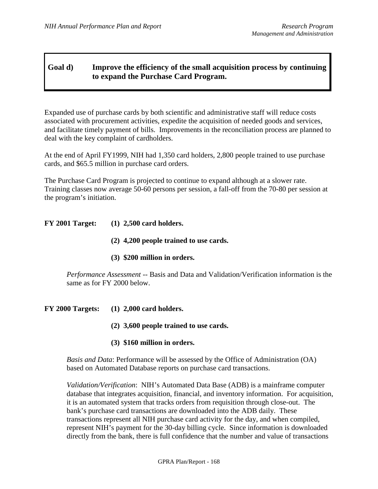# <span id="page-168-0"></span>**Goal d) Improve the efficiency of the small acquisition process by continuing to expand the Purchase Card Program.**

Expanded use of purchase cards by both scientific and administrative staff will reduce costs associated with procurement activities, expedite the acquisition of needed goods and services, and facilitate timely payment of bills. Improvements in the reconciliation process are planned to deal with the key complaint of cardholders.

At the end of April FY1999, NIH had 1,350 card holders, 2,800 people trained to use purchase cards, and \$65.5 million in purchase card orders.

The Purchase Card Program is projected to continue to expand although at a slower rate. Training classes now average 50-60 persons per session, a fall-off from the 70-80 per session at the program's initiation.

**FY 2001 Target: (1) 2,500 card holders.**

- **(2) 4,200 people trained to use cards.**
- **(3) \$200 million in orders.**

*Performance Assessment* -- Basis and Data and Validation/Verification information is the same as for FY 2000 below.

- **FY 2000 Targets: (1) 2,000 card holders.**
	- **(2) 3,600 people trained to use cards.**
	- **(3) \$160 million in orders.**

*Basis and Data*: Performance will be assessed by the Office of Administration (OA) based on Automated Database reports on purchase card transactions.

*Validation/Verification*: NIH's Automated Data Base (ADB) is a mainframe computer database that integrates acquisition, financial, and inventory information. For acquisition, it is an automated system that tracks orders from requisition through close-out. The bank's purchase card transactions are downloaded into the ADB daily. These transactions represent all NIH purchase card activity for the day, and when compiled, represent NIH's payment for the 30-day billing cycle. Since information is downloaded directly from the bank, there is full confidence that the number and value of transactions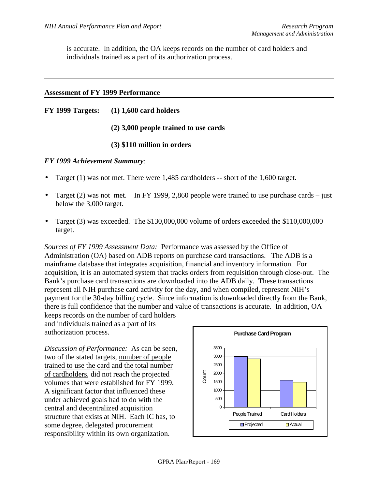is accurate. In addition, the OA keeps records on the number of card holders and individuals trained as a part of its authorization process.

#### **Assessment of FY 1999 Performance**

#### **FY 1999 Targets: (1) 1,600 card holders**

#### **(2) 3,000 people trained to use cards**

#### **(3) \$110 million in orders**

#### *FY 1999 Achievement Summary:*

- Target  $(1)$  was not met. There were 1,485 cardholders  $-$  short of the 1,600 target.
- Target (2) was not met. In FY 1999, 2,860 people were trained to use purchase cards just below the 3,000 target.
- Target (3) was exceeded. The \$130,000,000 volume of orders exceeded the \$110,000,000 target.

*Sources of FY 1999 Assessment Data:* Performance was assessed by the Office of Administration (OA) based on ADB reports on purchase card transactions. The ADB is a mainframe database that integrates acquisition, financial and inventory information. For acquisition, it is an automated system that tracks orders from requisition through close-out. The Bank's purchase card transactions are downloaded into the ADB daily. These transactions represent all NIH purchase card activity for the day, and when compiled, represent NIH's payment for the 30-day billing cycle. Since information is downloaded directly from the Bank, there is full confidence that the number and value of transactions is accurate. In addition, OA keeps records on the number of card holders

and individuals trained as a part of its authorization process.

*Discussion of Performance:* As can be seen, two of the stated targets, number of people trained to use the card and the total number of cardholders, did not reach the projected volumes that were established for FY 1999. A significant factor that influenced these under achieved goals had to do with the central and decentralized acquisition structure that exists at NIH. Each IC has, to some degree, delegated procurement responsibility within its own organization.

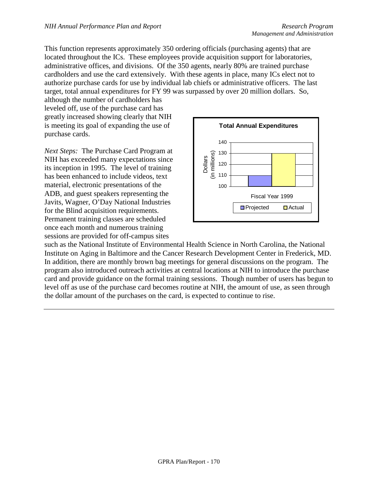This function represents approximately 350 ordering officials (purchasing agents) that are located throughout the ICs. These employees provide acquisition support for laboratories, administrative offices, and divisions. Of the 350 agents, nearly 80% are trained purchase cardholders and use the card extensively. With these agents in place, many ICs elect not to authorize purchase cards for use by individual lab chiefs or administrative officers. The last target, total annual expenditures for FY 99 was surpassed by over 20 million dollars. So,

although the number of cardholders has leveled off, use of the purchase card has greatly increased showing clearly that NIH is meeting its goal of expanding the use of purchase cards.

*Next Steps:* The Purchase Card Program at NIH has exceeded many expectations since its inception in 1995. The level of training has been enhanced to include videos, text material, electronic presentations of the ADB, and guest speakers representing the Javits, Wagner, O'Day National Industries for the Blind acquisition requirements. Permanent training classes are scheduled once each month and numerous training sessions are provided for off-campus sites



such as the National Institute of Environmental Health Science in North Carolina, the National Institute on Aging in Baltimore and the Cancer Research Development Center in Frederick, MD. In addition, there are monthly brown bag meetings for general discussions on the program. The program also introduced outreach activities at central locations at NIH to introduce the purchase card and provide guidance on the formal training sessions. Though number of users has begun to level off as use of the purchase card becomes routine at NIH, the amount of use, as seen through the dollar amount of the purchases on the card, is expected to continue to rise.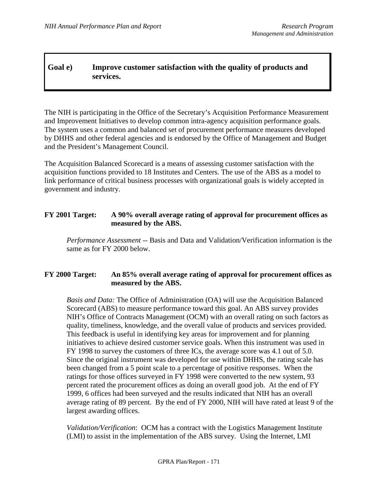# <span id="page-171-0"></span>**Goal e) Improve customer satisfaction with the quality of products and services.**

The NIH is participating in the Office of the Secretary's Acquisition Performance Measurement and Improvement Initiatives to develop common intra-agency acquisition performance goals. The system uses a common and balanced set of procurement performance measures developed by DHHS and other federal agencies and is endorsed by the Office of Management and Budget and the President's Management Council.

The Acquisition Balanced Scorecard is a means of assessing customer satisfaction with the acquisition functions provided to 18 Institutes and Centers. The use of the ABS as a model to link performance of critical business processes with organizational goals is widely accepted in government and industry.

#### **FY 2001 Target: A 90% overall average rating of approval for procurement offices as measured by the ABS.**

*Performance Assessment* -- Basis and Data and Validation/Verification information is the same as for FY 2000 below.

### **FY 2000 Target: An 85% overall average rating of approval for procurement offices as measured by the ABS.**

*Basis and Data:* The Office of Administration (OA) will use the Acquisition Balanced Scorecard (ABS) to measure performance toward this goal. An ABS survey provides NIH's Office of Contracts Management (OCM) with an overall rating on such factors as quality, timeliness, knowledge, and the overall value of products and services provided. This feedback is useful in identifying key areas for improvement and for planning initiatives to achieve desired customer service goals. When this instrument was used in FY 1998 to survey the customers of three ICs, the average score was 4.1 out of 5.0. Since the original instrument was developed for use within DHHS, the rating scale has been changed from a 5 point scale to a percentage of positive responses. When the ratings for those offices surveyed in FY 1998 were converted to the new system, 93 percent rated the procurement offices as doing an overall good job. At the end of FY 1999, 6 offices had been surveyed and the results indicated that NIH has an overall average rating of 89 percent. By the end of FY 2000, NIH will have rated at least 9 of the largest awarding offices.

*Validation/Verification*: OCM has a contract with the Logistics Management Institute (LMI) to assist in the implementation of the ABS survey. Using the Internet, LMI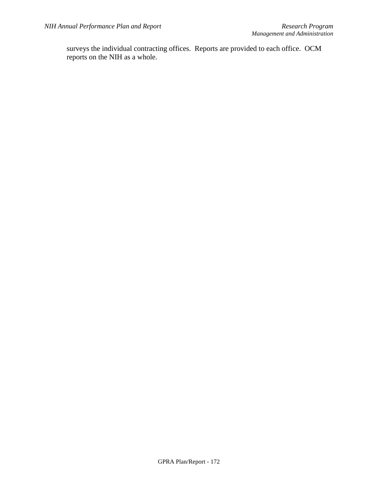surveys the individual contracting offices. Reports are provided to each office. OCM reports on the NIH as a whole.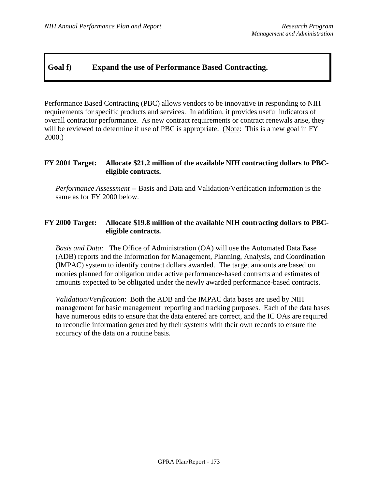## <span id="page-173-0"></span>**Goal f) Expand the use of Performance Based Contracting.**

Performance Based Contracting (PBC) allows vendors to be innovative in responding to NIH requirements for specific products and services. In addition, it provides useful indicators of overall contractor performance. As new contract requirements or contract renewals arise, they will be reviewed to determine if use of PBC is appropriate. (Note: This is a new goal in FY 2000.)

### **FY 2001 Target: Allocate \$21.2 million of the available NIH contracting dollars to PBCeligible contracts.**

*Performance Assessment* -- Basis and Data and Validation/Verification information is the same as for FY 2000 below.

## **FY 2000 Target: Allocate \$19.8 million of the available NIH contracting dollars to PBCeligible contracts.**

*Basis and Data:* The Office of Administration (OA) will use the Automated Data Base (ADB) reports and the Information for Management, Planning, Analysis, and Coordination (IMPAC) system to identify contract dollars awarded. The target amounts are based on monies planned for obligation under active performance-based contracts and estimates of amounts expected to be obligated under the newly awarded performance-based contracts.

*Validation/Verification*: Both the ADB and the IMPAC data bases are used by NIH management for basic management reporting and tracking purposes. Each of the data bases have numerous edits to ensure that the data entered are correct, and the IC OAs are required to reconcile information generated by their systems with their own records to ensure the accuracy of the data on a routine basis.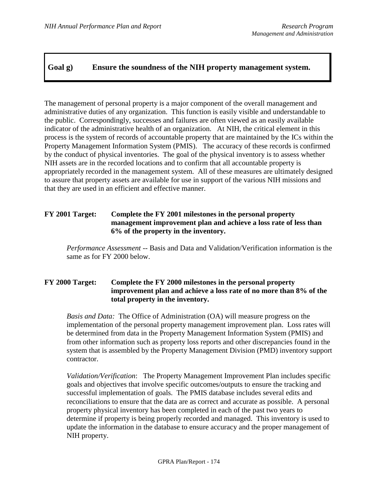## <span id="page-174-0"></span>**Goal g) Ensure the soundness of the NIH property management system.**

The management of personal property is a major component of the overall management and administrative duties of any organization. This function is easily visible and understandable to the public. Correspondingly, successes and failures are often viewed as an easily available indicator of the administrative health of an organization. At NIH, the critical element in this process is the system of records of accountable property that are maintained by the ICs within the Property Management Information System (PMIS). The accuracy of these records is confirmed by the conduct of physical inventories. The goal of the physical inventory is to assess whether NIH assets are in the recorded locations and to confirm that all accountable property is appropriately recorded in the management system. All of these measures are ultimately designed to assure that property assets are available for use in support of the various NIH missions and that they are used in an efficient and effective manner.

### **FY 2001 Target: Complete the FY 2001 milestones in the personal property management improvement plan and achieve a loss rate of less than 6% of the property in the inventory.**

*Performance Assessment* -- Basis and Data and Validation/Verification information is the same as for FY 2000 below.

## **FY 2000 Target: Complete the FY 2000 milestones in the personal property improvement plan and achieve a loss rate of no more than 8% of the total property in the inventory.**

*Basis and Data:* The Office of Administration (OA) will measure progress on the implementation of the personal property management improvement plan. Loss rates will be determined from data in the Property Management Information System (PMIS) and from other information such as property loss reports and other discrepancies found in the system that is assembled by the Property Management Division (PMD) inventory support contractor.

*Validation/Verification*: The Property Management Improvement Plan includes specific goals and objectives that involve specific outcomes/outputs to ensure the tracking and successful implementation of goals. The PMIS database includes several edits and reconciliations to ensure that the data are as correct and accurate as possible. A personal property physical inventory has been completed in each of the past two years to determine if property is being properly recorded and managed. This inventory is used to update the information in the database to ensure accuracy and the proper management of NIH property.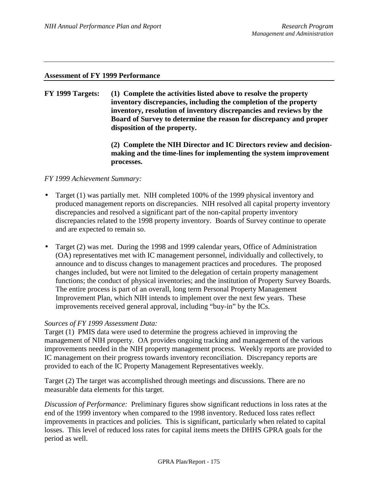#### **Assessment of FY 1999 Performance**

**FY 1999 Targets: (1) Complete the activities listed above to resolve the property inventory discrepancies, including the completion of the property inventory, resolution of inventory discrepancies and reviews by the Board of Survey to determine the reason for discrepancy and proper disposition of the property.**

> **(2) Complete the NIH Director and IC Directors review and decisionmaking and the time-lines for implementing the system improvement processes.**

#### *FY 1999 Achievement Summary:*

- Target (1) was partially met. NIH completed 100% of the 1999 physical inventory and produced management reports on discrepancies. NIH resolved all capital property inventory discrepancies and resolved a significant part of the non-capital property inventory discrepancies related to the 1998 property inventory. Boards of Survey continue to operate and are expected to remain so.
- Target (2) was met. During the 1998 and 1999 calendar years, Office of Administration (OA) representatives met with IC management personnel, individually and collectively, to announce and to discuss changes to management practices and procedures. The proposed changes included, but were not limited to the delegation of certain property management functions; the conduct of physical inventories; and the institution of Property Survey Boards. The entire process is part of an overall, long term Personal Property Management Improvement Plan, which NIH intends to implement over the next few years. These improvements received general approval, including "buy-in" by the ICs.

#### *Sources of FY 1999 Assessment Data:*

Target (1) PMIS data were used to determine the progress achieved in improving the management of NIH property. OA provides ongoing tracking and management of the various improvements needed in the NIH property management process. Weekly reports are provided to IC management on their progress towards inventory reconciliation. Discrepancy reports are provided to each of the IC Property Management Representatives weekly.

Target (2) The target was accomplished through meetings and discussions. There are no measurable data elements for this target.

*Discussion of Performance:* Preliminary figures show significant reductions in loss rates at the end of the 1999 inventory when compared to the 1998 inventory. Reduced loss rates reflect improvements in practices and policies. This is significant, particularly when related to capital losses. This level of reduced loss rates for capital items meets the DHHS GPRA goals for the period as well.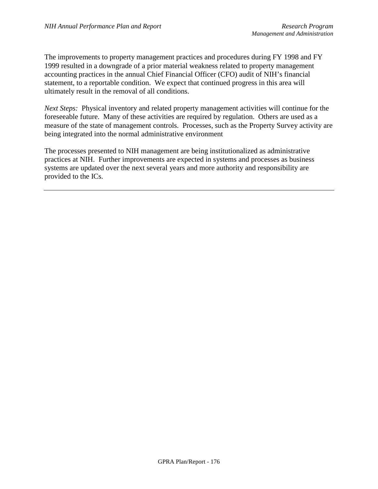The improvements to property management practices and procedures during FY 1998 and FY 1999 resulted in a downgrade of a prior material weakness related to property management accounting practices in the annual Chief Financial Officer (CFO) audit of NIH's financial statement, to a reportable condition. We expect that continued progress in this area will ultimately result in the removal of all conditions.

*Next Steps:* Physical inventory and related property management activities will continue for the foreseeable future. Many of these activities are required by regulation. Others are used as a measure of the state of management controls. Processes, such as the Property Survey activity are being integrated into the normal administrative environment

The processes presented to NIH management are being institutionalized as administrative practices at NIH. Further improvements are expected in systems and processes as business systems are updated over the next several years and more authority and responsibility are provided to the ICs.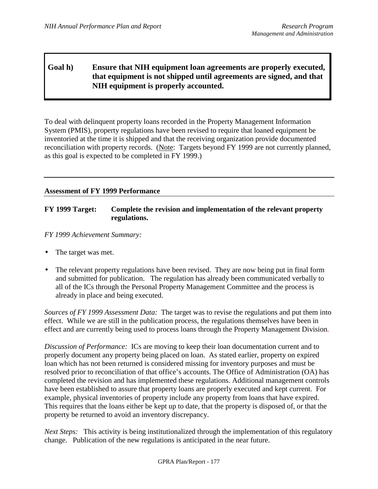# <span id="page-177-0"></span>**Goal h) Ensure that NIH equipment loan agreements are properly executed, that equipment is not shipped until agreements are signed, and that NIH equipment is properly accounted.**

To deal with delinquent property loans recorded in the Property Management Information System (PMIS), property regulations have been revised to require that loaned equipment be inventoried at the time it is shipped and that the receiving organization provide documented reconciliation with property records. (Note: Targets beyond FY 1999 are not currently planned, as this goal is expected to be completed in FY 1999.)

#### **Assessment of FY 1999 Performance**

## **FY 1999 Target: Complete the revision and implementation of the relevant property regulations.**

*FY 1999 Achievement Summary:*

- The target was met.
- The relevant property regulations have been revised. They are now being put in final form and submitted for publication. The regulation has already been communicated verbally to all of the ICs through the Personal Property Management Committee and the process is already in place and being executed.

*Sources of FY 1999 Assessment Data:* The target was to revise the regulations and put them into effect. While we are still in the publication process, the regulations themselves have been in effect and are currently being used to process loans through the Property Management Division.

*Discussion of Performance:* ICs are moving to keep their loan documentation current and to properly document any property being placed on loan. As stated earlier, property on expired loan which has not been returned is considered missing for inventory purposes and must be resolved prior to reconciliation of that office's accounts. The Office of Administration (OA) has completed the revision and has implemented these regulations. Additional management controls have been established to assure that property loans are properly executed and kept current. For example, physical inventories of property include any property from loans that have expired. This requires that the loans either be kept up to date, that the property is disposed of, or that the property be returned to avoid an inventory discrepancy.

*Next Steps:* This activity is being institutionalized through the implementation of this regulatory change. Publication of the new regulations is anticipated in the near future.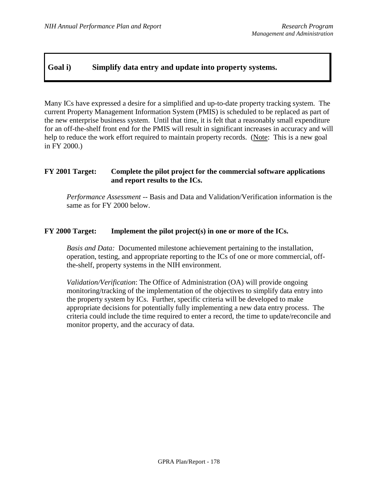# <span id="page-178-0"></span>**Goal i) Simplify data entry and update into property systems.**

Many ICs have expressed a desire for a simplified and up-to-date property tracking system. The current Property Management Information System (PMIS) is scheduled to be replaced as part of the new enterprise business system. Until that time, it is felt that a reasonably small expenditure for an off-the-shelf front end for the PMIS will result in significant increases in accuracy and will help to reduce the work effort required to maintain property records. (Note: This is a new goal in FY 2000.)

### **FY 2001 Target: Complete the pilot project for the commercial software applications and report results to the ICs.**

*Performance Assessment* -- Basis and Data and Validation/Verification information is the same as for FY 2000 below.

#### **FY 2000 Target: Implement the pilot project(s) in one or more of the ICs.**

*Basis and Data:* Documented milestone achievement pertaining to the installation, operation, testing, and appropriate reporting to the ICs of one or more commercial, offthe-shelf, property systems in the NIH environment.

*Validation/Verification*: The Office of Administration (OA) will provide ongoing monitoring/tracking of the implementation of the objectives to simplify data entry into the property system by ICs. Further, specific criteria will be developed to make appropriate decisions for potentially fully implementing a new data entry process. The criteria could include the time required to enter a record, the time to update/reconcile and monitor property, and the accuracy of data.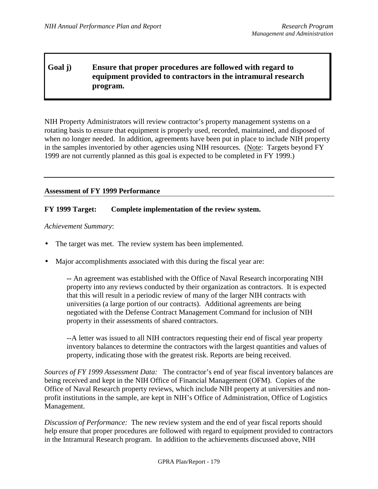# <span id="page-179-0"></span>**Goal j) Ensure that proper procedures are followed with regard to equipment provided to contractors in the intramural research program.**

NIH Property Administrators will review contractor's property management systems on a rotating basis to ensure that equipment is properly used, recorded, maintained, and disposed of when no longer needed. In addition, agreements have been put in place to include NIH property in the samples inventoried by other agencies using NIH resources. (Note: Targets beyond FY 1999 are not currently planned as this goal is expected to be completed in FY 1999.)

#### **Assessment of FY 1999 Performance**

#### **FY 1999 Target: Complete implementation of the review system.**

*Achievement Summary*:

- The target was met. The review system has been implemented.
- Major accomplishments associated with this during the fiscal year are:

**--** An agreement was established with the Office of Naval Research incorporating NIH property into any reviews conducted by their organization as contractors. It is expected that this will result in a periodic review of many of the larger NIH contracts with universities (a large portion of our contracts). Additional agreements are being negotiated with the Defense Contract Management Command for inclusion of NIH property in their assessments of shared contractors.

--A letter was issued to all NIH contractors requesting their end of fiscal year property inventory balances to determine the contractors with the largest quantities and values of property, indicating those with the greatest risk. Reports are being received.

*Sources of FY 1999 Assessment Data:* The contractor's end of year fiscal inventory balances are being received and kept in the NIH Office of Financial Management (OFM). Copies of the Office of Naval Research property reviews, which include NIH property at universities and nonprofit institutions in the sample, are kept in NIH's Office of Administration, Office of Logistics Management.

*Discussion of Performance:* The new review system and the end of year fiscal reports should help ensure that proper procedures are followed with regard to equipment provided to contractors in the Intramural Research program. In addition to the achievements discussed above, NIH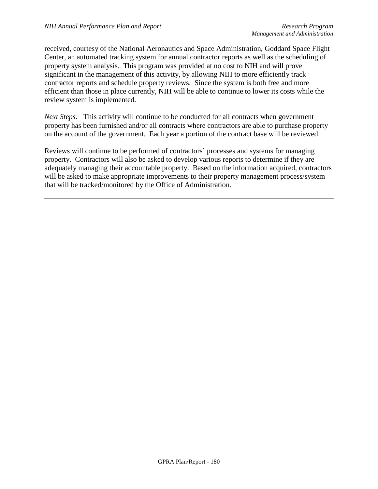received, courtesy of the National Aeronautics and Space Administration, Goddard Space Flight Center, an automated tracking system for annual contractor reports as well as the scheduling of property system analysis. This program was provided at no cost to NIH and will prove significant in the management of this activity, by allowing NIH to more efficiently track contractor reports and schedule property reviews. Since the system is both free and more efficient than those in place currently, NIH will be able to continue to lower its costs while the review system is implemented.

*Next Steps:* This activity will continue to be conducted for all contracts when government property has been furnished and/or all contracts where contractors are able to purchase property on the account of the government. Each year a portion of the contract base will be reviewed.

Reviews will continue to be performed of contractors' processes and systems for managing property. Contractors will also be asked to develop various reports to determine if they are adequately managing their accountable property. Based on the information acquired, contractors will be asked to make appropriate improvements to their property management process/system that will be tracked/monitored by the Office of Administration.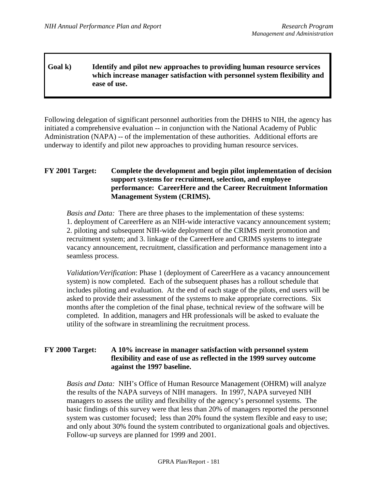### **Goal k) Identify and pilot new approaches to providing human resource services which increase manager satisfaction with personnel system flexibility and ease of use.**

Following delegation of significant personnel authorities from the DHHS to NIH, the agency has initiated a comprehensive evaluation -- in conjunction with the National Academy of Public Administration (NAPA) -- of the implementation of these authorities. Additional efforts are underway to identify and pilot new approaches to providing human resource services.

### **FY 2001 Target: Complete the development and begin pilot implementation of decision support systems for recruitment, selection, and employee performance: CareerHere and the Career Recruitment Information Management System (CRIMS).**

*Basis and Data:* There are three phases to the implementation of these systems: 1. deployment of CareerHere as an NIH-wide interactive vacancy announcement system; 2. piloting and subsequent NIH-wide deployment of the CRIMS merit promotion and recruitment system; and 3. linkage of the CareerHere and CRIMS systems to integrate vacancy announcement, recruitment, classification and performance management into a seamless process.

*Validation/Verification*: Phase 1 (deployment of CareerHere as a vacancy announcement system) is now completed. Each of the subsequent phases has a rollout schedule that includes piloting and evaluation. At the end of each stage of the pilots, end users will be asked to provide their assessment of the systems to make appropriate corrections. Six months after the completion of the final phase, technical review of the software will be completed. In addition, managers and HR professionals will be asked to evaluate the utility of the software in streamlining the recruitment process.

### **FY 2000 Target: A 10% increase in manager satisfaction with personnel system flexibility and ease of use as reflected in the 1999 survey outcome against the 1997 baseline.**

*Basis and Data:* NIH's Office of Human Resource Management (OHRM) will analyze the results of the NAPA surveys of NIH managers. In 1997, NAPA surveyed NIH managers to assess the utility and flexibility of the agency's personnel systems. The basic findings of this survey were that less than 20% of managers reported the personnel system was customer focused; less than 20% found the system flexible and easy to use; and only about 30% found the system contributed to organizational goals and objectives. Follow-up surveys are planned for 1999 and 2001.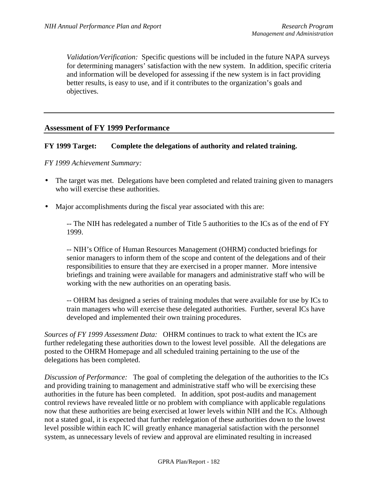*Validation/Verification:* Specific questions will be included in the future NAPA surveys for determining managers' satisfaction with the new system. In addition, specific criteria and information will be developed for assessing if the new system is in fact providing better results, is easy to use, and if it contributes to the organization's goals and objectives.

## **Assessment of FY 1999 Performance**

#### **FY 1999 Target: Complete the delegations of authority and related training.**

*FY 1999 Achievement Summary:*

- The target was met. Delegations have been completed and related training given to managers who will exercise these authorities.
- Major accomplishments during the fiscal year associated with this are:

-- The NIH has redelegated a number of Title 5 authorities to the ICs as of the end of FY 1999.

-- NIH's Office of Human Resources Management (OHRM) conducted briefings for senior managers to inform them of the scope and content of the delegations and of their responsibilities to ensure that they are exercised in a proper manner. More intensive briefings and training were available for managers and administrative staff who will be working with the new authorities on an operating basis.

-- OHRM has designed a series of training modules that were available for use by ICs to train managers who will exercise these delegated authorities. Further, several ICs have developed and implemented their own training procedures.

*Sources of FY 1999 Assessment Data:* OHRM continues to track to what extent the ICs are further redelegating these authorities down to the lowest level possible. All the delegations are posted to the OHRM Homepage and all scheduled training pertaining to the use of the delegations has been completed.

*Discussion of Performance:* The goal of completing the delegation of the authorities to the ICs and providing training to management and administrative staff who will be exercising these authorities in the future has been completed. In addition, spot post-audits and management control reviews have revealed little or no problem with compliance with applicable regulations now that these authorities are being exercised at lower levels within NIH and the ICs. Although not a stated goal, it is expected that further redelegation of these authorities down to the lowest level possible within each IC will greatly enhance managerial satisfaction with the personnel system, as unnecessary levels of review and approval are eliminated resulting in increased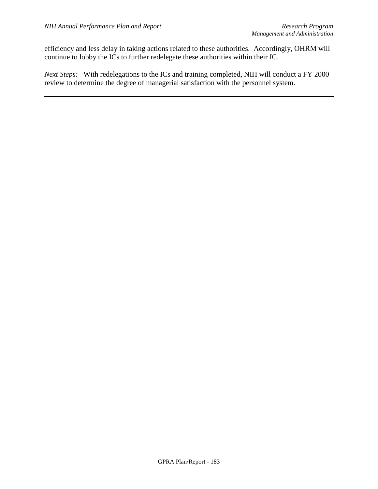efficiency and less delay in taking actions related to these authorities. Accordingly, OHRM will continue to lobby the ICs to further redelegate these authorities within their IC.

*Next Steps:* With redelegations to the ICs and training completed, NIH will conduct a FY 2000 review to determine the degree of managerial satisfaction with the personnel system.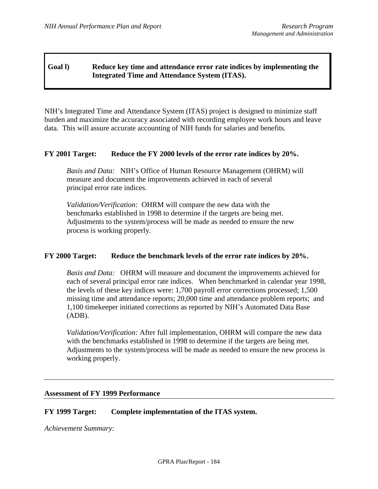## **Goal l) Reduce key time and attendance error rate indices by implementing the Integrated Time and Attendance System (ITAS).**

NIH's Integrated Time and Attendance System (ITAS) project is designed to minimize staff burden and maximize the accuracy associated with recording employee work hours and leave data. This will assure accurate accounting of NIH funds for salaries and benefits.

#### **FY 2001 Target: Reduce the FY 2000 levels of the error rate indices by 20%.**

*Basis and Data:* NIH's Office of Human Resource Management (OHRM) will measure and document the improvements achieved in each of several principal error rate indices.

*Validation/Verification:* OHRM will compare the new data with the benchmarks established in 1998 to determine if the targets are being met. Adjustments to the system/process will be made as needed to ensure the new process is working properly.

#### **FY 2000 Target: Reduce the benchmark levels of the error rate indices by 20%.**

*Basis and Data:* OHRM will measure and document the improvements achieved for each of several principal error rate indices. When benchmarked in calendar year 1998, the levels of these key indices were: 1,700 payroll error corrections processed; 1,500 missing time and attendance reports; 20,000 time and attendance problem reports; and 1,100 timekeeper initiated corrections as reported by NIH's Automated Data Base (ADB).

*Validation/Verification:* After full implementation, OHRM will compare the new data with the benchmarks established in 1998 to determine if the targets are being met. Adjustments to the system/process will be made as needed to ensure the new process is working properly.

#### **Assessment of FY 1999 Performance**

**FY 1999 Target: Complete implementation of the ITAS system.**

*Achievement Summary:*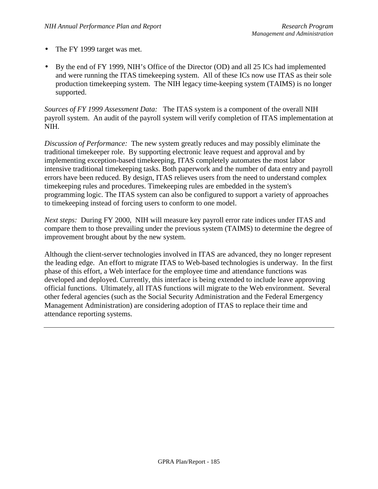- The FY 1999 target was met.
- By the end of FY 1999, NIH's Office of the Director (OD) and all 25 ICs had implemented and were running the ITAS timekeeping system. All of these ICs now use ITAS as their sole production timekeeping system. The NIH legacy time-keeping system (TAIMS) is no longer supported.

*Sources of FY 1999 Assessment Data:* The ITAS system is a component of the overall NIH payroll system. An audit of the payroll system will verify completion of ITAS implementation at NIH.

*Discussion of Performance:* The new system greatly reduces and may possibly eliminate the traditional timekeeper role. By supporting electronic leave request and approval and by implementing exception-based timekeeping, ITAS completely automates the most labor intensive traditional timekeeping tasks. Both paperwork and the number of data entry and payroll errors have been reduced. By design, ITAS relieves users from the need to understand complex timekeeping rules and procedures. Timekeeping rules are embedded in the system's programming logic. The ITAS system can also be configured to support a variety of approaches to timekeeping instead of forcing users to conform to one model.

*Next steps:* During FY 2000, NIH will measure key payroll error rate indices under ITAS and compare them to those prevailing under the previous system (TAIMS) to determine the degree of improvement brought about by the new system.

Although the client-server technologies involved in ITAS are advanced, they no longer represent the leading edge. An effort to migrate ITAS to Web-based technologies is underway. In the first phase of this effort, a Web interface for the employee time and attendance functions was developed and deployed. Currently, this interface is being extended to include leave approving official functions. Ultimately, all ITAS functions will migrate to the Web environment. Several other federal agencies (such as the Social Security Administration and the Federal Emergency Management Administration) are considering adoption of ITAS to replace their time and attendance reporting systems.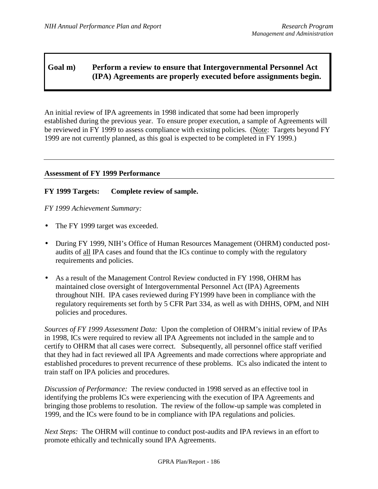# **Goal m) Perform a review to ensure that Intergovernmental Personnel Act (IPA) Agreements are properly executed before assignments begin.**

An initial review of IPA agreements in 1998 indicated that some had been improperly established during the previous year. To ensure proper execution, a sample of Agreements will be reviewed in FY 1999 to assess compliance with existing policies. (Note: Targets beyond FY 1999 are not currently planned, as this goal is expected to be completed in FY 1999.)

#### **Assessment of FY 1999 Performance**

#### **FY 1999 Targets: Complete review of sample.**

*FY 1999 Achievement Summary:*

- The FY 1999 target was exceeded.
- During FY 1999, NIH's Office of Human Resources Management (OHRM) conducted postaudits of all IPA cases and found that the ICs continue to comply with the regulatory requirements and policies.
- As a result of the Management Control Review conducted in FY 1998, OHRM has maintained close oversight of Intergovernmental Personnel Act (IPA) Agreements throughout NIH. IPA cases reviewed during FY1999 have been in compliance with the regulatory requirements set forth by 5 CFR Part 334, as well as with DHHS, OPM, and NIH policies and procedures.

*Sources of FY 1999 Assessment Data:* Upon the completion of OHRM's initial review of IPAs in 1998, ICs were required to review all IPA Agreements not included in the sample and to certify to OHRM that all cases were correct. Subsequently, all personnel office staff verified that they had in fact reviewed all IPA Agreements and made corrections where appropriate and established procedures to prevent recurrence of these problems. ICs also indicated the intent to train staff on IPA policies and procedures.

*Discussion of Performance:* The review conducted in 1998 served as an effective tool in identifying the problems ICs were experiencing with the execution of IPA Agreements and bringing those problems to resolution. The review of the follow-up sample was completed in 1999, and the ICs were found to be in compliance with IPA regulations and policies.

*Next Steps:* The OHRM will continue to conduct post-audits and IPA reviews in an effort to promote ethically and technically sound IPA Agreements.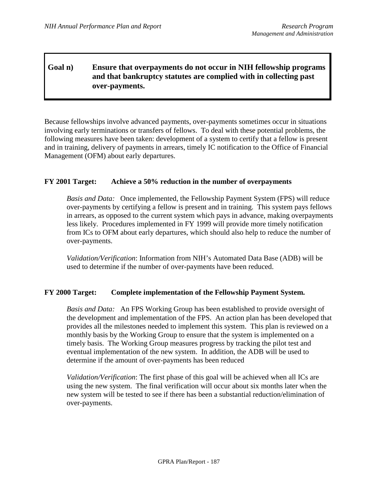# **Goal n) Ensure that overpayments do not occur in NIH fellowship programs and that bankruptcy statutes are complied with in collecting past over-payments.**

Because fellowships involve advanced payments, over-payments sometimes occur in situations involving early terminations or transfers of fellows. To deal with these potential problems, the following measures have been taken: development of a system to certify that a fellow is present and in training, delivery of payments in arrears, timely IC notification to the Office of Financial Management (OFM) about early departures.

#### **FY 2001 Target: Achieve a 50% reduction in the number of overpayments**

*Basis and Data:* Once implemented, the Fellowship Payment System (FPS) will reduce over-payments by certifying a fellow is present and in training. This system pays fellows in arrears, as opposed to the current system which pays in advance, making overpayments less likely. Procedures implemented in FY 1999 will provide more timely notification from ICs to OFM about early departures, which should also help to reduce the number of over-payments.

*Validation/Verification*: Information from NIH's Automated Data Base (ADB) will be used to determine if the number of over-payments have been reduced.

#### **FY 2000 Target: Complete implementation of the Fellowship Payment System.**

*Basis and Data:* An FPS Working Group has been established to provide oversight of the development and implementation of the FPS. An action plan has been developed that provides all the milestones needed to implement this system. This plan is reviewed on a monthly basis by the Working Group to ensure that the system is implemented on a timely basis. The Working Group measures progress by tracking the pilot test and eventual implementation of the new system. In addition, the ADB will be used to determine if the amount of over-payments has been reduced

*Validation/Verification*: The first phase of this goal will be achieved when all ICs are using the new system. The final verification will occur about six months later when the new system will be tested to see if there has been a substantial reduction/elimination of over-payments.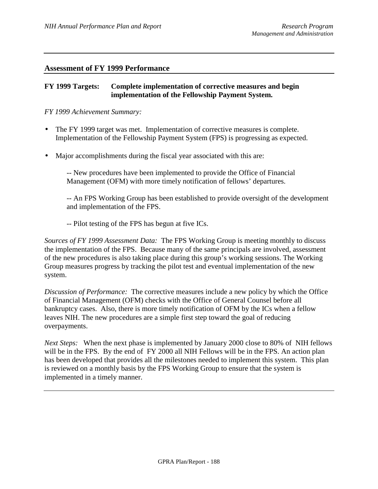#### **Assessment of FY 1999 Performance**

#### **FY 1999 Targets: Complete implementation of corrective measures and begin implementation of the Fellowship Payment System.**

*FY 1999 Achievement Summary:*

- The FY 1999 target was met. Implementation of corrective measures is complete. Implementation of the Fellowship Payment System (FPS) is progressing as expected.
- Major accomplishments during the fiscal year associated with this are:

-- New procedures have been implemented to provide the Office of Financial Management (OFM) with more timely notification of fellows' departures.

-- An FPS Working Group has been established to provide oversight of the development and implementation of the FPS.

-- Pilot testing of the FPS has begun at five ICs.

*Sources of FY 1999 Assessment Data:* The FPS Working Group is meeting monthly to discuss the implementation of the FPS. Because many of the same principals are involved, assessment of the new procedures is also taking place during this group's working sessions. The Working Group measures progress by tracking the pilot test and eventual implementation of the new system.

*Discussion of Performance:* The corrective measures include a new policy by which the Office of Financial Management (OFM) checks with the Office of General Counsel before all bankruptcy cases. Also, there is more timely notification of OFM by the ICs when a fellow leaves NIH. The new procedures are a simple first step toward the goal of reducing overpayments.

*Next Steps:* When the next phase is implemented by January 2000 close to 80% of NIH fellows will be in the FPS. By the end of FY 2000 all NIH Fellows will be in the FPS. An action plan has been developed that provides all the milestones needed to implement this system. This plan is reviewed on a monthly basis by the FPS Working Group to ensure that the system is implemented in a timely manner.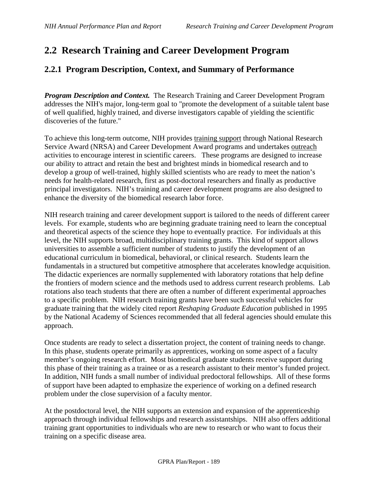# **2.2 Research Training and Career Development Program**

# **2.2.1 Program Description, Context, and Summary of Performance**

*Program Description and Context.* The Research Training and Career Development Program addresses the NIH's major, long-term goal to "promote the development of a suitable talent base of well qualified, highly trained, and diverse investigators capable of yielding the scientific discoveries of the future."

To achieve this long-term outcome, NIH provides training support through National Research Service Award (NRSA) and Career Development Award programs and undertakes outreach activities to encourage interest in scientific careers. These programs are designed to increase our ability to attract and retain the best and brightest minds in biomedical research and to develop a group of well-trained, highly skilled scientists who are ready to meet the nation's needs for health-related research, first as post-doctoral researchers and finally as productive principal investigators. NIH's training and career development programs are also designed to enhance the diversity of the biomedical research labor force.

NIH research training and career development support is tailored to the needs of different career levels. For example, students who are beginning graduate training need to learn the conceptual and theoretical aspects of the science they hope to eventually practice. For individuals at this level, the NIH supports broad, multidisciplinary training grants. This kind of support allows universities to assemble a sufficient number of students to justify the development of an educational curriculum in biomedical, behavioral, or clinical research. Students learn the fundamentals in a structured but competitive atmosphere that accelerates knowledge acquisition. The didactic experiences are normally supplemented with laboratory rotations that help define the frontiers of modern science and the methods used to address current research problems. Lab rotations also teach students that there are often a number of different experimental approaches to a specific problem. NIH research training grants have been such successful vehicles for graduate training that the widely cited report *Reshaping Graduate Education* published in 1995 by the National Academy of Sciences recommended that all federal agencies should emulate this approach.

Once students are ready to select a dissertation project, the content of training needs to change. In this phase, students operate primarily as apprentices, working on some aspect of a faculty member's ongoing research effort. Most biomedical graduate students receive support during this phase of their training as a trainee or as a research assistant to their mentor's funded project. In addition, NIH funds a small number of individual predoctoral fellowships. All of these forms of support have been adapted to emphasize the experience of working on a defined research problem under the close supervision of a faculty mentor.

At the postdoctoral level, the NIH supports an extension and expansion of the apprenticeship approach through individual fellowships and research assistantships. NIH also offers additional training grant opportunities to individuals who are new to research or who want to focus their training on a specific disease area.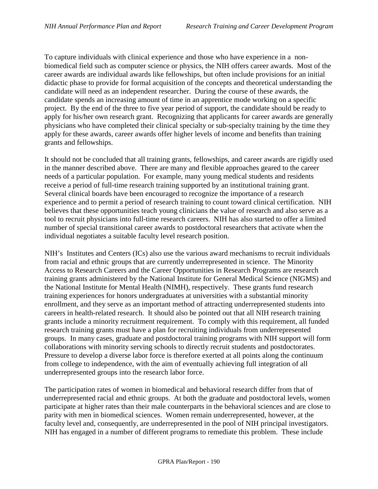To capture individuals with clinical experience and those who have experience in a nonbiomedical field such as computer science or physics, the NIH offers career awards. Most of the career awards are individual awards like fellowships, but often include provisions for an initial didactic phase to provide for formal acquisition of the concepts and theoretical understanding the candidate will need as an independent researcher. During the course of these awards, the candidate spends an increasing amount of time in an apprentice mode working on a specific project. By the end of the three to five year period of support, the candidate should be ready to apply for his/her own research grant. Recognizing that applicants for career awards are generally physicians who have completed their clinical specialty or sub-specialty training by the time they apply for these awards, career awards offer higher levels of income and benefits than training grants and fellowships.

It should not be concluded that all training grants, fellowships, and career awards are rigidly used in the manner described above. There are many and flexible approaches geared to the career needs of a particular population. For example, many young medical students and residents receive a period of full-time research training supported by an institutional training grant. Several clinical boards have been encouraged to recognize the importance of a research experience and to permit a period of research training to count toward clinical certification. NIH believes that these opportunities teach young clinicians the value of research and also serve as a tool to recruit physicians into full-time research careers. NIH has also started to offer a limited number of special transitional career awards to postdoctoral researchers that activate when the individual negotiates a suitable faculty level research position.

NIH's Institutes and Centers (ICs) also use the various award mechanisms to recruit individuals from racial and ethnic groups that are currently underrepresented in science. The Minority Access to Research Careers and the Career Opportunities in Research Programs are research training grants administered by the National Institute for General Medical Science (NIGMS) and the National Institute for Mental Health (NIMH), respectively. These grants fund research training experiences for honors undergraduates at universities with a substantial minority enrollment, and they serve as an important method of attracting underrepresented students into careers in health-related research. It should also be pointed out that all NIH research training grants include a minority recruitment requirement. To comply with this requirement, all funded research training grants must have a plan for recruiting individuals from underrepresented groups. In many cases, graduate and postdoctoral training programs with NIH support will form collaborations with minority serving schools to directly recruit students and postdoctorates. Pressure to develop a diverse labor force is therefore exerted at all points along the continuum from college to independence, with the aim of eventually achieving full integration of all underrepresented groups into the research labor force.

The participation rates of women in biomedical and behavioral research differ from that of underrepresented racial and ethnic groups. At both the graduate and postdoctoral levels, women participate at higher rates than their male counterparts in the behavioral sciences and are close to parity with men in biomedical sciences. Women remain underrepresented, however, at the faculty level and, consequently, are underrepresented in the pool of NIH principal investigators. NIH has engaged in a number of different programs to remediate this problem. These include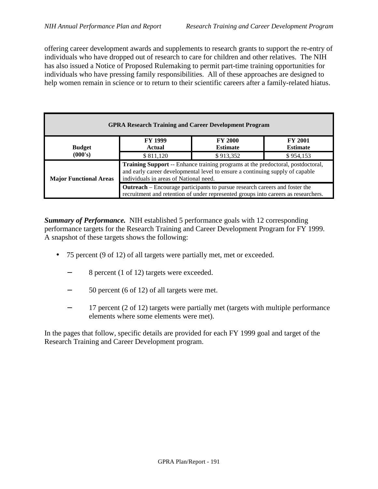offering career development awards and supplements to research grants to support the re-entry of individuals who have dropped out of research to care for children and other relatives. The NIH has also issued a Notice of Proposed Rulemaking to permit part-time training opportunities for individuals who have pressing family responsibilities. All of these approaches are designed to help women remain in science or to return to their scientific careers after a family-related hiatus.

| <b>GPRA Research Training and Career Development Program</b> |                                                                                                                                                                                                            |                                   |                                   |  |
|--------------------------------------------------------------|------------------------------------------------------------------------------------------------------------------------------------------------------------------------------------------------------------|-----------------------------------|-----------------------------------|--|
| <b>Budget</b>                                                | <b>FY 1999</b><br><b>Actual</b>                                                                                                                                                                            | <b>FY 2000</b><br><b>Estimate</b> | <b>FY 2001</b><br><b>Estimate</b> |  |
| (000's)                                                      | \$811,120                                                                                                                                                                                                  | \$913,352                         | \$954,153                         |  |
| <b>Major Functional Areas</b>                                | Training Support -- Enhance training programs at the predoctoral, postdoctoral,<br>and early career developmental level to ensure a continuing supply of capable<br>individuals in areas of National need. |                                   |                                   |  |
|                                                              | <b>Outreach</b> – Encourage participants to pursue research careers and foster the<br>recruitment and retention of under represented groups into careers as researchers.                                   |                                   |                                   |  |

*Summary of Performance.* NIH established 5 performance goals with 12 corresponding performance targets for the Research Training and Career Development Program for FY 1999. A snapshot of these targets shows the following:

- 75 percent (9 of 12) of all targets were partially met, met or exceeded.
	- − 8 percent (1 of 12) targets were exceeded.
	- − 50 percent (6 of 12) of all targets were met.
	- − 17 percent (2 of 12) targets were partially met (targets with multiple performance elements where some elements were met).

In the pages that follow, specific details are provided for each FY 1999 goal and target of the Research Training and Career Development program.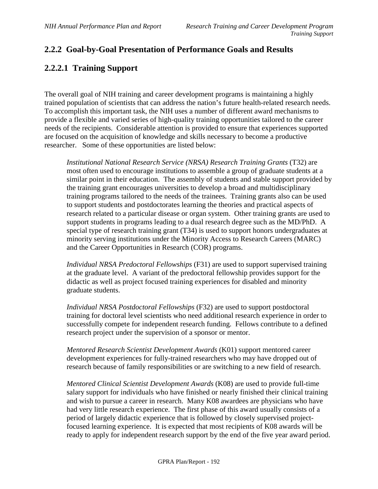# **2.2.2 Goal-by-Goal Presentation of Performance Goals and Results**

# **2.2.2.1 Training Support**

The overall goal of NIH training and career development programs is maintaining a highly trained population of scientists that can address the nation's future health-related research needs. To accomplish this important task, the NIH uses a number of different award mechanisms to provide a flexible and varied series of high-quality training opportunities tailored to the career needs of the recipients. Considerable attention is provided to ensure that experiences supported are focused on the acquisition of knowledge and skills necessary to become a productive researcher. Some of these opportunities are listed below:

*Institutional National Research Service (NRSA) Research Training Grants* (T32) are most often used to encourage institutions to assemble a group of graduate students at a similar point in their education. The assembly of students and stable support provided by the training grant encourages universities to develop a broad and multidisciplinary training programs tailored to the needs of the trainees. Training grants also can be used to support students and postdoctorates learning the theories and practical aspects of research related to a particular disease or organ system. Other training grants are used to support students in programs leading to a dual research degree such as the MD/PhD. A special type of research training grant (T34) is used to support honors undergraduates at minority serving institutions under the Minority Access to Research Careers (MARC) and the Career Opportunities in Research (COR) programs.

*Individual NRSA Predoctoral Fellowships* (F31) are used to support supervised training at the graduate level. A variant of the predoctoral fellowship provides support for the didactic as well as project focused training experiences for disabled and minority graduate students.

*Individual NRSA Postdoctoral Fellowships* (F32) are used to support postdoctoral training for doctoral level scientists who need additional research experience in order to successfully compete for independent research funding. Fellows contribute to a defined research project under the supervision of a sponsor or mentor.

*Mentored Research Scientist Development Awards* (K01) support mentored career development experiences for fully-trained researchers who may have dropped out of research because of family responsibilities or are switching to a new field of research.

*Mentored Clinical Scientist Development Awards* (K08) are used to provide full-time salary support for individuals who have finished or nearly finished their clinical training and wish to pursue a career in research. Many K08 awardees are physicians who have had very little research experience. The first phase of this award usually consists of a period of largely didactic experience that is followed by closely supervised projectfocused learning experience. It is expected that most recipients of K08 awards will be ready to apply for independent research support by the end of the five year award period.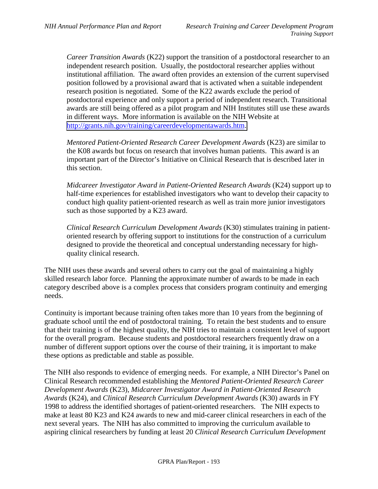*Career Transition Awards* (K22) support the transition of a postdoctoral researcher to an independent research position. Usually, the postdoctoral researcher applies without institutional affiliation. The award often provides an extension of the current supervised position followed by a provisional award that is activated when a suitable independent research position is negotiated. Some of the K22 awards exclude the period of postdoctoral experience and only support a period of independent research. Transitional awards are still being offered as a pilot program and NIH Institutes still use these awards in different ways. More information is available on the NIH Website at [http://grants.nih.gov/training/careerdevelopmentawards.htm.](http://grants.nih.gov/training/careerdevelopmentawards.htm)

*Mentored Patient-Oriented Research Career Development Awards* (K23) are similar to the K08 awards but focus on research that involves human patients. This award is an important part of the Director's Initiative on Clinical Research that is described later in this section.

*Midcareer Investigator Award in Patient-Oriented Research Awards* (K24) support up to half-time experiences for established investigators who want to develop their capacity to conduct high quality patient-oriented research as well as train more junior investigators such as those supported by a K23 award.

*Clinical Research Curriculum Development Awards* (K30) stimulates training in patientoriented research by offering support to institutions for the construction of a curriculum designed to provide the theoretical and conceptual understanding necessary for highquality clinical research.

The NIH uses these awards and several others to carry out the goal of maintaining a highly skilled research labor force. Planning the approximate number of awards to be made in each category described above is a complex process that considers program continuity and emerging needs.

Continuity is important because training often takes more than 10 years from the beginning of graduate school until the end of postdoctoral training. To retain the best students and to ensure that their training is of the highest quality, the NIH tries to maintain a consistent level of support for the overall program. Because students and postdoctoral researchers frequently draw on a number of different support options over the course of their training, it is important to make these options as predictable and stable as possible.

The NIH also responds to evidence of emerging needs. For example, a NIH Director's Panel on Clinical Research recommended establishing the *Mentored Patient-Oriented Research Career Development Awards* (K23), *Midcareer Investigator Award in Patient-Oriented Research Awards* (K24), and *Clinical Research Curriculum Development Awards* (K30) awards in FY 1998 to address the identified shortages of patient-oriented researchers. The NIH expects to make at least 80 K23 and K24 awards to new and mid-career clinical researchers in each of the next several years. The NIH has also committed to improving the curriculum available to aspiring clinical researchers by funding at least 20 *Clinical Research Curriculum Development*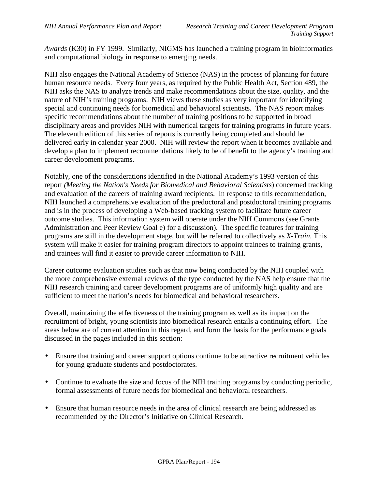*Awards* (K30) in FY 1999. Similarly, NIGMS has launched a training program in bioinformatics and computational biology in response to emerging needs.

NIH also engages the National Academy of Science (NAS) in the process of planning for future human resource needs. Every four years, as required by the Public Health Act, Section 489, the NIH asks the NAS to analyze trends and make recommendations about the size, quality, and the nature of NIH's training programs. NIH views these studies as very important for identifying special and continuing needs for biomedical and behavioral scientists. The NAS report makes specific recommendations about the number of training positions to be supported in broad disciplinary areas and provides NIH with numerical targets for training programs in future years. The eleventh edition of this series of reports is currently being completed and should be delivered early in calendar year 2000. NIH will review the report when it becomes available and develop a plan to implement recommendations likely to be of benefit to the agency's training and career development programs.

Notably, one of the considerations identified in the National Academy's 1993 version of this report *(Meeting the Nation's Needs for Biomedical and Behavioral Scientists*) concerned tracking and evaluation of the careers of training award recipients. In response to this recommendation, NIH launched a comprehensive evaluation of the predoctoral and postdoctoral training programs and is in the process of developing a Web-based tracking system to facilitate future career outcome studies. This information system will operate under the NIH Commons (see Grants Administration and Peer Review Goal e) for a discussion). The specific features for training programs are still in the development stage, but will be referred to collectively as *X-Train*. This system will make it easier for training program directors to appoint trainees to training grants, and trainees will find it easier to provide career information to NIH.

Career outcome evaluation studies such as that now being conducted by the NIH coupled with the more comprehensive external reviews of the type conducted by the NAS help ensure that the NIH research training and career development programs are of uniformly high quality and are sufficient to meet the nation's needs for biomedical and behavioral researchers.

Overall, maintaining the effectiveness of the training program as well as its impact on the recruitment of bright, young scientists into biomedical research entails a continuing effort. The areas below are of current attention in this regard, and form the basis for the performance goals discussed in the pages included in this section:

- Ensure that training and career support options continue to be attractive recruitment vehicles for young graduate students and postdoctorates.
- Continue to evaluate the size and focus of the NIH training programs by conducting periodic, formal assessments of future needs for biomedical and behavioral researchers.
- Ensure that human resource needs in the area of clinical research are being addressed as recommended by the Director's Initiative on Clinical Research.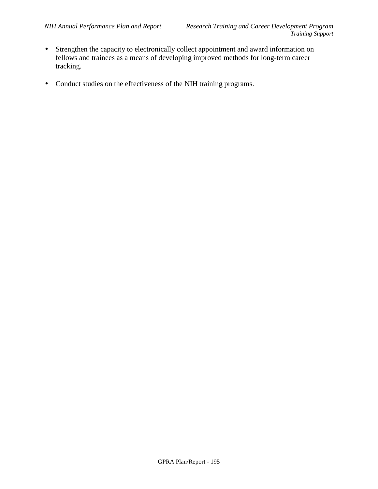- Strengthen the capacity to electronically collect appointment and award information on fellows and trainees as a means of developing improved methods for long-term career tracking.
- Conduct studies on the effectiveness of the NIH training programs.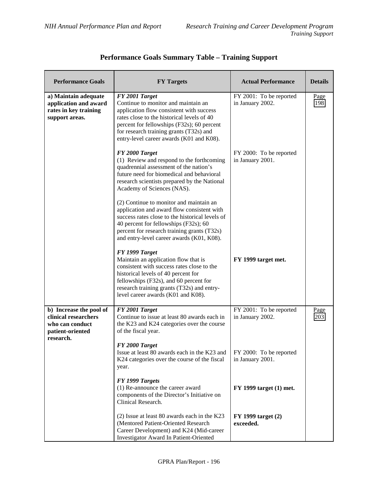| <b>Performance Goals</b>                                                                            | <b>FY</b> Targets                                                                                                                                                                                                                                                                    | <b>Actual Performance</b>                   | <b>Details</b> |
|-----------------------------------------------------------------------------------------------------|--------------------------------------------------------------------------------------------------------------------------------------------------------------------------------------------------------------------------------------------------------------------------------------|---------------------------------------------|----------------|
| a) Maintain adequate<br>application and award<br>rates in key training<br>support areas.            | FY 2001 Target<br>Continue to monitor and maintain an<br>application flow consistent with success<br>rates close to the historical levels of 40<br>percent for fellowships (F32s); 60 percent<br>for research training grants (T32s) and<br>entry-level career awards (K01 and K08). | FY 2001: To be reported<br>in January 2002. | Page<br>198    |
|                                                                                                     | FY 2000 Target<br>(1) Review and respond to the forthcoming<br>quadrennial assessment of the nation's<br>future need for biomedical and behavioral<br>research scientists prepared by the National<br>Academy of Sciences (NAS).                                                     | FY 2000: To be reported<br>in January 2001. |                |
|                                                                                                     | (2) Continue to monitor and maintain an<br>application and award flow consistent with<br>success rates close to the historical levels of<br>40 percent for fellowships (F32s); 60<br>percent for research training grants (T32s)<br>and entry-level career awards (K01, K08).        |                                             |                |
|                                                                                                     | FY 1999 Target<br>Maintain an application flow that is<br>consistent with success rates close to the<br>historical levels of 40 percent for<br>fellowships (F32s), and 60 percent for<br>research training grants (T32s) and entry-<br>level career awards (K01 and K08).            | FY 1999 target met.                         |                |
| b) Increase the pool of<br>clinical researchers<br>who can conduct<br>patient-oriented<br>research. | FY 2001 Target<br>Continue to issue at least 80 awards each in<br>the K23 and K24 categories over the course<br>of the fiscal year.                                                                                                                                                  | FY 2001: To be reported<br>in January 2002. | Page<br>203    |
|                                                                                                     | FY 2000 Target<br>Issue at least 80 awards each in the K23 and<br>K24 categories over the course of the fiscal<br>year.                                                                                                                                                              | FY 2000: To be reported<br>in January 2001. |                |
|                                                                                                     | FY 1999 Targets<br>(1) Re-announce the career award<br>components of the Director's Initiative on<br>Clinical Research.                                                                                                                                                              | FY 1999 target (1) met.                     |                |
|                                                                                                     | (2) Issue at least 80 awards each in the K23<br>(Mentored Patient-Oriented Research<br>Career Development) and K24 (Mid-career<br>Investigator Award In Patient-Oriented                                                                                                             | FY 1999 target (2)<br>exceeded.             |                |

# **Performance Goals Summary Table – Training Support**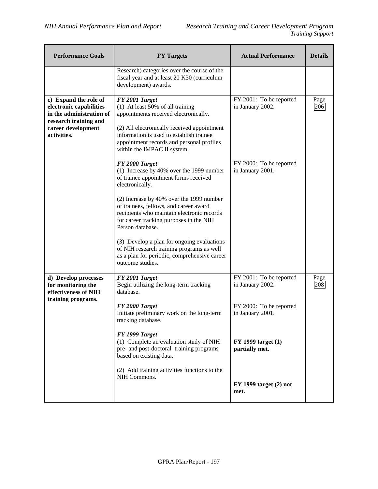| <b>Performance Goals</b>                                                                                                                   | <b>FY</b> Targets                                                                                                                                                                                                                                                  | <b>Actual Performance</b>                   | <b>Details</b> |
|--------------------------------------------------------------------------------------------------------------------------------------------|--------------------------------------------------------------------------------------------------------------------------------------------------------------------------------------------------------------------------------------------------------------------|---------------------------------------------|----------------|
|                                                                                                                                            | Research) categories over the course of the<br>fiscal year and at least 20 K30 (curriculum<br>development) awards.                                                                                                                                                 |                                             |                |
| c) Expand the role of<br>electronic capabilities<br>in the administration of<br>research training and<br>career development<br>activities. | FY 2001 Target<br>(1) At least 50% of all training<br>appointments received electronically.<br>(2) All electronically received appointment<br>information is used to establish trainee<br>appointment records and personal profiles<br>within the IMPAC II system. | FY 2001: To be reported<br>in January 2002. | Page<br>206    |
|                                                                                                                                            | FY 2000 Target<br>(1) Increase by 40% over the 1999 number<br>of trainee appointment forms received<br>electronically.                                                                                                                                             | FY 2000: To be reported<br>in January 2001. |                |
|                                                                                                                                            | (2) Increase by 40% over the 1999 number<br>of trainees, fellows, and career award<br>recipients who maintain electronic records<br>for career tracking purposes in the NIH<br>Person database.                                                                    |                                             |                |
|                                                                                                                                            | (3) Develop a plan for ongoing evaluations<br>of NIH research training programs as well<br>as a plan for periodic, comprehensive career<br>outcome studies.                                                                                                        |                                             |                |
| d) Develop processes<br>for monitoring the<br>effectiveness of NIH<br>training programs.                                                   | FY 2001 Target<br>Begin utilizing the long-term tracking<br>database.                                                                                                                                                                                              | FY 2001: To be reported<br>in January 2002. | Page<br>208    |
|                                                                                                                                            | FY 2000 Target<br>Initiate preliminary work on the long-term<br>tracking database.                                                                                                                                                                                 | FY 2000: To be reported<br>in January 2001. |                |
|                                                                                                                                            | FY 1999 Target<br>(1) Complete an evaluation study of NIH<br>pre- and post-doctoral training programs<br>based on existing data.                                                                                                                                   | FY 1999 target (1)<br>partially met.        |                |
|                                                                                                                                            | (2) Add training activities functions to the<br>NIH Commons.                                                                                                                                                                                                       | FY 1999 target (2) not<br>met.              |                |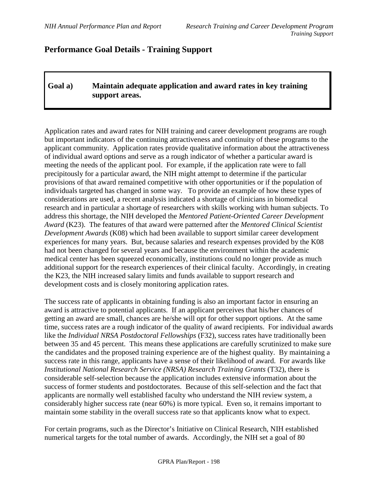# <span id="page-198-0"></span>**Performance Goal Details - Training Support**

# **Goal a) Maintain adequate application and award rates in key training support areas.**

Application rates and award rates for NIH training and career development programs are rough but important indicators of the continuing attractiveness and continuity of these programs to the applicant community. Application rates provide qualitative information about the attractiveness of individual award options and serve as a rough indicator of whether a particular award is meeting the needs of the applicant pool. For example, if the application rate were to fall precipitously for a particular award, the NIH might attempt to determine if the particular provisions of that award remained competitive with other opportunities or if the population of individuals targeted has changed in some way. To provide an example of how these types of considerations are used, a recent analysis indicated a shortage of clinicians in biomedical research and in particular a shortage of researchers with skills working with human subjects. To address this shortage, the NIH developed the *Mentored Patient-Oriented Career Development Award* (K23). The features of that award were patterned after the *Mentored Clinical Scientist Development Awards* (K08) which had been available to support similar career development experiences for many years. But, because salaries and research expenses provided by the K08 had not been changed for several years and because the environment within the academic medical center has been squeezed economically, institutions could no longer provide as much additional support for the research experiences of their clinical faculty. Accordingly, in creating the K23, the NIH increased salary limits and funds available to support research and development costs and is closely monitoring application rates.

The success rate of applicants in obtaining funding is also an important factor in ensuring an award is attractive to potential applicants. If an applicant perceives that his/her chances of getting an award are small, chances are he/she will opt for other support options. At the same time, success rates are a rough indicator of the quality of award recipients. For individual awards like the *Individual NRSA Postdoctoral Fellowships* (F32), success rates have traditionally been between 35 and 45 percent. This means these applications are carefully scrutinized to make sure the candidates and the proposed training experience are of the highest quality. By maintaining a success rate in this range, applicants have a sense of their likelihood of award. For awards like *Institutional National Research Service (NRSA) Research Training Grants* (T32), there is considerable self-selection because the application includes extensive information about the success of former students and postdoctorates. Because of this self-selection and the fact that applicants are normally well established faculty who understand the NIH review system, a considerably higher success rate (near 60%) is more typical. Even so, it remains important to maintain some stability in the overall success rate so that applicants know what to expect.

For certain programs, such as the Director's Initiative on Clinical Research, NIH established numerical targets for the total number of awards. Accordingly, the NIH set a goal of 80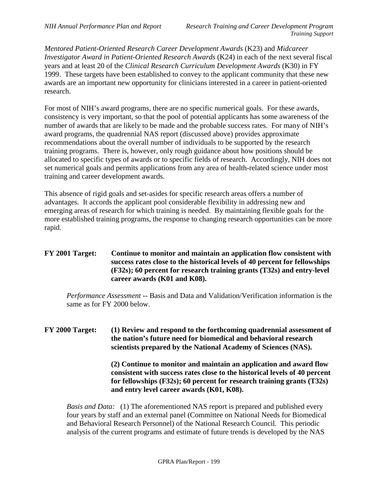*Mentored Patient-Oriented Research Career Development Awards* (K23) and *Midcareer Investigator Award in Patient-Oriented Research Awards* (K24) in each of the next several fiscal years and at least 20 of the *Clinical Research Curriculum Development Awards* (K30) in FY 1999. These targets have been established to convey to the applicant community that these new awards are an important new opportunity for clinicians interested in a career in patient-oriented research.

For most of NIH's award programs, there are no specific numerical goals. For these awards, consistency is very important, so that the pool of potential applicants has some awareness of the number of awards that are likely to be made and the probable success rates. For many of NIH's award programs, the quadrennial NAS report (discussed above) provides approximate recommendations about the overall number of individuals to be supported by the research training programs. There is, however, only rough guidance about how positions should be allocated to specific types of awards or to specific fields of research. Accordingly, NIH does not set numerical goals and permits applications from any area of health-related science under most training and career development awards.

This absence of rigid goals and set-asides for specific research areas offers a number of advantages. It accords the applicant pool considerable flexibility in addressing new and emerging areas of research for which training is needed. By maintaining flexible goals for the more established training programs, the response to changing research opportunities can be more rapid.

## **FY 2001 Target: Continue to monitor and maintain an application flow consistent with success rates close to the historical levels of 40 percent for fellowships (F32s); 60 percent for research training grants (T32s) and entry-level career awards (K01 and K08).**

*Performance Assessment* -- Basis and Data and Validation/Verification information is the same as for FY 2000 below.

**FY 2000 Target: (1) Review and respond to the forthcoming quadrennial assessment of the nation's future need for biomedical and behavioral research scientists prepared by the National Academy of Sciences (NAS).**

> **(2) Continue to monitor and maintain an application and award flow consistent with success rates close to the historical levels of 40 percent for fellowships (F32s); 60 percent for research training grants (T32s) and entry level career awards (K01, K08).**

*Basis and Data:* (1) The aforementioned NAS report is prepared and published every four years by staff and an external panel (Committee on National Needs for Biomedical and Behavioral Research Personnel) of the National Research Council. This periodic analysis of the current programs and estimate of future trends is developed by the NAS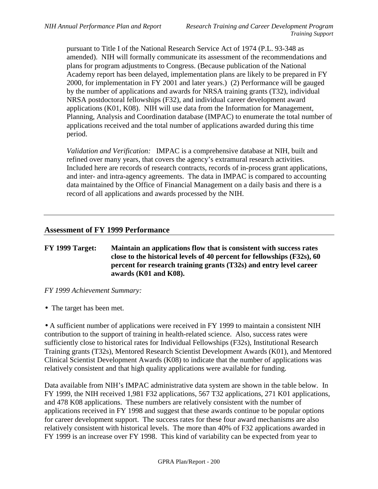pursuant to Title I of the National Research Service Act of 1974 (P.L. 93-348 as amended). NIH will formally communicate its assessment of the recommendations and plans for program adjustments to Congress. (Because publication of the National Academy report has been delayed, implementation plans are likely to be prepared in FY 2000, for implementation in FY 2001 and later years.) (2) Performance will be gauged by the number of applications and awards for NRSA training grants (T32), individual NRSA postdoctoral fellowships (F32), and individual career development award applications (K01, K08). NIH will use data from the Information for Management, Planning, Analysis and Coordination database (IMPAC) to enumerate the total number of applications received and the total number of applications awarded during this time period.

*Validation and Verification:* IMPAC is a comprehensive database at NIH, built and refined over many years, that covers the agency's extramural research activities. Included here are records of research contracts, records of in-process grant applications, and inter- and intra-agency agreements. The data in IMPAC is compared to accounting data maintained by the Office of Financial Management on a daily basis and there is a record of all applications and awards processed by the NIH.

## **Assessment of FY 1999 Performance**

## **FY 1999 Target: Maintain an applications flow that is consistent with success rates close to the historical levels of 40 percent for fellowships (F32s), 60 percent for research training grants (T32s) and entry level career awards (K01 and K08).**

#### *FY 1999 Achievement Summary:*

• The target has been met.

• A sufficient number of applications were received in FY 1999 to maintain a consistent NIH contribution to the support of training in health-related science. Also, success rates were sufficiently close to historical rates for Individual Fellowships (F32s), Institutional Research Training grants (T32s), Mentored Research Scientist Development Awards (K01), and Mentored Clinical Scientist Development Awards (K08) to indicate that the number of applications was relatively consistent and that high quality applications were available for funding.

Data available from NIH's IMPAC administrative data system are shown in the table below. In FY 1999, the NIH received 1,981 F32 applications, 567 T32 applications, 271 K01 applications, and 478 K08 applications. These numbers are relatively consistent with the number of applications received in FY 1998 and suggest that these awards continue to be popular options for career development support. The success rates for these four award mechanisms are also relatively consistent with historical levels. The more than 40% of F32 applications awarded in FY 1999 is an increase over FY 1998. This kind of variability can be expected from year to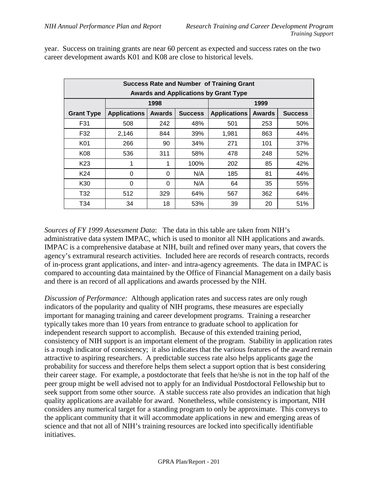year. Success on training grants are near 60 percent as expected and success rates on the two career development awards K01 and K08 are close to historical levels.

| <b>Success Rate and Number of Training Grant</b> |                     |               |                |                     |        |                |
|--------------------------------------------------|---------------------|---------------|----------------|---------------------|--------|----------------|
| <b>Awards and Applications by Grant Type</b>     |                     |               |                |                     |        |                |
|                                                  | 1998                |               |                | 1999                |        |                |
| <b>Grant Type</b>                                | <b>Applications</b> | <b>Awards</b> | <b>Success</b> | <b>Applications</b> | Awards | <b>Success</b> |
| F31                                              | 508                 | 242           | 48%            | 501                 | 253    | 50%            |
| F32                                              | 2,146               | 844           | 39%            | 1,981               | 863    | 44%            |
| K01                                              | 266                 | 90            | 34%            | 271                 | 101    | 37%            |
| K08                                              | 536                 | 311           | 58%            | 478                 | 248    | 52%            |
| K <sub>23</sub>                                  | 1                   | 1             | 100%           | 202                 | 85     | 42%            |
| K <sub>24</sub>                                  | 0                   | $\Omega$      | N/A            | 185                 | 81     | 44%            |
| K30                                              | 0                   | $\Omega$      | N/A            | 64                  | 35     | 55%            |
| T32                                              | 512                 | 329           | 64%            | 567                 | 362    | 64%            |
| T34                                              | 34                  | 18            | 53%            | 39                  | 20     | 51%            |

*Sources of FY 1999 Assessment Data*: The data in this table are taken from NIH's administrative data system IMPAC, which is used to monitor all NIH applications and awards. IMPAC is a comprehensive database at NIH, built and refined over many years, that covers the agency's extramural research activities. Included here are records of research contracts, records of in-process grant applications, and inter- and intra-agency agreements. The data in IMPAC is compared to accounting data maintained by the Office of Financial Management on a daily basis and there is an record of all applications and awards processed by the NIH.

*Discussion of Performance:* Although application rates and success rates are only rough indicators of the popularity and quality of NIH programs, these measures are especially important for managing training and career development programs. Training a researcher typically takes more than 10 years from entrance to graduate school to application for independent research support to accomplish. Because of this extended training period, consistency of NIH support is an important element of the program. Stability in application rates is a rough indicator of consistency; it also indicates that the various features of the award remain attractive to aspiring researchers. A predictable success rate also helps applicants gage the probability for success and therefore helps them select a support option that is best considering their career stage. For example, a postdoctorate that feels that he/she is not in the top half of the peer group might be well advised not to apply for an Individual Postdoctoral Fellowship but to seek support from some other source. A stable success rate also provides an indication that high quality applications are available for award. Nonetheless, while consistency is important, NIH considers any numerical target for a standing program to only be approximate. This conveys to the applicant community that it will accommodate applications in new and emerging areas of science and that not all of NIH's training resources are locked into specifically identifiable initiatives.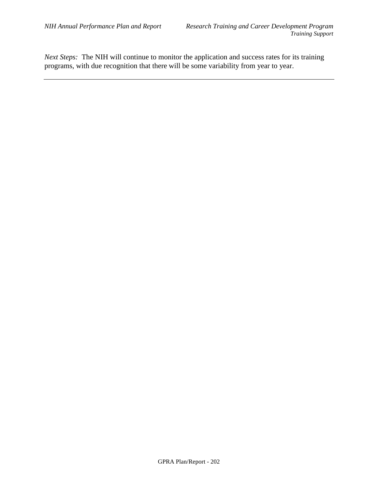*Next Steps:* The NIH will continue to monitor the application and success rates for its training programs, with due recognition that there will be some variability from year to year.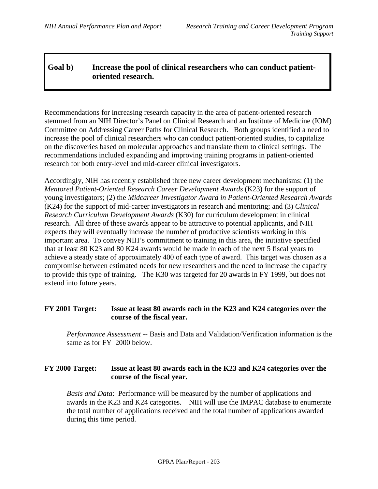# <span id="page-203-0"></span>**Goal b) Increase the pool of clinical researchers who can conduct patientoriented research.**

Recommendations for increasing research capacity in the area of patient-oriented research stemmed from an NIH Director's Panel on Clinical Research and an Institute of Medicine (IOM) Committee on Addressing Career Paths for Clinical Research. Both groups identified a need to increase the pool of clinical researchers who can conduct patient-oriented studies, to capitalize on the discoveries based on molecular approaches and translate them to clinical settings. The recommendations included expanding and improving training programs in patient-oriented research for both entry-level and mid-career clinical investigators.

Accordingly, NIH has recently established three new career development mechanisms: (1) the *Mentored Patient-Oriented Research Career Development Awards* (K23) for the support of young investigators; (2) the *Midcareer Investigator Award in Patient-Oriented Research Awards* (K24) for the support of mid-career investigators in research and mentoring; and (3) *Clinical Research Curriculum Development Awards* (K30) for curriculum development in clinical research. All three of these awards appear to be attractive to potential applicants, and NIH expects they will eventually increase the number of productive scientists working in this important area. To convey NIH's commitment to training in this area, the initiative specified that at least 80 K23 and 80 K24 awards would be made in each of the next 5 fiscal years to achieve a steady state of approximately 400 of each type of award. This target was chosen as a compromise between estimated needs for new researchers and the need to increase the capacity to provide this type of training. The K30 was targeted for 20 awards in FY 1999, but does not extend into future years.

#### **FY 2001 Target: Issue at least 80 awards each in the K23 and K24 categories over the course of the fiscal year.**

*Performance Assessment* -- Basis and Data and Validation/Verification information is the same as for FY 2000 below.

## **FY 2000 Target: Issue at least 80 awards each in the K23 and K24 categories over the course of the fiscal year.**

*Basis and Data*: Performance will be measured by the number of applications and awards in the K23 and K24 categories. NIH will use the IMPAC database to enumerate the total number of applications received and the total number of applications awarded during this time period.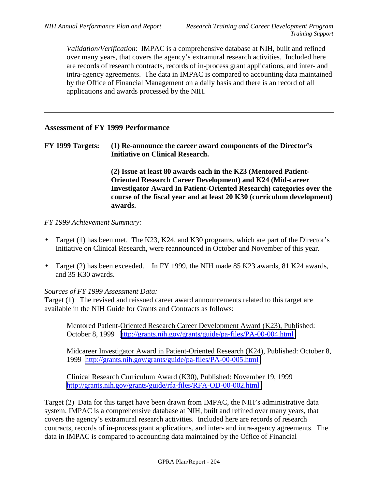*Validation/Verification*: IMPAC is a comprehensive database at NIH, built and refined over many years, that covers the agency's extramural research activities. Included here are records of research contracts, records of in-process grant applications, and inter- and intra-agency agreements. The data in IMPAC is compared to accounting data maintained by the Office of Financial Management on a daily basis and there is an record of all applications and awards processed by the NIH.

## **Assessment of FY 1999 Performance**

**FY 1999 Targets: (1) Re-announce the career award components of the Director's Initiative on Clinical Research.**

> **(2) Issue at least 80 awards each in the K23 (Mentored Patient-Oriented Research Career Development) and K24 (Mid-career Investigator Award In Patient-Oriented Research) categories over the course of the fiscal year and at least 20 K30 (curriculum development) awards.**

*FY 1999 Achievement Summary:*

- Target (1) has been met. The K23, K24, and K30 programs, which are part of the Director's Initiative on Clinical Research, were reannounced in October and November of this year.
- Target (2) has been exceeded. In FY 1999, the NIH made 85 K23 awards, 81 K24 awards, and 35 K30 awards.

#### *Sources of FY 1999 Assessment Data:*

Target (1) The revised and reissued career award announcements related to this target are available in the NIH Guide for Grants and Contracts as follows:

Mentored Patient-Oriented Research Career Development Award (K23), Published: October 8, 1999 <http://grants.nih.gov/grants/guide/pa-files/PA-00-004.html>

Midcareer Investigator Award in Patient-Oriented Research (K24), Published: October 8, 1999 <http://grants.nih.gov/grants/guide/pa-files/PA-00-005.html>

Clinical Research Curriculum Award (K30), Published: November 19, 1999 <http://grants.nih.gov/grants/guide/rfa-files/RFA-OD-00-002.html>

Target (2) Data for this target have been drawn from IMPAC, the NIH's administrative data system. IMPAC is a comprehensive database at NIH, built and refined over many years, that covers the agency's extramural research activities. Included here are records of research contracts, records of in-process grant applications, and inter- and intra-agency agreements. The data in IMPAC is compared to accounting data maintained by the Office of Financial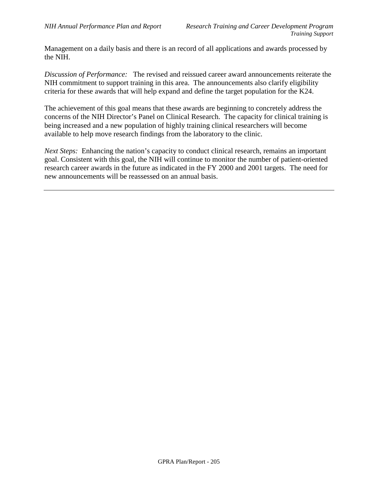Management on a daily basis and there is an record of all applications and awards processed by the NIH.

*Discussion of Performance:* The revised and reissued career award announcements reiterate the NIH commitment to support training in this area. The announcements also clarify eligibility criteria for these awards that will help expand and define the target population for the K24.

The achievement of this goal means that these awards are beginning to concretely address the concerns of the NIH Director's Panel on Clinical Research. The capacity for clinical training is being increased and a new population of highly training clinical researchers will become available to help move research findings from the laboratory to the clinic.

*Next Steps:* Enhancing the nation's capacity to conduct clinical research, remains an important goal. Consistent with this goal, the NIH will continue to monitor the number of patient-oriented research career awards in the future as indicated in the FY 2000 and 2001 targets. The need for new announcements will be reassessed on an annual basis.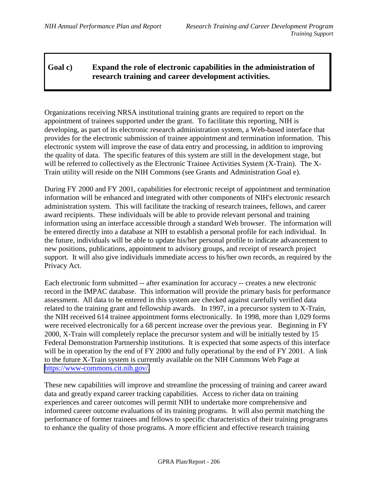# <span id="page-206-0"></span>**Goal c) Expand the role of electronic capabilities in the administration of research training and career development activities.**

Organizations receiving NRSA institutional training grants are required to report on the appointment of trainees supported under the grant. To facilitate this reporting, NIH is developing, as part of its electronic research administration system, a Web-based interface that provides for the electronic submission of trainee appointment and termination information. This electronic system will improve the ease of data entry and processing, in addition to improving the quality of data. The specific features of this system are still in the development stage, but will be referred to collectively as the Electronic Trainee Activities System (X-Train). The X-Train utility will reside on the NIH Commons (see Grants and Administration Goal e).

During FY 2000 and FY 2001, capabilities for electronic receipt of appointment and termination information will be enhanced and integrated with other components of NIH's electronic research administration system. This will facilitate the tracking of research trainees, fellows, and career award recipients. These individuals will be able to provide relevant personal and training information using an interface accessible through a standard Web browser. The information will be entered directly into a database at NIH to establish a personal profile for each individual. In the future, individuals will be able to update his/her personal profile to indicate advancement to new positions, publications, appointment to advisory groups, and receipt of research project support. It will also give individuals immediate access to his/her own records, as required by the Privacy Act.

Each electronic form submitted -- after examination for accuracy -- creates a new electronic record in the IMPAC database. This information will provide the primary basis for performance assessment. All data to be entered in this system are checked against carefully verified data related to the training grant and fellowship awards. In 1997, in a precursor system to X-Train, the NIH received 614 trainee appointment forms electronically. In 1998, more than 1,029 forms were received electronically for a 68 percent increase over the previous year. Beginning in FY 2000, X-Train will completely replace the precursor system and will be initially tested by 15 Federal Demonstration Partnership institutions. It is expected that some aspects of this interface will be in operation by the end of FY 2000 and fully operational by the end of FY 2001. A link to the future X-Train system is currently available on the NIH Commons Web Page at https://www-commons.cit.nih.gov/.

These new capabilities will improve and streamline the processing of training and career award data and greatly expand career tracking capabilities. Access to richer data on training experiences and career outcomes will permit NIH to undertake more comprehensive and informed career outcome evaluations of its training programs. It will also permit matching the performance of former trainees and fellows to specific characteristics of their training programs to enhance the quality of those programs. A more efficient and effective research training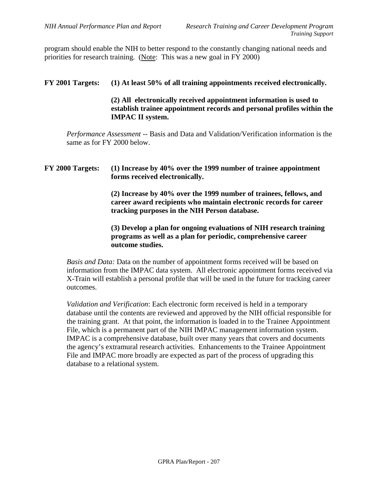program should enable the NIH to better respond to the constantly changing national needs and priorities for research training. (Note: This was a new goal in FY 2000)

**FY 2001 Targets: (1) At least 50% of all training appointments received electronically.**

**(2) All electronically received appointment information is used to establish trainee appointment records and personal profiles within the IMPAC II system.**

*Performance Assessment* -- Basis and Data and Validation/Verification information is the same as for FY 2000 below.

**FY 2000 Targets: (1) Increase by 40% over the 1999 number of trainee appointment forms received electronically.**

> **(2) Increase by 40% over the 1999 number of trainees, fellows, and career award recipients who maintain electronic records for career tracking purposes in the NIH Person database.**

**(3) Develop a plan for ongoing evaluations of NIH research training programs as well as a plan for periodic, comprehensive career outcome studies.**

*Basis and Data:* Data on the number of appointment forms received will be based on information from the IMPAC data system. All electronic appointment forms received via X-Train will establish a personal profile that will be used in the future for tracking career outcomes.

*Validation and Verification*: Each electronic form received is held in a temporary database until the contents are reviewed and approved by the NIH official responsible for the training grant. At that point, the information is loaded in to the Trainee Appointment File, which is a permanent part of the NIH IMPAC management information system. IMPAC is a comprehensive database, built over many years that covers and documents the agency's extramural research activities. Enhancements to the Trainee Appointment File and IMPAC more broadly are expected as part of the process of upgrading this database to a relational system.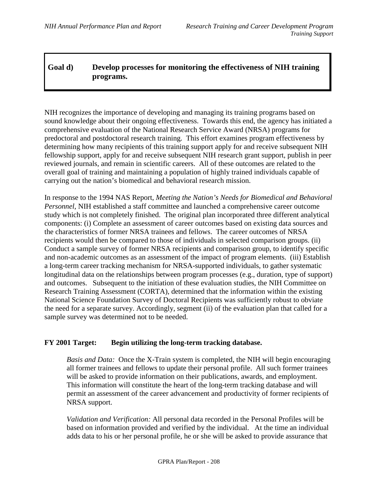# <span id="page-208-0"></span>**Goal d) Develop processes for monitoring the effectiveness of NIH training programs.**

NIH recognizes the importance of developing and managing its training programs based on sound knowledge about their ongoing effectiveness. Towards this end, the agency has initiated a comprehensive evaluation of the National Research Service Award (NRSA) programs for predoctoral and postdoctoral research training. This effort examines program effectiveness by determining how many recipients of this training support apply for and receive subsequent NIH fellowship support, apply for and receive subsequent NIH research grant support, publish in peer reviewed journals, and remain in scientific careers. All of these outcomes are related to the overall goal of training and maintaining a population of highly trained individuals capable of carrying out the nation's biomedical and behavioral research mission.

In response to the 1994 NAS Report, *Meeting the Nation's Needs for Biomedical and Behavioral Personnel*, NIH established a staff committee and launched a comprehensive career outcome study which is not completely finished. The original plan incorporated three different analytical components: (i) Complete an assessment of career outcomes based on existing data sources and the characteristics of former NRSA trainees and fellows. The career outcomes of NRSA recipients would then be compared to those of individuals in selected comparison groups. (ii) Conduct a sample survey of former NRSA recipients and comparison group, to identify specific and non-academic outcomes as an assessment of the impact of program elements. (iii) Establish a long-term career tracking mechanism for NRSA-supported individuals, to gather systematic longitudinal data on the relationships between program processes (e.g., duration, type of support) and outcomes. Subsequent to the initiation of these evaluation studies, the NIH Committee on Research Training Assessment (CORTA), determined that the information within the existing National Science Foundation Survey of Doctoral Recipients was sufficiently robust to obviate the need for a separate survey. Accordingly, segment (ii) of the evaluation plan that called for a sample survey was determined not to be needed.

## **FY 2001 Target: Begin utilizing the long-term tracking database.**

*Basis and Data:* Once the X-Train system is completed, the NIH will begin encouraging all former trainees and fellows to update their personal profile. All such former trainees will be asked to provide information on their publications, awards, and employment. This information will constitute the heart of the long-term tracking database and will permit an assessment of the career advancement and productivity of former recipients of NRSA support.

*Validation and Verification:* All personal data recorded in the Personal Profiles will be based on information provided and verified by the individual. At the time an individual adds data to his or her personal profile, he or she will be asked to provide assurance that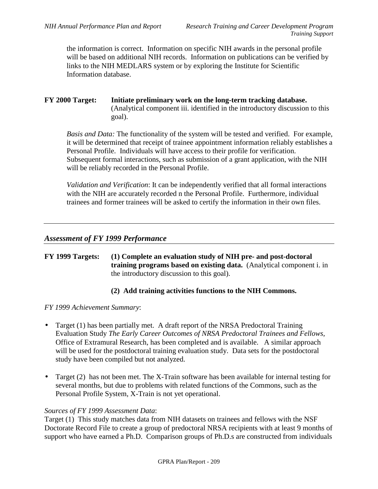the information is correct. Information on specific NIH awards in the personal profile will be based on additional NIH records. Information on publications can be verified by links to the NIH MEDLARS system or by exploring the Institute for Scientific Information database.

### **FY 2000 Target: Initiate preliminary work on the long-term tracking database.** (Analytical component iii. identified in the introductory discussion to this goal).

*Basis and Data:* The functionality of the system will be tested and verified. For example, it will be determined that receipt of trainee appointment information reliably establishes a Personal Profile. Individuals will have access to their profile for verification. Subsequent formal interactions, such as submission of a grant application, with the NIH will be reliably recorded in the Personal Profile.

*Validation and Verification*: It can be independently verified that all formal interactions with the NIH are accurately recorded n the Personal Profile. Furthermore, individual trainees and former trainees will be asked to certify the information in their own files.

# *Assessment of FY 1999 Performance*

# **FY 1999 Targets: (1) Complete an evaluation study of NIH pre- and post-doctoral training programs based on existing data.** (Analytical component i. in the introductory discussion to this goal).

## **(2) Add training activities functions to the NIH Commons.**

*FY 1999 Achievement Summary*:

- Target (1) has been partially met. A draft report of the NRSA Predoctoral Training Evaluation Study *The Early Career Outcomes of NRSA Predoctoral Trainees and Fellows,* Office of Extramural Research, has been completed and is available. A similar approach will be used for the postdoctoral training evaluation study. Data sets for the postdoctoral study have been compiled but not analyzed.
- Target (2) has not been met. The X-Train software has been available for internal testing for several months, but due to problems with related functions of the Commons, such as the Personal Profile System, X-Train is not yet operational.

#### *Sources of FY 1999 Assessment Data*:

Target (1) This study matches data from NIH datasets on trainees and fellows with the NSF Doctorate Record File to create a group of predoctoral NRSA recipients with at least 9 months of support who have earned a Ph.D. Comparison groups of Ph.D.s are constructed from individuals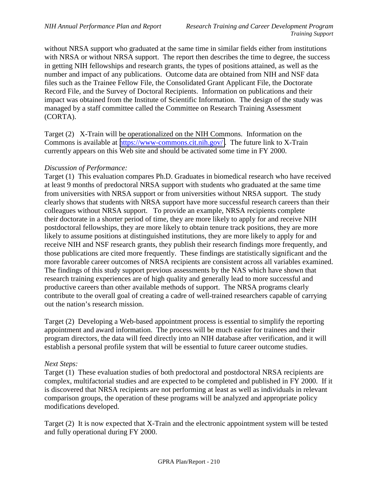without NRSA support who graduated at the same time in similar fields either from institutions with NRSA or without NRSA support. The report then describes the time to degree, the success in getting NIH fellowships and research grants, the types of positions attained, as well as the number and impact of any publications. Outcome data are obtained from NIH and NSF data files such as the Trainee Fellow File, the Consolidated Grant Applicant File, the Doctorate Record File, and the Survey of Doctoral Recipients. Information on publications and their impact was obtained from the Institute of Scientific Information. The design of the study was managed by a staff committee called the Committee on Research Training Assessment (CORTA).

Target (2) X-Train will be operationalized on the NIH Commons. Information on the Commons is available at https://www-commons.cit.nih.gov/ . The future link to X-Train currently appears on this Web site and should be activated some time in FY 2000.

#### *Discussion of Performance:*

Target (1) This evaluation compares Ph.D. Graduates in biomedical research who have received at least 9 months of predoctoral NRSA support with students who graduated at the same time from universities with NRSA support or from universities without NRSA support. The study clearly shows that students with NRSA support have more successful research careers than their colleagues without NRSA support. To provide an example, NRSA recipients complete their doctorate in a shorter period of time, they are more likely to apply for and receive NIH postdoctoral fellowships, they are more likely to obtain tenure track positions, they are more likely to assume positions at distinguished institutions, they are more likely to apply for and receive NIH and NSF research grants, they publish their research findings more frequently, and those publications are cited more frequently. These findings are statistically significant and the more favorable career outcomes of NRSA recipients are consistent across all variables examined. The findings of this study support previous assessments by the NAS which have shown that research training experiences are of high quality and generally lead to more successful and productive careers than other available methods of support. The NRSA programs clearly contribute to the overall goal of creating a cadre of well-trained researchers capable of carrying out the nation's research mission.

Target (2) Developing a Web-based appointment process is essential to simplify the reporting appointment and award information. The process will be much easier for trainees and their program directors, the data will feed directly into an NIH database after verification, and it will establish a personal profile system that will be essential to future career outcome studies.

#### *Next Steps:*

Target (1) These evaluation studies of both predoctoral and postdoctoral NRSA recipients are complex, multifactorial studies and are expected to be completed and published in FY 2000. If it is discovered that NRSA recipients are not performing at least as well as individuals in relevant comparison groups, the operation of these programs will be analyzed and appropriate policy modifications developed.

Target (2) It is now expected that X-Train and the electronic appointment system will be tested and fully operational during FY 2000.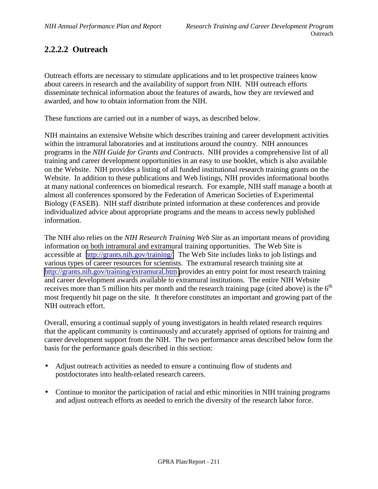# **2.2.2.2 Outreach**

Outreach efforts are necessary to stimulate applications and to let prospective trainees know about careers in research and the availability of support from NIH. NIH outreach efforts disseminate technical information about the features of awards, how they are reviewed and awarded, and how to obtain information from the NIH.

These functions are carried out in a number of ways, as described below.

NIH maintains an extensive Website which describes training and career development activities within the intramural laboratories and at institutions around the country. NIH announces programs in the *NIH Guide for Grants and Contracts*. NIH provides a comprehensive list of all training and career development opportunities in an easy to use booklet, which is also available on the Website. NIH provides a listing of all funded institutional research training grants on the Website. In addition to these publications and Web listings, NIH provides informational booths at many national conferences on biomedical research. For example, NIH staff manage a booth at almost all conferences sponsored by the Federation of American Societies of Experimental Biology (FASEB). NIH staff distribute printed information at these conferences and provide individualized advice about appropriate programs and the means to access newly published information.

The NIH also relies on the *NIH Research Training Web Site* as an important means of providing information on both intramural and extramural training opportunities. The Web Site is accessible at [http://grants.nih.gov/training/.](http://grants.nih.gov/training/) The Web Site includes links to job listings and various types of career resources for scientists. The extramural research training site at [http://grants.nih.gov/training/extramural.htm p](http://grants.nih.gov/training/extramural.htm)rovides an entry point for most research training and career development awards available to extramural institutions. The entire NIH Website receives more than 5 million hits per month and the research training page (cited above) is the  $6<sup>th</sup>$ most frequently hit page on the site. It therefore constitutes an important and growing part of the NIH outreach effort.

Overall, ensuring a continual supply of young investigators in health related research requires that the applicant community is continuously and accurately apprised of options for training and career development support from the NIH. The two performance areas described below form the basis for the performance goals described in this section:

- Adjust outreach activities as needed to ensure a continuing flow of students and postdoctorates into health-related research careers.
- Continue to monitor the participation of racial and ethic minorities in NIH training programs and adjust outreach efforts as needed to enrich the diversity of the research labor force.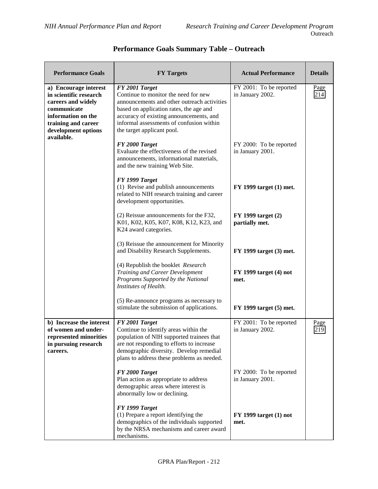| <b>Performance Goals</b>                                                                                                                                               | <b>FY</b> Targets                                                                                                                                                                                                                                                     | <b>Actual Performance</b>                   | <b>Details</b> |
|------------------------------------------------------------------------------------------------------------------------------------------------------------------------|-----------------------------------------------------------------------------------------------------------------------------------------------------------------------------------------------------------------------------------------------------------------------|---------------------------------------------|----------------|
| a) Encourage interest<br>in scientific research<br>careers and widely<br>communicate<br>information on the<br>training and career<br>development options<br>available. | FY 2001 Target<br>Continue to monitor the need for new<br>announcements and other outreach activities<br>based on application rates, the age and<br>accuracy of existing announcements, and<br>informal assessments of confusion within<br>the target applicant pool. | FY 2001: To be reported<br>in January 2002. | Page<br>214    |
|                                                                                                                                                                        | FY 2000 Target<br>Evaluate the effectiveness of the revised<br>announcements, informational materials,<br>and the new training Web Site.                                                                                                                              | FY 2000: To be reported<br>in January 2001. |                |
|                                                                                                                                                                        | FY 1999 Target<br>(1) Revise and publish announcements<br>related to NIH research training and career<br>development opportunities.                                                                                                                                   | FY 1999 target (1) met.                     |                |
|                                                                                                                                                                        | (2) Reissue announcements for the F32,<br>K01, K02, K05, K07, K08, K12, K23, and<br>K24 award categories.                                                                                                                                                             | FY 1999 target (2)<br>partially met.        |                |
|                                                                                                                                                                        | (3) Reissue the announcement for Minority<br>and Disability Research Supplements.                                                                                                                                                                                     | FY 1999 target (3) met.                     |                |
|                                                                                                                                                                        | (4) Republish the booklet Research<br>Training and Career Development<br>Programs Supported by the National<br>Institutes of Health.                                                                                                                                  | FY 1999 target (4) not<br>met.              |                |
|                                                                                                                                                                        | (5) Re-announce programs as necessary to<br>stimulate the submission of applications.                                                                                                                                                                                 | FY 1999 target (5) met.                     |                |
| b) Increase the interest<br>of women and under-<br>represented minorities<br>in pursuing research<br>careers.                                                          | FY 2001 Target<br>Continue to identify areas within the<br>population of NIH supported trainees that<br>are not responding to efforts to increase<br>demographic diversity. Develop remedial<br>plans to address these problems as needed.                            | FY 2001: To be reported<br>in January 2002. | Page<br>219    |
|                                                                                                                                                                        | FY 2000 Target<br>Plan action as appropriate to address<br>demographic areas where interest is<br>abnormally low or declining.                                                                                                                                        | FY 2000: To be reported<br>in January 2001. |                |
|                                                                                                                                                                        | FY 1999 Target<br>(1) Prepare a report identifying the<br>demographics of the individuals supported<br>by the NRSA mechanisms and career award<br>mechanisms.                                                                                                         | <b>FY 1999 target (1) not</b><br>met.       |                |

**Performance Goals Summary Table – Outreach**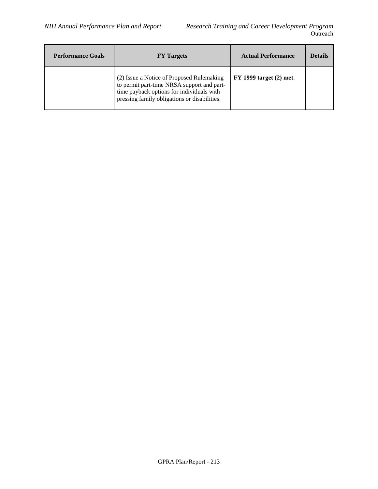| <b>Performance Goals</b> | <b>FY</b> Targets                                                                                                                                                                    | <b>Actual Performance</b> | <b>Details</b> |
|--------------------------|--------------------------------------------------------------------------------------------------------------------------------------------------------------------------------------|---------------------------|----------------|
|                          | (2) Issue a Notice of Proposed Rulemaking<br>to permit part-time NRSA support and part-<br>time payback options for individuals with<br>pressing family obligations or disabilities. | FY 1999 target (2) met.   |                |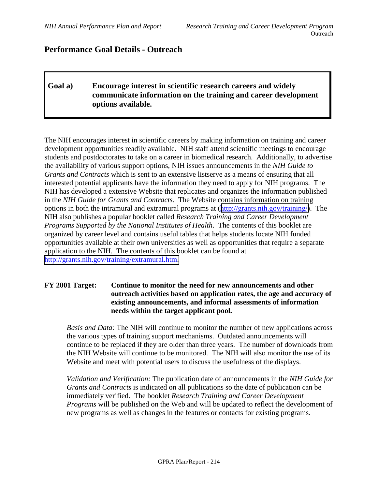# <span id="page-214-0"></span>**Performance Goal Details - Outreach**

# **Goal a) Encourage interest in scientific research careers and widely communicate information on the training and career development options available.**

The NIH encourages interest in scientific careers by making information on training and career development opportunities readily available. NIH staff attend scientific meetings to encourage students and postdoctorates to take on a career in biomedical research. Additionally, to advertise the availability of various support options, NIH issues announcements in the *NIH Guide to Grants and Contracts* which is sent to an extensive listserve as a means of ensuring that all interested potential applicants have the information they need to apply for NIH programs. The NIH has developed a extensive Website that replicates and organizes the information published in the *NIH Guide for Grants and Contracts.* The Website contains information on training options in both the intramural and extramural programs at ([http://grants.nih.gov/training/\)](http://grants.nih.gov/training/). The NIH also publishes a popular booklet called *Research Training and Career Development Programs Supported by the National Institutes of Health*. The contents of this booklet are organized by career level and contains useful tables that helps students locate NIH funded opportunities available at their own universities as well as opportunities that require a separate application to the NIH. The contents of this booklet can be found at [http://grants.nih.gov/training/extramural.htm.](http://grants.nih.gov/training/extramural.htm)

### **FY 2001 Target: Continue to monitor the need for new announcements and other outreach activities based on application rates, the age and accuracy of existing announcements, and informal assessments of information needs within the target applicant pool.**

*Basis and Data:* The NIH will continue to monitor the number of new applications across the various types of training support mechanisms. Outdated announcements will continue to be replaced if they are older than three years. The number of downloads from the NIH Website will continue to be monitored. The NIH will also monitor the use of its Website and meet with potential users to discuss the usefulness of the displays.

*Validation and Verification:* The publication date of announcements in the *NIH Guide for Grants and Contracts* is indicated on all publications so the date of publication can be immediately verified. The booklet *Research Training and Career Development Programs* will be published on the Web and will be updated to reflect the development of new programs as well as changes in the features or contacts for existing programs.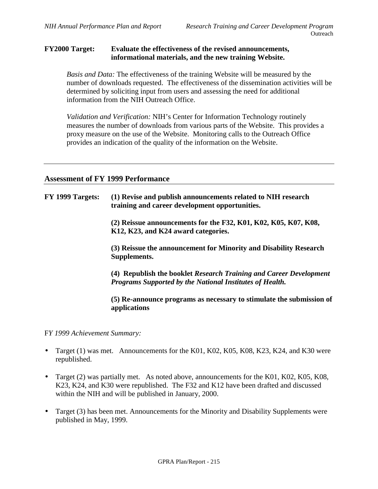#### **FY2000 Target: Evaluate the effectiveness of the revised announcements, informational materials, and the new training Website.**

*Basis and Data:* The effectiveness of the training Website will be measured by the number of downloads requested. The effectiveness of the dissemination activities will be determined by soliciting input from users and assessing the need for additional information from the NIH Outreach Office.

*Validation and Verification:* NIH's Center for Information Technology routinely measures the number of downloads from various parts of the Website. This provides a proxy measure on the use of the Website. Monitoring calls to the Outreach Office provides an indication of the quality of the information on the Website.

## **Assessment of FY 1999 Performance**

**FY 1999 Targets: (1) Revise and publish announcements related to NIH research training and career development opportunities.**

> **(2) Reissue announcements for the F32, K01, K02, K05, K07, K08, K12, K23, and K24 award categories.**

**(3) Reissue the announcement for Minority and Disability Research Supplements.**

**(4) Republish the booklet** *Research Training and Career Development Programs Supported by the National Institutes of Health.*

**(5) Re-announce programs as necessary to stimulate the submission of applications**

F*Y 1999 Achievement Summary:*

- Target (1) was met. Announcements for the K01, K02, K05, K08, K23, K24, and K30 were republished.
- Target (2) was partially met. As noted above, announcements for the K01, K02, K05, K08, K23, K24, and K30 were republished. The F32 and K12 have been drafted and discussed within the NIH and will be published in January, 2000.
- Target (3) has been met. Announcements for the Minority and Disability Supplements were published in May, 1999.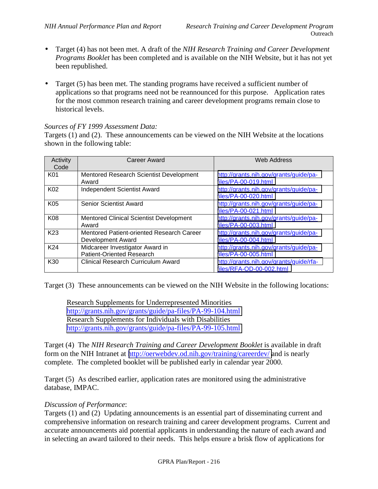- Target (4) has not been met. A draft of the *NIH Research Training and Career Development Programs Booklet* has been completed and is available on the NIH Website, but it has not yet been republished.
- Target (5) has been met. The standing programs have received a sufficient number of applications so that programs need not be reannounced for this purpose. Application rates for the most common research training and career development programs remain close to historical levels.

### *Sources of FY 1999 Assessment Data:*

Targets (1) and (2). These announcements can be viewed on the NIH Website at the locations shown in the following table:

| Activity<br>Code | Career Award                                                   | Web Address                                                         |
|------------------|----------------------------------------------------------------|---------------------------------------------------------------------|
| K01              | Mentored Research Scientist Development<br>Award               | http://grants.nih.gov/grants/guide/pa-<br>files/PA-00-019.html      |
| K <sub>02</sub>  | <b>Independent Scientist Award</b>                             | http://grants.nih.gov/grants/guide/pa-<br>files/PA-00-020.html      |
| K <sub>05</sub>  | Senior Scientist Award                                         | http://grants.nih.gov/grants/guide/pa-<br>files/PA-00-021.html      |
| K08              | <b>Mentored Clinical Scientist Development</b><br>Award        | http://grants.nih.gov/grants/guide/pa-<br>files/PA-00-003.html      |
| K <sub>23</sub>  | Mentored Patient-oriented Research Career<br>Development Award | http://grants.nih.gov/grants/guide/pa-<br>files/PA-00-004.html      |
| K <sub>24</sub>  | Midcareer Investigator Award in<br>Patient-Oriented Research   | http://grants.nih.gov/grants/guide/pa-<br>files/PA-00-005.html      |
| K <sub>30</sub>  | Clinical Research Curriculum Award                             | http://grants.nih.gov/grants/guide/rfa-<br>files/RFA-OD-00-002.html |

Target (3) These announcements can be viewed on the NIH Website in the following locations:

Research Supplements for Underrepresented Minorities <http://grants.nih.gov/grants/guide/pa-files/PA-99-104.html> Research Supplements for Individuals with Disabilities <http://grants.nih.gov/grants/guide/pa-files/PA-99-105.html>

Target (4)The *NIH Research Training and Career Development Booklet* is available in draft form on the NIH Intranet at [http://oerwebdev.od.nih.gov/training/careerdev/ a](http://oerwebdev.od.nih.gov/training/careerdev/)nd is nearly complete. The completed booklet will be published early in calendar year 2000.

Target (5) As described earlier, application rates are monitored using the administrative database, IMPAC.

### *Discussion of Performance*:

Targets (1) and (2) Updating announcements is an essential part of disseminating current and comprehensive information on research training and career development programs. Current and accurate announcements aid potential applicants in understanding the nature of each award and in selecting an award tailored to their needs. This helps ensure a brisk flow of applications for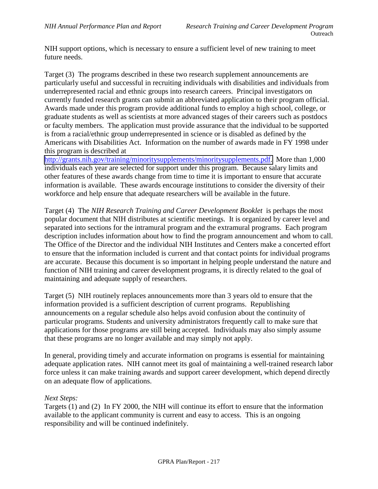NIH support options, which is necessary to ensure a sufficient level of new training to meet future needs.

Target (3) The programs described in these two research supplement announcements are particularly useful and successful in recruiting individuals with disabilities and individuals from underrepresented racial and ethnic groups into research careers. Principal investigators on currently funded research grants can submit an abbreviated application to their program official. Awards made under this program provide additional funds to employ a high school, college, or graduate students as well as scientists at more advanced stages of their careers such as postdocs or faculty members. The application must provide assurance that the individual to be supported is from a racial/ethnic group underrepresented in science or is disabled as defined by the Americans with Disabilities Act. Information on the number of awards made in FY 1998 under this program is described at

[http://grants.nih.gov/training/minoritysupplements/minoritysupplements.pdf.](http://grants.nih.gov/training/minoritysupplements/minoritysupplements.pdf) More than 1,000 individuals each year are selected for support under this program. Because salary limits and other features of these awards change from time to time it is important to ensure that accurate information is available. These awards encourage institutions to consider the diversity of their workforce and help ensure that adequate researchers will be available in the future.

Target (4) The *NIH Research Training and Career Development Booklet* is perhaps the most popular document that NIH distributes at scientific meetings. It is organized by career level and separated into sections for the intramural program and the extramural programs. Each program description includes information about how to find the program announcement and whom to call. The Office of the Director and the individual NIH Institutes and Centers make a concerted effort to ensure that the information included is current and that contact points for individual programs are accurate. Because this document is so important in helping people understand the nature and function of NIH training and career development programs, it is directly related to the goal of maintaining and adequate supply of researchers.

Target (5) NIH routinely replaces announcements more than 3 years old to ensure that the information provided is a sufficient description of current programs. Republishing announcements on a regular schedule also helps avoid confusion about the continuity of particular programs. Students and university administrators frequently call to make sure that applications for those programs are still being accepted. Individuals may also simply assume that these programs are no longer available and may simply not apply.

In general, providing timely and accurate information on programs is essential for maintaining adequate application rates. NIH cannot meet its goal of maintaining a well-trained research labor force unless it can make training awards and support career development, which depend directly on an adequate flow of applications.

#### *Next Steps:*

Targets (1) and (2) In FY 2000, the NIH will continue its effort to ensure that the information available to the applicant community is current and easy to access. This is an ongoing responsibility and will be continued indefinitely.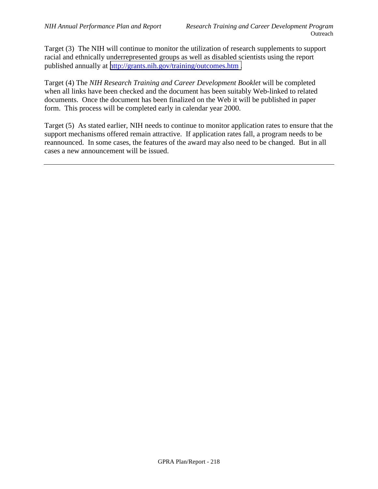Target (3) The NIH will continue to monitor the utilization of research supplements to support racial and ethnically underrepresented groups as well as disabled scientists using the report published annually at [http://grants.nih.gov/training/outcomes.htm .](http://grants.nih.gov/training/outcomes.htm)

Target (4) The *NIH Research Training and Career Development Booklet* will be completed when all links have been checked and the document has been suitably Web-linked to related documents. Once the document has been finalized on the Web it will be published in paper form. This process will be completed early in calendar year 2000.

Target (5) As stated earlier, NIH needs to continue to monitor application rates to ensure that the support mechanisms offered remain attractive. If application rates fall, a program needs to be reannounced. In some cases, the features of the award may also need to be changed. But in all cases a new announcement will be issued.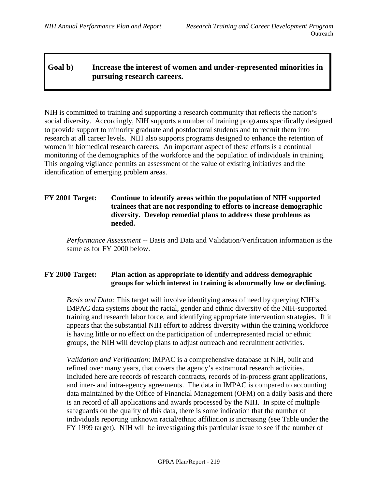## **Goal b) Increase the interest of women and under-represented minorities in pursuing research careers.**

NIH is committed to training and supporting a research community that reflects the nation's social diversity. Accordingly, NIH supports a number of training programs specifically designed to provide support to minority graduate and postdoctoral students and to recruit them into research at all career levels. NIH also supports programs designed to enhance the retention of women in biomedical research careers. An important aspect of these efforts is a continual monitoring of the demographics of the workforce and the population of individuals in training. This ongoing vigilance permits an assessment of the value of existing initiatives and the identification of emerging problem areas.

### **FY 2001 Target: Continue to identify areas within the population of NIH supported trainees that are not responding to efforts to increase demographic diversity. Develop remedial plans to address these problems as needed.**

*Performance Assessment* -- Basis and Data and Validation/Verification information is the same as for FY 2000 below.

## **FY 2000 Target: Plan action as appropriate to identify and address demographic groups for which interest in training is abnormally low or declining.**

*Basis and Data:* This target will involve identifying areas of need by querying NIH's IMPAC data systems about the racial, gender and ethnic diversity of the NIH-supported training and research labor force, and identifying appropriate intervention strategies. If it appears that the substantial NIH effort to address diversity within the training workforce is having little or no effect on the participation of underrepresented racial or ethnic groups, the NIH will develop plans to adjust outreach and recruitment activities.

*Validation and Verification*: IMPAC is a comprehensive database at NIH, built and refined over many years, that covers the agency's extramural research activities. Included here are records of research contracts, records of in-process grant applications, and inter- and intra-agency agreements. The data in IMPAC is compared to accounting data maintained by the Office of Financial Management (OFM) on a daily basis and there is an record of all applications and awards processed by the NIH. In spite of multiple safeguards on the quality of this data, there is some indication that the number of individuals reporting unknown racial/ethnic affiliation is increasing (see Table under the FY 1999 target). NIH will be investigating this particular issue to see if the number of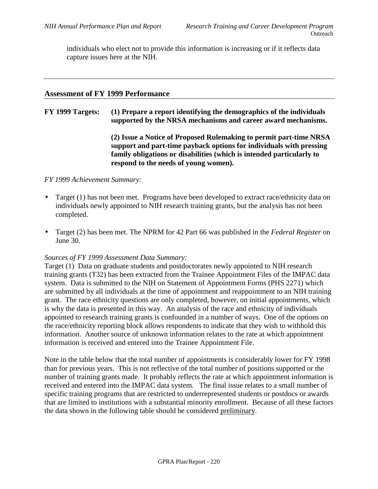individuals who elect not to provide this information is increasing or if it reflects data capture issues here at the NIH.

#### **Assessment of FY 1999 Performance**

#### **FY 1999 Targets: (1) Prepare a report identifying the demographics of the individuals supported by the NRSA mechanisms and career award mechanisms.**

**(2) Issue a Notice of Proposed Rulemaking to permit part-time NRSA support and part-time payback options for individuals with pressing family obligations or disabilities (which is intended particularly to respond to the needs of young women).**

#### *FY 1999 Achievement Summary:*

- Target (1) has not been met. Programs have been developed to extract race/ethnicity data on individuals newly appointed to NIH research training grants, but the analysis has not been completed.
- Target (2) has been met. The NPRM for 42 Part 66 was published in the *Federal Register* on June 30.

#### *Sources of FY 1999 Assessment Data Summary:*

Target (1) Data on graduate students and postdoctorates newly appointed to NIH research training grants (T32) has been extracted from the Trainee Appointment Files of the IMPAC data system. Data is submitted to the NIH on Statement of Appointment Forms (PHS 2271) which are submitted by all individuals at the time of appointment and reappointment to an NIH training grant. The race ethnicity questions are only completed, however, on initial appointments, which is why the data is presented in this way. An analysis of the race and ethnicity of individuals appointed to research training grants is confounded in a number of ways. One of the options on the race/ethnicity reporting block allows respondents to indicate that they wish to withhold this information. Another source of unknown information relates to the rate at which appointment information is received and entered into the Trainee Appointment File.

Note in the table below that the total number of appointments is considerably lower for FY 1998 than for previous years. This is not reflective of the total number of positions supported or the number of training grants made. It probably reflects the rate at which appointment information is received and entered into the IMPAC data system. The final issue relates to a small number of specific training programs that are restricted to underrepresented students or postdocs or awards that are limited to institutions with a substantial minority enrollment. Because of all these factors the data shown in the following table should be considered preliminary.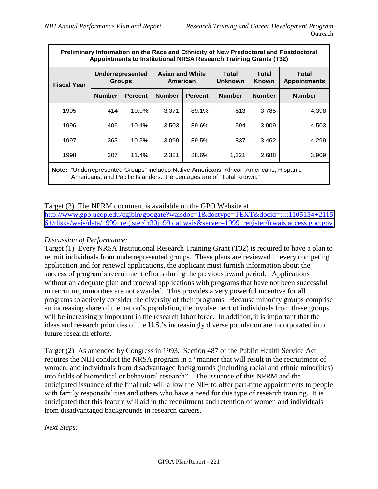| Preliminary Information on the Race and Ethnicity of New Predoctoral and Postdoctoral<br>Appointments to Institutional NRSA Research Training Grants (T32) |               |                                                                         |               |                |                         |                |                              |
|------------------------------------------------------------------------------------------------------------------------------------------------------------|---------------|-------------------------------------------------------------------------|---------------|----------------|-------------------------|----------------|------------------------------|
| <b>Fiscal Year</b>                                                                                                                                         |               | <b>Asian and White</b><br>Underrepresented<br>American<br><b>Groups</b> |               |                | Total<br><b>Unknown</b> | Total<br>Known | Total<br><b>Appointments</b> |
|                                                                                                                                                            | <b>Number</b> | <b>Percent</b>                                                          | <b>Number</b> | <b>Percent</b> | <b>Number</b>           | <b>Number</b>  | <b>Number</b>                |
| 1995                                                                                                                                                       | 414           | 10.9%                                                                   | 3,371         | 89.1%          | 613                     | 3,785          | 4,398                        |
| 1996                                                                                                                                                       | 406           | 10.4%                                                                   | 3.503         | 89.6%          | 594                     | 3.909          | 4,503                        |
| 1997                                                                                                                                                       | 363           | 10.5%                                                                   | 3.099         | 89.5%          | 837                     | 3,462          | 4,299                        |
| 1998                                                                                                                                                       | 307           | 11.4%                                                                   | 2,381         | 88.6%          | 1,221                   | 2,688          | 3,909                        |
| Note: "Underrepresented Groups" includes Native Americans, African Americans, Hispanic                                                                     |               |                                                                         |               |                |                         |                |                              |

Americans, and Pacific Islanders. Percentages are of "Total Known."

#### Target (2) The NPRM document is available on the GPO Website at

[http://www.gpo.ucop.edu/cgibin/gpogate?waisdoc=1&doctype=TEXT&docid=::::1105154+2115](http://www.gpo.ucop.edu/cgi-bin/gpogate?waisdoc=1&doctype=TEXT&docid=::::1105154+21156+/diska/wais/data/1999_register/fr30jn99.dat.wais&server=1999_register/frwais.access.gpo.gov) [6+/diska/wais/data/1999\\_register/fr30jn99.dat.wais&server=1999\\_register/frwais.access.gpo.gov](http://www.gpo.ucop.edu/cgi-bin/gpogate?waisdoc=1&doctype=TEXT&docid=::::1105154+21156+/diska/wais/data/1999_register/fr30jn99.dat.wais&server=1999_register/frwais.access.gpo.gov)

#### *Discussion of Performance:*

Target (1) Every NRSA Institutional Research Training Grant (T32) is required to have a plan to recruit individuals from underrepresented groups. These plans are reviewed in every competing application and for renewal applications, the applicant must furnish information about the success of program's recruitment efforts during the previous award period. Applications without an adequate plan and renewal applications with programs that have not been successful in recruiting minorities are not awarded. This provides a very powerful incentive for all programs to actively consider the diversity of their programs. Because minority groups comprise an increasing share of the nation's population, the involvement of individuals from these groups will be increasingly important in the research labor force. In addition, it is important that the ideas and research priorities of the U.S.'s increasingly diverse population are incorporated into future research efforts.

Target (2) As amended by Congress in 1993, Section 487 of the Public Health Service Act requires the NIH conduct the NRSA program in a "manner that will result in the recruitment of women, and individuals from disadvantaged backgrounds (including racial and ethnic minorities) into fields of biomedical or behavioral research". The issuance of this NPRM and the anticipated issuance of the final rule will allow the NIH to offer part-time appointments to people with family responsibilities and others who have a need for this type of research training. It is anticipated that this feature will aid in the recruitment and retention of women and individuals from disadvantaged backgrounds in research careers.

*Next Steps:*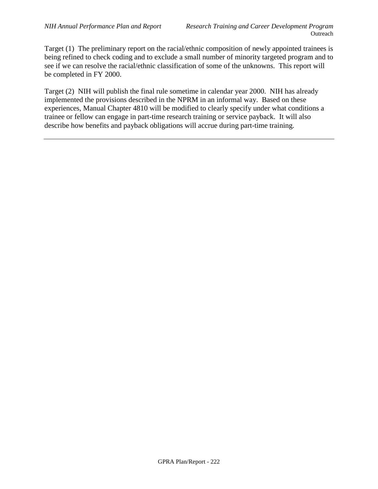Target (1) The preliminary report on the racial/ethnic composition of newly appointed trainees is being refined to check coding and to exclude a small number of minority targeted program and to see if we can resolve the racial/ethnic classification of some of the unknowns. This report will be completed in FY 2000.

Target (2) NIH will publish the final rule sometime in calendar year 2000. NIH has already implemented the provisions described in the NPRM in an informal way. Based on these experiences, Manual Chapter 4810 will be modified to clearly specify under what conditions a trainee or fellow can engage in part-time research training or service payback. It will also describe how benefits and payback obligations will accrue during part-time training.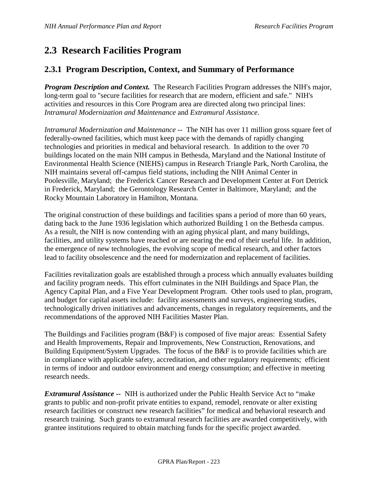# **2.3 Research Facilities Program**

## **2.3.1 Program Description, Context, and Summary of Performance**

*Program Description and Context.* The Research Facilities Program addresses the NIH's major, long-term goal to "secure facilities for research that are modern, efficient and safe." NIH's activities and resources in this Core Program area are directed along two principal lines: *Intramural Modernization and Maintenance* and *Extramural Assistance*.

*Intramural Modernization and Maintenance --* The NIH has over 11 million gross square feet of federally-owned facilities, which must keep pace with the demands of rapidly changing technologies and priorities in medical and behavioral research. In addition to the over 70 buildings located on the main NIH campus in Bethesda, Maryland and the National Institute of Environmental Health Science (NIEHS) campus in Research Triangle Park, North Carolina, the NIH maintains several off-campus field stations, including the NIH Animal Center in Poolesville, Maryland; the Frederick Cancer Research and Development Center at Fort Detrick in Frederick, Maryland; the Gerontology Research Center in Baltimore, Maryland; and the Rocky Mountain Laboratory in Hamilton, Montana.

The original construction of these buildings and facilities spans a period of more than 60 years, dating back to the June 1936 legislation which authorized Building 1 on the Bethesda campus. As a result, the NIH is now contending with an aging physical plant, and many buildings, facilities, and utility systems have reached or are nearing the end of their useful life. In addition, the emergence of new technologies, the evolving scope of medical research, and other factors lead to facility obsolescence and the need for modernization and replacement of facilities.

Facilities revitalization goals are established through a process which annually evaluates building and facility program needs. This effort culminates in the NIH Buildings and Space Plan, the Agency Capital Plan, and a Five Year Development Program. Other tools used to plan, program, and budget for capital assets include: facility assessments and surveys, engineering studies, technologically driven initiatives and advancements, changes in regulatory requirements, and the recommendations of the approved NIH Facilities Master Plan.

The Buildings and Facilities program (B&F) is composed of five major areas: Essential Safety and Health Improvements, Repair and Improvements, New Construction, Renovations, and Building Equipment/System Upgrades. The focus of the B&F is to provide facilities which are in compliance with applicable safety, accreditation, and other regulatory requirements; efficient in terms of indoor and outdoor environment and energy consumption; and effective in meeting research needs.

*Extramural Assistance --* NIH is authorized under the Public Health Service Act to "make grants to public and non-profit private entities to expand, remodel, renovate or alter existing research facilities or construct new research facilities" for medical and behavioral research and research training. Such grants to extramural research facilities are awarded competitively, with grantee institutions required to obtain matching funds for the specific project awarded.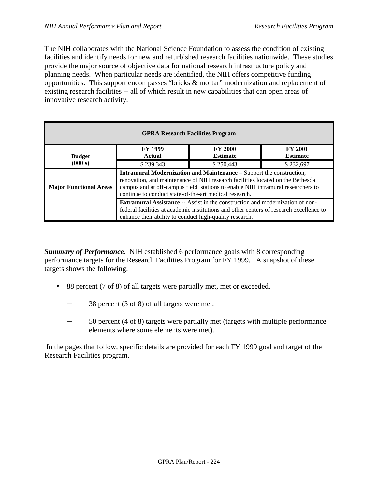The NIH collaborates with the National Science Foundation to assess the condition of existing facilities and identify needs for new and refurbished research facilities nationwide. These studies provide the major source of objective data for national research infrastructure policy and planning needs. When particular needs are identified, the NIH offers competitive funding opportunities. This support encompasses "bricks & mortar" modernization and replacement of existing research facilities -- all of which result in new capabilities that can open areas of innovative research activity.

| <b>GPRA Research Facilities Program</b> |                                                                                                                                                                                                                                                                                                                                                                                                                                                                                                                                                   |                                   |                                   |  |
|-----------------------------------------|---------------------------------------------------------------------------------------------------------------------------------------------------------------------------------------------------------------------------------------------------------------------------------------------------------------------------------------------------------------------------------------------------------------------------------------------------------------------------------------------------------------------------------------------------|-----------------------------------|-----------------------------------|--|
| <b>Budget</b>                           | <b>FY 1999</b><br>Actual                                                                                                                                                                                                                                                                                                                                                                                                                                                                                                                          | <b>FY 2000</b><br><b>Estimate</b> | <b>FY 2001</b><br><b>Estimate</b> |  |
| (000's)                                 | \$239,343                                                                                                                                                                                                                                                                                                                                                                                                                                                                                                                                         | \$250,443                         | \$232,697                         |  |
| <b>Major Functional Areas</b>           | Intramural Modernization and Maintenance - Support the construction,<br>renovation, and maintenance of NIH research facilities located on the Bethesda<br>campus and at off-campus field stations to enable NIH intramural researchers to<br>continue to conduct state-of-the-art medical research.<br><b>Extramural Assistance -- Assist in the construction and modernization of non-</b><br>federal facilities at academic institutions and other centers of research excellence to<br>enhance their ability to conduct high-quality research. |                                   |                                   |  |
|                                         |                                                                                                                                                                                                                                                                                                                                                                                                                                                                                                                                                   |                                   |                                   |  |

*Summary of Performance*. NIH established 6 performance goals with 8 corresponding performance targets for the Research Facilities Program for FY 1999. A snapshot of these targets shows the following:

- 88 percent (7 of 8) of all targets were partially met, met or exceeded.
	- − 38 percent (3 of 8) of all targets were met.
	- − 50 percent (4 of 8) targets were partially met (targets with multiple performance elements where some elements were met).

 In the pages that follow, specific details are provided for each FY 1999 goal and target of the Research Facilities program.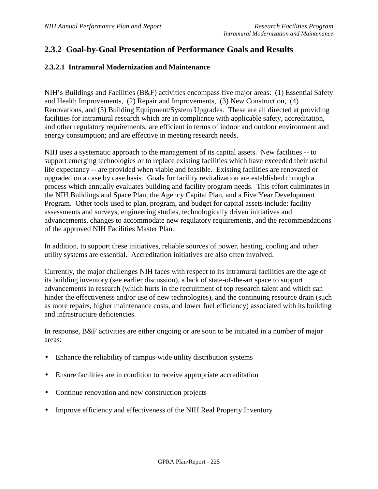## **2.3.2 Goal-by-Goal Presentation of Performance Goals and Results**

### **2.3.2.1 Intramural Modernization and Maintenance**

NIH's Buildings and Facilities (B&F) activities encompass five major areas: (1) Essential Safety and Health Improvements, (2) Repair and Improvements, (3) New Construction, (4) Renovations, and (5) Building Equipment/System Upgrades. These are all directed at providing facilities for intramural research which are in compliance with applicable safety, accreditation, and other regulatory requirements; are efficient in terms of indoor and outdoor environment and energy consumption; and are effective in meeting research needs.

NIH uses a systematic approach to the management of its capital assets. New facilities -- to support emerging technologies or to replace existing facilities which have exceeded their useful life expectancy -- are provided when viable and feasible. Existing facilities are renovated or upgraded on a case by case basis. Goals for facility revitalization are established through a process which annually evaluates building and facility program needs. This effort culminates in the NIH Buildings and Space Plan, the Agency Capital Plan, and a Five Year Development Program. Other tools used to plan, program, and budget for capital assets include: facility assessments and surveys, engineering studies, technologically driven initiatives and advancements, changes to accommodate new regulatory requirements, and the recommendations of the approved NIH Facilities Master Plan.

In addition, to support these initiatives, reliable sources of power, heating, cooling and other utility systems are essential. Accreditation initiatives are also often involved.

Currently, the major challenges NIH faces with respect to its intramural facilities are the age of its building inventory (see earlier discussion), a lack of state-of-the-art space to support advancements in research (which hurts in the recruitment of top research talent and which can hinder the effectiveness and/or use of new technologies), and the continuing resource drain (such as more repairs, higher maintenance costs, and lower fuel efficiency) associated with its building and infrastructure deficiencies.

In response, B&F activities are either ongoing or are soon to be initiated in a number of major areas:

- Enhance the reliability of campus-wide utility distribution systems
- Ensure facilities are in condition to receive appropriate accreditation
- Continue renovation and new construction projects
- Improve efficiency and effectiveness of the NIH Real Property Inventory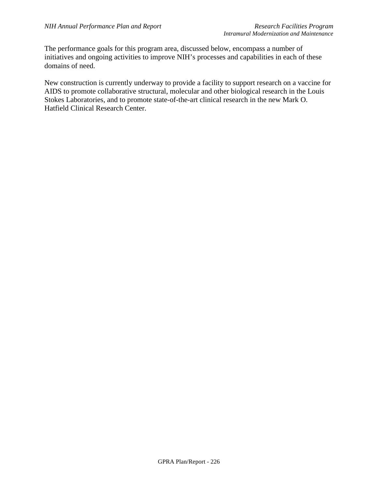The performance goals for this program area, discussed below, encompass a number of initiatives and ongoing activities to improve NIH's processes and capabilities in each of these domains of need.

New construction is currently underway to provide a facility to support research on a vaccine for AIDS to promote collaborative structural, molecular and other biological research in the Louis Stokes Laboratories, and to promote state-of-the-art clinical research in the new Mark O. Hatfield Clinical Research Center.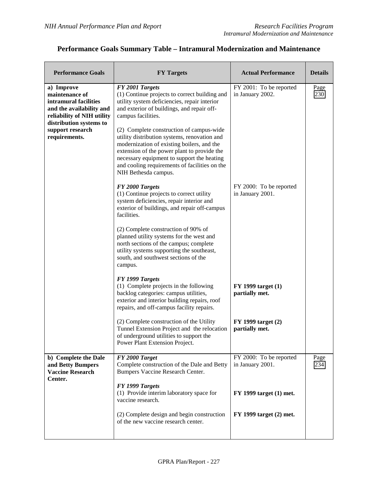| <b>Performance Goals</b>                                                                                                                                                        | <b>FY</b> Targets                                                                                                                                                                                                                                                                                                                                                                                                                                                                                                                                                   | <b>Actual Performance</b>                                                                  | <b>Details</b> |
|---------------------------------------------------------------------------------------------------------------------------------------------------------------------------------|---------------------------------------------------------------------------------------------------------------------------------------------------------------------------------------------------------------------------------------------------------------------------------------------------------------------------------------------------------------------------------------------------------------------------------------------------------------------------------------------------------------------------------------------------------------------|--------------------------------------------------------------------------------------------|----------------|
| a) Improve<br>maintenance of<br>intramural facilities<br>and the availability and<br>reliability of NIH utility<br>distribution systems to<br>support research<br>requirements. | FY 2001 Targets<br>(1) Continue projects to correct building and<br>utility system deficiencies, repair interior<br>and exterior of buildings, and repair off-<br>campus facilities.<br>(2) Complete construction of campus-wide<br>utility distribution systems, renovation and<br>modernization of existing boilers, and the<br>extension of the power plant to provide the<br>necessary equipment to support the heating<br>and cooling requirements of facilities on the<br>NIH Bethesda campus.<br>FY 2000 Targets<br>(1) Continue projects to correct utility | FY 2001: To be reported<br>in January 2002.<br>FY 2000: To be reported<br>in January 2001. | Page<br>230    |
|                                                                                                                                                                                 | system deficiencies, repair interior and<br>exterior of buildings, and repair off-campus<br>facilities.<br>(2) Complete construction of 90% of<br>planned utility systems for the west and<br>north sections of the campus; complete<br>utility systems supporting the southeast,<br>south, and southwest sections of the<br>campus.                                                                                                                                                                                                                                |                                                                                            |                |
|                                                                                                                                                                                 | FY 1999 Targets<br>(1) Complete projects in the following<br>backlog categories: campus utilities,<br>exterior and interior building repairs, roof<br>repairs, and off-campus facility repairs.                                                                                                                                                                                                                                                                                                                                                                     | FY 1999 target (1)<br>partially met.                                                       |                |
|                                                                                                                                                                                 | (2) Complete construction of the Utility<br>Tunnel Extension Project and the relocation<br>of underground utilities to support the<br>Power Plant Extension Project.                                                                                                                                                                                                                                                                                                                                                                                                | FY 1999 target (2)<br>partially met.                                                       |                |
| b) Complete the Dale<br>and Betty Bumpers                                                                                                                                       | FY 2000 Target<br>Complete construction of the Dale and Betty                                                                                                                                                                                                                                                                                                                                                                                                                                                                                                       | FY 2000: To be reported<br>in January 2001.                                                | Page<br>234    |
| <b>Vaccine Research</b><br>Center.                                                                                                                                              | Bumpers Vaccine Research Center.<br>FY 1999 Targets<br>(1) Provide interim laboratory space for<br>vaccine research.                                                                                                                                                                                                                                                                                                                                                                                                                                                | FY 1999 target (1) met.                                                                    |                |
|                                                                                                                                                                                 | (2) Complete design and begin construction<br>of the new vaccine research center.                                                                                                                                                                                                                                                                                                                                                                                                                                                                                   | FY 1999 target (2) met.                                                                    |                |

## **Performance Goals Summary Table – Intramural Modernization and Maintenance**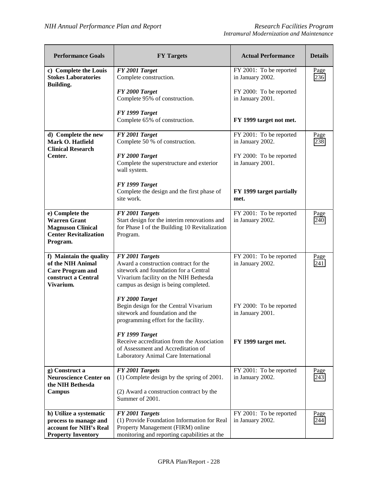| <b>Performance Goals</b>                                                                                       | <b>FY</b> Targets                                                                                                                                                                  | <b>Actual Performance</b>                   | <b>Details</b> |
|----------------------------------------------------------------------------------------------------------------|------------------------------------------------------------------------------------------------------------------------------------------------------------------------------------|---------------------------------------------|----------------|
| c) Complete the Louis<br><b>Stokes Laboratories</b><br><b>Building.</b>                                        | FY 2001 Target<br>Complete construction.                                                                                                                                           | FY 2001: To be reported<br>in January 2002. | Page<br>236    |
|                                                                                                                | FY 2000 Target<br>Complete 95% of construction.                                                                                                                                    | FY 2000: To be reported<br>in January 2001. |                |
|                                                                                                                | FY 1999 Target<br>Complete 65% of construction.                                                                                                                                    | FY 1999 target not met.                     |                |
| d) Complete the new<br>Mark O. Hatfield<br><b>Clinical Research</b>                                            | FY 2001 Target<br>Complete 50 % of construction.                                                                                                                                   | FY 2001: To be reported<br>in January 2002. | Page<br>238    |
| Center.                                                                                                        | FY 2000 Target<br>Complete the superstructure and exterior<br>wall system.                                                                                                         | FY 2000: To be reported<br>in January 2001. |                |
|                                                                                                                | FY 1999 Target<br>Complete the design and the first phase of<br>site work.                                                                                                         | FY 1999 target partially<br>met.            |                |
| e) Complete the<br><b>Warren Grant</b><br><b>Magnuson Clinical</b><br><b>Center Revitalization</b><br>Program. | FY 2001 Targets<br>Start design for the interim renovations and<br>for Phase I of the Building 10 Revitalization<br>Program.                                                       | FY 2001: To be reported<br>in January 2002. | Page<br>240    |
| f) Maintain the quality<br>of the NIH Animal<br><b>Care Program and</b><br>construct a Central<br>Vivarium.    | FY 2001 Targets<br>Award a construction contract for the<br>sitework and foundation for a Central<br>Vivarium facility on the NIH Bethesda<br>campus as design is being completed. | FY 2001: To be reported<br>in January 2002. | Page<br>241    |
|                                                                                                                | FY 2000 Target<br>Begin design for the Central Vivarium<br>sitework and foundation and the<br>programming effort for the facility.                                                 | FY 2000: To be reported<br>in January 2001. |                |
|                                                                                                                | FY 1999 Target<br>Receive accreditation from the Association<br>of Assessment and Accreditation of<br>Laboratory Animal Care International                                         | FY 1999 target met.                         |                |
| g) Construct a<br><b>Neuroscience Center on</b>                                                                | FY 2001 Targets<br>$(1)$ Complete design by the spring of 2001.                                                                                                                    | FY 2001: To be reported                     | Page<br>243    |
| the NIH Bethesda<br>Campus                                                                                     | (2) Award a construction contract by the<br>Summer of 2001.                                                                                                                        | in January 2002.                            |                |
| h) Utilize a systematic                                                                                        | FY 2001 Targets                                                                                                                                                                    | FY 2001: To be reported                     | Page           |
| process to manage and                                                                                          | (1) Provide Foundation Information for Real                                                                                                                                        | in January 2002.                            | 244            |
| account for NIH's Real<br><b>Property Inventory</b>                                                            | Property Management (FIRM) online<br>monitoring and reporting capabilities at the                                                                                                  |                                             |                |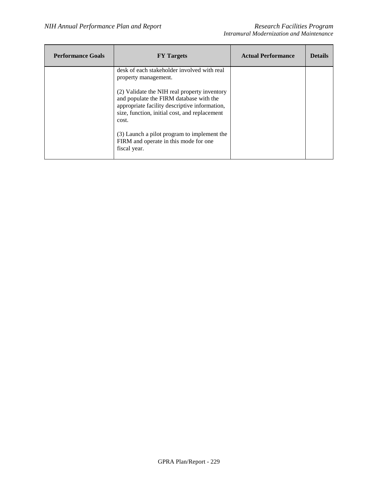| <b>Performance Goals</b> | <b>FY</b> Targets                                                                                                                                                                                  | <b>Actual Performance</b> | <b>Details</b> |
|--------------------------|----------------------------------------------------------------------------------------------------------------------------------------------------------------------------------------------------|---------------------------|----------------|
|                          | desk of each stakeholder involved with real<br>property management.                                                                                                                                |                           |                |
|                          | (2) Validate the NIH real property inventory<br>and populate the FIRM database with the<br>appropriate facility descriptive information,<br>size, function, initial cost, and replacement<br>cost. |                           |                |
|                          | (3) Launch a pilot program to implement the<br>FIRM and operate in this mode for one<br>fiscal year.                                                                                               |                           |                |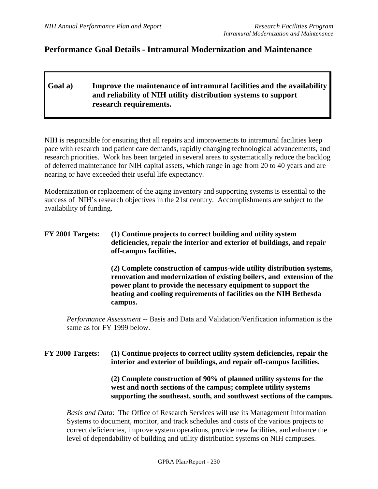## <span id="page-230-0"></span>**Performance Goal Details - Intramural Modernization and Maintenance**

## **Goal a) Improve the maintenance of intramural facilities and the availability and reliability of NIH utility distribution systems to support research requirements.**

NIH is responsible for ensuring that all repairs and improvements to intramural facilities keep pace with research and patient care demands, rapidly changing technological advancements, and research priorities. Work has been targeted in several areas to systematically reduce the backlog of deferred maintenance for NIH capital assets, which range in age from 20 to 40 years and are nearing or have exceeded their useful life expectancy.

Modernization or replacement of the aging inventory and supporting systems is essential to the success of NIH's research objectives in the 21st century. Accomplishments are subject to the availability of funding.

### **FY 2001 Targets: (1) Continue projects to correct building and utility system deficiencies, repair the interior and exterior of buildings, and repair off-campus facilities.**

**(2) Complete construction of campus-wide utility distribution systems, renovation and modernization of existing boilers, and extension of the power plant to provide the necessary equipment to support the heating and cooling requirements of facilities on the NIH Bethesda campus.**

*Performance Assessment* -- Basis and Data and Validation/Verification information is the same as for FY 1999 below.

### **FY 2000 Targets: (1) Continue projects to correct utility system deficiencies, repair the interior and exterior of buildings, and repair off-campus facilities.**

### **(2) Complete construction of 90% of planned utility systems for the west and north sections of the campus; complete utility systems supporting the southeast, south, and southwest sections of the campus.**

*Basis and Data*: The Office of Research Services will use its Management Information Systems to document, monitor, and track schedules and costs of the various projects to correct deficiencies, improve system operations, provide new facilities, and enhance the level of dependability of building and utility distribution systems on NIH campuses.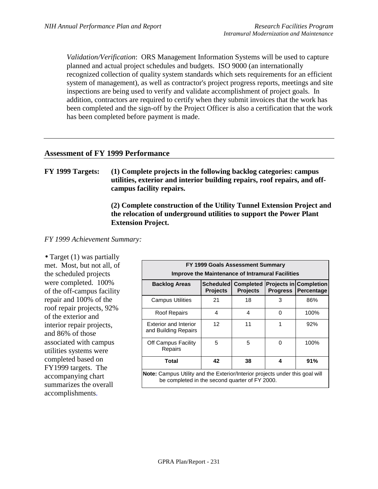*Validation/Verification*: ORS Management Information Systems will be used to capture planned and actual project schedules and budgets. ISO 9000 (an internationally recognized collection of quality system standards which sets requirements for an efficient system of management), as well as contractor's project progress reports, meetings and site inspections are being used to verify and validate accomplishment of project goals. In addition, contractors are required to certify when they submit invoices that the work has been completed and the sign-off by the Project Officer is also a certification that the work has been completed before payment is made.

### **Assessment of FY 1999 Performance**

## **FY 1999 Targets: (1) Complete projects in the following backlog categories: campus utilities, exterior and interior building repairs, roof repairs, and offcampus facility repairs.**

**(2) Complete construction of the Utility Tunnel Extension Project and the relocation of underground utilities to support the Power Plant Extension Project.**

#### *FY 1999 Achievement Summary:*

• Target (1) was partially met. Most, but not all, of the scheduled projects were completed. 100% of the off-campus facility repair and 100% of the roof repair projects, 92% of the exterior and interior repair projects, and 86% of those associated with campus utilities systems were completed based on FY1999 targets. The accompanying chart summarizes the overall accomplishments.

| FY 1999 Goals Assessment Summary<br><b>Improve the Maintenance of Intramural Facilities</b> |                                     |                                     |                 |                                             |  |
|---------------------------------------------------------------------------------------------|-------------------------------------|-------------------------------------|-----------------|---------------------------------------------|--|
| <b>Backlog Areas</b>                                                                        | <b>Scheduled</b><br><b>Projects</b> | <b>Completed</b><br><b>Projects</b> | <b>Progress</b> | <b>Projects in Completion</b><br>Percentage |  |
| <b>Campus Utilities</b>                                                                     | 21                                  | 18                                  | 3               | 86%                                         |  |
| <b>Roof Repairs</b>                                                                         | 4                                   | 4                                   | 0               | 100%                                        |  |
| <b>Exterior and Interior</b><br>and Building Repairs                                        | 12                                  | 11                                  | 1               | 92%                                         |  |
| Off Campus Facility<br>Repairs                                                              | 5                                   | 5                                   | ∩               | 100%                                        |  |
| Total<br>Nata: Compue Littlity and the Exterior Unterior projects under this good will      | 42                                  | 38                                  | 4               | 91%                                         |  |

**Note:** Campus Utility and the Exterior/Interior projects under this goal will be completed in the second quarter of FY 2000.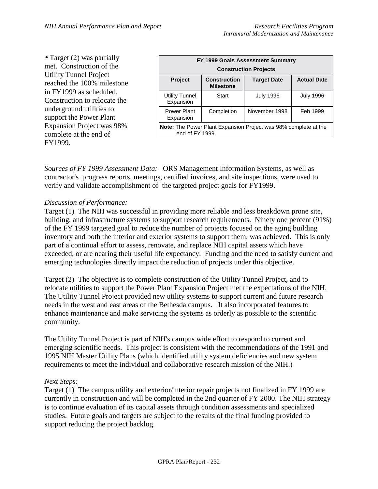• Target (2) was partially met. Construction of the Utility Tunnel Project reached the 100% milestone in FY1999 as scheduled. Construction to relocate the underground utilities to support the Power Plant Expansion Project was 98% complete at the end of FY1999.

| FY 1999 Goals Assessment Summary                                                          |                                         |                    |                    |  |  |  |
|-------------------------------------------------------------------------------------------|-----------------------------------------|--------------------|--------------------|--|--|--|
|                                                                                           | <b>Construction Projects</b>            |                    |                    |  |  |  |
| <b>Project</b>                                                                            | <b>Construction</b><br><b>Milestone</b> | <b>Target Date</b> | <b>Actual Date</b> |  |  |  |
| <b>Utility Tunnel</b><br>Expansion                                                        | Start                                   | <b>July 1996</b>   | <b>July 1996</b>   |  |  |  |
| Power Plant<br>Expansion                                                                  | Completion                              | November 1998      | Feb 1999           |  |  |  |
| <b>Note:</b> The Power Plant Expansion Project was 98% complete at the<br>end of FY 1999. |                                         |                    |                    |  |  |  |

*Sources of FY 1999 Assessment Data:* ORS Management Information Systems, as well as contractor's progress reports, meetings, certified invoices, and site inspections, were used to verify and validate accomplishment of the targeted project goals for FY1999.

### *Discussion of Performance:*

Target (1) The NIH was successful in providing more reliable and less breakdown prone site, building, and infrastructure systems to support research requirements. Ninety one percent (91%) of the FY 1999 targeted goal to reduce the number of projects focused on the aging building inventory and both the interior and exterior systems to support them, was achieved. This is only part of a continual effort to assess, renovate, and replace NIH capital assets which have exceeded, or are nearing their useful life expectancy. Funding and the need to satisfy current and emerging technologies directly impact the reduction of projects under this objective.

Target (2) The objective is to complete construction of the Utility Tunnel Project, and to relocate utilities to support the Power Plant Expansion Project met the expectations of the NIH. The Utility Tunnel Project provided new utility systems to support current and future research needs in the west and east areas of the Bethesda campus. It also incorporated features to enhance maintenance and make servicing the systems as orderly as possible to the scientific community.

The Utility Tunnel Project is part of NIH's campus wide effort to respond to current and emerging scientific needs. This project is consistent with the recommendations of the 1991 and 1995 NIH Master Utility Plans (which identified utility system deficiencies and new system requirements to meet the individual and collaborative research mission of the NIH.)

### *Next Steps:*

Target (1) The campus utility and exterior/interior repair projects not finalized in FY 1999 are currently in construction and will be completed in the 2nd quarter of FY 2000. The NIH strategy is to continue evaluation of its capital assets through condition assessments and specialized studies. Future goals and targets are subject to the results of the final funding provided to support reducing the project backlog.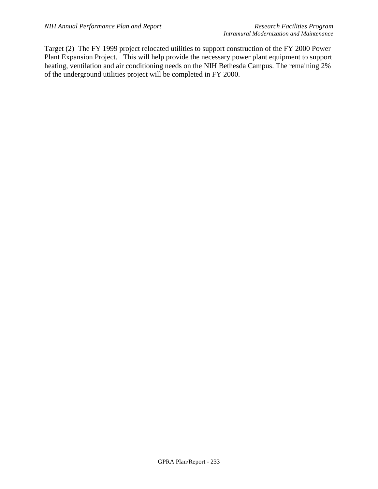Target (2) The FY 1999 project relocated utilities to support construction of the FY 2000 Power Plant Expansion Project. This will help provide the necessary power plant equipment to support heating, ventilation and air conditioning needs on the NIH Bethesda Campus. The remaining 2% of the underground utilities project will be completed in FY 2000.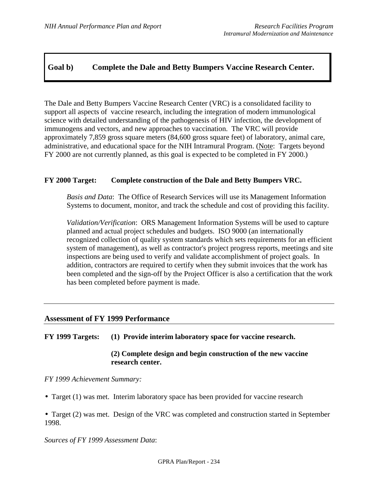## <span id="page-234-0"></span>**Goal b) Complete the Dale and Betty Bumpers Vaccine Research Center.**

The Dale and Betty Bumpers Vaccine Research Center (VRC) is a consolidated facility to support all aspects of vaccine research, including the integration of modern immunological science with detailed understanding of the pathogenesis of HIV infection, the development of immunogens and vectors, and new approaches to vaccination. The VRC will provide approximately 7,859 gross square meters (84,600 gross square feet) of laboratory, animal care, administrative, and educational space for the NIH Intramural Program. (Note: Targets beyond FY 2000 are not currently planned, as this goal is expected to be completed in FY 2000.)

### **FY 2000 Target: Complete construction of the Dale and Betty Bumpers VRC.**

*Basis and Data*: The Office of Research Services will use its Management Information Systems to document, monitor, and track the schedule and cost of providing this facility.

*Validation/Verification*: ORS Management Information Systems will be used to capture planned and actual project schedules and budgets. ISO 9000 (an internationally recognized collection of quality system standards which sets requirements for an efficient system of management), as well as contractor's project progress reports, meetings and site inspections are being used to verify and validate accomplishment of project goals. In addition, contractors are required to certify when they submit invoices that the work has been completed and the sign-off by the Project Officer is also a certification that the work has been completed before payment is made.

#### **Assessment of FY 1999 Performance**

**FY 1999 Targets: (1) Provide interim laboratory space for vaccine research.**

### **(2) Complete design and begin construction of the new vaccine research center.**

*FY 1999 Achievement Summary:*

• Target (1) was met. Interim laboratory space has been provided for vaccine research

• Target (2) was met. Design of the VRC was completed and construction started in September 1998.

*Sources of FY 1999 Assessment Data*: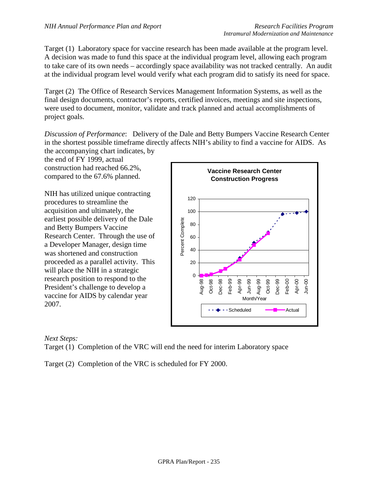Target (1) Laboratory space for vaccine research has been made available at the program level. A decision was made to fund this space at the individual program level, allowing each program to take care of its own needs – accordingly space availability was not tracked centrally. An audit at the individual program level would verify what each program did to satisfy its need for space.

Target (2) The Office of Research Services Management Information Systems, as well as the final design documents, contractor's reports, certified invoices, meetings and site inspections, were used to document, monitor, validate and track planned and actual accomplishments of project goals.

*Discussion of Performance*: Delivery of the Dale and Betty Bumpers Vaccine Research Center in the shortest possible timeframe directly affects NIH's ability to find a vaccine for AIDS. As the accompanying chart indicates, by

the end of FY 1999, actual construction had reached 66.2%, compared to the 67.6% planned.

NIH has utilized unique contracting procedures to streamline the acquisition and ultimately, the earliest possible delivery of the Dale and Betty Bumpers Vaccine Research Center. Through the use of a Developer Manager, design time was shortened and construction proceeded as a parallel activity. This will place the NIH in a strategic research position to respond to the President's challenge to develop a vaccine for AIDS by calendar year 2007.



## *Next Steps:*

Target (1) Completion of the VRC will end the need for interim Laboratory space

Target (2) Completion of the VRC is scheduled for FY 2000.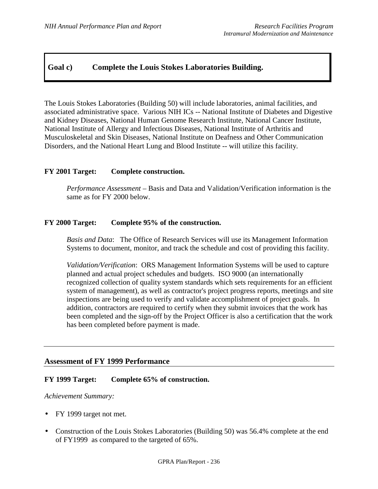## <span id="page-236-0"></span>**Goal c) Complete the Louis Stokes Laboratories Building.**

The Louis Stokes Laboratories (Building 50) will include laboratories, animal facilities, and associated administrative space. Various NIH ICs -- National Institute of Diabetes and Digestive and Kidney Diseases, National Human Genome Research Institute, National Cancer Institute, National Institute of Allergy and Infectious Diseases, National Institute of Arthritis and Musculoskeletal and Skin Diseases, National Institute on Deafness and Other Communication Disorders, and the National Heart Lung and Blood Institute -- will utilize this facility.

### **FY 2001 Target: Complete construction.**

*Performance Assessment* – Basis and Data and Validation/Verification information is the same as for FY 2000 below.

### **FY 2000 Target: Complete 95% of the construction.**

*Basis and Data*: The Office of Research Services will use its Management Information Systems to document, monitor, and track the schedule and cost of providing this facility.

*Validation/Verification*: ORS Management Information Systems will be used to capture planned and actual project schedules and budgets. ISO 9000 (an internationally recognized collection of quality system standards which sets requirements for an efficient system of management), as well as contractor's project progress reports, meetings and site inspections are being used to verify and validate accomplishment of project goals. In addition, contractors are required to certify when they submit invoices that the work has been completed and the sign-off by the Project Officer is also a certification that the work has been completed before payment is made.

#### **Assessment of FY 1999 Performance**

#### **FY 1999 Target: Complete 65% of construction.**

#### *Achievement Summary:*

- FY 1999 target not met.
- Construction of the Louis Stokes Laboratories (Building 50) was 56.4% complete at the end of FY1999 as compared to the targeted of 65%.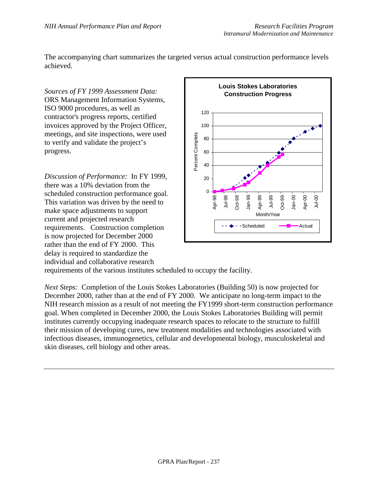The accompanying chart summarizes the targeted versus actual construction performance levels achieved.

*Sources of FY 1999 Assessment Data:* ORS Management Information Systems, ISO 9000 procedures, as well as contractor's progress reports, certified invoices approved by the Project Officer, meetings, and site inspections, were used to verify and validate the project's progress.

*Discussion of Performance:* In FY 1999, there was a 10% deviation from the scheduled construction performance goal. This variation was driven by the need to make space adjustments to support current and projected research requirements. Construction completion is now projected for December 2000 rather than the end of FY 2000. This delay is required to standardize the individual and collaborative research



requirements of the various institutes scheduled to occupy the facility.

*Next Steps:* Completion of the Louis Stokes Laboratories (Building 50) is now projected for December 2000, rather than at the end of FY 2000. We anticipate no long-term impact to the NIH research mission as a result of not meeting the FY1999 short-term construction performance goal. When completed in December 2000, the Louis Stokes Laboratories Building will permit institutes currently occupying inadequate research spaces to relocate to the structure to fulfill their mission of developing cures, new treatment modalities and technologies associated with infectious diseases, immunogenetics, cellular and developmental biology, musculoskeletal and skin diseases, cell biology and other areas.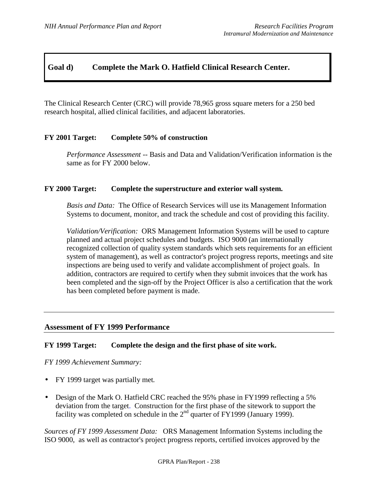## <span id="page-238-0"></span>**Goal d) Complete the Mark O. Hatfield Clinical Research Center.**

The Clinical Research Center (CRC) will provide 78,965 gross square meters for a 250 bed research hospital, allied clinical facilities, and adjacent laboratories.

#### **FY 2001 Target: Complete 50% of construction**

*Performance Assessment* -- Basis and Data and Validation/Verification information is the same as for FY 2000 below.

#### **FY 2000 Target: Complete the superstructure and exterior wall system.**

*Basis and Data:* The Office of Research Services will use its Management Information Systems to document, monitor, and track the schedule and cost of providing this facility.

*Validation/Verification:* ORS Management Information Systems will be used to capture planned and actual project schedules and budgets. ISO 9000 (an internationally recognized collection of quality system standards which sets requirements for an efficient system of management), as well as contractor's project progress reports, meetings and site inspections are being used to verify and validate accomplishment of project goals. In addition, contractors are required to certify when they submit invoices that the work has been completed and the sign-off by the Project Officer is also a certification that the work has been completed before payment is made.

### **Assessment of FY 1999 Performance**

#### **FY 1999 Target: Complete the design and the first phase of site work.**

*FY 1999 Achievement Summary:*

- FY 1999 target was partially met*.*
- Design of the Mark O. Hatfield CRC reached the 95% phase in FY1999 reflecting a 5% deviation from the target. Construction for the first phase of the sitework to support the facility was completed on schedule in the  $2<sup>nd</sup>$  quarter of FY1999 (January 1999).

*Sources of FY 1999 Assessment Data:* ORS Management Information Systems including the ISO 9000, as well as contractor's project progress reports, certified invoices approved by the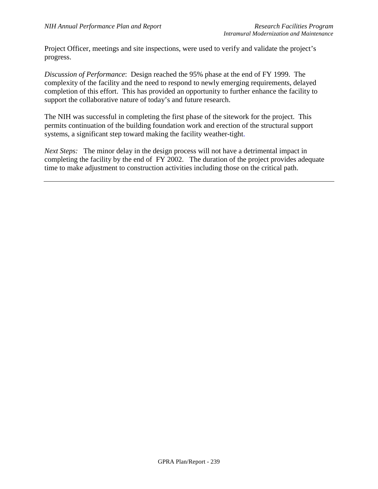Project Officer, meetings and site inspections, were used to verify and validate the project's progress.

*Discussion of Performance*: Design reached the 95% phase at the end of FY 1999. The complexity of the facility and the need to respond to newly emerging requirements, delayed completion of this effort. This has provided an opportunity to further enhance the facility to support the collaborative nature of today's and future research.

The NIH was successful in completing the first phase of the sitework for the project. This permits continuation of the building foundation work and erection of the structural support systems, a significant step toward making the facility weather-tight.

*Next Steps:* The minor delay in the design process will not have a detrimental impact in completing the facility by the end of FY 2002. The duration of the project provides adequate time to make adjustment to construction activities including those on the critical path.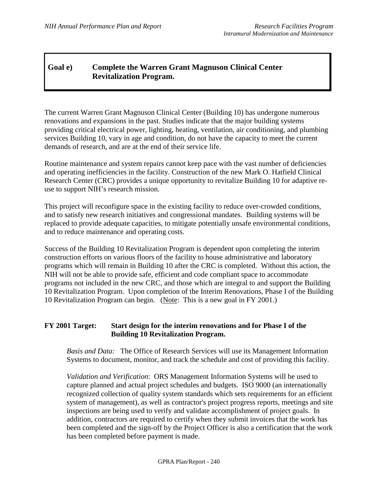## <span id="page-240-0"></span>**Goal e) Complete the Warren Grant Magnuson Clinical Center Revitalization Program.**

The current Warren Grant Magnuson Clinical Center (Building 10) has undergone numerous renovations and expansions in the past. Studies indicate that the major building systems providing critical electrical power, lighting, heating, ventilation, air conditioning, and plumbing services Building 10, vary in age and condition, do not have the capacity to meet the current demands of research, and are at the end of their service life.

Routine maintenance and system repairs cannot keep pace with the vast number of deficiencies and operating inefficiencies in the facility. Construction of the new Mark O. Hatfield Clinical Research Center (CRC) provides a unique opportunity to revitalize Building 10 for adaptive reuse to support NIH's research mission.

This project will reconfigure space in the existing facility to reduce over-crowded conditions, and to satisfy new research initiatives and congressional mandates. Building systems will be replaced to provide adequate capacities, to mitigate potentially unsafe environmental conditions, and to reduce maintenance and operating costs.

Success of the Building 10 Revitalization Program is dependent upon completing the interim construction efforts on various floors of the facility to house administrative and laboratory programs which will remain in Building 10 after the CRC is completed. Without this action, the NIH will not be able to provide safe, efficient and code compliant space to accommodate programs not included in the new CRC, and those which are integral to and support the Building 10 Revitalization Program. Upon completion of the Interim Renovations, Phase I of the Building 10 Revitalization Program can begin. (Note: This is a new goal in FY 2001.)

### **FY 2001 Target: Start design for the interim renovations and for Phase I of the Building 10 Revitalization Program.**

*Basis and Data:* The Office of Research Services will use its Management Information Systems to document, monitor, and track the schedule and cost of providing this facility.

*Validation and Verification*: ORS Management Information Systems will be used to capture planned and actual project schedules and budgets. ISO 9000 (an internationally recognized collection of quality system standards which sets requirements for an efficient system of management), as well as contractor's project progress reports, meetings and site inspections are being used to verify and validate accomplishment of project goals. In addition, contractors are required to certify when they submit invoices that the work has been completed and the sign-off by the Project Officer is also a certification that the work has been completed before payment is made.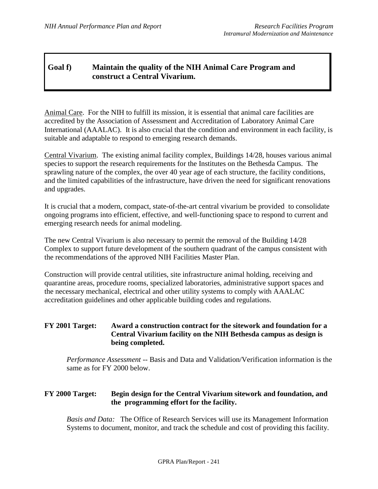## <span id="page-241-0"></span>**Goal f) Maintain the quality of the NIH Animal Care Program and construct a Central Vivarium.**

Animal Care. For the NIH to fulfill its mission, it is essential that animal care facilities are accredited by the Association of Assessment and Accreditation of Laboratory Animal Care International (AAALAC). It is also crucial that the condition and environment in each facility, is suitable and adaptable to respond to emerging research demands.

Central Vivarium. The existing animal facility complex, Buildings 14/28, houses various animal species to support the research requirements for the Institutes on the Bethesda Campus. The sprawling nature of the complex, the over 40 year age of each structure, the facility conditions, and the limited capabilities of the infrastructure, have driven the need for significant renovations and upgrades.

It is crucial that a modern, compact, state-of-the-art central vivarium be provided to consolidate ongoing programs into efficient, effective, and well-functioning space to respond to current and emerging research needs for animal modeling.

The new Central Vivarium is also necessary to permit the removal of the Building 14/28 Complex to support future development of the southern quadrant of the campus consistent with the recommendations of the approved NIH Facilities Master Plan.

Construction will provide central utilities, site infrastructure animal holding, receiving and quarantine areas, procedure rooms, specialized laboratories, administrative support spaces and the necessary mechanical, electrical and other utility systems to comply with AAALAC accreditation guidelines and other applicable building codes and regulations.

### **FY 2001 Target: Award a construction contract for the sitework and foundation for a Central Vivarium facility on the NIH Bethesda campus as design is being completed.**

*Performance Assessment* -- Basis and Data and Validation/Verification information is the same as for FY 2000 below.

### **FY 2000 Target: Begin design for the Central Vivarium sitework and foundation, and the programming effort for the facility.**

*Basis and Data:* The Office of Research Services will use its Management Information Systems to document, monitor, and track the schedule and cost of providing this facility.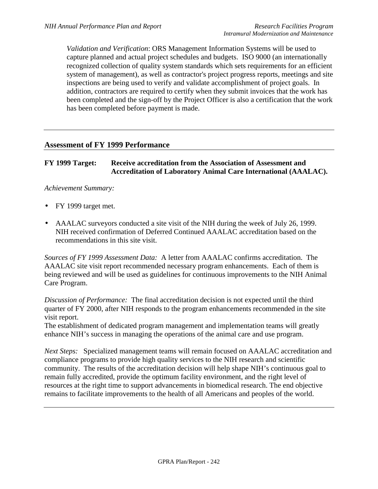*Validation and Verification*: ORS Management Information Systems will be used to capture planned and actual project schedules and budgets. ISO 9000 (an internationally recognized collection of quality system standards which sets requirements for an efficient system of management), as well as contractor's project progress reports, meetings and site inspections are being used to verify and validate accomplishment of project goals. In addition, contractors are required to certify when they submit invoices that the work has been completed and the sign-off by the Project Officer is also a certification that the work has been completed before payment is made.

### **Assessment of FY 1999 Performance**

#### **FY 1999 Target: Receive accreditation from the Association of Assessment and Accreditation of Laboratory Animal Care International (AAALAC).**

#### *Achievement Summary:*

- FY 1999 target met.
- AAALAC surveyors conducted a site visit of the NIH during the week of July 26, 1999. NIH received confirmation of Deferred Continued AAALAC accreditation based on the recommendations in this site visit.

*Sources of FY 1999 Assessment Data:* A letter from AAALAC confirms accreditation. The AAALAC site visit report recommended necessary program enhancements. Each of them is being reviewed and will be used as guidelines for continuous improvements to the NIH Animal Care Program.

*Discussion of Performance:* The final accreditation decision is not expected until the third quarter of FY 2000, after NIH responds to the program enhancements recommended in the site visit report.

The establishment of dedicated program management and implementation teams will greatly enhance NIH's success in managing the operations of the animal care and use program.

*Next Steps:* Specialized management teams will remain focused on AAALAC accreditation and compliance programs to provide high quality services to the NIH research and scientific community. The results of the accreditation decision will help shape NIH's continuous goal to remain fully accredited, provide the optimum facility environment, and the right level of resources at the right time to support advancements in biomedical research. The end objective remains to facilitate improvements to the health of all Americans and peoples of the world.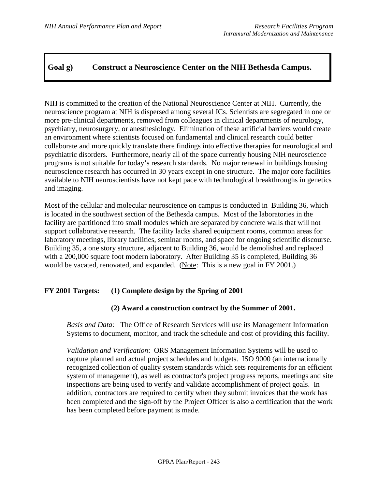## <span id="page-243-0"></span>**Goal g) Construct a Neuroscience Center on the NIH Bethesda Campus.**

NIH is committed to the creation of the National Neuroscience Center at NIH. Currently, the neuroscience program at NIH is dispersed among several ICs. Scientists are segregated in one or more pre-clinical departments, removed from colleagues in clinical departments of neurology, psychiatry, neurosurgery, or anesthesiology. Elimination of these artificial barriers would create an environment where scientists focused on fundamental and clinical research could better collaborate and more quickly translate there findings into effective therapies for neurological and psychiatric disorders. Furthermore, nearly all of the space currently housing NIH neuroscience programs is not suitable for today's research standards. No major renewal in buildings housing neuroscience research has occurred in 30 years except in one structure. The major core facilities available to NIH neuroscientists have not kept pace with technological breakthroughs in genetics and imaging.

Most of the cellular and molecular neuroscience on campus is conducted in Building 36, which is located in the southwest section of the Bethesda campus. Most of the laboratories in the facility are partitioned into small modules which are separated by concrete walls that will not support collaborative research. The facility lacks shared equipment rooms, common areas for laboratory meetings, library facilities, seminar rooms, and space for ongoing scientific discourse. Building 35, a one story structure, adjacent to Building 36, would be demolished and replaced with a 200,000 square foot modern laboratory. After Building 35 is completed, Building 36 would be vacated, renovated, and expanded. (Note: This is a new goal in FY 2001.)

### **FY 2001 Targets: (1) Complete design by the Spring of 2001**

#### **(2) Award a construction contract by the Summer of 2001.**

*Basis and Data:* The Office of Research Services will use its Management Information Systems to document, monitor, and track the schedule and cost of providing this facility.

*Validation and Verification*: ORS Management Information Systems will be used to capture planned and actual project schedules and budgets. ISO 9000 (an internationally recognized collection of quality system standards which sets requirements for an efficient system of management), as well as contractor's project progress reports, meetings and site inspections are being used to verify and validate accomplishment of project goals. In addition, contractors are required to certify when they submit invoices that the work has been completed and the sign-off by the Project Officer is also a certification that the work has been completed before payment is made.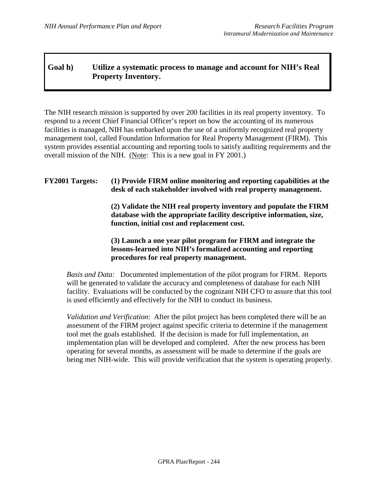## <span id="page-244-0"></span>**Goal h) Utilize a systematic process to manage and account for NIH's Real Property Inventory.**

The NIH research mission is supported by over 200 facilities in its real property inventory. To respond to a recent Chief Financial Officer's report on how the accounting of its numerous facilities is managed, NIH has embarked upon the use of a uniformly recognized real property management tool, called Foundation Information for Real Property Management (FIRM). This system provides essential accounting and reporting tools to satisfy auditing requirements and the overall mission of the NIH. (Note: This is a new goal in FY 2001.)

## **FY2001 Targets: (1) Provide FIRM online monitoring and reporting capabilities at the desk of each stakeholder involved with real property management.**

**(2) Validate the NIH real property inventory and populate the FIRM database with the appropriate facility descriptive information, size, function, initial cost and replacement cost.**

## **(3) Launch a one year pilot program for FIRM and integrate the lessons-learned into NIH's formalized accounting and reporting procedures for real property management.**

*Basis and Data:* Documented implementation of the pilot program for FIRM. Reports will be generated to validate the accuracy and completeness of database for each NIH facility. Evaluations will be conducted by the cognizant NIH CFO to assure that this tool is used efficiently and effectively for the NIH to conduct its business.

*Validation and Verification*: After the pilot project has been completed there will be an assessment of the FIRM project against specific criteria to determine if the management tool met the goals established. If the decision is made for full implementation, an implementation plan will be developed and completed. After the new process has been operating for several months, as assessment will be made to determine if the goals are being met NIH-wide. This will provide verification that the system is operating properly.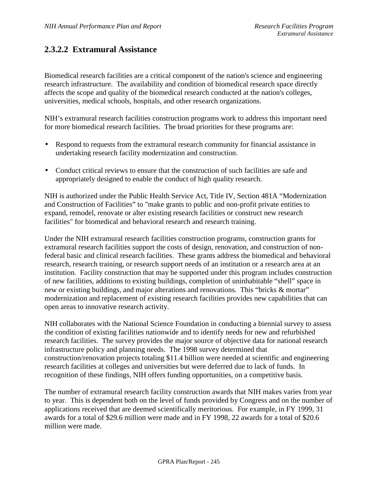## **2.3.2.2 Extramural Assistance**

Biomedical research facilities are a critical component of the nation's science and engineering research infrastructure. The availability and condition of biomedical research space directly affects the scope and quality of the biomedical research conducted at the nation's colleges, universities, medical schools, hospitals, and other research organizations.

NIH's extramural research facilities construction programs work to address this important need for more biomedical research facilities. The broad priorities for these programs are:

- Respond to requests from the extramural research community for financial assistance in undertaking research facility modernization and construction.
- Conduct critical reviews to ensure that the construction of such facilities are safe and appropriately designed to enable the conduct of high quality research.

NIH is authorized under the Public Health Service Act, Title IV, Section 481A "Modernization and Construction of Facilities" to "make grants to public and non-profit private entities to expand, remodel, renovate or alter existing research facilities or construct new research facilities" for biomedical and behavioral research and research training.

Under the NIH extramural research facilities construction programs, construction grants for extramural research facilities support the costs of design, renovation, and construction of nonfederal basic and clinical research facilities. These grants address the biomedical and behavioral research, research training, or research support needs of an institution or a research area at an institution. Facility construction that may be supported under this program includes construction of new facilities, additions to existing buildings, completion of uninhabitable "shell" space in new or existing buildings, and major alterations and renovations. This "bricks & mortar" modernization and replacement of existing research facilities provides new capabilities that can open areas to innovative research activity.

NIH collaborates with the National Science Foundation in conducting a biennial survey to assess the condition of existing facilities nationwide and to identify needs for new and refurbished research facilities. The survey provides the major source of objective data for national research infrastructure policy and planning needs. The 1998 survey determined that construction/renovation projects totaling \$11.4 billion were needed at scientific and engineering research facilities at colleges and universities but were deferred due to lack of funds. In recognition of these findings, NIH offers funding opportunities, on a competitive basis.

The number of extramural research facility construction awards that NIH makes varies from year to year. This is dependent both on the level of funds provided by Congress and on the number of applications received that are deemed scientifically meritorious. For example, in FY 1999, 31 awards for a total of \$29.6 million were made and in FY 1998, 22 awards for a total of \$20.6 million were made.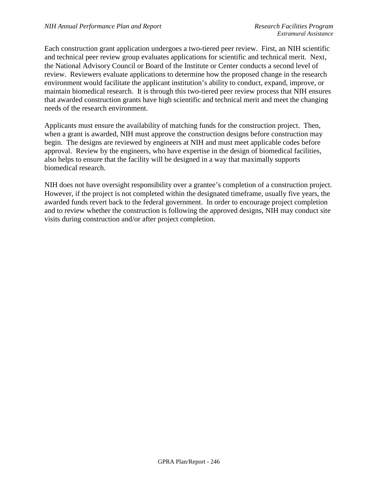Each construction grant application undergoes a two-tiered peer review. First, an NIH scientific and technical peer review group evaluates applications for scientific and technical merit. Next, the National Advisory Council or Board of the Institute or Center conducts a second level of review. Reviewers evaluate applications to determine how the proposed change in the research environment would facilitate the applicant institution's ability to conduct, expand, improve, or maintain biomedical research. It is through this two-tiered peer review process that NIH ensures that awarded construction grants have high scientific and technical merit and meet the changing needs of the research environment.

Applicants must ensure the availability of matching funds for the construction project. Then, when a grant is awarded, NIH must approve the construction designs before construction may begin. The designs are reviewed by engineers at NIH and must meet applicable codes before approval. Review by the engineers, who have expertise in the design of biomedical facilities, also helps to ensure that the facility will be designed in a way that maximally supports biomedical research.

NIH does not have oversight responsibility over a grantee's completion of a construction project. However, if the project is not completed within the designated timeframe, usually five years, the awarded funds revert back to the federal government. In order to encourage project completion and to review whether the construction is following the approved designs, NIH may conduct site visits during construction and/or after project completion.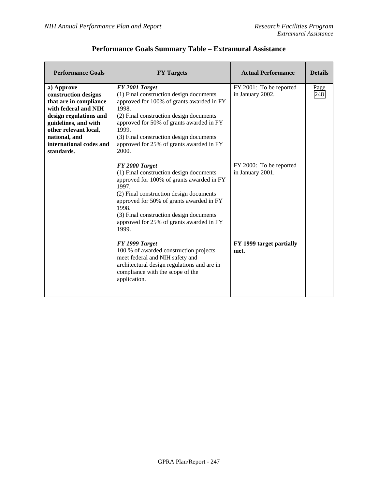| <b>Performance Goals</b>                                                                                                                                                                                                  | <b>FY</b> Targets                                                                                                                                                                                                                                                                                               | <b>Actual Performance</b>                   | <b>Details</b> |
|---------------------------------------------------------------------------------------------------------------------------------------------------------------------------------------------------------------------------|-----------------------------------------------------------------------------------------------------------------------------------------------------------------------------------------------------------------------------------------------------------------------------------------------------------------|---------------------------------------------|----------------|
| a) Approve<br>construction designs<br>that are in compliance<br>with federal and NIH<br>design regulations and<br>guidelines, and with<br>other relevant local,<br>national, and<br>international codes and<br>standards. | FY 2001 Target<br>(1) Final construction design documents<br>approved for 100% of grants awarded in FY<br>1998.<br>(2) Final construction design documents<br>approved for 50% of grants awarded in FY<br>1999.<br>(3) Final construction design documents<br>approved for 25% of grants awarded in FY<br>2000. | FY 2001: To be reported<br>in January 2002. | Page<br>248    |
|                                                                                                                                                                                                                           | FY 2000 Target<br>(1) Final construction design documents<br>approved for 100% of grants awarded in FY<br>1997.<br>(2) Final construction design documents<br>approved for 50% of grants awarded in FY<br>1998.<br>(3) Final construction design documents<br>approved for 25% of grants awarded in FY<br>1999. | FY 2000: To be reported<br>in January 2001. |                |
|                                                                                                                                                                                                                           | FY 1999 Target<br>100 % of awarded construction projects<br>meet federal and NIH safety and<br>architectural design regulations and are in<br>compliance with the scope of the<br>application.                                                                                                                  | FY 1999 target partially<br>met.            |                |

## **Performance Goals Summary Table – Extramural Assistance**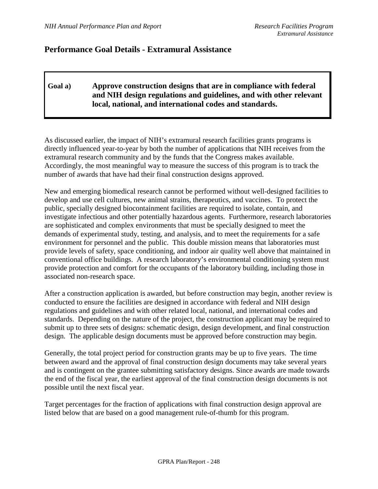### <span id="page-248-0"></span>**Performance Goal Details - Extramural Assistance**

## **Goal a) Approve construction designs that are in compliance with federal and NIH design regulations and guidelines, and with other relevant local, national, and international codes and standards.**

As discussed earlier, the impact of NIH's extramural research facilities grants programs is directly influenced year-to-year by both the number of applications that NIH receives from the extramural research community and by the funds that the Congress makes available. Accordingly, the most meaningful way to measure the success of this program is to track the number of awards that have had their final construction designs approved.

New and emerging biomedical research cannot be performed without well-designed facilities to develop and use cell cultures, new animal strains, therapeutics, and vaccines. To protect the public, specially designed biocontainment facilities are required to isolate, contain, and investigate infectious and other potentially hazardous agents. Furthermore, research laboratories are sophisticated and complex environments that must be specially designed to meet the demands of experimental study, testing, and analysis, and to meet the requirements for a safe environment for personnel and the public. This double mission means that laboratories must provide levels of safety, space conditioning, and indoor air quality well above that maintained in conventional office buildings. A research laboratory's environmental conditioning system must provide protection and comfort for the occupants of the laboratory building, including those in associated non-research space.

After a construction application is awarded, but before construction may begin, another review is conducted to ensure the facilities are designed in accordance with federal and NIH design regulations and guidelines and with other related local, national, and international codes and standards. Depending on the nature of the project, the construction applicant may be required to submit up to three sets of designs: schematic design, design development, and final construction design. The applicable design documents must be approved before construction may begin.

Generally, the total project period for construction grants may be up to five years. The time between award and the approval of final construction design documents may take several years and is contingent on the grantee submitting satisfactory designs. Since awards are made towards the end of the fiscal year, the earliest approval of the final construction design documents is not possible until the next fiscal year.

Target percentages for the fraction of applications with final construction design approval are listed below that are based on a good management rule-of-thumb for this program.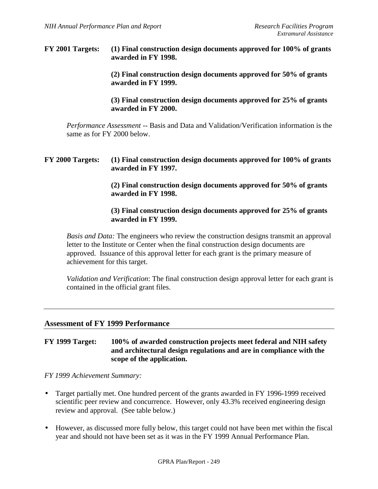#### **FY 2001 Targets: (1) Final construction design documents approved for 100% of grants awarded in FY 1998.**

**(2) Final construction design documents approved for 50% of grants awarded in FY 1999.**

**(3) Final construction design documents approved for 25% of grants awarded in FY 2000.**

*Performance Assessment* -- Basis and Data and Validation/Verification information is the same as for FY 2000 below.

#### **FY 2000 Targets: (1) Final construction design documents approved for 100% of grants awarded in FY 1997.**

**(2) Final construction design documents approved for 50% of grants awarded in FY 1998.**

### **(3) Final construction design documents approved for 25% of grants awarded in FY 1999.**

*Basis and Data:* The engineers who review the construction designs transmit an approval letter to the Institute or Center when the final construction design documents are approved. Issuance of this approval letter for each grant is the primary measure of achievement for this target.

*Validation and Verification*: The final construction design approval letter for each grant is contained in the official grant files.

### **Assessment of FY 1999 Performance**

### **FY 1999 Target: 100% of awarded construction projects meet federal and NIH safety and architectural design regulations and are in compliance with the scope of the application.**

*FY 1999 Achievement Summary:*

- Target partially met. One hundred percent of the grants awarded in FY 1996-1999 received scientific peer review and concurrence. However, only 43.3% received engineering design review and approval. (See table below.)
- However, as discussed more fully below, this target could not have been met within the fiscal year and should not have been set as it was in the FY 1999 Annual Performance Plan.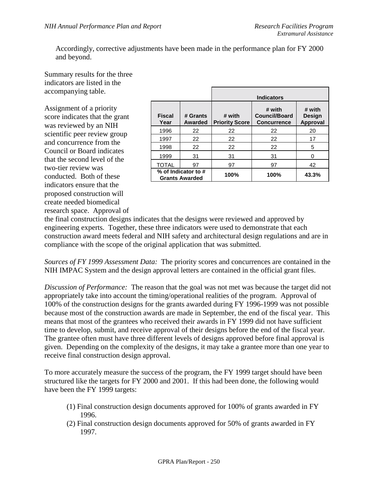Accordingly, corrective adjustments have been made in the performance plan for FY 2000 and beyond.

Summary results for the three indicators are listed in the accompanying table.

Assignment of a priority score indicates that the grant was reviewed by an NIH scientific peer review group and concurrence from the Council or Board indicates that the second level of the two-tier review was conducted. Both of these indicators ensure that the proposed construction will create needed biomedical research space. Approval of

|                                              |                     |                                 | <b>Indicators</b>                                    |                              |
|----------------------------------------------|---------------------|---------------------------------|------------------------------------------------------|------------------------------|
| <b>Fiscal</b><br>Year                        | # Grants<br>Awarded | # with<br><b>Priority Score</b> | # with<br><b>Council/Board</b><br><b>Concurrence</b> | # with<br>Design<br>Approval |
| 1996                                         | 22                  | 22                              | 22                                                   | 20                           |
| 1997                                         | 22                  | 22                              | 22                                                   | 17                           |
| 1998                                         | 22                  | 22                              | 22                                                   | 5                            |
| 1999                                         | 31                  | 31                              | 31                                                   | O                            |
| TOTAL                                        | 97                  | 97                              | 97                                                   | 42                           |
| % of Indicator to #<br><b>Grants Awarded</b> |                     | 100%                            | 100%                                                 | 43.3%                        |

the final construction designs indicates that the designs were reviewed and approved by engineering experts. Together, these three indicators were used to demonstrate that each construction award meets federal and NIH safety and architectural design regulations and are in compliance with the scope of the original application that was submitted.

*Sources of FY 1999 Assessment Data:* The priority scores and concurrences are contained in the NIH IMPAC System and the design approval letters are contained in the official grant files.

*Discussion of Performance:* The reason that the goal was not met was because the target did not appropriately take into account the timing/operational realities of the program. Approval of 100% of the construction designs for the grants awarded during FY 1996-1999 was not possible because most of the construction awards are made in September, the end of the fiscal year. This means that most of the grantees who received their awards in FY 1999 did not have sufficient time to develop, submit, and receive approval of their designs before the end of the fiscal year. The grantee often must have three different levels of designs approved before final approval is given. Depending on the complexity of the designs, it may take a grantee more than one year to receive final construction design approval.

To more accurately measure the success of the program, the FY 1999 target should have been structured like the targets for FY 2000 and 2001. If this had been done, the following would have been the FY 1999 targets:

- (1) Final construction design documents approved for 100% of grants awarded in FY 1996.
- (2) Final construction design documents approved for 50% of grants awarded in FY 1997.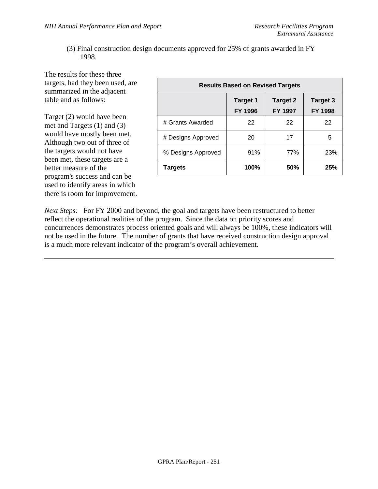(3) Final construction design documents approved for 25% of grants awarded in FY 1998.

The results for these three targets, had they been used, are summarized in the adjacent table and as follows:

Target (2) would have been met and Targets (1) and (3) would have mostly been met. Although two out of three of the targets would not have been met, these targets are a better measure of the program's success and can be used to identify areas in which there is room for improvement.

| <b>Results Based on Revised Targets</b> |                            |                            |                                   |  |  |
|-----------------------------------------|----------------------------|----------------------------|-----------------------------------|--|--|
|                                         | <b>Target 1</b><br>FY 1996 | <b>Target 2</b><br>FY 1997 | <b>Target 3</b><br><b>FY 1998</b> |  |  |
| # Grants Awarded                        | 22                         | 22                         | 22                                |  |  |
| # Designs Approved                      | 20                         | 17                         | 5                                 |  |  |
| % Designs Approved                      | 91%                        | 77%                        | 23%                               |  |  |
| <b>Targets</b>                          | 100%                       | <b>50%</b>                 | 25%                               |  |  |

*Next Steps:* For FY 2000 and beyond, the goal and targets have been restructured to better reflect the operational realities of the program. Since the data on priority scores and concurrences demonstrates process oriented goals and will always be 100%, these indicators will not be used in the future. The number of grants that have received construction design approval is a much more relevant indicator of the program's overall achievement.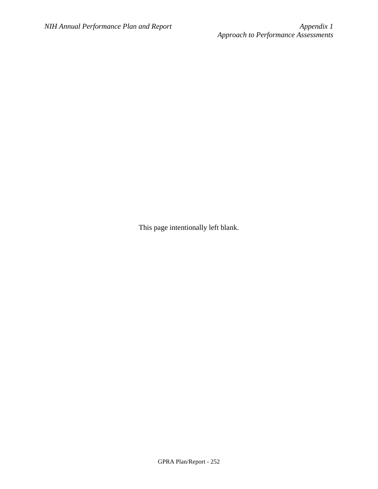This page intentionally left blank.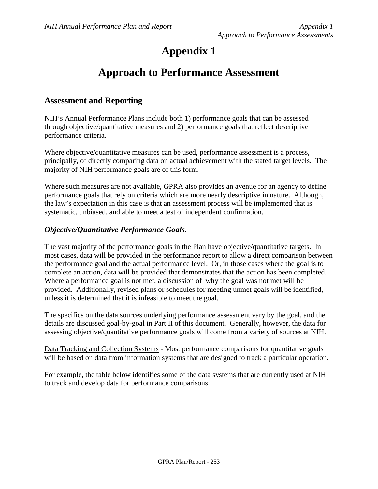## **Approach to Performance Assessment**

### **Assessment and Reporting**

NIH's Annual Performance Plans include both 1) performance goals that can be assessed through objective/quantitative measures and 2) performance goals that reflect descriptive performance criteria.

Where objective/quantitative measures can be used, performance assessment is a process, principally, of directly comparing data on actual achievement with the stated target levels. The majority of NIH performance goals are of this form.

Where such measures are not available, GPRA also provides an avenue for an agency to define performance goals that rely on criteria which are more nearly descriptive in nature. Although, the law's expectation in this case is that an assessment process will be implemented that is systematic, unbiased, and able to meet a test of independent confirmation.

### *Objective/Quantitative Performance Goals.*

The vast majority of the performance goals in the Plan have objective/quantitative targets. In most cases, data will be provided in the performance report to allow a direct comparison between the performance goal and the actual performance level. Or, in those cases where the goal is to complete an action, data will be provided that demonstrates that the action has been completed. Where a performance goal is not met, a discussion of why the goal was not met will be provided. Additionally, revised plans or schedules for meeting unmet goals will be identified, unless it is determined that it is infeasible to meet the goal.

The specifics on the data sources underlying performance assessment vary by the goal, and the details are discussed goal-by-goal in Part II of this document. Generally, however, the data for assessing objective/quantitative performance goals will come from a variety of sources at NIH.

Data Tracking and Collection Systems - Most performance comparisons for quantitative goals will be based on data from information systems that are designed to track a particular operation.

For example, the table below identifies some of the data systems that are currently used at NIH to track and develop data for performance comparisons.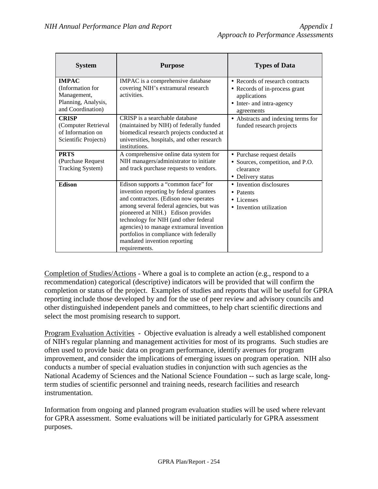| <b>System</b>                                                                               | <b>Purpose</b>                                                                                                                                                                                                                                                                                                                                                                            | <b>Types of Data</b>                                                                                                        |
|---------------------------------------------------------------------------------------------|-------------------------------------------------------------------------------------------------------------------------------------------------------------------------------------------------------------------------------------------------------------------------------------------------------------------------------------------------------------------------------------------|-----------------------------------------------------------------------------------------------------------------------------|
| <b>IMPAC</b><br>(Information for<br>Management,<br>Planning, Analysis,<br>and Coordination) | IMPAC is a comprehensive database<br>covering NIH's extramural research<br>activities.                                                                                                                                                                                                                                                                                                    | • Records of research contracts<br>• Records of in-process grant<br>applications<br>• Inter- and intra-agency<br>agreements |
| <b>CRISP</b><br>(Computer Retrieval<br>of Information on<br>Scientific Projects)            | CRISP is a searchable database<br>(maintained by NIH) of federally funded<br>biomedical research projects conducted at<br>universities, hospitals, and other research<br>institutions.                                                                                                                                                                                                    | • Abstracts and indexing terms for<br>funded research projects                                                              |
| <b>PRTS</b><br>(Purchase Request<br><b>Tracking System</b> )                                | A comprehensive online data system for<br>NIH managers/administrator to initiate<br>and track purchase requests to vendors.                                                                                                                                                                                                                                                               | • Purchase request details<br>• Sources, competition, and P.O.<br>clearance<br>• Delivery status                            |
| <b>Edison</b>                                                                               | Edison supports a "common face" for<br>invention reporting by federal grantees<br>and contractors. (Edison now operates<br>among several federal agencies, but was<br>pioneered at NIH.) Edison provides<br>technology for NIH (and other federal<br>agencies) to manage extramural invention<br>portfolios in compliance with federally<br>mandated invention reporting<br>requirements. | • Invention disclosures<br>• Patents<br>• Licenses<br>• Invention utilization                                               |

Completion of Studies/Actions - Where a goal is to complete an action (e.g., respond to a recommendation) categorical (descriptive) indicators will be provided that will confirm the completion or status of the project. Examples of studies and reports that will be useful for GPRA reporting include those developed by and for the use of peer review and advisory councils and other distinguished independent panels and committees, to help chart scientific directions and select the most promising research to support.

Program Evaluation Activities - Objective evaluation is already a well established component of NIH's regular planning and management activities for most of its programs. Such studies are often used to provide basic data on program performance, identify avenues for program improvement, and consider the implications of emerging issues on program operation. NIH also conducts a number of special evaluation studies in conjunction with such agencies as the National Academy of Sciences and the National Science Foundation -- such as large scale, longterm studies of scientific personnel and training needs, research facilities and research instrumentation.

Information from ongoing and planned program evaluation studies will be used where relevant for GPRA assessment. Some evaluations will be initiated particularly for GPRA assessment purposes.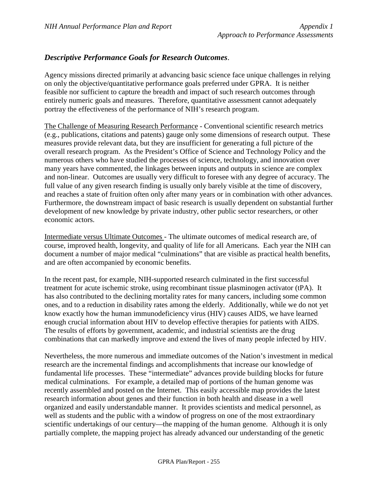### *Descriptive Performance Goals for Research Outcomes*.

Agency missions directed primarily at advancing basic science face unique challenges in relying on only the objective/quantitative performance goals preferred under GPRA. It is neither feasible nor sufficient to capture the breadth and impact of such research outcomes through entirely numeric goals and measures. Therefore, quantitative assessment cannot adequately portray the effectiveness of the performance of NIH's research program.

The Challenge of Measuring Research Performance - Conventional scientific research metrics (e.g., publications, citations and patents) gauge only some dimensions of research output. These measures provide relevant data, but they are insufficient for generating a full picture of the overall research program. As the President's Office of Science and Technology Policy and the numerous others who have studied the processes of science, technology, and innovation over many years have commented, the linkages between inputs and outputs in science are complex and non-linear. Outcomes are usually very difficult to foresee with any degree of accuracy. The full value of any given research finding is usually only barely visible at the time of discovery, and reaches a state of fruition often only after many years or in combination with other advances. Furthermore, the downstream impact of basic research is usually dependent on substantial further development of new knowledge by private industry, other public sector researchers, or other economic actors.

Intermediate versus Ultimate Outcomes - The ultimate outcomes of medical research are, of course, improved health, longevity, and quality of life for all Americans. Each year the NIH can document a number of major medical "culminations" that are visible as practical health benefits, and are often accompanied by economic benefits.

In the recent past, for example, NIH-supported research culminated in the first successful treatment for acute ischemic stroke, using recombinant tissue plasminogen activator (tPA). It has also contributed to the declining mortality rates for many cancers, including some common ones, and to a reduction in disability rates among the elderly. Additionally, while we do not yet know exactly how the human immunodeficiency virus (HIV) causes AIDS, we have learned enough crucial information about HIV to develop effective therapies for patients with AIDS. The results of efforts by government, academic, and industrial scientists are the drug combinations that can markedly improve and extend the lives of many people infected by HIV.

Nevertheless, the more numerous and immediate outcomes of the Nation's investment in medical research are the incremental findings and accomplishments that increase our knowledge of fundamental life processes. These "intermediate" advances provide building blocks for future medical culminations. For example, a detailed map of portions of the human genome was recently assembled and posted on the Internet. This easily accessible map provides the latest research information about genes and their function in both health and disease in a well organized and easily understandable manner. It provides scientists and medical personnel, as well as students and the public with a window of progress on one of the most extraordinary scientific undertakings of our century—the mapping of the human genome. Although it is only partially complete, the mapping project has already advanced our understanding of the genetic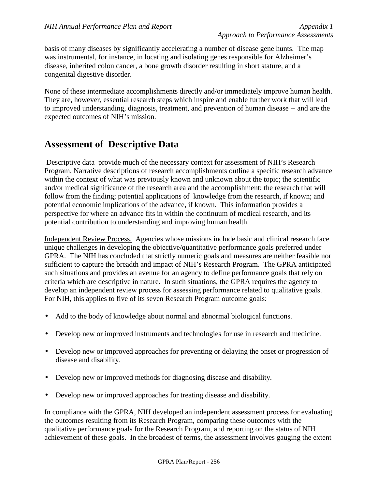basis of many diseases by significantly accelerating a number of disease gene hunts. The map was instrumental, for instance, in locating and isolating genes responsible for Alzheimer's disease, inherited colon cancer, a bone growth disorder resulting in short stature, and a congenital digestive disorder.

None of these intermediate accomplishments directly and/or immediately improve human health. They are, however, essential research steps which inspire and enable further work that will lead to improved understanding, diagnosis, treatment, and prevention of human disease -- and are the expected outcomes of NIH's mission.

### **Assessment of Descriptive Data**

 Descriptive data provide much of the necessary context for assessment of NIH's Research Program. Narrative descriptions of research accomplishments outline a specific research advance within the context of what was previously known and unknown about the topic; the scientific and/or medical significance of the research area and the accomplishment; the research that will follow from the finding; potential applications of knowledge from the research, if known; and potential economic implications of the advance, if known. This information provides a perspective for where an advance fits in within the continuum of medical research, and its potential contribution to understanding and improving human health.

Independent Review Process. Agencies whose missions include basic and clinical research face unique challenges in developing the objective/quantitative performance goals preferred under GPRA. The NIH has concluded that strictly numeric goals and measures are neither feasible nor sufficient to capture the breadth and impact of NIH's Research Program. The GPRA anticipated such situations and provides an avenue for an agency to define performance goals that rely on criteria which are descriptive in nature. In such situations, the GPRA requires the agency to develop an independent review process for assessing performance related to qualitative goals. For NIH, this applies to five of its seven Research Program outcome goals:

- Add to the body of knowledge about normal and abnormal biological functions.
- Develop new or improved instruments and technologies for use in research and medicine.
- Develop new or improved approaches for preventing or delaying the onset or progression of disease and disability.
- Develop new or improved methods for diagnosing disease and disability.
- Develop new or improved approaches for treating disease and disability.

In compliance with the GPRA, NIH developed an independent assessment process for evaluating the outcomes resulting from its Research Program, comparing these outcomes with the qualitative performance goals for the Research Program, and reporting on the status of NIH achievement of these goals. In the broadest of terms, the assessment involves gauging the extent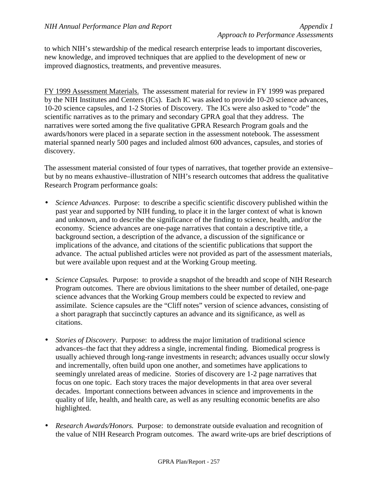to which NIH's stewardship of the medical research enterprise leads to important discoveries, new knowledge, and improved techniques that are applied to the development of new or improved diagnostics, treatments, and preventive measures.

FY 1999 Assessment Materials. The assessment material for review in FY 1999 was prepared by the NIH Institutes and Centers (ICs). Each IC was asked to provide 10-20 science advances, 10-20 science capsules, and 1-2 Stories of Discovery. The ICs were also asked to "code" the scientific narratives as to the primary and secondary GPRA goal that they address. The narratives were sorted among the five qualitative GPRA Research Program goals and the awards/honors were placed in a separate section in the assessment notebook. The assessment material spanned nearly 500 pages and included almost 600 advances, capsules, and stories of discovery.

The assessment material consisted of four types of narratives, that together provide an extensive– but by no means exhaustive–illustration of NIH's research outcomes that address the qualitative Research Program performance goals:

- *Science Advances*. Purpose: to describe a specific scientific discovery published within the past year and supported by NIH funding, to place it in the larger context of what is known and unknown, and to describe the significance of the finding to science, health, and/or the economy. Science advances are one-page narratives that contain a descriptive title, a background section, a description of the advance, a discussion of the significance or implications of the advance, and citations of the scientific publications that support the advance. The actual published articles were not provided as part of the assessment materials, but were available upon request and at the Working Group meeting.
- *Science Capsules.* Purpose: to provide a snapshot of the breadth and scope of NIH Research Program outcomes. There are obvious limitations to the sheer number of detailed, one-page science advances that the Working Group members could be expected to review and assimilate. Science capsules are the "Cliff notes" version of science advances, consisting of a short paragraph that succinctly captures an advance and its significance, as well as citations.
- *Stories of Discovery*. Purpose: to address the major limitation of traditional science advances–the fact that they address a single, incremental finding. Biomedical progress is usually achieved through long-range investments in research; advances usually occur slowly and incrementally, often build upon one another, and sometimes have applications to seemingly unrelated areas of medicine. Stories of discovery are 1-2 page narratives that focus on one topic. Each story traces the major developments in that area over several decades. Important connections between advances in science and improvements in the quality of life, health, and health care, as well as any resulting economic benefits are also highlighted.
- *Research Awards/Honors.* Purpose: to demonstrate outside evaluation and recognition of the value of NIH Research Program outcomes. The award write-ups are brief descriptions of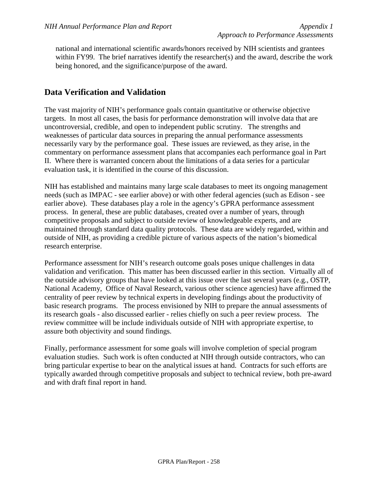national and international scientific awards/honors received by NIH scientists and grantees within FY99. The brief narratives identify the researcher(s) and the award, describe the work being honored, and the significance/purpose of the award.

### **Data Verification and Validation**

The vast majority of NIH's performance goals contain quantitative or otherwise objective targets. In most all cases, the basis for performance demonstration will involve data that are uncontroversial, credible, and open to independent public scrutiny. The strengths and weaknesses of particular data sources in preparing the annual performance assessments necessarily vary by the performance goal. These issues are reviewed, as they arise, in the commentary on performance assessment plans that accompanies each performance goal in Part II. Where there is warranted concern about the limitations of a data series for a particular evaluation task, it is identified in the course of this discussion.

NIH has established and maintains many large scale databases to meet its ongoing management needs (such as IMPAC - see earlier above) or with other federal agencies (such as Edison - see earlier above). These databases play a role in the agency's GPRA performance assessment process. In general, these are public databases, created over a number of years, through competitive proposals and subject to outside review of knowledgeable experts, and are maintained through standard data quality protocols. These data are widely regarded, within and outside of NIH, as providing a credible picture of various aspects of the nation's biomedical research enterprise.

Performance assessment for NIH's research outcome goals poses unique challenges in data validation and verification. This matter has been discussed earlier in this section. Virtually all of the outside advisory groups that have looked at this issue over the last several years (e.g., OSTP, National Academy, Office of Naval Research, various other science agencies) have affirmed the centrality of peer review by technical experts in developing findings about the productivity of basic research programs. The process envisioned by NIH to prepare the annual assessments of its research goals - also discussed earlier - relies chiefly on such a peer review process. The review committee will be include individuals outside of NIH with appropriate expertise, to assure both objectivity and sound findings.

Finally, performance assessment for some goals will involve completion of special program evaluation studies. Such work is often conducted at NIH through outside contractors, who can bring particular expertise to bear on the analytical issues at hand. Contracts for such efforts are typically awarded through competitive proposals and subject to technical review, both pre-award and with draft final report in hand.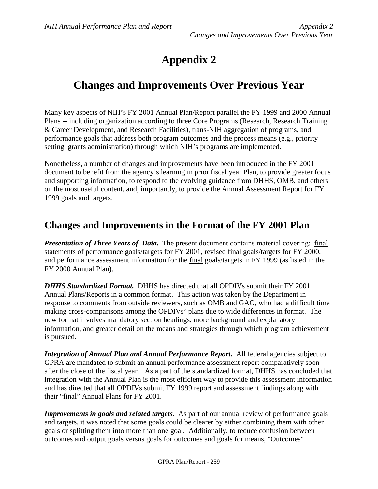## **Changes and Improvements Over Previous Year**

Many key aspects of NIH's FY 2001 Annual Plan/Report parallel the FY 1999 and 2000 Annual Plans -- including organization according to three Core Programs (Research, Research Training & Career Development, and Research Facilities), trans-NIH aggregation of programs, and performance goals that address both program outcomes and the process means (e.g., priority setting, grants administration) through which NIH's programs are implemented.

Nonetheless, a number of changes and improvements have been introduced in the FY 2001 document to benefit from the agency's learning in prior fiscal year Plan, to provide greater focus and supporting information, to respond to the evolving guidance from DHHS, OMB, and others on the most useful content, and, importantly, to provide the Annual Assessment Report for FY 1999 goals and targets.

### **Changes and Improvements in the Format of the FY 2001 Plan**

*Presentation of Three Years of Data.* The present document contains material covering: final statements of performance goals/targets for FY 2001, revised final goals/targets for FY 2000, and performance assessment information for the final goals/targets in FY 1999 (as listed in the FY 2000 Annual Plan).

*DHHS Standardized Format.* DHHS has directed that all OPDIVs submit their FY 2001 Annual Plans/Reports in a common format. This action was taken by the Department in response to comments from outside reviewers, such as OMB and GAO, who had a difficult time making cross-comparisons among the OPDIVs' plans due to wide differences in format. The new format involves mandatory section headings, more background and explanatory information, and greater detail on the means and strategies through which program achievement is pursued.

*Integration of Annual Plan and Annual Performance Report.* All federal agencies subject to GPRA are mandated to submit an annual performance assessment report comparatively soon after the close of the fiscal year. As a part of the standardized format, DHHS has concluded that integration with the Annual Plan is the most efficient way to provide this assessment information and has directed that all OPDIVs submit FY 1999 report and assessment findings along with their "final" Annual Plans for FY 2001.

*Improvements in goals and related targets.* As part of our annual review of performance goals and targets, it was noted that some goals could be clearer by either combining them with other goals or splitting them into more than one goal. Additionally, to reduce confusion between outcomes and output goals versus goals for outcomes and goals for means, "Outcomes"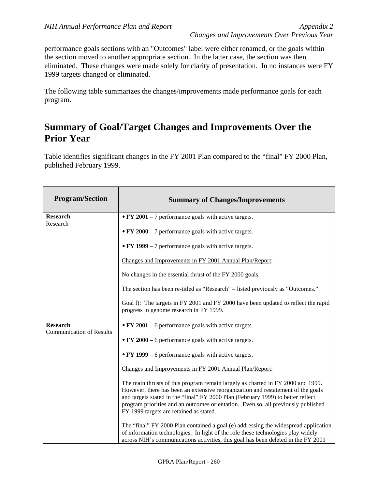performance goals sections with an "Outcomes" label were either renamed, or the goals within the section moved to another appropriate section. In the latter case, the section was then eliminated. These changes were made solely for clarity of presentation. In no instances were FY 1999 targets changed or eliminated.

The following table summarizes the changes/improvements made performance goals for each program.

### **Summary of Goal/Target Changes and Improvements Over the Prior Year**

Table identifies significant changes in the FY 2001 Plan compared to the "final" FY 2000 Plan, published February 1999.

| <b>Program/Section</b>          | <b>Summary of Changes/Improvements</b>                                                                                                                                                                                                                                                                                                                                                  |  |
|---------------------------------|-----------------------------------------------------------------------------------------------------------------------------------------------------------------------------------------------------------------------------------------------------------------------------------------------------------------------------------------------------------------------------------------|--|
| <b>Research</b><br>Research     | $\bullet$ FY 2001 - 7 performance goals with active targets.                                                                                                                                                                                                                                                                                                                            |  |
|                                 | $\bullet$ FY 2000 – 7 performance goals with active targets.                                                                                                                                                                                                                                                                                                                            |  |
|                                 | $\bullet$ FY 1999 – 7 performance goals with active targets.                                                                                                                                                                                                                                                                                                                            |  |
|                                 | Changes and Improvements in FY 2001 Annual Plan/Report:                                                                                                                                                                                                                                                                                                                                 |  |
|                                 | No changes in the essential thrust of the FY 2000 goals.                                                                                                                                                                                                                                                                                                                                |  |
|                                 | The section has been re-titled as "Research" – listed previously as "Outcomes."                                                                                                                                                                                                                                                                                                         |  |
|                                 | Goal f): The targets in FY 2001 and FY 2000 have been updated to reflect the rapid<br>progress in genome research in FY 1999.                                                                                                                                                                                                                                                           |  |
| <b>Research</b>                 | $\bullet$ FY 2001 – 6 performance goals with active targets.                                                                                                                                                                                                                                                                                                                            |  |
| <b>Communication of Results</b> | $\bullet$ FY 2000 – 6 performance goals with active targets.                                                                                                                                                                                                                                                                                                                            |  |
|                                 | $\bullet$ FY 1999 – 6 performance goals with active targets.                                                                                                                                                                                                                                                                                                                            |  |
|                                 | Changes and Improvements in FY 2001 Annual Plan/Report:                                                                                                                                                                                                                                                                                                                                 |  |
|                                 | The main thrusts of this program remain largely as charted in FY 2000 and 1999.<br>However, there has been an extensive reorganization and restatement of the goals<br>and targets stated in the "final" FY 2000 Plan (February 1999) to better reflect<br>program priorities and an outcomes orientation. Even so, all previously published<br>FY 1999 targets are retained as stated. |  |
|                                 | The "final" FY 2000 Plan contained a goal (e) addressing the widespread application<br>of information technologies. In light of the role these technologies play widely<br>across NIH's communications activities, this goal has been deleted in the FY 2001                                                                                                                            |  |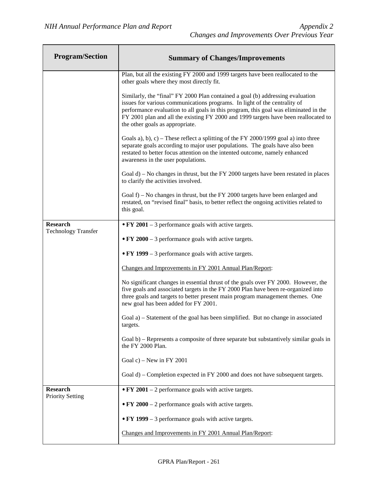| <b>Program/Section</b>                        | <b>Summary of Changes/Improvements</b>                                                                                                                                                                                                                                                                                                                                        |
|-----------------------------------------------|-------------------------------------------------------------------------------------------------------------------------------------------------------------------------------------------------------------------------------------------------------------------------------------------------------------------------------------------------------------------------------|
|                                               | Plan, but all the existing FY 2000 and 1999 targets have been reallocated to the<br>other goals where they most directly fit.                                                                                                                                                                                                                                                 |
|                                               | Similarly, the "final" FY 2000 Plan contained a goal (b) addressing evaluation<br>issues for various communications programs. In light of the centrality of<br>performance evaluation to all goals in this program, this goal was eliminated in the<br>FY 2001 plan and all the existing FY 2000 and 1999 targets have been reallocated to<br>the other goals as appropriate. |
|                                               | Goals a), b), c) – These reflect a splitting of the FY 2000/1999 goal a) into three<br>separate goals according to major user populations. The goals have also been<br>restated to better focus attention on the intented outcome, namely enhanced<br>awareness in the user populations.                                                                                      |
|                                               | Goal $d$ ) – No changes in thrust, but the FY 2000 targets have been restated in places<br>to clarify the activities involved.                                                                                                                                                                                                                                                |
|                                               | Goal $f$ ) – No changes in thrust, but the FY 2000 targets have been enlarged and<br>restated, on "revised final" basis, to better reflect the ongoing activities related to<br>this goal.                                                                                                                                                                                    |
| <b>Research</b><br><b>Technology Transfer</b> | $\bullet$ FY 2001 – 3 performance goals with active targets.                                                                                                                                                                                                                                                                                                                  |
|                                               | $\bullet$ FY 2000 – 3 performance goals with active targets.                                                                                                                                                                                                                                                                                                                  |
|                                               | $\bullet$ FY 1999 – 3 performance goals with active targets.                                                                                                                                                                                                                                                                                                                  |
|                                               | Changes and Improvements in FY 2001 Annual Plan/Report:                                                                                                                                                                                                                                                                                                                       |
|                                               | No significant changes in essential thrust of the goals over FY 2000. However, the<br>five goals and associated targets in the FY 2000 Plan have been re-organized into<br>three goals and targets to better present main program management themes. One<br>new goal has been added for FY 2001.                                                                              |
|                                               | Goal a) – Statement of the goal has been simplified. But no change in associated<br>targets.                                                                                                                                                                                                                                                                                  |
|                                               | Goal b) – Represents a composite of three separate but substantively similar goals in<br>the FY 2000 Plan.                                                                                                                                                                                                                                                                    |
|                                               | Goal c) – New in FY 2001                                                                                                                                                                                                                                                                                                                                                      |
|                                               | Goal d) – Completion expected in FY 2000 and does not have subsequent targets.                                                                                                                                                                                                                                                                                                |
| <b>Research</b><br><b>Priority Setting</b>    | $\bullet$ FY 2001 – 2 performance goals with active targets.                                                                                                                                                                                                                                                                                                                  |
|                                               | $\bullet$ FY 2000 – 2 performance goals with active targets.                                                                                                                                                                                                                                                                                                                  |
|                                               | $\bullet$ FY 1999 – 3 performance goals with active targets.                                                                                                                                                                                                                                                                                                                  |
|                                               | Changes and Improvements in FY 2001 Annual Plan/Report:                                                                                                                                                                                                                                                                                                                       |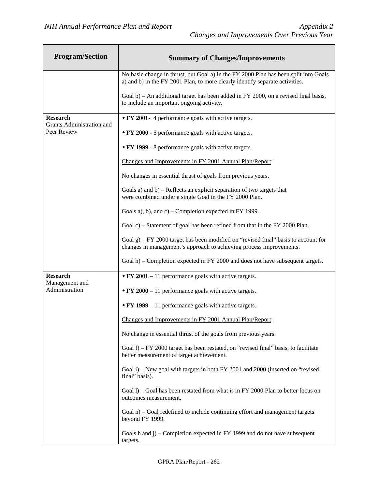| <b>Program/Section</b>                              | <b>Summary of Changes/Improvements</b>                                                                                                                               |
|-----------------------------------------------------|----------------------------------------------------------------------------------------------------------------------------------------------------------------------|
|                                                     | No basic change in thrust, but Goal a) in the FY 2000 Plan has been split into Goals<br>a) and b) in the FY 2001 Plan, to more clearly identify separate activities. |
|                                                     | Goal b) – An additional target has been added in FY 2000, on a revised final basis,<br>to include an important ongoing activity.                                     |
| <b>Research</b><br>Grants Administration and        | • FY 2001-4 performance goals with active targets.                                                                                                                   |
| Peer Review                                         | • FY 2000 - 5 performance goals with active targets.                                                                                                                 |
|                                                     | • FY 1999 - 8 performance goals with active targets.                                                                                                                 |
|                                                     | Changes and Improvements in FY 2001 Annual Plan/Report:                                                                                                              |
|                                                     | No changes in essential thrust of goals from previous years.                                                                                                         |
|                                                     | Goals a) and $b$ ) – Reflects an explicit separation of two targets that<br>were combined under a single Goal in the FY 2000 Plan.                                   |
|                                                     | Goals a), b), and c) – Completion expected in FY 1999.                                                                                                               |
|                                                     | Goal c) – Statement of goal has been refined from that in the FY 2000 Plan.                                                                                          |
|                                                     | Goal $g$ ) – FY 2000 target has been modified on "revised final" basis to account for<br>changes in management's approach to achieving process improvements.         |
|                                                     | Goal h) – Completion expected in FY 2000 and does not have subsequent targets.                                                                                       |
| <b>Research</b><br>Management and<br>Administration | $\bullet$ FY 2001 - 11 performance goals with active targets.                                                                                                        |
|                                                     | $\bullet$ FY 2000 - 11 performance goals with active targets.                                                                                                        |
|                                                     | $\bullet$ FY 1999 – 11 performance goals with active targets.                                                                                                        |
|                                                     | Changes and Improvements in FY 2001 Annual Plan/Report:                                                                                                              |
|                                                     | No change in essential thrust of the goals from previous years.                                                                                                      |
|                                                     | Goal f) – FY 2000 target has been restated, on "revised final" basis, to facilitate<br>better measurement of target achievement.                                     |
|                                                     | Goal i) – New goal with targets in both FY 2001 and 2000 (inserted on "revised"<br>final" basis).                                                                    |
|                                                     | Goal 1) – Goal has been restated from what is in FY 2000 Plan to better focus on<br>outcomes measurement.                                                            |
|                                                     | Goal n) – Goal redefined to include continuing effort and management targets<br>beyond FY 1999.                                                                      |
|                                                     | Goals h and $j$ ) – Completion expected in FY 1999 and do not have subsequent<br>targets.                                                                            |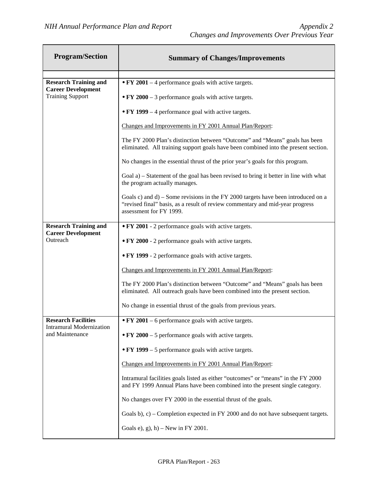| <b>Program/Section</b>                                                                                            | <b>Summary of Changes/Improvements</b>                                                                                                                                                           |
|-------------------------------------------------------------------------------------------------------------------|--------------------------------------------------------------------------------------------------------------------------------------------------------------------------------------------------|
|                                                                                                                   |                                                                                                                                                                                                  |
| <b>Research Training and</b><br><b>Career Development</b>                                                         | $\bullet$ FY 2001 - 4 performance goals with active targets.                                                                                                                                     |
| <b>Training Support</b>                                                                                           | $\bullet$ FY 2000 - 3 performance goals with active targets.                                                                                                                                     |
|                                                                                                                   | $\bullet$ FY 1999 - 4 performance goal with active targets.                                                                                                                                      |
|                                                                                                                   | Changes and Improvements in FY 2001 Annual Plan/Report:                                                                                                                                          |
|                                                                                                                   | The FY 2000 Plan's distinction between "Outcome" and "Means" goals has been<br>eliminated. All training support goals have been combined into the present section.                               |
|                                                                                                                   | No changes in the essential thrust of the prior year's goals for this program.                                                                                                                   |
|                                                                                                                   | Goal a) – Statement of the goal has been revised to bring it better in line with what<br>the program actually manages.                                                                           |
|                                                                                                                   | Goals c) and $d$ ) – Some revisions in the FY 2000 targets have been introduced on a<br>"revised final" basis, as a result of review commentary and mid-year progress<br>assessment for FY 1999. |
| <b>Research Training and</b><br>• FY 2001 - 2 performance goals with active targets.<br><b>Career Development</b> |                                                                                                                                                                                                  |
| Outreach                                                                                                          | • FY 2000 - 2 performance goals with active targets.                                                                                                                                             |
|                                                                                                                   | • FY 1999 - 2 performance goals with active targets.                                                                                                                                             |
|                                                                                                                   | Changes and Improvements in FY 2001 Annual Plan/Report:                                                                                                                                          |
|                                                                                                                   | The FY 2000 Plan's distinction between "Outcome" and "Means" goals has been<br>eliminated. All outreach goals have been combined into the present section.                                       |
|                                                                                                                   | No change in essential thrust of the goals from previous years.                                                                                                                                  |
| <b>Research Facilities</b><br><b>Intramural Modernization</b>                                                     | $\bullet$ FY 2001 – 6 performance goals with active targets.                                                                                                                                     |
| and Maintenance                                                                                                   | $\bullet$ FY 2000 – 5 performance goals with active targets.                                                                                                                                     |
|                                                                                                                   | $\bullet$ FY 1999 – 5 performance goals with active targets.                                                                                                                                     |
|                                                                                                                   | Changes and Improvements in FY 2001 Annual Plan/Report:                                                                                                                                          |
|                                                                                                                   | Intramural facilities goals listed as either "outcomes" or "means" in the FY 2000<br>and FY 1999 Annual Plans have been combined into the present single category.                               |
|                                                                                                                   | No changes over FY 2000 in the essential thrust of the goals.                                                                                                                                    |
|                                                                                                                   | Goals b), c) – Completion expected in FY 2000 and do not have subsequent targets.                                                                                                                |
|                                                                                                                   | Goals e), $g$ ), $h$ ) – New in FY 2001.                                                                                                                                                         |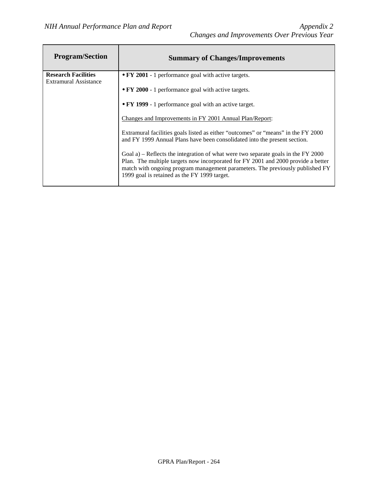| <b>Program/Section</b>                              | <b>Summary of Changes/Improvements</b>                                                                                                                                                                                                                                                                  |
|-----------------------------------------------------|---------------------------------------------------------------------------------------------------------------------------------------------------------------------------------------------------------------------------------------------------------------------------------------------------------|
| <b>Research Facilities</b><br>Extramural Assistance | $\bullet$ FY 2001 - 1 performance goal with active targets.                                                                                                                                                                                                                                             |
|                                                     | $\bullet$ FY 2000 - 1 performance goal with active targets.                                                                                                                                                                                                                                             |
|                                                     | • FY 1999 - 1 performance goal with an active target.                                                                                                                                                                                                                                                   |
|                                                     | Changes and Improvements in FY 2001 Annual Plan/Report:                                                                                                                                                                                                                                                 |
|                                                     | Extramural facilities goals listed as either "outcomes" or "means" in the FY 2000<br>and FY 1999 Annual Plans have been consolidated into the present section.                                                                                                                                          |
|                                                     | Goal a) – Reflects the integration of what were two separate goals in the FY 2000<br>Plan. The multiple targets now incorporated for FY 2001 and 2000 provide a better<br>match with ongoing program management parameters. The previously published FY<br>1999 goal is retained as the FY 1999 target. |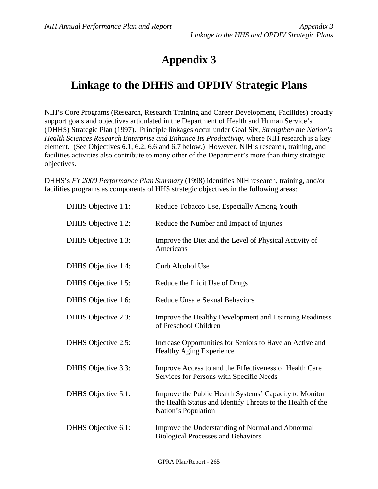## **Linkage to the DHHS and OPDIV Strategic Plans**

NIH's Core Programs (Research, Research Training and Career Development, Facilities) broadly support goals and objectives articulated in the Department of Health and Human Service's (DHHS) Strategic Plan (1997). Principle linkages occur under Goal Six, *Strengthen the Nation's Health Sciences Research Enterprise and Enhance Its Productivity*, where NIH research is a key element. (See Objectives 6.1, 6.2, 6.6 and 6.7 below.) However, NIH's research, training, and facilities activities also contribute to many other of the Department's more than thirty strategic objectives.

DHHS's *FY 2000 Performance Plan Summary* (1998) identifies NIH research, training, and/or facilities programs as components of HHS strategic objectives in the following areas:

| DHHS Objective 1.1: | Reduce Tobacco Use, Especially Among Youth                                                                                                   |
|---------------------|----------------------------------------------------------------------------------------------------------------------------------------------|
| DHHS Objective 1.2: | Reduce the Number and Impact of Injuries                                                                                                     |
| DHHS Objective 1.3: | Improve the Diet and the Level of Physical Activity of<br>Americans                                                                          |
| DHHS Objective 1.4: | Curb Alcohol Use                                                                                                                             |
| DHHS Objective 1.5: | Reduce the Illicit Use of Drugs                                                                                                              |
| DHHS Objective 1.6: | <b>Reduce Unsafe Sexual Behaviors</b>                                                                                                        |
| DHHS Objective 2.3: | Improve the Healthy Development and Learning Readiness<br>of Preschool Children                                                              |
| DHHS Objective 2.5: | Increase Opportunities for Seniors to Have an Active and<br><b>Healthy Aging Experience</b>                                                  |
| DHHS Objective 3.3: | Improve Access to and the Effectiveness of Health Care<br>Services for Persons with Specific Needs                                           |
| DHHS Objective 5.1: | Improve the Public Health Systems' Capacity to Monitor<br>the Health Status and Identify Threats to the Health of the<br>Nation's Population |
| DHHS Objective 6.1: | Improve the Understanding of Normal and Abnormal<br><b>Biological Processes and Behaviors</b>                                                |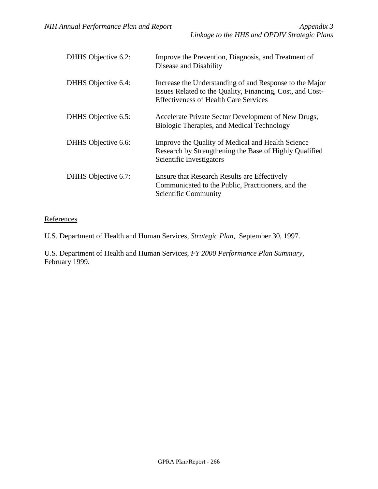| DHHS Objective 6.2: | Improve the Prevention, Diagnosis, and Treatment of<br>Disease and Disability                                                                                        |
|---------------------|----------------------------------------------------------------------------------------------------------------------------------------------------------------------|
| DHHS Objective 6.4: | Increase the Understanding of and Response to the Major<br>Issues Related to the Quality, Financing, Cost, and Cost-<br><b>Effectiveness of Health Care Services</b> |
| DHHS Objective 6.5: | Accelerate Private Sector Development of New Drugs,<br>Biologic Therapies, and Medical Technology                                                                    |
| DHHS Objective 6.6: | Improve the Quality of Medical and Health Science<br>Research by Strengthening the Base of Highly Qualified<br>Scientific Investigators                              |
| DHHS Objective 6.7: | Ensure that Research Results are Effectively<br>Communicated to the Public, Practitioners, and the<br><b>Scientific Community</b>                                    |

### **References**

U.S. Department of Health and Human Services, *Strategic Plan*, September 30, 1997.

U.S. Department of Health and Human Services, *FY 2000 Performance Plan Summary*, February 1999.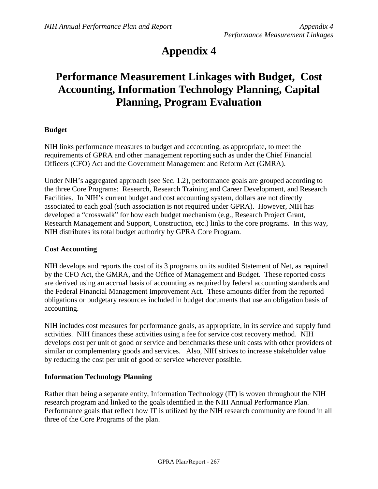## **Performance Measurement Linkages with Budget, Cost Accounting, Information Technology Planning, Capital Planning, Program Evaluation**

#### **Budget**

NIH links performance measures to budget and accounting, as appropriate, to meet the requirements of GPRA and other management reporting such as under the Chief Financial Officers (CFO) Act and the Government Management and Reform Act (GMRA).

Under NIH's aggregated approach (see Sec. 1.2), performance goals are grouped according to the three Core Programs: Research, Research Training and Career Development, and Research Facilities. In NIH's current budget and cost accounting system, dollars are not directly associated to each goal (such association is not required under GPRA). However, NIH has developed a "crosswalk" for how each budget mechanism (e.g., Research Project Grant, Research Management and Support, Construction, etc.) links to the core programs. In this way, NIH distributes its total budget authority by GPRA Core Program.

#### **Cost Accounting**

NIH develops and reports the cost of its 3 programs on its audited Statement of Net, as required by the CFO Act, the GMRA, and the Office of Management and Budget. These reported costs are derived using an accrual basis of accounting as required by federal accounting standards and the Federal Financial Management Improvement Act. These amounts differ from the reported obligations or budgetary resources included in budget documents that use an obligation basis of accounting.

NIH includes cost measures for performance goals, as appropriate, in its service and supply fund activities. NIH finances these activities using a fee for service cost recovery method. NIH develops cost per unit of good or service and benchmarks these unit costs with other providers of similar or complementary goods and services. Also, NIH strives to increase stakeholder value by reducing the cost per unit of good or service wherever possible.

#### **Information Technology Planning**

Rather than being a separate entity, Information Technology (IT) is woven throughout the NIH research program and linked to the goals identified in the NIH Annual Performance Plan. Performance goals that reflect how IT is utilized by the NIH research community are found in all three of the Core Programs of the plan.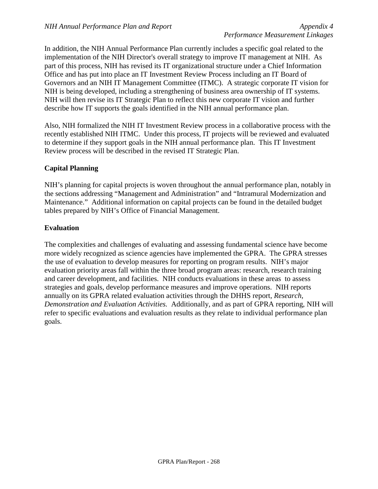In addition, the NIH Annual Performance Plan currently includes a specific goal related to the implementation of the NIH Director's overall strategy to improve IT management at NIH. As part of this process, NIH has revised its IT organizational structure under a Chief Information Office and has put into place an IT Investment Review Process including an IT Board of Governors and an NIH IT Management Committee (ITMC). A strategic corporate IT vision for NIH is being developed, including a strengthening of business area ownership of IT systems. NIH will then revise its IT Strategic Plan to reflect this new corporate IT vision and further describe how IT supports the goals identified in the NIH annual performance plan.

Also, NIH formalized the NIH IT Investment Review process in a collaborative process with the recently established NIH ITMC. Under this process, IT projects will be reviewed and evaluated to determine if they support goals in the NIH annual performance plan. This IT Investment Review process will be described in the revised IT Strategic Plan.

### **Capital Planning**

NIH's planning for capital projects is woven throughout the annual performance plan, notably in the sections addressing "Management and Administration" and "Intramural Modernization and Maintenance." Additional information on capital projects can be found in the detailed budget tables prepared by NIH's Office of Financial Management.

#### **Evaluation**

The complexities and challenges of evaluating and assessing fundamental science have become more widely recognized as science agencies have implemented the GPRA. The GPRA stresses the use of evaluation to develop measures for reporting on program results. NIH's major evaluation priority areas fall within the three broad program areas: research, research training and career development, and facilities. NIH conducts evaluations in these areas to assess strategies and goals, develop performance measures and improve operations. NIH reports annually on its GPRA related evaluation activities through the DHHS report, *Research, Demonstration and Evaluation Activities.* Additionally, and as part of GPRA reporting, NIH will refer to specific evaluations and evaluation results as they relate to individual performance plan goals.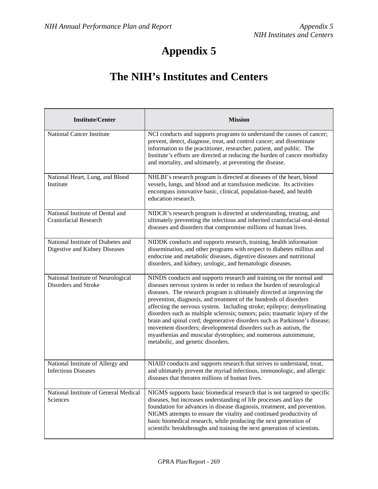# **The NIH's Institutes and Centers**

| <b>Institute/Center</b>                                             | <b>Mission</b>                                                                                                                                                                                                                                                                                                                                                                                                                                                                                                                                                                                                                                                                                                |
|---------------------------------------------------------------------|---------------------------------------------------------------------------------------------------------------------------------------------------------------------------------------------------------------------------------------------------------------------------------------------------------------------------------------------------------------------------------------------------------------------------------------------------------------------------------------------------------------------------------------------------------------------------------------------------------------------------------------------------------------------------------------------------------------|
| <b>National Cancer Institute</b>                                    | NCI conducts and supports programs to understand the causes of cancer;<br>prevent, detect, diagnose, treat, and control cancer; and disseminate<br>information to the practitioner, researcher, patient, and public. The<br>Institute's efforts are directed at reducing the burden of cancer morbidity<br>and mortality, and ultimately, at preventing the disease.                                                                                                                                                                                                                                                                                                                                          |
| National Heart, Lung, and Blood<br>Institute                        | NHLBI's research program is directed at diseases of the heart, blood<br>vessels, lungs, and blood and at transfusion medicine. Its activities<br>encompass innovative basic, clinical, population-based, and health<br>education research.                                                                                                                                                                                                                                                                                                                                                                                                                                                                    |
| National Institute of Dental and<br>Craniofacial Research           | NIDCR's research program is directed at understanding, treating, and<br>ultimately preventing the infectious and inherited craniofacial-oral-dental<br>diseases and disorders that compromise millions of human lives.                                                                                                                                                                                                                                                                                                                                                                                                                                                                                        |
| National Institute of Diabetes and<br>Digestive and Kidney Diseases | NIDDK conducts and supports research, training, health information<br>dissemination, and other programs with respect to diabetes millitus and<br>endocrine and metabolic diseases, digestive diseases and nutritional<br>disorders, and kidney, urologic, and hematologic diseases.                                                                                                                                                                                                                                                                                                                                                                                                                           |
| National Institute of Neurological<br>Disorders and Stroke          | NINDS conducts and supports research and training on the normal and<br>diseases nervous system in order to reduce the burden of neurological<br>diseases. The research program is ultimately directed at improving the<br>prevention, diagnosis, and treatment of the hundreds of disorders<br>affecting the nervous system. Including stroke; epilepsy; demyelinating<br>disorders such as multiple sclerosis; tumors; pain; traumatic injury of the<br>brain and spinal cord; degenerative disorders such as Parkinson's disease;<br>movement disorders; developmental disorders such as autism, the<br>myasthenias and muscular dystrophies; and numerous autoimmune,<br>metabolic, and genetic disorders. |
| National Institute of Allergy and<br><b>Infectious Diseases</b>     | NIAID conducts and supports research that strives to understand, treat,<br>and ultimately prevent the myriad infectious, immunologic, and allergic<br>diseases that threaten millions of human lives.                                                                                                                                                                                                                                                                                                                                                                                                                                                                                                         |
| National Institute of General Medical<br>Sciences                   | NIGMS supports basic biomedical research that is not targeted to specific<br>diseases, but increases understanding of life processes and lays the<br>foundation for advances in disease diagnosis, treatment, and prevention.<br>NIGMS attempts to ensure the vitality and continued productivity of<br>basic biomedical research, while producing the next generation of<br>scientific breakthroughs and training the next generation of scientists.                                                                                                                                                                                                                                                         |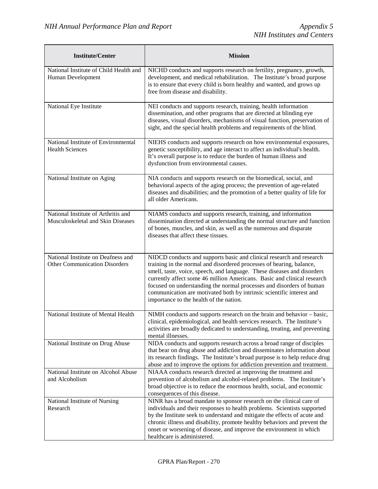| <b>Institute/Center</b>                                                    | <b>Mission</b>                                                                                                                                                                                                                                                                                                                                                                                                                                                                                 |
|----------------------------------------------------------------------------|------------------------------------------------------------------------------------------------------------------------------------------------------------------------------------------------------------------------------------------------------------------------------------------------------------------------------------------------------------------------------------------------------------------------------------------------------------------------------------------------|
| National Institute of Child Health and<br>Human Development                | NICHD conducts and supports research on fertility, pregnancy, growth,<br>development, and medical rehabilitation. The Institute's broad purpose<br>is to ensure that every child is born healthy and wanted, and grows up<br>free from disease and disability.                                                                                                                                                                                                                                 |
| National Eye Institute                                                     | NEI conducts and supports research, training, health information<br>dissemination, and other programs that are directed at blinding eye<br>diseases, visual disorders, mechanisms of visual function, preservation of<br>sight, and the special health problems and requirements of the blind.                                                                                                                                                                                                 |
| National Institute of Environmental<br><b>Health Sciences</b>              | NIEHS conducts and supports research on how environmental exposures,<br>genetic susceptibility, and age interact to affect an individual's health.<br>It's overall purpose is to reduce the burden of human illness and<br>dysfunction from environmental causes.                                                                                                                                                                                                                              |
| National Institute on Aging                                                | NIA conducts and supports research on the biomedical, social, and<br>behavioral aspects of the aging process; the prevention of age-related<br>diseases and disabilities; and the promotion of a better quality of life for<br>all older Americans.                                                                                                                                                                                                                                            |
| National Institute of Arthritis and<br>Musculoskeletal and Skin Diseases   | NIAMS conducts and supports research, training, and information<br>dissemination directed at understanding the normal structure and function<br>of bones, muscles, and skin, as well as the numerous and disparate<br>diseases that affect these tissues.                                                                                                                                                                                                                                      |
| National Institute on Deafness and<br><b>Other Communication Disorders</b> | NIDCD conducts and supports basic and clinical research and research<br>training in the normal and disordered processes of hearing, balance,<br>smell, taste, voice, speech, and language. These diseases and disorders<br>currently affect some 46 million Americans. Basic and clinical research<br>focused on understanding the normal processes and disorders of human<br>communication are motivated both by intrinsic scientific interest and<br>importance to the health of the nation. |
| National Institute of Mental Health                                        | NIMH conducts and supports research on the brain and behavior – basic,<br>clinical, epidemiological, and health services research. The Institute's<br>activities are broadly dedicated to understanding, treating, and preventing<br>mental illnesses.                                                                                                                                                                                                                                         |
| National Institute on Drug Abuse                                           | NIDA conducts and supports research across a broad range of disciples<br>that bear on drug abuse and addiction and disseminates information about<br>its research findings. The Institute's broad purpose is to help reduce drug<br>abuse and to improve the options for addiction prevention and treatment.                                                                                                                                                                                   |
| National Institute on Alcohol Abuse<br>and Alcoholism                      | NIAAA conducts research directed at improving the treatment and<br>prevention of alcoholism and alcohol-related problems. The Institute's<br>broad objective is to reduce the enormous health, social, and economic<br>consequences of this disease.                                                                                                                                                                                                                                           |
| National Institute of Nursing<br>Research                                  | NINR has a broad mandate to sponsor research on the clinical care of<br>individuals and their responses to health problems. Scientists supported<br>by the Institute seek to understand and mitigate the effects of acute and<br>chronic illness and disability, promote healthy behaviors and prevent the<br>onset or worsening of disease, and improve the environment in which<br>healthcare is administered.                                                                               |